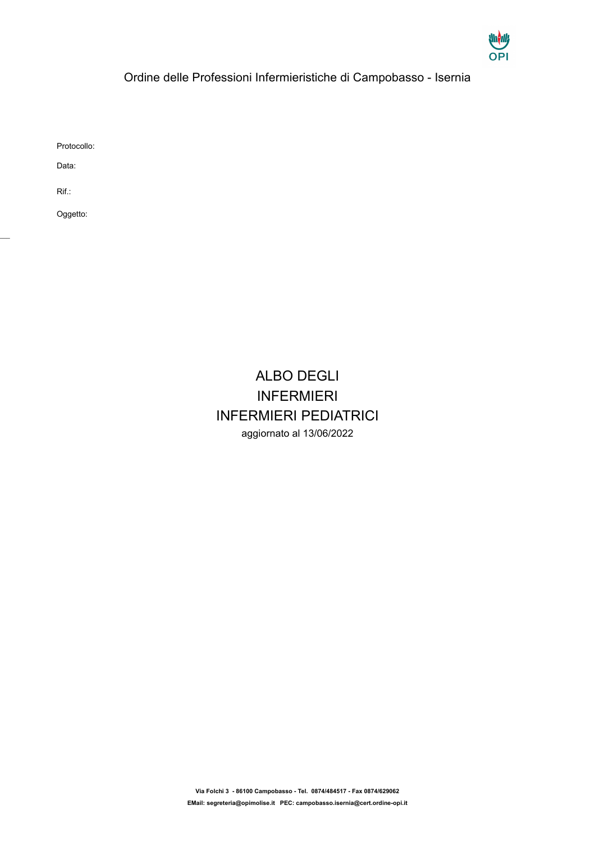

## Ordine delle Professioni Infermieristiche di Campobasso - Isernia

Protocollo:

Data:

Rif.:

 $\overline{a}$ 

Oggetto:

## ALBO DEGLI INFERMIERI INFERMIERI PEDIATRICI aggiornato al 13/06/2022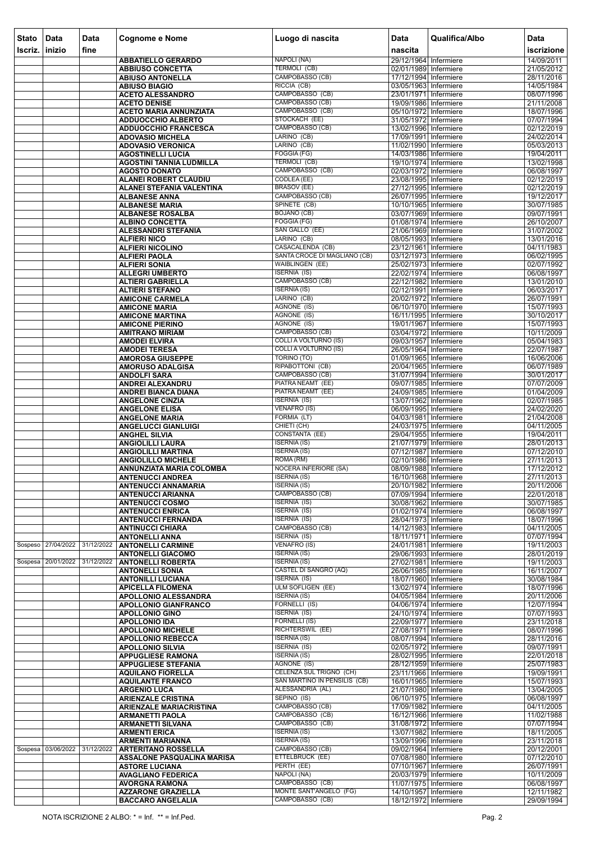| <b>Stato</b><br>Iscriz. | Data<br>$ $ inizio | Data<br>fine | <b>Cognome e Nome</b>                                       | Luogo di nascita                                              | <b>Data</b><br>nascita                         | Qualifica/Albo | Data<br>iscrizione       |
|-------------------------|--------------------|--------------|-------------------------------------------------------------|---------------------------------------------------------------|------------------------------------------------|----------------|--------------------------|
|                         |                    |              | <b>ABBATIELLO GERARDO</b>                                   | NAPOLI (NA)                                                   | 29/12/1964 Infermiere                          |                | 14/09/2011               |
|                         |                    |              | <b>ABBIUSO CONCETTA</b>                                     | <b>TERMOLI (CB)</b>                                           | 02/01/1989 Infermiere                          |                | 21/05/2012               |
|                         |                    |              | <b>ABIUSO ANTONELLA</b>                                     | CAMPOBASSO (CB)                                               | 17/12/1994 Infermiere                          |                | 28/11/2016               |
|                         |                    |              | <b>ABIUSO BIAGIO</b>                                        | RICCIA (CB)                                                   | 03/05/1963 Infermiere                          |                | 14/05/1984               |
|                         |                    |              | <b>ACETO ALESSANDRO</b><br><b>ACETO DENISE</b>              | CAMPOBASSO (CB)<br>CAMPOBASSO (CB)                            | 23/01/1971 Infermiere<br>19/09/1986 Infermiere |                | 08/07/1996<br>21/11/2008 |
|                         |                    |              | <b>ACETO MARIA ANNUNZIATA</b>                               | CAMPOBASSO (CB)                                               | 05/10/1972 Infermiere                          |                | 18/07/1996               |
|                         |                    |              | <b>ADDUOCCHIO ALBERTO</b>                                   | STOCKACH (EE)                                                 | 31/05/1972 Infermiere                          |                | 07/07/1994               |
|                         |                    |              | <b>ADDUOCCHIO FRANCESCA</b>                                 | CAMPOBASSO (CB)                                               | 13/02/1996 Infermiere                          |                | 02/12/2019               |
|                         |                    |              | <b>ADOVASIO MICHELA</b><br><b>ADOVASIO VERONICA</b>         | LARINO (CB)<br>LARINO (CB)                                    | 17/09/1991 Infermiere<br>11/02/1990 Infermiere |                | 24/02/2014<br>05/03/2013 |
|                         |                    |              | <b>AGOSTINELLI LUCIA</b>                                    | <b>FOGGIA (FG)</b>                                            | 14/03/1986 Infermiere                          |                | 19/04/2011               |
|                         |                    |              | <b>AGOSTINI TANNIA LUDMILLA</b>                             | TERMOLI (CB)                                                  | 19/10/1974 Infermiere                          |                | 13/02/1998               |
|                         |                    |              | <b>AGOSTO DONATO</b>                                        | CAMPOBASSO (CB)                                               | 02/03/1972 Infermiere                          |                | 06/08/1997               |
|                         |                    |              | ALANEI ROBERT CLAUDIU<br>ALANEI STEFANIA VALENTINA          | CODLEA (EE)<br><b>BRASOV (EE)</b>                             | 23/08/1995 Infermiere<br>27/12/1995 Infermiere |                | 02/12/2019<br>02/12/2019 |
|                         |                    |              | <b>ALBANESE ANNA</b>                                        | CAMPOBASSO (CB)                                               | 26/07/1995 Infermiere                          |                | 19/12/2017               |
|                         |                    |              | <b>ALBANESE MARIA</b>                                       | SPINETE (CB)                                                  | 10/10/1965 Infermiere                          |                | 30/07/1985               |
|                         |                    |              | <b>ALBANESE ROSALBA</b>                                     | <b>BOJANO (CB)</b><br>FOGGIA (FG)                             | 03/07/1969 Infermiere<br>01/08/1974 Infermiere |                | 09/07/1991<br>26/10/2007 |
|                         |                    |              | <b>ALBINO CONCETTA</b><br><b>ALESSANDRI STEFANIA</b>        | SAN GALLO (EE)                                                | 21/06/1969 Infermiere                          |                | 31/07/2002               |
|                         |                    |              | <b>ALFIERI NICO</b>                                         | LARINO (CB)                                                   | 08/05/1993 Infermiere                          |                | 13/01/2016               |
|                         |                    |              | <b>ALFIERI NICOLINO</b>                                     | CASACALENDA (CB)                                              | 23/12/1961 Infermiere                          |                | 04/11/1983               |
|                         |                    |              | <b>ALFIERI PAOLA</b>                                        | <b>SANTA CROCE DI MAGLIANO (CB)</b><br><b>WAIBLINGEN (EE)</b> | 03/12/1973 Infermiere<br>25/02/1973 Infermiere |                | 06/02/1995               |
|                         |                    |              | <b>ALFIERI SONIA</b><br><b>ALLEGRI UMBERTO</b>              | <b>ISERNIA (IS)</b>                                           | 22/02/1974 Infermiere                          |                | 02/07/1992<br>06/08/1997 |
|                         |                    |              | <b>ALTIERI GABRIELLA</b>                                    | CAMPOBASSO (CB)                                               | 22/12/1982 Infermiere                          |                | 13/01/2010               |
|                         |                    |              | <b>ALTIERI STEFANO</b>                                      | <b>ISERNIA (IS)</b>                                           | 02/12/1991 Infermiere                          |                | 06/03/2017               |
|                         |                    |              | <b>AMICONE CARMELA</b>                                      | LARINO (CB)<br><b>AGNONE (IS)</b>                             | 20/02/1972 Infermiere<br>06/10/1970 Infermiere |                | 26/07/1991<br>15/07/1993 |
|                         |                    |              | <b>AMICONE MARIA</b><br><b>AMICONE MARTINA</b>              | AGNONE (IS)                                                   | 16/11/1995 Infermiere                          |                | 30/10/2017               |
|                         |                    |              | <b>AMICONE PIERINO</b>                                      | AGNONE (IS)                                                   | 19/01/1967 Infermiere                          |                | 15/07/1993               |
|                         |                    |              | <b>AMITRANO MIRIAM</b>                                      | CAMPOBASSO (CB)                                               | 03/04/1972 Infermiere                          |                | 10/11/2009               |
|                         |                    |              | <b>AMODEI ELVIRA</b><br><b>AMODEI TERESA</b>                | <b>COLLI A VOLTURNO (IS)</b><br><b>COLLI A VOLTURNO (IS)</b>  | 09/03/1957 Infermiere<br>26/05/1964 Infermiere |                | 05/04/1983<br>22/07/1987 |
|                         |                    |              | <b>AMOROSA GIUSEPPE</b>                                     | <b>TORINO (TO)</b>                                            | 01/09/1965 Infermiere                          |                | 16/06/2006               |
|                         |                    |              | <b>AMORUSO ADALGISA</b>                                     | RIPABOTTONI (CB)                                              | 20/04/1965 Infermiere                          |                | 06/07/1989               |
|                         |                    |              | <b>ANDOLFI SARA</b>                                         | CAMPOBASSO (CB)                                               | 31/07/1994 Infermiere                          |                | 30/01/2017               |
|                         |                    |              | ANDREI ALEXANDRU<br><b>ANDREI BIANCA DIANA</b>              | PIATRA NEAMT (EE)<br>PIATRA NEAMT (EE)                        | 09/07/1985 Infermiere<br>24/09/1985 Infermiere |                | 07/07/2009<br>01/04/2009 |
|                         |                    |              | <b>ANGELONE CINZIA</b>                                      | <b>ISERNIA (IS)</b>                                           | 13/07/1962 Infermiere                          |                | 02/07/1985               |
|                         |                    |              | <b>ANGELONE ELISA</b>                                       | <b>VENAFRO (IS)</b>                                           | 06/09/1995 Infermiere                          |                | 24/02/2020               |
|                         |                    |              | <b>ANGELONE MARIA</b>                                       | FORMIA (LT)<br>CHIETI (CH)                                    | 04/03/1981 Infermiere                          |                | 21/04/2008               |
|                         |                    |              | <b>ANGELUCCI GIANLUIGI</b><br><b>ANGHEL SILVIA</b>          | <b>CONSTANTA (EE)</b>                                         | 24/03/1975 Infermiere<br>29/04/1955 Infermiere |                | 04/11/2005<br>19/04/2011 |
|                         |                    |              | <b>ANGIOLILLI LAURA</b>                                     | <b>ISERNIA (IS)</b>                                           | 21/07/1979 Infermiere                          |                | 28/01/2013               |
|                         |                    |              | <b>ANGIOLILLI MARTINA</b>                                   | <b>ISERNIA (IS)</b>                                           | 07/12/1987 Infermiere                          |                | 07/12/2010               |
|                         |                    |              | <b>ANGIOLILLO MICHELE</b><br>ANNUNZIATA MARIA COLOMBA       | ROMA (RM)<br><b>NOCERA INFERIORE (SA)</b>                     | 02/10/1986 Infermiere<br>08/09/1988 Infermiere |                | 27/11/2013<br>17/12/2012 |
|                         |                    |              | <b>ANTENUCCI ANDREA</b>                                     | <b>ISERNIA (IS)</b>                                           | 16/10/1968 Infermiere                          |                | 27/11/2013               |
|                         |                    |              | <b>ANTENUCCI ANNAMARIA</b>                                  | <b>ISERNIA (IS)</b>                                           | 20/10/1982 Infermiere                          |                | 20/11/2006               |
|                         |                    |              | <b>ANTENUCCI ARIANNA</b>                                    | CAMPOBASSO (CB)                                               | 07/09/1994 Infermiere                          |                | 22/01/2018               |
|                         |                    |              | <b>ANTENUCCI COSMO</b><br><b>ANTENUCCI ENRICA</b>           | <b>ISERNIA (IS)</b><br><b>ISERNIA (IS)</b>                    | 30/08/1962 Infermiere<br>01/02/1974 Infermiere |                | 30/07/1985<br>06/08/1997 |
|                         |                    |              | <b>ANTENUCCI FERNANDA</b>                                   | <b>ISERNIA (IS)</b>                                           | 28/04/1973 Infermiere                          |                | 18/07/1996               |
|                         |                    |              | <b>ANTINUCCI CHIARA</b>                                     | CAMPOBASSO (CB)                                               | 14/12/1983 Infermiere                          |                | 04/11/2005               |
|                         | Sospeso 27/04/2022 | 31/12/2022   | <b>ANTONELLI ANNA</b>                                       | <b>ISERNIA (IS)</b><br>VENAFRO (IS)                           | 18/11/1971 Infermiere<br>24/01/1981 Infermiere |                | 07/07/1994               |
|                         |                    |              | <b>ANTONELLI CARMINE</b><br><b>ANTONELLI GIACOMO</b>        | <b>ISERNIA (IS)</b>                                           | 29/06/1993 Infermiere                          |                | 19/11/2003<br>28/01/2019 |
|                         | Sospesa 20/01/2022 | 31/12/2022   | <b>ANTONELLI ROBERTA</b>                                    | <b>ISERNIA (IS)</b>                                           | 27/02/1981 Infermiere                          |                | 19/11/2003               |
|                         |                    |              | <b>ANTONELLI SONIA</b>                                      | CASTEL DI SANGRO (AQ)                                         | 26/06/1985 Infermiere                          |                | 16/11/2007               |
|                         |                    |              | <b>ANTONILLI LUCIANA</b><br><b>APICELLA FILOMENA</b>        | ISERNIA (IS)<br><b>ULM SOFLIGEN (EE)</b>                      | 18/07/1960 Infermiere<br>13/02/1974 Infermiere |                | 30/08/1984<br>18/07/1996 |
|                         |                    |              | APOLLONIO ALESSANDRA                                        | <b>ISERNIA (IS)</b>                                           | 04/05/1984 Infermiere                          |                | 20/11/2006               |
|                         |                    |              | <b>APOLLONIO GIANFRANCO</b>                                 | FORNELLI (IS)                                                 | 04/06/1974 Infermiere                          |                | 12/07/1994               |
|                         |                    |              | <b>APOLLONIO GINO</b><br><b>APOLLONIO IDA</b>               | <b>ISERNIA (IS)</b><br>FORNELLI (IS)                          | 24/10/1974 Infermiere<br>22/09/1977 Infermiere |                | 07/07/1993<br>23/11/2018 |
|                         |                    |              | <b>APOLLONIO MICHELE</b>                                    | RICHTERSWIL (EE)                                              | 27/08/1971 Infermiere                          |                | 08/07/1996               |
|                         |                    |              | <b>APOLLONIO REBECCA</b>                                    | <b>ISERNIA (IS)</b>                                           | 08/07/1994 Infermiere                          |                | 28/11/2016               |
|                         |                    |              | <b>APOLLONIO SILVIA</b>                                     | <b>ISERNIA (IS)</b>                                           | 02/05/1972 Infermiere                          |                | 09/07/1991               |
|                         |                    |              | <b>APPUGLIESE RAMONA</b><br><b>APPUGLIESE STEFANIA</b>      | <b>ISERNIA (IS)</b><br>AGNONE (IS)                            | 28/02/1995 Infermiere<br>28/12/1959 Infermiere |                | 22/01/2018<br>25/07/1983 |
|                         |                    |              | <b>AQUILANO FIORELLA</b>                                    | CELENZA SUL TRIGNO (CH)                                       | 23/11/1966 Infermiere                          |                | 19/09/1991               |
|                         |                    |              | <b>AQUILANTE FRANCO</b>                                     | SAN MARTINO IN PENSILIS (CB)                                  | 16/01/1965 Infermiere                          |                | 15/07/1993               |
|                         |                    |              | <b>ARGENIO LUCA</b>                                         | ALESSANDRIA (AL)                                              | 21/07/1980 Infermiere                          |                | 13/04/2005               |
|                         |                    |              | <b>ARIENZALE CRISTINA</b><br><b>ARIENZALE MARIACRISTINA</b> | SEPINO (IS)<br>CAMPOBASSO (CB)                                | 06/10/1975 Infermiere<br>17/09/1982 Infermiere |                | 06/08/1997<br>04/11/2005 |
|                         |                    |              | <b>ARMANETTI PAOLA</b>                                      | CAMPOBASSO (CB)                                               | 16/12/1966 Infermiere                          |                | 11/02/1988               |
|                         |                    |              | <b>ARMANETTI SILVANA</b>                                    | CAMPOBASSO (CB)                                               | 31/08/1972 Infermiere                          |                | 07/07/1994               |
|                         |                    |              | <b>ARMENTI ERICA</b>                                        | <b>ISERNIA (IS)</b><br><b>ISERNIA (IS)</b>                    | 13/07/1982 Infermiere                          |                | 18/11/2005<br>23/11/2018 |
|                         | Sospesa 03/06/2022 | 31/12/2022   | <b>ARMENTI MARIANNA</b><br><b>ARTERITANO ROSSELLA</b>       | CAMPOBASSO (CB)                                               | 13/09/1996 Infermiere<br>09/02/1964 Infermiere |                | 20/12/2001               |
|                         |                    |              | <b>ASSALONE PASQUALINA MARISA</b>                           | ETTELBRUCK (EE)                                               | 07/08/1980 Infermiere                          |                | 07/12/2010               |
|                         |                    |              | <b>ASTORE LUCIANA</b>                                       | PERTH (EE)                                                    | 07/10/1967 Infermiere                          |                | 26/07/1991               |
|                         |                    |              | <b>AVAGLIANO FEDERICA</b><br><b>AVORGNA RAMONA</b>          | NAPOLI (NA)<br>CAMPOBASSO (CB)                                | 20/03/1979 Infermiere<br>11/07/1975 Infermiere |                | 10/11/2009<br>06/08/1997 |
|                         |                    |              | <b>AZZARONE GRAZIELLA</b>                                   | <b>MONTE SANT'ANGELO (FG)</b>                                 | 14/10/1957 Infermiere                          |                | 12/11/1982               |
|                         |                    |              | <b>BACCARO ANGELALIA</b>                                    | CAMPOBASSO (CB)                                               | 18/12/1972 Infermiere                          |                | 29/09/1994               |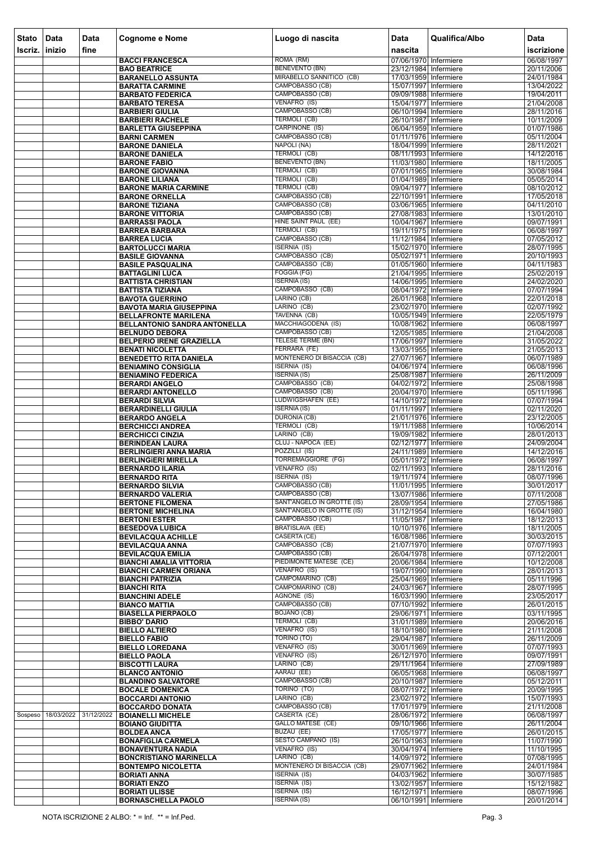| <b>Stato</b> | Data               | <b>Data</b> | <b>Cognome e Nome</b>                                         | Luogo di nascita                              | <b>Data</b>                                    | Qualifica/Albo | Data                     |
|--------------|--------------------|-------------|---------------------------------------------------------------|-----------------------------------------------|------------------------------------------------|----------------|--------------------------|
| Iscriz.      | inizio             | fine        |                                                               |                                               | nascita                                        |                | iscrizione               |
|              |                    |             | <b>BACCI FRANCESCA</b><br><b>BAO BEATRICE</b>                 | ROMA (RM)<br><b>BENEVENTO (BN)</b>            | 07/06/1970 Infermiere<br>23/12/1984 Infermiere |                | 06/08/1997<br>20/11/2006 |
|              |                    |             | <b>BARANELLO ASSUNTA</b>                                      | MIRABELLO SANNITICO (CB)                      | 17/03/1959 Infermiere                          |                | 24/01/1984               |
|              |                    |             | <b>BARATTA CARMINE</b>                                        | CAMPOBASSO (CB)                               | 15/07/1997 Infermiere                          |                | 13/04/2022               |
|              |                    |             | <b>BARBATO FEDERICA</b>                                       | CAMPOBASSO (CB)<br>VENAFRO (IS)               | 09/09/1988 Infermiere                          |                | 19/04/2011               |
|              |                    |             | <b>BARBATO TERESA</b><br><b>BARBIERI GIULIA</b>               | CAMPOBASSO (CB)                               | 15/04/1977 Infermiere<br>06/10/1994 Infermiere |                | 21/04/2008<br>28/11/2016 |
|              |                    |             | <b>BARBIERI RACHELE</b>                                       | TERMOLI (CB)                                  | 26/10/1987 Infermiere                          |                | 10/11/2009               |
|              |                    |             | <b>BARLETTA GIUSEPPINA</b>                                    | CARPINONE (IS)                                | 06/04/1959 Infermiere                          |                | 01/07/1986               |
|              |                    |             | <b>BARNI CARMEN</b>                                           | CAMPOBASSO (CB)<br>NAPOLI (NA)                | 01/11/1976 Infermiere<br>18/04/1999 Infermiere |                | 05/11/2004               |
|              |                    |             | <b>BARONE DANIELA</b><br><b>BARONE DANIELA</b>                | <b>TERMOLI (CB)</b>                           | 08/11/1993 Infermiere                          |                | 28/11/2021<br>14/12/2016 |
|              |                    |             | <b>BARONE FABIO</b>                                           | <b>BENEVENTO (BN)</b>                         | 11/03/1980 Infermiere                          |                | 18/11/2005               |
|              |                    |             | <b>BARONE GIOVANNA</b>                                        | <b>TERMOLI (CB)</b>                           | 07/01/1965 Infermiere                          |                | 30/08/1984               |
|              |                    |             | <b>BARONE LILIANA</b>                                         | TERMOLI (CB)<br>TERMOLI (CB)                  | 01/04/1989 Infermiere                          |                | 05/05/2014               |
|              |                    |             | <b>BARONE MARIA CARMINE</b><br><b>BARONE ORNELLA</b>          | CAMPOBASSO (CB)                               | 09/04/1977 Infermiere<br>22/10/1991 Infermiere |                | 08/10/2012<br>17/05/2018 |
|              |                    |             | <b>BARONE TIZIANA</b>                                         | CAMPOBASSO (CB)                               | 03/06/1965 Infermiere                          |                | 04/11/2010               |
|              |                    |             | <b>BARONE VITTORIA</b>                                        | CAMPOBASSO (CB)                               | 27/08/1983 Infermiere                          |                | 13/01/2010               |
|              |                    |             | <b>BARRASSI PAOLA</b>                                         | HINE SAINT PAUL (EE)<br><b>TERMOLI (CB)</b>   | 10/04/1967 Infermiere                          |                | 09/07/1991               |
|              |                    |             | <b>BARREA BARBARA</b><br><b>BARREA LUCIA</b>                  | CAMPOBASSO (CB)                               | 19/11/1975 Infermiere<br>11/12/1984 Infermiere |                | 06/08/1997<br>07/05/2012 |
|              |                    |             | <b>BARTOLUCCI MARIA</b>                                       | <b>ISERNIA (IS)</b>                           | 15/02/1970 Infermiere                          |                | 28/07/1995               |
|              |                    |             | <b>BASILE GIOVANNA</b>                                        | CAMPOBASSO (CB)                               | 05/02/1971 Infermiere                          |                | 20/10/1993               |
|              |                    |             | <b>BASILE PASQUALINA</b>                                      | CAMPOBASSO (CB)<br>FOGGIA (FG)                | 01/05/1960 Infermiere<br>21/04/1995 Infermiere |                | 04/11/1983<br>25/02/2019 |
|              |                    |             | <b>BATTAGLINI LUCA</b><br><b>BATTISTA CHRISTIAN</b>           | <b>ISERNIA (IS)</b>                           | 14/06/1995 Infermiere                          |                | 24/02/2020               |
|              |                    |             | <b>BATTISTA TIZIANA</b>                                       | CAMPOBASSO (CB)                               | 08/04/1972 Infermiere                          |                | 07/07/1994               |
|              |                    |             | <b>BAVOTA GUERRINO</b>                                        | LARINO (CB)                                   | 26/01/1968 Infermiere                          |                | 22/01/2018               |
|              |                    |             | <b>BAVOTA MARIA GIUSEPPINA</b><br><b>BELLAFRONTE MARILENA</b> | LARINO (CB)<br>TAVENNA (CB)                   | 23/02/1970 Infermiere<br>10/05/1949 Infermiere |                | 02/07/1992<br>22/05/1979 |
|              |                    |             | BELLANTONIO SANDRA ANTONELLA                                  | MACCHIAGODENA (IS)                            | 10/08/1962 Infermiere                          |                | 06/08/1997               |
|              |                    |             | <b>BELNUDO DEBORA</b>                                         | CAMPOBASSO (CB)                               | 12/05/1985 Infermiere                          |                | 21/04/2008               |
|              |                    |             | <b>BELPERIO IRENE GRAZIELLA</b>                               | TELESE TERME (BN)                             | 17/06/1997 Infermiere                          |                | 31/05/2022               |
|              |                    |             | <b>BENATI NICOLETTA</b><br><b>BENEDETTO RITA DANIELA</b>      | FERRARA (FE)<br>MONTENERO DI BISACCIA (CB)    | 13/03/1955 Infermiere<br>27/07/1967 Infermiere |                | 21/05/2013<br>06/07/1989 |
|              |                    |             | <b>BENIAMINO CONSIGLIA</b>                                    | <b>ISERNIA (IS)</b>                           | 04/06/1974 Infermiere                          |                | 06/08/1996               |
|              |                    |             | <b>BENIAMINO FEDERICA</b>                                     | <b>ISERNIA (IS)</b>                           | 25/08/1987 Infermiere                          |                | 26/11/2009               |
|              |                    |             | <b>BERARDI ANGELO</b>                                         | CAMPOBASSO (CB)                               | 04/02/1972 Infermiere                          |                | 25/08/1998               |
|              |                    |             | <b>BERARDI ANTONELLO</b><br><b>BERARDI SILVIA</b>             | CAMPOBASSO (CB)<br>LUDWIGSHAFEN (EE)          | 20/04/1970 Infermiere<br>14/10/1972 Infermiere |                | 05/11/1996<br>07/07/1994 |
|              |                    |             | <b>BERARDINELLI GIULIA</b>                                    | <b>ISERNIA (IS)</b>                           | 01/11/1997   Infermiere                        |                | 02/11/2020               |
|              |                    |             | <b>BERARDO ANGELA</b>                                         | <b>DURONIA (CB)</b>                           | 21/01/1976 Infermiere                          |                | 23/12/2005               |
|              |                    |             | <b>BERCHICCI ANDREA</b>                                       | <b>TERMOLI (CB)</b><br>LARINO (CB)            | 19/11/1988 Infermiere                          |                | 10/06/2014               |
|              |                    |             | <b>BERCHICCI CINZIA</b><br><b>BERINDEAN LAURA</b>             | CLUJ - NAPOCA (EE)                            | 19/09/1982 Infermiere<br>02/12/1977 Infermiere |                | 28/01/2013<br>24/09/2004 |
|              |                    |             | <b>BERLINGIERI ANNA MARIA</b>                                 | POZZILLI (IS)                                 | 24/11/1989 Infermiere                          |                | 14/12/2016               |
|              |                    |             | <b>BERLINGIERI MIRELLA</b>                                    | <b>TORREMAGGIORE (FG)</b>                     | 05/01/1972 Infermiere                          |                | 06/08/1997               |
|              |                    |             | <b>BERNARDO ILARIA</b><br><b>BERNARDO RITA</b>                | VENAFRO (IS)<br><b>ISERNIA (IS)</b>           | 02/11/1993 Infermiere<br>19/11/1974 Infermiere |                | 28/11/2016<br>08/07/1996 |
|              |                    |             | <b>BERNARDO SILVIA</b>                                        | CAMPOBASSO (CB)                               | 11/01/1995   Infermiere                        |                | 30/01/2017               |
|              |                    |             | <b>BERNARDO VALERIA</b>                                       | CAMPOBASSO (CB)                               | 13/07/1986 Infermiere                          |                | 07/11/2008               |
|              |                    |             | <b>BERTONE FILOMENA</b>                                       | SANT'ANGELO IN GROTTE (IS)                    | 28/09/1954 Infermiere                          |                | 27/05/1986               |
|              |                    |             | <b>BERTONE MICHELINA</b><br><b>BERTONI ESTER</b>              | SANT'ANGELO IN GROTTE (IS)<br>CAMPOBASSO (CB) | 31/12/1954 Infermiere<br>11/05/1987 Infermiere |                | 16/04/1980<br>18/12/2013 |
|              |                    |             | <b>BESEDOVA LUBICA</b>                                        | <b>BRATISLAVA (EE)</b>                        | 10/10/1976 Infermiere                          |                | 18/11/2005               |
|              |                    |             | <b>BEVILACQUA ACHILLE</b>                                     | CASERTA (CE)                                  | 16/08/1986 Infermiere                          |                | 30/03/2015               |
|              |                    |             | <b>BEVILACQUA ANNA</b>                                        | CAMPOBASSO (CB)                               | 21/07/1970 Infermiere                          |                | 07/07/1993               |
|              |                    |             | <b>BEVILACQUA EMILIA</b><br><b>BIANCHI AMALIA VITTORIA</b>    | CAMPOBASSO (CB)<br>PIEDIMONTE MATESE (CE)     | 26/04/1978 Infermiere<br>20/06/1984 Infermiere |                | 07/12/2001<br>10/12/2008 |
|              |                    |             | <b>BIANCHI CARMEN ORIANA</b>                                  | VENAFRO (IS)                                  | 19/07/1990 Infermiere                          |                | 28/01/2013               |
|              |                    |             | <b>BIANCHI PATRIZIA</b>                                       | CAMPOMARINO (CB)                              | 25/04/1969 Infermiere                          |                | 05/11/1996               |
|              |                    |             | <b>BIANCHI RITA</b><br><b>BIANCHINI ADELE</b>                 | CAMPOMARINO (CB)<br>AGNONE (IS)               | 24/03/1967 Infermiere<br>16/03/1990 Infermiere |                | 28/07/1995<br>23/05/2017 |
|              |                    |             | <b>BIANCO MATTIA</b>                                          | CAMPOBASSO (CB)                               | 07/10/1992 Infermiere                          |                | 26/01/2015               |
|              |                    |             | <b>BIASELLA PIERPAOLO</b>                                     | <b>BOJANO (CB)</b>                            | 29/06/1971 Infermiere                          |                | 03/11/1995               |
|              |                    |             | <b>BIBBO' DARIO</b>                                           | <b>TERMOLI (CB)</b>                           | 31/01/1989 Infermiere                          |                | 20/06/2016               |
|              |                    |             | <b>BIELLO ALTIERO</b><br><b>BIELLO FABIO</b>                  | VENAFRO (IS)<br>TORINO (TO)                   | 18/10/1980 Infermiere<br>29/04/1987 Infermiere |                | 21/11/2008<br>26/11/2009 |
|              |                    |             | <b>BIELLO LOREDANA</b>                                        | VENAFRO (IS)                                  | 30/01/1969 Infermiere                          |                | 07/07/1993               |
|              |                    |             | <b>BIELLO PAOLA</b>                                           | VENAFRO (IS)                                  | 26/12/1970 Infermiere                          |                | 09/07/1991               |
|              |                    |             | <b>BISCOTTI LAURA</b>                                         | LARINO (CB)                                   | 29/11/1964 Infermiere                          |                | 27/09/1989               |
|              |                    |             | <b>BLANCO ANTONIO</b><br><b>BLANDINO SALVATORE</b>            | AARAU (EE)<br>CAMPOBASSO (CB)                 | 06/05/1968 Infermiere<br>20/10/1987 Infermiere |                | 06/08/1997<br>05/12/2011 |
|              |                    |             | <b>BOCALE DOMENICA</b>                                        | TORINO (TO)                                   | 08/07/1972 Infermiere                          |                | 20/09/1995               |
|              |                    |             | <b>BOCCARDI ANTONIO</b>                                       | LARINO (CB)                                   | 23/02/1972 Infermiere                          |                | 15/07/1993               |
|              |                    |             | <b>BOCCARDO DONATA</b>                                        | CAMPOBASSO (CB)                               | 17/01/1979 Infermiere                          |                | 21/11/2008               |
|              | Sospeso 18/03/2022 | 31/12/2022  | <b>BOIANELLI MICHELE</b><br><b>BOIANO GIUDITTA</b>            | CASERTA (CE)<br><b>GALLO MATESE (CE)</b>      | 28/06/1972 Infermiere<br>09/10/1966 Infermiere |                | 06/08/1997<br>26/11/2004 |
|              |                    |             | <b>BOLDEA ANCA</b>                                            | BUZAU (EE)                                    | 17/05/1977 Infermiere                          |                | 26/01/2015               |
|              |                    |             | <b>BONAFIGLIA CARMELA</b>                                     | <b>SESTO CAMPANO (IS)</b>                     | 26/10/1963 Infermiere                          |                | 11/07/1990               |
|              |                    |             | <b>BONAVENTURA NADIA</b>                                      | VENAFRO (IS)                                  | 30/04/1974 Infermiere                          |                | 11/10/1995               |
|              |                    |             | <b>BONCRISTIANO MARINELLA</b><br><b>BONTEMPO NICOLETTA</b>    | LARINO (CB)<br>MONTENERO DI BISACCIA (CB)     | 14/09/1972 Infermiere<br>29/07/1962 Infermiere |                | 07/08/1995<br>24/01/1984 |
|              |                    |             | <b>BORIATI ANNA</b>                                           | <b>ISERNIA (IS)</b>                           | 04/03/1962 Infermiere                          |                | 30/07/1985               |
|              |                    |             | <b>BORIATI ENZO</b>                                           | <b>ISERNIA (IS)</b>                           | 13/02/1957 Infermiere                          |                | 15/12/1982               |
|              |                    |             | <b>BORIATI ULISSE</b>                                         | <b>ISERNIA (IS)</b>                           | 16/12/1971 Infermiere                          |                | 08/07/1996               |
|              |                    |             | <b>BORNASCHELLA PAOLO</b>                                     | <b>ISERNIA (IS)</b>                           | 06/10/1991 Infermiere                          |                | 20/01/2014               |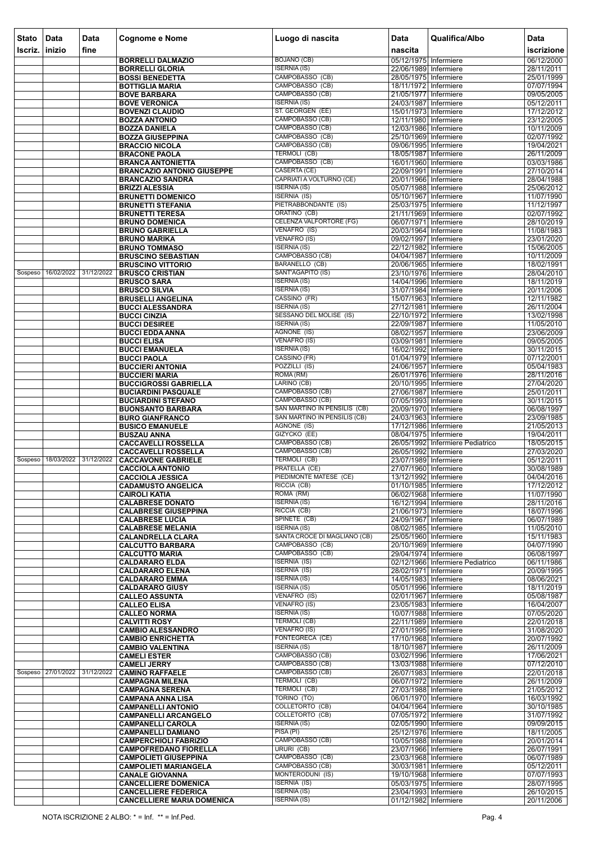| <b>Stato</b> | Data               | <b>Data</b> | <b>Cognome e Nome</b>                                        | Luogo di nascita                                 | <b>Data</b>                                    | Qualifica/Albo                   | <b>Data</b>              |
|--------------|--------------------|-------------|--------------------------------------------------------------|--------------------------------------------------|------------------------------------------------|----------------------------------|--------------------------|
| Iscriz.      | inizio             | fine        |                                                              |                                                  | nascita                                        |                                  | iscrizione               |
|              |                    |             | <b>BORRELLI DALMAZIO</b>                                     | <b>BOJANO (CB)</b>                               | 05/12/1975 Infermiere                          |                                  | 06/12/2000               |
|              |                    |             | <b>BORRELLI GLORIA</b>                                       | <b>ISERNIA (IS)</b>                              | 22/06/1989 Infermiere                          |                                  | 28/11/2011               |
|              |                    |             | <b>BOSSI BENEDETTA</b><br><b>BOTTIGLIA MARIA</b>             | CAMPOBASSO (CB)<br>CAMPOBASSO (CB)               | 28/05/1975 Infermiere<br>18/11/1972 Infermiere |                                  | 25/01/1999<br>07/07/1994 |
|              |                    |             | <b>BOVE BARBARA</b>                                          | CAMPOBASSO (CB)                                  | 21/05/1977 Infermiere                          |                                  | 09/05/2005               |
|              |                    |             | <b>BOVE VERONICA</b>                                         | <b>ISERNIA (IS)</b>                              | 24/03/1987 Infermiere                          |                                  | 05/12/2011               |
|              |                    |             | <b>BOVENZI CLAUDIO</b><br><b>BOZZA ANTONIO</b>               | ST. GEORGEN (EE)<br>CAMPOBASSO (CB)              | 15/01/1973 Infermiere<br>12/11/1980 Infermiere |                                  | 17/12/2012<br>23/12/2005 |
|              |                    |             | <b>BOZZA DANIELA</b>                                         | CAMPOBASSO (CB)                                  | 12/03/1986 Infermiere                          |                                  | 10/11/2009               |
|              |                    |             | <b>BOZZA GIUSEPPINA</b>                                      | CAMPOBASSO (CB)                                  | 25/10/1969 Infermiere                          |                                  | 02/07/1992               |
|              |                    |             | <b>BRACCIO NICOLA</b>                                        | CAMPOBASSO (CB)<br><b>TERMOLI (CB)</b>           | 09/06/1995 Infermiere<br>18/05/1987 Infermiere |                                  | 19/04/2021               |
|              |                    |             | <b>BRACONE PAOLA</b><br><b>BRANCA ANTONIETTA</b>             | CAMPOBASSO (CB)                                  | 16/01/1960 Infermiere                          |                                  | 26/11/2009<br>03/03/1986 |
|              |                    |             | <b>BRANCAZIO ANTONIO GIUSEPPE</b>                            | CASERTA (CE)                                     | 22/09/1991 Infermiere                          |                                  | 27/10/2014               |
|              |                    |             | <b>BRANCAZIO SANDRA</b>                                      | CAPRIATI A VOLTURNO (CE)                         | 20/01/1966 Infermiere                          |                                  | 28/04/1988               |
|              |                    |             | <b>BRIZZI ALESSIA</b><br><b>BRUNETTI DOMENICO</b>            | <b>ISERNIA (IS)</b><br><b>ISERNIA (IS)</b>       | 05/07/1988 Infermiere<br>05/10/1967 Infermiere |                                  | 25/06/2012<br>11/07/1990 |
|              |                    |             | <b>BRUNETTI STEFANIA</b>                                     | PIETRABBONDANTE (IS)                             | 25/03/1975 Infermiere                          |                                  | 11/12/1997               |
|              |                    |             | <b>BRUNETTI TERESA</b>                                       | ORATINO (CB)                                     | 21/11/1969 Infermiere                          |                                  | 02/07/1992               |
|              |                    |             | <b>BRUNO DOMENICA</b><br><b>BRUNO GABRIELLA</b>              | <b>CELENZA VALFORTORE (FG)</b><br>VENAFRO (IS)   | 06/07/1971 Infermiere<br>20/03/1964 Infermiere |                                  | 28/10/2019<br>11/08/1983 |
|              |                    |             | <b>BRUNO MARIKA</b>                                          | <b>VENAFRO (IS)</b>                              | 09/02/1997 Infermiere                          |                                  | 23/01/2020               |
|              |                    |             | <b>BRUNO TOMMASO</b>                                         | <b>ISERNIA (IS)</b>                              | 22/12/1982 Infermiere                          |                                  | 15/06/2005               |
|              |                    |             | <b>BRUSCINO SEBASTIAN</b><br><b>BRUSCINO VITTORIO</b>        | CAMPOBASSO (CB)<br>BARANELLO (CB)                | 04/04/1987 Infermiere<br>20/06/1965 Infermiere |                                  | 10/11/2009<br>18/02/1991 |
| Sospeso      | 16/02/2022         | 31/12/2022  | <b>BRUSCO CRISTIAN</b>                                       | SANT'AGAPITO (IS)                                | 23/10/1976 Infermiere                          |                                  | 28/04/2010               |
|              |                    |             | <b>BRUSCO SARA</b>                                           | <b>ISERNIA (IS)</b>                              | 14/04/1996 Infermiere                          |                                  | 18/11/2019               |
|              |                    |             | <b>BRUSCO SILVIA</b>                                         | <b>ISERNIA (IS)</b><br>CASSINO (FR)              | 31/07/1984 Infermiere                          |                                  | 20/11/2006               |
|              |                    |             | <b>BRUSELLI ANGELINA</b><br><b>BUCCI ALESSANDRA</b>          | <b>ISERNIA (IS)</b>                              | 15/07/1963 Infermiere<br>27/12/1981 Infermiere |                                  | 12/11/1982<br>26/11/2004 |
|              |                    |             | <b>BUCCI CINZIA</b>                                          | SESSANO DEL MOLISE (IS)                          | 22/10/1972 Infermiere                          |                                  | 13/02/1998               |
|              |                    |             | <b>BUCCI DESIREE</b>                                         | <b>ISERNIA (IS)</b>                              | 22/09/1987 Infermiere                          |                                  | 11/05/2010               |
|              |                    |             | <b>BUCCI EDDA ANNA</b><br><b>BUCCI ELISA</b>                 | AGNONE (IS)<br><b>VENAFRO (IS)</b>               | 08/02/1957 Infermiere<br>03/09/1981 Infermiere |                                  | 23/06/2009<br>09/05/2005 |
|              |                    |             | <b>BUCCI EMANUELA</b>                                        | <b>ISERNIA (IS)</b>                              | 16/02/1992 Infermiere                          |                                  | 30/11/2015               |
|              |                    |             | <b>BUCCI PAOLA</b>                                           | CASSINO (FR)                                     | 01/04/1979 Infermiere                          |                                  | 07/12/2001               |
|              |                    |             | <b>BUCCIERI ANTONIA</b><br><b>BUCCIERI MARIA</b>             | POZZILLI (IS)<br>ROMA (RM)                       | 24/06/1957 Infermiere<br>26/01/1976 Infermiere |                                  | 05/04/1983<br>28/11/2016 |
|              |                    |             | <b>BUCCIGROSSI GABRIELLA</b>                                 | LARINO (CB)                                      | 20/10/1995 Infermiere                          |                                  | 27/04/2020               |
|              |                    |             | <b>BUCIARDINI PASQUALE</b>                                   | CAMPOBASSO (CB)                                  | 27/06/1987 Infermiere                          |                                  | 25/01/2011               |
|              |                    |             | <b>BUCIARDINI STEFANO</b><br><b>BUONSANTO BARBARA</b>        | CAMPOBASSO (CB)<br>SAN MARTINO IN PENSILIS (CB)  | 07/05/1993 Infermiere<br>20/09/1970 Infermiere |                                  | 30/11/2015<br>06/08/1997 |
|              |                    |             | <b>BURO GIANFRANCO</b>                                       | SAN MARTINO IN PENSILIS (CB)                     | 24/03/1963 Infermiere                          |                                  | 23/09/1985               |
|              |                    |             | <b>BUSICO EMANUELE</b>                                       | <b>AGNONE (IS)</b>                               | 17/12/1986 Infermiere                          |                                  | 21/05/2013               |
|              |                    |             | <b>BUSZAU ANNA</b><br><b>CACCAVELLI ROSSELLA</b>             | GIZYCKO (EE)<br>CAMPOBASSO (CB)                  | 08/04/1975 Infermiere                          | 26/05/1992 Infermiere Pediatrico | 19/04/2011<br>18/05/2015 |
|              |                    |             | <b>CACCAVELLI ROSSELLA</b>                                   | CAMPOBASSO (CB)                                  | 26/05/1992 Infermiere                          |                                  | 27/03/2020               |
| Sospeso      | 18/03/2022         | 31/12/2022  | <b>CACCAVONE GABRIELE</b>                                    | TERMOLI (CB)                                     | 23/07/1989 Infermiere                          |                                  | 05/12/2011               |
|              |                    |             | <b>CACCIOLA ANTONIO</b><br><b>CACCIOLA JESSICA</b>           | PRATELLA (CE)<br>PIEDIMONTE MATESE (CE)          | 27/07/1960 Infermiere<br>13/12/1992 Infermiere |                                  | 30/08/1989<br>04/04/2016 |
|              |                    |             | <b>CADAMUSTO ANGELICA</b>                                    | RICCIA (CB)                                      | 01/10/1985 Infermiere                          |                                  | 17/12/2012               |
|              |                    |             | <b>CAIROLI KATIA</b>                                         | ROMA (RM)                                        | 06/02/1968 Infermiere                          |                                  | 11/07/1990               |
|              |                    |             | <b>CALABRESE DONATO</b><br><b>CALABRESE GIUSEPPINA</b>       | <b>ISERNIA (IS)</b><br>RICCIA (CB)               | 16/12/1994 Infermiere<br>21/06/1973 Infermiere |                                  | 28/11/2016<br>18/07/1996 |
|              |                    |             | <b>CALABRESE LUCIA</b>                                       | SPINETE (CB)                                     | 24/09/1967 Infermiere                          |                                  | 06/07/1989               |
|              |                    |             | <b>CALABRESE MELANIA</b>                                     | <b>ISERNIA (IS)</b>                              | 08/02/1985 Infermiere                          |                                  | 11/05/2010               |
|              |                    |             | <b>CALANDRELLA CLARA</b><br><b>CALCUTTO BARBARA</b>          | SANTA CROCE DI MAGLIANO (CB)<br>CAMPOBASSO (CB)  | 25/05/1960 Infermiere<br>20/10/1969 Infermiere |                                  | 15/11/1983<br>04/07/1990 |
|              |                    |             | <b>CALCUTTO MARIA</b>                                        | CAMPOBASSO (CB)                                  | 29/04/1974 Infermiere                          |                                  | 06/08/1997               |
|              |                    |             | <b>CALDARARO ELDA</b>                                        | <b>ISERNIA (IS)</b>                              |                                                | 02/12/1966 Infermiere Pediatrico | 06/11/1986               |
|              |                    |             | <b>CALDARARO ELENA</b><br><b>CALDARARO EMMA</b>              | <b>ISERNIA (IS)</b><br><b>ISERNIA (IS)</b>       | 28/02/1971 Infermiere<br>14/05/1983 Infermiere |                                  | 20/09/1995<br>08/06/2021 |
|              |                    |             | <b>CALDARARO GIUSY</b>                                       | <b>ISERNIA (IS)</b>                              | 05/01/1996 Infermiere                          |                                  | 18/11/2019               |
|              |                    |             | <b>CALLEO ASSUNTA</b>                                        | VENAFRO (IS)                                     | 02/01/1967 Infermiere                          |                                  | 05/08/1987               |
|              |                    |             | <b>CALLEO ELISA</b><br><b>CALLEO NORMA</b>                   | <b>VENAFRO (IS)</b><br><b>ISERNIA (IS)</b>       | 23/05/1983 Infermiere<br>10/07/1988 Infermiere |                                  | 16/04/2007<br>07/05/2020 |
|              |                    |             | <b>CALVITTI ROSY</b>                                         | <b>TERMOLI (CB)</b>                              | 22/11/1989 Infermiere                          |                                  | 22/01/2018               |
|              |                    |             | <b>CAMBIO ALESSANDRO</b>                                     | <b>VENAFRO (IS)</b>                              | 27/01/1995 Infermiere                          |                                  | 31/08/2020               |
|              |                    |             | <b>CAMBIO ENRICHETTA</b><br><b>CAMBIO VALENTINA</b>          | FONTEGRECA (CE)<br><b>ISERNIA (IS)</b>           | 17/10/1968 Infermiere<br>18/10/1987 Infermiere |                                  | 20/07/1992<br>26/11/2009 |
|              |                    |             | <b>CAMELI ESTER</b>                                          | CAMPOBASSO (CB)                                  | 03/02/1996 Infermiere                          |                                  | 17/06/2021               |
|              | Sospeso 27/01/2022 | 31/12/2022  | <b>CAMELI JERRY</b>                                          | CAMPOBASSO (CB)<br>CAMPOBASSO (CB)               | 13/03/1988 Infermiere                          |                                  | 07/12/2010               |
|              |                    |             | <b>CAMINO RAFFAELE</b><br><b>CAMPAGNA MILENA</b>             | <b>TERMOLI (CB)</b>                              | 26/07/1983 Infermiere<br>06/07/1972 Infermiere |                                  | 22/01/2018<br>26/11/2009 |
|              |                    |             | <b>CAMPAGNA SERENA</b>                                       | TERMOLI (CB)                                     | 27/03/1988 Infermiere                          |                                  | 21/05/2012               |
|              |                    |             | <b>CAMPANA ANNA LISA</b>                                     | TORINO (TO)                                      | 06/01/1970 Infermiere                          |                                  | 16/03/1992               |
|              |                    |             | <b>CAMPANELLI ANTONIO</b><br><b>CAMPANELLI ARCANGELO</b>     | <b>COLLETORTO (CB)</b><br><b>COLLETORTO (CB)</b> | 04/04/1964 Infermiere<br>07/05/1972 Infermiere |                                  | 30/10/1985<br>31/07/1992 |
|              |                    |             | <b>CAMPANELLI CAROLA</b>                                     | <b>ISERNIA (IS)</b>                              | 02/05/1990 Infermiere                          |                                  | 09/09/2015               |
|              |                    |             | <b>CAMPANELLI DAMIANO</b>                                    | PISA(PI)                                         | 25/12/1976 Infermiere                          |                                  | 18/11/2005               |
|              |                    |             | <b>CAMPERCHIOLI FABRIZIO</b><br><b>CAMPOFREDANO FIORELLA</b> | CAMPOBASSO (CB)<br><b>URURI (CB)</b>             | 10/05/1988 Infermiere<br>23/07/1966 Infermiere |                                  | 20/01/2014<br>26/07/1991 |
|              |                    |             | <b>CAMPOLIETI GIUSEPPINA</b>                                 | CAMPOBASSO (CB)                                  | 23/03/1968 Infermiere                          |                                  | 06/07/1989               |
|              |                    |             | <b>CAMPOLIETI MARIANGELA</b>                                 | CAMPOBASSO (CB)                                  | 30/03/1981 Infermiere                          |                                  | 05/12/2011               |
|              |                    |             | <b>CANALE GIOVANNA</b><br><b>CANCELLIERE DOMENICA</b>        | MONTERODUNI (IS)<br><b>ISERNIA (IS)</b>          | 19/10/1968 Infermiere<br>05/03/1975 Infermiere |                                  | 07/07/1993<br>28/07/1995 |
|              |                    |             | <b>CANCELLIERE FEDERICA</b>                                  | <b>ISERNIA (IS)</b>                              | 23/04/1993 Infermiere                          |                                  | 26/10/2015               |
|              |                    |             | <b>CANCELLIERE MARIA DOMENICA</b>                            | <b>ISERNIA (IS)</b>                              | 01/12/1982 Infermiere                          |                                  | 20/11/2006               |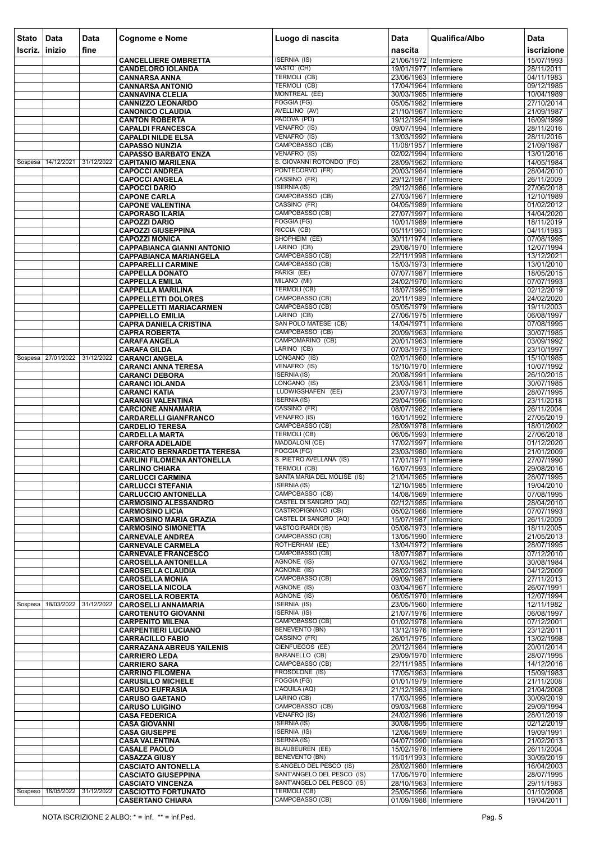| <b>Stato</b><br>Iscriz. | Data<br>$ $ inizio | Data<br>fine | <b>Cognome e Nome</b>                                       | Luogo di nascita                                         | <b>Data</b><br>nascita                         | Qualifica/Albo | Data<br>iscrizione       |
|-------------------------|--------------------|--------------|-------------------------------------------------------------|----------------------------------------------------------|------------------------------------------------|----------------|--------------------------|
|                         |                    |              | <b>CANCELLIERE OMBRETTA</b>                                 | <b>ISERNIA (IS)</b>                                      | 21/06/1972 Infermiere                          |                | 15/07/1993               |
|                         |                    |              | <b>CANDELORO IOLANDA</b>                                    | VASTO (CH)                                               | 19/01/1977 Infermiere                          |                | 28/11/2011               |
|                         |                    |              | <b>CANNARSA ANNA</b>                                        | TERMOLI (CB)                                             | 23/06/1963 Infermiere                          |                | 04/11/1983               |
|                         |                    |              | <b>CANNARSA ANTONIO</b>                                     | <b>TERMOLI (CB)</b>                                      | 17/04/1964 Infermiere                          |                | 09/12/1985               |
|                         |                    |              | <b>CANNAVINA CLELIA</b><br><b>CANNIZZO LEONARDO</b>         | MONTREAL (EE)<br>FOGGIA (FG)                             | 30/03/1965 Infermiere<br>05/05/1982 Infermiere |                | 10/04/1989<br>27/10/2014 |
|                         |                    |              | <b>CANONICO CLAUDIA</b>                                     | AVELLINO (AV)                                            | 21/10/1967 Infermiere                          |                | 21/09/1987               |
|                         |                    |              | <b>CANTON ROBERTA</b>                                       | PADOVA (PD)                                              | 19/12/1954 Infermiere                          |                | 16/09/1999               |
|                         |                    |              | <b>CAPALDI FRANCESCA</b>                                    | VENAFRO (IS)<br>VENAFRO (IS)                             | 09/07/1994 Infermiere<br>13/03/1992 Infermiere |                | 28/11/2016               |
|                         |                    |              | <b>CAPALDI NILDE ELSA</b><br><b>CAPASSO NUNZIA</b>          | CAMPOBASSO (CB)                                          | 11/08/1957 Infermiere                          |                | 28/11/2016<br>21/09/1987 |
|                         |                    |              | <b>CAPASSO BARBATO ENZA</b>                                 | VENAFRO (IS)                                             | 02/02/1994 Infermiere                          |                | 13/01/2016               |
| Sospesa                 | 14/12/2021         | 31/12/2022   | <b>CAPITANIO MARILENA</b>                                   | S. GIOVANNI ROTONDO (FG)                                 | 28/09/1962 Infermiere                          |                | 14/05/1984               |
|                         |                    |              | <b>CAPOCCI ANDREA</b><br><b>CAPOCCI ANGELA</b>              | PONTECORVO (FR)<br>CASSINO (FR)                          | 20/03/1984 Infermiere<br>29/12/1987 Infermiere |                | 28/04/2010<br>26/11/2009 |
|                         |                    |              | <b>CAPOCCI DARIO</b>                                        | <b>ISERNIA (IS)</b>                                      | 29/12/1986 Infermiere                          |                | 27/06/2018               |
|                         |                    |              | <b>CAPONE CARLA</b>                                         | CAMPOBASSO (CB)                                          | 27/03/1967 Infermiere                          |                | 12/10/1989               |
|                         |                    |              | <b>CAPONE VALENTINA</b><br><b>CAPORASO ILARIA</b>           | CASSINO (FR)<br>CAMPOBASSO (CB)                          | 04/05/1989 Infermiere<br>27/07/1997 Infermiere |                | 01/02/2012<br>14/04/2020 |
|                         |                    |              | <b>CAPOZZI DARIO</b>                                        | FOGGIA (FG)                                              | 10/01/1989 Infermiere                          |                | 18/11/2019               |
|                         |                    |              | <b>CAPOZZI GIUSEPPINA</b>                                   | RICCIA (CB)                                              | 05/11/1960 Infermiere                          |                | 04/11/1983               |
|                         |                    |              | <b>CAPOZZI MONICA</b><br><b>CAPPABIANCA GIANNI ANTONIO</b>  | SHOPHEIM (EE)<br>LARINO (CB)                             | 30/11/1974 Infermiere<br>29/08/1970 Infermiere |                | 07/08/1995<br>12/07/1994 |
|                         |                    |              | <b>CAPPABIANCA MARIANGELA</b>                               | CAMPOBASSO (CB)                                          | 22/11/1998 Infermiere                          |                | 13/12/2021               |
|                         |                    |              | <b>CAPPARELLI CARMINE</b>                                   | CAMPOBASSO (CB)                                          | 15/03/1973 Infermiere                          |                | 13/01/2010               |
|                         |                    |              | <b>CAPPELLA DONATO</b>                                      | PARIGI (EE)                                              | 07/07/1987 Infermiere                          |                | 18/05/2015               |
|                         |                    |              | <b>CAPPELLA EMILIA</b><br><b>CAPPELLA MARILINA</b>          | MILANO (MI)<br><b>TERMOLI (CB)</b>                       | 24/02/1970 Infermiere<br>18/07/1995 Infermiere |                | 07/07/1993<br>02/12/2019 |
|                         |                    |              | <b>CAPPELLETTI DOLORES</b>                                  | CAMPOBASSO (CB)                                          | 20/11/1989 Infermiere                          |                | 24/02/2020               |
|                         |                    |              | <b>CAPPELLETTI MARIACARMEN</b>                              | CAMPOBASSO (CB)                                          | 05/05/1979 Infermiere                          |                | 19/11/2003               |
|                         |                    |              | <b>CAPPIELLO EMILIA</b><br><b>CAPRA DANIELA CRISTINA</b>    | LARINO (CB)<br>SAN POLO MATESE (CB)                      | 27/06/1975 Infermiere<br>14/04/1971 Infermiere |                | 06/08/1997<br>07/08/1995 |
|                         |                    |              | <b>CAPRA ROBERTA</b>                                        | CAMPOBASSO (CB)                                          | 20/09/1963 Infermiere                          |                | 30/07/1985               |
|                         |                    |              | <b>CARAFA ANGELA</b>                                        | CAMPOMARINO (CB)                                         | 20/01/1963 Infermiere                          |                | 03/09/1992               |
|                         | Sospesa 27/01/2022 | 31/12/2022   | <b>CARAFA GILDA</b><br><b>CARANCI ANGELA</b>                | LARINO (CB)<br>LONGANO (IS)                              | 07/03/1973 Infermiere<br>02/01/1960 Infermiere |                | 23/10/1997<br>15/10/1985 |
|                         |                    |              | <b>CARANCI ANNA TERESA</b>                                  | VENAFRO (IS)                                             | 15/10/1970 Infermiere                          |                | 10/07/1992               |
|                         |                    |              | <b>CARANCI DEBORA</b>                                       | <b>ISERNIA (IS)</b>                                      | 20/08/1991 Infermiere                          |                | 26/10/2015               |
|                         |                    |              | <b>CARANCI IOLANDA</b>                                      | LONGANO (IS)<br>LUDWIGSHAFEN (EE)                        | 23/03/1961 Infermiere<br>23/07/1973 Infermiere |                | 30/07/1985<br>28/07/1995 |
|                         |                    |              | <b>CARANCI KATIA</b><br><b>CARANGI VALENTINA</b>            | <b>ISERNIA (IS)</b>                                      | 29/04/1996 Infermiere                          |                | 23/11/2018               |
|                         |                    |              | <b>CARCIONE ANNAMARIA</b>                                   | CASSINO (FR)                                             | 08/07/1982 Infermiere                          |                | 26/11/2004               |
|                         |                    |              | <b>CARDARELLI GIANFRANCO</b>                                | VENAFRO (IS)                                             | 16/01/1992 Infermiere                          |                | 27/05/2019               |
|                         |                    |              | <b>CARDELIO TERESA</b><br><b>CARDELLA MARTA</b>             | CAMPOBASSO (CB)<br><b>TERMOLI (CB)</b>                   | 28/09/1978 Infermiere<br>06/05/1993 Infermiere |                | 18/01/2002<br>27/06/2018 |
|                         |                    |              | <b>CARFORA ADELAIDE</b>                                     | MADDALONI (CE)                                           | 17/02/1997 Infermiere                          |                | 01/12/2020               |
|                         |                    |              | <b>CARICATO BERNARDETTA TERESA</b>                          | FOGGIA (FG)                                              | 23/03/1980 Infermiere                          |                | 21/01/2009               |
|                         |                    |              | <b>CARLINI FILOMENA ANTONELLA</b><br><b>CARLINO CHIARA</b>  | S. PIETRO AVELLANA (IS)<br><b>TERMOLI (CB)</b>           | 17/01/1971 Infermiere<br>16/07/1993 Infermiere |                | 27/07/1990<br>29/08/2016 |
|                         |                    |              | <b>CARLUCCI CARMINA</b>                                     | SANTA MARIA DEL MOLISE (IS)                              | 21/04/1965 Infermiere                          |                | 28/07/1995               |
|                         |                    |              | <b>CARLUCCI STEFANIA</b>                                    | <b>ISERNIA (IS)</b>                                      | 12/10/1985 Infermiere                          |                | 19/04/2010               |
|                         |                    |              | <b>CARLUCCIO ANTONELLA</b><br><b>CARMOSINO ALESSANDRO</b>   | CAMPOBASSO (CB)<br>CASTEL DI SANGRO (AQ)                 | 14/08/1969 Infermiere<br>02/12/1985 Infermiere |                | 07/08/1995<br>28/04/2010 |
|                         |                    |              | <b>CARMOSINO LICIA</b>                                      | CASTROPIGNANO (CB)                                       | 05/02/1966 Infermiere                          |                | 07/07/1993               |
|                         |                    |              | <b>CARMOSINO MARIA GRAZIA</b>                               | CASTEL DI SANGRO (AQ)                                    | 15/07/1987 Infermiere                          |                | 26/11/2009               |
|                         |                    |              | <b>CARMOSINO SIMONETTA</b><br><b>CARNEVALE ANDREA</b>       | <b>VASTOGIRARDI (IS)</b><br>CAMPOBASSO (CB)              | 05/08/1973 Infermiere<br>13/05/1990 Infermiere |                | 18/11/2005<br>21/05/2013 |
|                         |                    |              | <b>CARNEVALE CARMELA</b>                                    | ROTHERHAM (EE)                                           | 13/04/1972 Infermiere                          |                | 28/07/1995               |
|                         |                    |              | <b>CARNEVALE FRANCESCO</b>                                  | CAMPOBASSO (CB)                                          | 18/07/1987 Infermiere                          |                | 07/12/2010               |
|                         |                    |              | <b>CAROSELLA ANTONELLA</b>                                  | AGNONE (IS)<br>AGNONE (IS)                               | 07/03/1962 Infermiere<br>28/02/1983 Infermiere |                | 30/08/1984<br>04/12/2009 |
|                         |                    |              | <b>CAROSELLA CLAUDIA</b><br><b>CAROSELLA MONIA</b>          | CAMPOBASSO (CB)                                          | 09/09/1987 Infermiere                          |                | 27/11/2013               |
|                         |                    |              | <b>CAROSELLA NICOLA</b>                                     | AGNONE (IS)                                              | 03/04/1967 Infermiere                          |                | 26/07/1991               |
| Sospesa                 | 18/03/2022         | 31/12/2022   | <b>CAROSELLA ROBERTA</b>                                    | AGNONE (IS)<br><b>ISERNIA (IS)</b>                       | 06/05/1970 Infermiere<br>23/05/1960 Infermiere |                | 12/07/1994<br>12/11/1982 |
|                         |                    |              | <b>CAROSELLI ANNAMARIA</b><br><b>CAROTENUTO GIOVANNI</b>    | <b>ISERNIA (IS)</b>                                      | 21/07/1976 Infermiere                          |                | 06/08/1997               |
|                         |                    |              | <b>CARPENITO MILENA</b>                                     | CAMPOBASSO (CB)                                          | 01/02/1978 Infermiere                          |                | 07/12/2001               |
|                         |                    |              | <b>CARPENTIERI LUCIANO</b>                                  | <b>BENEVENTO (BN)</b><br>CASSINO (FR)                    | 13/12/1976 Infermiere                          |                | 23/12/2011               |
|                         |                    |              | <b>CARRACILLO FABIO</b><br><b>CARRAZANA ABREUS YAILENIS</b> | CIENFUEGOS (EE)                                          | 26/01/1975 Infermiere<br>20/12/1984 Infermiere |                | 13/02/1998<br>20/01/2014 |
|                         |                    |              | <b>CARRIERO LEDA</b>                                        | BARANELLO (CB)                                           | 29/09/1970 Infermiere                          |                | 28/07/1995               |
|                         |                    |              | <b>CARRIERO SARA</b>                                        | CAMPOBASSO (CB)                                          | 22/11/1985 Infermiere                          |                | 14/12/2016               |
|                         |                    |              | <b>CARRINO FILOMENA</b><br><b>CARUSILLO MICHELE</b>         | FROSOLONE (IS)<br>FOGGIA (FG)                            | 17/05/1963 Infermiere<br>01/01/1979 Infermiere |                | 15/09/1983<br>21/11/2008 |
|                         |                    |              | <b>CARUSO EUFRASIA</b>                                      | L'AQUILA (AQ)                                            | 21/12/1983 Infermiere                          |                | 21/04/2008               |
|                         |                    |              | <b>CARUSO GAETANO</b>                                       | LARINO (CB)                                              | 17/03/1995 Infermiere                          |                | 30/09/2019               |
|                         |                    |              | <b>CARUSO LUIGINO</b><br><b>CASA FEDERICA</b>               | CAMPOBASSO (CB)<br><b>VENAFRO (IS)</b>                   | 09/03/1968 Infermiere<br>24/02/1996 Infermiere |                | 29/09/1994<br>28/01/2019 |
|                         |                    |              | <b>CASA GIOVANNI</b>                                        | <b>ISERNIA (IS)</b>                                      | 30/08/1995 Infermiere                          |                | 02/12/2019               |
|                         |                    |              | <b>CASA GIUSEPPE</b>                                        | <b>ISERNIA (IS)</b>                                      | 12/08/1969 Infermiere                          |                | 19/09/1991               |
|                         |                    |              | <b>CASA VALENTINA</b><br><b>CASALE PAOLO</b>                | <b>ISERNIA (IS)</b><br><b>BLAUBEUREN (EE)</b>            | 04/07/1990 Infermiere<br>15/02/1978 Infermiere |                | 21/02/2013<br>26/11/2004 |
|                         |                    |              | <b>CASAZZA GIUSY</b>                                        | <b>BENEVENTO (BN)</b>                                    | 11/01/1993 Infermiere                          |                | 30/09/2019               |
|                         |                    |              | <b>CASCIATO ANTONELLA</b>                                   | S.ANGELO DEL PESCO (IS)                                  | 28/02/1980 Infermiere                          |                | 16/04/2003               |
|                         |                    |              | <b>CASCIATO GIUSEPPINA</b><br><b>CASCIATO VINCENZA</b>      | SANT'ANGELO DEL PESCO (IS)<br>SANT'ANGELO DEL PESCO (IS) | 17/05/1970 Infermiere<br>28/10/1963 Infermiere |                | 28/07/1995<br>29/11/1983 |
| Sospeso                 | 16/05/2022         | 31/12/2022   | <b>CASCIOTTO FORTUNATO</b>                                  | <b>TERMOLI (CB)</b>                                      | 25/05/1956 Infermiere                          |                | 01/10/2008               |
|                         |                    |              | <b>CASERTANO CHIARA</b>                                     | CAMPOBASSO (CB)                                          | 01/09/1988 Infermiere                          |                | 19/04/2011               |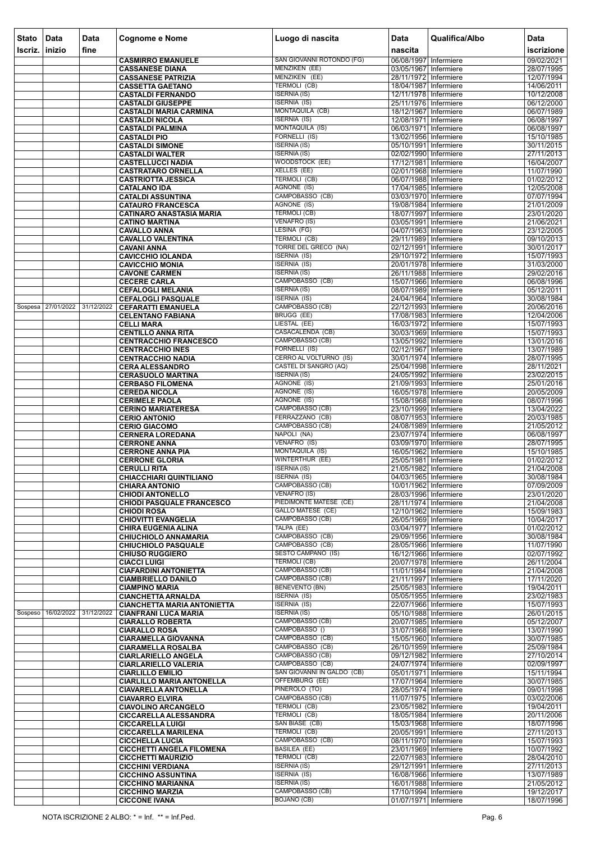| Stato   | Data                          | Data                  | <b>Cognome e Nome</b>                                         | Luogo di nascita                                              | <b>Data</b>                                    | Qualifica/Albo | Data                     |
|---------|-------------------------------|-----------------------|---------------------------------------------------------------|---------------------------------------------------------------|------------------------------------------------|----------------|--------------------------|
| scriz.  | inizio                        | fine                  | <b>CASMIRRO EMANUELE</b>                                      | SAN GIOVANNI ROTONDO (FG)                                     | nascita<br>06/08/1997 Infermiere               |                | iscrizione<br>09/02/2021 |
|         |                               |                       | <b>CASSANESE DIANA</b>                                        | <b>MENZIKEN (EE)</b>                                          | 03/05/1967 Infermiere                          |                | 28/07/1995               |
|         |                               |                       | <b>CASSANESE PATRIZIA</b>                                     | MENZIKEN (EE)                                                 | 28/11/1972 Infermiere                          |                | 12/07/1994               |
|         |                               |                       | <b>CASSETTA GAETANO</b><br><b>CASTALDI FERNANDO</b>           | <b>TERMOLI (CB)</b><br><b>ISERNIA (IS)</b>                    | 18/04/1987 Infermiere<br>12/11/1978 Infermiere |                | 14/06/2011<br>10/12/2008 |
|         |                               |                       | <b>CASTALDI GIUSEPPE</b>                                      | <b>ISERNIA (IS)</b>                                           | 25/11/1976 Infermiere                          |                | 06/12/2000               |
|         |                               |                       | <b>CASTALDI MARIA CARMINA</b>                                 | MONTAQUILA (CB)                                               | 18/12/1967 Infermiere                          |                | 06/07/1989               |
|         |                               |                       | <b>CASTALDI NICOLA</b><br><b>CASTALDI PALMINA</b>             | <b>ISERNIA (IS)</b><br><b>MONTAQUILA (IS)</b>                 | 12/08/1971 Infermiere<br>06/03/1971 Infermiere |                | 06/08/1997<br>06/08/1997 |
|         |                               |                       | <b>CASTALDI PIO</b>                                           | FORNELLI (IS)                                                 | 13/02/1956 Infermiere                          |                | 15/10/1985               |
|         |                               |                       | <b>CASTALDI SIMONE</b>                                        | <b>ISERNIA (IS)</b>                                           | 05/10/1991 Infermiere                          |                | 30/11/2015               |
|         |                               |                       | <b>CASTALDI WALTER</b><br><b>CASTELLUCCI NADIA</b>            | <b>ISERNIA (IS)</b><br>WOODSTOCK (EE)                         | 02/02/1990 Infermiere<br>17/12/1981 Infermiere |                | 27/11/2013<br>16/04/2007 |
|         |                               |                       | <b>CASTRATARO ORNELLA</b>                                     | <b>XELLES (EE)</b>                                            | 02/01/1968 Infermiere                          |                | 11/07/1990               |
|         |                               |                       | <b>CASTRIOTTA JESSICA</b>                                     | <b>TERMOLI (CB)</b>                                           | 06/07/1988 Infermiere                          |                | 01/02/2012               |
|         |                               |                       | <b>CATALANO IDA</b><br><b>CATALDI ASSUNTINA</b>               | AGNONE (IS)<br>CAMPOBASSO (CB)                                | 17/04/1985 Infermiere<br>03/03/1970 Infermiere |                | 12/05/2008<br>07/07/1994 |
|         |                               |                       | <b>CATAURO FRANCESCA</b>                                      | AGNONE (IS)                                                   | 19/08/1984 Infermiere                          |                | 21/01/2009               |
|         |                               |                       | <b>CATINARO ANASTASIA MARIA</b>                               | <b>TERMOLI (CB)</b>                                           | 18/07/1997 Infermiere                          |                | 23/01/2020               |
|         |                               |                       | <b>CATINO MARTINA</b><br><b>CAVALLO ANNA</b>                  | <b>VENAFRO (IS)</b><br>LESINA (FG)                            | 03/05/1991 Infermiere<br>04/07/1963 Infermiere |                | 21/06/2021<br>23/12/2005 |
|         |                               |                       | <b>CAVALLO VALENTINA</b>                                      | <b>TERMOLI (CB)</b>                                           | 29/11/1989 Infermiere                          |                | 09/10/2013               |
|         |                               |                       | <b>CAVANI ANNA</b>                                            | TORRE DEL GRECO (NA)                                          | 02/12/1991 Infermiere                          |                | 30/01/2017               |
|         |                               |                       | <b>CAVICCHIO IOLANDA</b><br><b>CAVICCHIO MONIA</b>            | <b>ISERNIA (IS)</b><br><b>ISERNIA (IS)</b>                    | 29/10/1972 Infermiere<br>20/01/1978 Infermiere |                | 15/07/1993<br>31/03/2000 |
|         |                               |                       | <b>CAVONE CARMEN</b>                                          | <b>ISERNIA (IS)</b>                                           | 26/11/1988 Infermiere                          |                | 29/02/2016               |
|         |                               |                       | <b>CECERE CARLA</b>                                           | CAMPOBASSO (CB)                                               | 15/07/1966 Infermiere                          |                | 06/08/1996               |
|         |                               |                       | <b>CEFALOGLI MELANIA</b><br><b>CEFALOGLI PASQUALE</b>         | <b>ISERNIA (IS)</b><br><b>ISERNIA (IS)</b>                    | 08/07/1989 Infermiere<br>24/04/1964 Infermiere |                | 05/12/2011<br>30/08/1984 |
|         | Sospesa 27/01/2022 31/12/2022 |                       | <b>CEFARATTI EMANUELA</b>                                     | CAMPOBASSO (CB)                                               | 22/12/1993 Infermiere                          |                | 20/06/2016               |
|         |                               |                       | <b>CELENTANO FABIANA</b>                                      | <b>BRUGG (EE)</b>                                             | 17/08/1983 Infermiere                          |                | 12/04/2006               |
|         |                               |                       | <b>CELLI MARA</b><br><b>CENTILLO ANNA RITA</b>                | LIESTAL (EE)<br>CASACALENDA (CB)                              | 16/03/1972 Infermiere<br>30/03/1969 Infermiere |                | 15/07/1993<br>15/07/1993 |
|         |                               |                       | <b>CENTRACCHIO FRANCESCO</b>                                  | CAMPOBASSO (CB)                                               | 13/05/1992 Infermiere                          |                | 13/01/2016               |
|         |                               |                       | <b>CENTRACCHIO INES</b>                                       | FORNELLI (IS)                                                 | 02/12/1967 Infermiere                          |                | 13/07/1989               |
|         |                               |                       | <b>CENTRACCHIO NADIA</b><br><b>CERA ALESSANDRO</b>            | <b>CERRO AL VOLTURNO (IS)</b><br><b>CASTEL DI SANGRO (AQ)</b> | 30/01/1974 Infermiere<br>25/04/1998 Infermiere |                | 28/07/1995<br>28/11/2021 |
|         |                               |                       | <b>CERASUOLO MARTINA</b>                                      | <b>ISERNIA (IS)</b>                                           | 24/05/1992 Infermiere                          |                | 23/02/2015               |
|         |                               |                       | <b>CERBASO FILOMENA</b>                                       | AGNONE (IS)                                                   | 21/09/1993 Infermiere                          |                | 25/01/2016               |
|         |                               |                       | <b>CEREDA NICOLA</b><br><b>CERIMELE PAOLA</b>                 | AGNONE (IS)<br>AGNONE (IS)                                    | 16/05/1978 Infermiere<br>15/08/1968 Infermiere |                | 20/05/2009<br>08/07/1996 |
|         |                               |                       | <b>CERINO MARIATERESA</b>                                     | CAMPOBASSO (CB)                                               | 23/10/1999 Infermiere                          |                | 13/04/2022               |
|         |                               |                       | <b>CERIO ANTONIO</b>                                          | FERRAZZANO (CB)                                               | 08/07/1953 Infermiere                          |                | 20/03/1985               |
|         |                               |                       | <b>CERIO GIACOMO</b><br><b>CERNERA LOREDANA</b>               | CAMPOBASSO (CB)<br>NAPOLI (NA)                                | 24/08/1989 Infermiere<br>23/07/1974 Infermiere |                | 21/05/2012<br>06/08/1997 |
|         |                               |                       | <b>CERRONE ANNA</b>                                           | VENAFRO (IS)                                                  | 03/09/1970 Infermiere                          |                | 28/07/1995               |
|         |                               |                       | <b>CERRONE ANNA PIA</b>                                       | <b>MONTAQUILA (IS)</b><br>WINTERTHUR (EE)                     | 16/05/1962 Infermiere<br>25/05/1981 Infermiere |                | 15/10/1985               |
|         |                               |                       | <b>CERRONE GLORIA</b><br><b>CERULLI RITA</b>                  | <b>ISERNIA (IS)</b>                                           | 21/05/1982 Infermiere                          |                | 01/02/2012<br>21/04/2008 |
|         |                               |                       | <b>CHIACCHIARI QUINTILIANO</b>                                | <b>ISERNIA (IS)</b>                                           | 04/03/1965 Infermiere                          |                | 30/08/1984               |
|         |                               |                       | <b>CHIARA ANTONIO</b><br><b>CHIODI ANTONELLO</b>              | CAMPOBASSO (CB)<br><b>VENAFRO (IS)</b>                        | 10/01/1962 Infermiere<br>28/03/1996 Infermiere |                | 07/09/2009<br>23/01/2020 |
|         |                               |                       | <b>CHIODI PASQUALE FRANCESCO</b>                              | PIEDIMONTE MATESE (CE)                                        | 28/11/1974 Infermiere                          |                | 21/04/2008               |
|         |                               |                       | <b>CHIODI ROSA</b>                                            | <b>GALLO MATESE (CE)</b>                                      | 12/10/1962 Infermiere                          |                | 15/09/1983               |
|         |                               |                       | <b>CHIOVITTI EVANGELIA</b><br><b>CHIRA EUGENIA ALINA</b>      | CAMPOBASSO (CB)<br>TALPA (EE)                                 | 26/05/1969 Infermiere<br>03/04/1977 Infermiere |                | 10/04/2017<br>01/02/2012 |
|         |                               |                       | <b>CHIUCHIOLO ANNAMARIA</b>                                   | CAMPOBASSO (CB)                                               | 29/09/1956 Infermiere                          |                | 30/08/1984               |
|         |                               |                       | <b>CHIUCHIOLO PASQUALE</b>                                    | CAMPOBASSO (CB)                                               | 28/05/1966 Infermiere                          |                | 11/07/1990               |
|         |                               |                       | <b>CHIUSO RUGGIERO</b><br><b>CIACCI LUIGI</b>                 | <b>SESTO CAMPANO (IS)</b><br><b>TERMOLI (CB)</b>              | 16/12/1966 Infermiere<br>20/07/1978 Infermiere |                | 02/07/1992<br>26/11/2004 |
|         |                               |                       | <b>CIAFARDINI ANTONIETTA</b>                                  | CAMPOBASSO (CB)                                               | 11/01/1984 Infermiere                          |                | 21/04/2008               |
|         |                               |                       | <b>CIAMBRIELLO DANILO</b><br><b>CIAMPINO MARIA</b>            | CAMPOBASSO (CB)<br><b>BENEVENTO (BN)</b>                      | 21/11/1997 Infermiere<br>25/05/1983 Infermiere |                | 17/11/2020<br>19/04/2011 |
|         |                               |                       | <b>CIANCHETTA ARNALDA</b>                                     | <b>ISERNIA (IS)</b>                                           | 05/05/1955 Infermiere                          |                | 23/02/1983               |
|         |                               |                       | <b>CIANCHETTA MARIA ANTONIETTA</b>                            | <b>ISERNIA (IS)</b>                                           | 22/07/1966 Infermiere                          |                | 15/07/1993               |
| Sospeso |                               | 16/02/2022 31/12/2022 | <b>CIANFRANI LUCA MARIA</b>                                   | <b>ISERNIA (IS)</b><br>CAMPOBASSO (CB)                        | 05/10/1988 Infermiere<br>20/07/1985 Infermiere |                | 26/01/2015<br>05/12/2007 |
|         |                               |                       | <b>CIARALLO ROBERTA</b><br><b>CIARALLO ROSA</b>               | CAMPOBASSO ()                                                 | 31/07/1968 Infermiere                          |                | 13/07/1990               |
|         |                               |                       | <b>CIARAMELLA GIOVANNA</b>                                    | CAMPOBASSO (CB)                                               | 15/05/1960 Infermiere                          |                | 30/07/1985               |
|         |                               |                       | <b>CIARAMELLA ROSALBA</b><br><b>CIARLARIELLO ANGELA</b>       | CAMPOBASSO (CB)<br>CAMPOBASSO (CB)                            | 26/10/1959 Infermiere<br>09/12/1982 Infermiere |                | 25/09/1984<br>27/10/2014 |
|         |                               |                       | <b>CIARLARIELLO VALERIA</b>                                   | CAMPOBASSO (CB)                                               | 24/07/1974 Infermiere                          |                | 02/09/1997               |
|         |                               |                       | <b>CIARLILLO EMILIO</b>                                       | SAN GIOVANNI IN GALDO (CB)                                    | 05/01/1971 Infermiere                          |                | 15/11/1994               |
|         |                               |                       | <b>CIARLILLO MARIA ANTONELLA</b>                              | OFFEMBURG (EE)<br>PINEROLO (TO)                               | 17/07/1964 Infermiere<br>28/05/1974 Infermiere |                | 30/07/1985<br>09/01/1998 |
|         |                               |                       | <b>CIAVARELLA ANTONELLA</b><br><b>CIAVARRO ELVIRA</b>         | CAMPOBASSO (CB)                                               | 11/07/1975 Infermiere                          |                | 03/02/2006               |
|         |                               |                       | <b>CIAVOLINO ARCANGELO</b>                                    | <b>TERMOLI (CB)</b>                                           | 23/05/1982 Infermiere                          |                | 19/04/2011               |
|         |                               |                       | <b>CICCARELLA ALESSANDRA</b><br><b>CICCARELLA LUIGI</b>       | <b>TERMOLI (CB)</b><br>SAN BIASE (CB)                         | 18/05/1984 Infermiere<br>15/03/1968 Infermiere |                | 20/11/2006<br>18/07/1996 |
|         |                               |                       | <b>CICCARELLA MARILENA</b>                                    | <b>TERMOLI (CB)</b>                                           | 20/05/1991 Infermiere                          |                | 27/11/2013               |
|         |                               |                       | <b>CICCHELLA LUCIA</b>                                        | CAMPOBASSO (CB)                                               | 08/11/1970 Infermiere                          |                | 15/07/1993               |
|         |                               |                       | <b>CICCHETTI ANGELA FILOMENA</b><br><b>CICCHETTI MAURIZIO</b> | <b>BASILEA (EE)</b><br><b>TERMOLI (CB)</b>                    | 23/01/1969 Infermiere<br>22/07/1983 Infermiere |                | 10/07/1992<br>28/04/2010 |
|         |                               |                       | <b>CICCHINI VERDIANA</b>                                      | <b>ISERNIA (IS)</b>                                           | 29/12/1991 Infermiere                          |                | 27/11/2013               |
|         |                               |                       | <b>CICCHINO ASSUNTINA</b>                                     | <b>ISERNIA (IS)</b><br><b>ISERNIA (IS)</b>                    | 16/08/1966 Infermiere                          |                | 13/07/1989<br>21/05/2012 |
|         |                               |                       | <b>CICCHINO MARIANNA</b><br><b>CICCHINO MARZIA</b>            | CAMPOBASSO (CB)                                               | 16/01/1988 Infermiere<br>17/10/1994 Infermiere |                | 19/12/2017               |
|         |                               |                       | <b>CICCONE IVANA</b>                                          | <b>BOJANO (CB)</b>                                            | 01/07/1971 Infermiere                          |                | 18/07/1996               |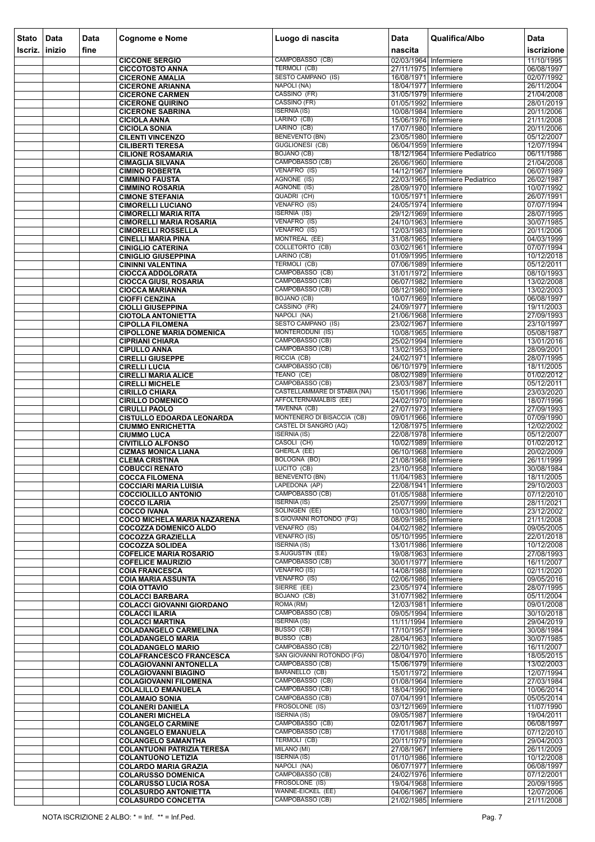| <b>Stato</b> | Data           | <b>Data</b> | <b>Cognome e Nome</b>                                              | Luogo di nascita                                             | <b>Data</b>                                    | Qualifica/Albo                   | Data                     |
|--------------|----------------|-------------|--------------------------------------------------------------------|--------------------------------------------------------------|------------------------------------------------|----------------------------------|--------------------------|
| Iscriz.      | <b>linizio</b> | fine        |                                                                    |                                                              | nascita                                        |                                  | iscrizione               |
|              |                |             | <b>CICCONE SERGIO</b><br><b>CICCOTOSTO ANNA</b>                    | CAMPOBASSO (CB)<br>TERMOLI (CB)                              | 02/03/1964 Infermiere<br>27/11/1975 Infermiere |                                  | 11/10/1995<br>06/08/1997 |
|              |                |             | <b>CICERONE AMALIA</b>                                             | <b>SESTO CAMPANO (IS)</b>                                    | 16/08/1971 Infermiere                          |                                  | 02/07/1992               |
|              |                |             | <b>CICERONE ARIANNA</b>                                            | NAPOLI (NA)                                                  | 18/04/1977 Infermiere                          |                                  | 26/11/2004               |
|              |                |             | <b>CICERONE CARMEN</b>                                             | CASSINO (FR)                                                 | 31/05/1979 Infermiere                          |                                  | 21/04/2008               |
|              |                |             | <b>CICERONE QUIRINO</b><br><b>CICERONE SABRINA</b>                 | CASSINO (FR)<br><b>ISERNIA (IS)</b>                          | 01/05/1992 Infermiere<br>10/08/1984 Infermiere |                                  | 28/01/2019<br>20/11/2006 |
|              |                |             | <b>CICIOLA ANNA</b>                                                | LARINO (CB)                                                  | 15/06/1976 Infermiere                          |                                  | 21/11/2008               |
|              |                |             | <b>CICIOLA SONIA</b>                                               | LARINO (CB)                                                  | 17/07/1980 Infermiere                          |                                  | 20/11/2006               |
|              |                |             | <b>CILENTI VINCENZO</b>                                            | <b>BENEVENTO (BN)</b>                                        | 23/05/1980 Infermiere                          |                                  | 05/12/2007               |
|              |                |             | <b>CILIBERTI TERESA</b><br><b>CILIONE ROSAMARIA</b>                | <b>GUGLIONESI (CB)</b><br><b>BOJANO (CB)</b>                 | 06/04/1959 Infermiere                          | 18/12/1964 Infermiere Pediatrico | 12/07/1994<br>06/11/1986 |
|              |                |             | <b>CIMAGLIA SILVANA</b>                                            | CAMPOBASSO (CB)                                              | 26/06/1960 Infermiere                          |                                  | 21/04/2008               |
|              |                |             | <b>CIMINO ROBERTA</b>                                              | VENAFRO (IS)                                                 | 14/12/1967 Infermiere                          |                                  | 06/07/1989               |
|              |                |             | <b>CIMMINO FAUSTA</b>                                              | AGNONE (IS)                                                  |                                                | 22/03/1965 Infermiere Pediatrico | 26/02/1987               |
|              |                |             | <b>CIMMINO ROSARIA</b><br><b>CIMONE STEFANIA</b>                   | AGNONE (IS)<br>QUADRI (CH)                                   | 28/09/1970 Infermiere<br>10/05/1971 Infermiere |                                  | 10/07/1992<br>26/07/1991 |
|              |                |             | <b>CIMORELLI LUCIANO</b>                                           | VENAFRO (IS)                                                 | 24/05/1974 Infermiere                          |                                  | 07/07/1994               |
|              |                |             | <b>CIMORELLI MARIA RITA</b>                                        | <b>ISERNIA (IS)</b>                                          | 29/12/1969 Infermiere                          |                                  | 28/07/1995               |
|              |                |             | <b>CIMORELLI MARIA ROSARIA</b>                                     | VENAFRO (IS)                                                 | 24/10/1963 Infermiere                          |                                  | 30/07/1985               |
|              |                |             | <b>CIMORELLI ROSSELLA</b><br><b>CINELLI MARIA PINA</b>             | VENAFRO (IS)<br>MONTREAL (EE)                                | 12/03/1983 Infermiere<br>31/08/1965 Infermiere |                                  | 20/11/2006<br>04/03/1999 |
|              |                |             | <b>CINIGLIO CATERINA</b>                                           | <b>COLLETORTO (CB)</b>                                       | 03/02/1961 Infermiere                          |                                  | 07/07/1994               |
|              |                |             | <b>CINIGLIO GIUSEPPINA</b>                                         | LARINO (CB)                                                  | 01/09/1995 Infermiere                          |                                  | 10/12/2018               |
|              |                |             | <b>CININNI VALENTINA</b>                                           | <b>TERMOLI (CB)</b>                                          | 07/06/1989 Infermiere                          |                                  | 05/12/2011               |
|              |                |             | <b>CIOCCA ADDOLORATA</b><br><b>CIOCCA GIUSI, ROSARIA</b>           | CAMPOBASSO (CB)<br>CAMPOBASSO (CB)                           | 31/01/1972 Infermiere<br>06/07/1982 Infermiere |                                  | 08/10/1993<br>13/02/2008 |
|              |                |             | <b>CIOCCA MARIANNA</b>                                             | CAMPOBASSO (CB)                                              | 08/12/1980 Infermiere                          |                                  | 13/02/2003               |
|              |                |             | <b>CIOFFI CENZINA</b>                                              | <b>BOJANO (CB)</b>                                           | 10/07/1969 Infermiere                          |                                  | 06/08/1997               |
|              |                |             | <b>CIOLLI GIUSEPPINA</b>                                           | CASSINO (FR)<br>NAPOLI (NA)                                  | 24/09/1977 Infermiere                          |                                  | 19/11/2003               |
|              |                |             | <b>CIOTOLA ANTONIETTA</b><br><b>CIPOLLA FILOMENA</b>               | <b>SESTO CAMPANO (IS)</b>                                    | 21/06/1968 Infermiere<br>23/02/1967 Infermiere |                                  | 27/09/1993<br>23/10/1997 |
|              |                |             | <b>CIPOLLONE MARIA DOMENICA</b>                                    | MONTERODUNI (IS)                                             | 10/08/1965 Infermiere                          |                                  | 05/08/1987               |
|              |                |             | <b>CIPRIANI CHIARA</b>                                             | CAMPOBASSO (CB)                                              | 25/02/1994 Infermiere                          |                                  | 13/01/2016               |
|              |                |             | <b>CIPULLO ANNA</b>                                                | CAMPOBASSO (CB)<br>RICCIA (CB)                               | 13/02/1953 Infermiere                          |                                  | 28/09/2001               |
|              |                |             | <b>CIRELLI GIUSEPPE</b><br><b>CIRELLI LUCIA</b>                    | CAMPOBASSO (CB)                                              | 24/02/1971 Infermiere<br>06/10/1979 Infermiere |                                  | 28/07/1995<br>18/11/2005 |
|              |                |             | <b>CIRELLI MARIA ALICE</b>                                         | TEANO (CE)                                                   | 08/02/1989 Infermiere                          |                                  | 01/02/2012               |
|              |                |             | <b>CIRELLI MICHELE</b>                                             | CAMPOBASSO (CB)                                              | 23/03/1987 Infermiere                          |                                  | 05/12/2011               |
|              |                |             | <b>CIRILLO CHIARA</b>                                              | <b>CASTELLAMMARE DI STABIA (NA)</b><br>AFFOLTERNAMALBIS (EE) | 15/01/1996 Infermiere<br>24/02/1970 Infermiere |                                  | 23/03/2020               |
|              |                |             | <b>CIRILLO DOMENICO</b><br><b>CIRULLI PAOLO</b>                    | TAVENNA (CB)                                                 | 27/07/1973 Infermiere                          |                                  | 18/07/1996<br>27/09/1993 |
|              |                |             | <b>CISTULLO EDOARDA LEONARDA</b>                                   | MONTENERO DI BISACCIA (CB)                                   | 09/01/1966 Infermiere                          |                                  | 07/09/1990               |
|              |                |             | <b>CIUMMO ENRICHETTA</b>                                           | <b>CASTEL DI SANGRO (AQ)</b>                                 | 12/08/1975 Infermiere                          |                                  | 12/02/2002               |
|              |                |             | <b>CIUMMO LUCA</b><br><b>CIVITILLO ALFONSO</b>                     | <b>ISERNIA (IS)</b><br>CASOLI (CH)                           | 22/08/1978 Infermiere<br>10/02/1989 Infermiere |                                  | 05/12/2007<br>01/02/2012 |
|              |                |             | <b>CIZMAS MONICA LIANA</b>                                         | GHERLA (EE)                                                  | 06/10/1968 Infermiere                          |                                  | 20/02/2009               |
|              |                |             | <b>CLEMA CRISTINA</b>                                              | BOLOGNA (BO)                                                 | 21/08/1968 Infermiere                          |                                  | 26/11/1999               |
|              |                |             | <b>COBUCCI RENATO</b>                                              | LUCITO (CB)<br>BENEVENTO (BN)                                | 23/10/1958 Infermiere                          |                                  | 30/08/1984               |
|              |                |             | <b>COCCA FILOMENA</b><br><b>COCCIARI MARIA LUISIA</b>              | LAPEDONA (AP)                                                | 11/04/1983 Infermiere<br>22/08/1941 Infermiere |                                  | 18/11/2005<br>29/10/2003 |
|              |                |             | <b>COCCIOLILLO ANTONIO</b>                                         | CAMPOBASSO (CB)                                              | 01/05/1988 Infermiere                          |                                  | 07/12/2010               |
|              |                |             | <b>COCCO ILARIA</b>                                                | <b>ISERNIA (IS)</b>                                          | 25/07/1999 Infermiere                          |                                  | 28/11/2021               |
|              |                |             | <b>COCCO IVANA</b>                                                 | SOLINGEN (EE)<br>S.GIOVANNI ROTONDO (FG)                     | 10/03/1980 Infermiere<br>08/09/1985 Infermiere |                                  | 23/12/2002<br>21/11/2008 |
|              |                |             | <b>COCO MICHELA MARIA NAZARENA</b><br><b>COCOZZA DOMENICO ALDO</b> | VENAFRO (IS)                                                 | 04/02/1982 Infermiere                          |                                  | 09/05/2005               |
|              |                |             | <b>COCOZZA GRAZIELLA</b>                                           | <b>VENAFRO (IS)</b>                                          | 05/10/1995 Infermiere                          |                                  | 22/01/2018               |
|              |                |             | <b>COCOZZA SOLIDEA</b>                                             | <b>ISERNIA (IS)</b>                                          | 13/01/1986 Infermiere                          |                                  | 10/12/2008               |
|              |                |             | <b>COFELICE MARIA ROSARIO</b><br><b>COFELICE MAURIZIO</b>          | S.AUGUSTIN (EE)<br>CAMPOBASSO (CB)                           | 19/08/1963 Infermiere<br>30/01/1977 Infermiere |                                  | 27/08/1993<br>16/11/2007 |
|              |                |             | <b>COIA FRANCESCA</b>                                              | <b>VENAFRO (IS)</b>                                          | 14/08/1988 Infermiere                          |                                  | 02/11/2020               |
|              |                |             | <b>COIA MARIA ASSUNTA</b>                                          | VENAFRO (IS)                                                 | 02/06/1986 Infermiere                          |                                  | 09/05/2016               |
|              |                |             | <b>COIA OTTAVIO</b>                                                | SIERRE (EE)<br><b>BOJANO (CB)</b>                            | 23/05/1974 Infermiere<br>31/07/1982 Infermiere |                                  | 28/07/1995               |
|              |                |             | <b>COLACCI BARBARA</b><br><b>COLACCI GIOVANNI GIORDANO</b>         | ROMA (RM)                                                    | 12/03/1981 Infermiere                          |                                  | 05/11/2004<br>09/01/2008 |
|              |                |             | <b>COLACCI ILARIA</b>                                              | CAMPOBASSO (CB)                                              | 09/05/1994 Infermiere                          |                                  | 30/10/2018               |
|              |                |             | <b>COLACCI MARTINA</b>                                             | <b>ISERNIA (IS)</b>                                          | 11/11/1994 Infermiere                          |                                  | 29/04/2019               |
|              |                |             | <b>COLADANGELO CARMELINA</b>                                       | BUSSO (CB)<br>BUSSO (CB)                                     | 17/10/1957 Infermiere<br>28/04/1963 Infermiere |                                  | 30/08/1984<br>30/07/1985 |
|              |                |             | <b>COLADANGELO MARIA</b><br><b>COLADANGELO MARIO</b>               | CAMPOBASSO (CB)                                              | 22/10/1982 Infermiere                          |                                  | 16/11/2007               |
|              |                |             | <b>COLAFRANCESCO FRANCESCA</b>                                     | SAN GIOVANNI ROTONDO (FG)                                    | 08/04/1970 Infermiere                          |                                  | 18/05/2015               |
|              |                |             | <b>COLAGIOVANNI ANTONELLA</b>                                      | CAMPOBASSO (CB)                                              | 15/06/1979 Infermiere                          |                                  | 13/02/2003               |
|              |                |             | <b>COLAGIOVANNI BIAGINO</b>                                        | BARANELLO (CB)<br>CAMPOBASSO (CB)                            | 15/01/1972 Infermiere                          |                                  | 12/07/1994               |
|              |                |             | <b>COLAGIOVANNI FILOMENA</b><br><b>COLALILLO EMANUELA</b>          | CAMPOBASSO (CB)                                              | 01/08/1964 Infermiere<br>18/04/1990 Infermiere |                                  | 27/03/1984<br>10/06/2014 |
|              |                |             | <b>COLAMAIO SONIA</b>                                              | CAMPOBASSO (CB)                                              | 07/04/1991 Infermiere                          |                                  | 05/05/2014               |
|              |                |             | <b>COLANERI DANIELA</b>                                            | FROSOLONE (IS)                                               | 03/12/1969 Infermiere                          |                                  | 11/07/1990               |
|              |                |             | <b>COLANERI MICHELA</b><br><b>COLANGELO CARMINE</b>                | <b>ISERNIA (IS)</b><br>CAMPOBASSO (CB)                       | 09/05/1987 Infermiere<br>02/01/1967 Infermiere |                                  | 19/04/2011<br>06/08/1997 |
|              |                |             | <b>COLANGELO EMANUELA</b>                                          | CAMPOBASSO (CB)                                              | 17/01/1988 Infermiere                          |                                  | 07/12/2010               |
|              |                |             | <b>COLANGELO SAMANTHA</b>                                          | TERMOLI (CB)                                                 | 20/11/1979 Infermiere                          |                                  | 29/04/2003               |
|              |                |             | <b>COLANTUONI PATRIZIA TERESA</b>                                  | MILANO (MI)                                                  | 27/08/1967 Infermiere                          |                                  | 26/11/2009               |
|              |                |             | <b>COLANTUONO LETIZIA</b><br><b>COLARDO MARIA GRAZIA</b>           | <b>ISERNIA (IS)</b><br>NAPOLI (NA)                           | 01/10/1986 Infermiere<br>06/07/1977 Infermiere |                                  | 10/12/2008<br>06/08/1997 |
|              |                |             | <b>COLARUSSO DOMENICA</b>                                          | CAMPOBASSO (CB)                                              | 24/02/1976 Infermiere                          |                                  | 07/12/2001               |
|              |                |             | <b>COLARUSSO LUCIA ROSA</b>                                        | FROSOLONE (IS)                                               | 19/04/1968 Infermiere                          |                                  | 20/09/1995               |
|              |                |             | <b>COLASURDO ANTONIETTA</b>                                        | WANNE-EICKEL (EE)                                            | 04/06/1967 Infermiere                          |                                  | 12/07/2006               |
|              |                |             | <b>COLASURDO CONCETTA</b>                                          | CAMPOBASSO (CB)                                              | 21/02/1985 Infermiere                          |                                  | 21/11/2008               |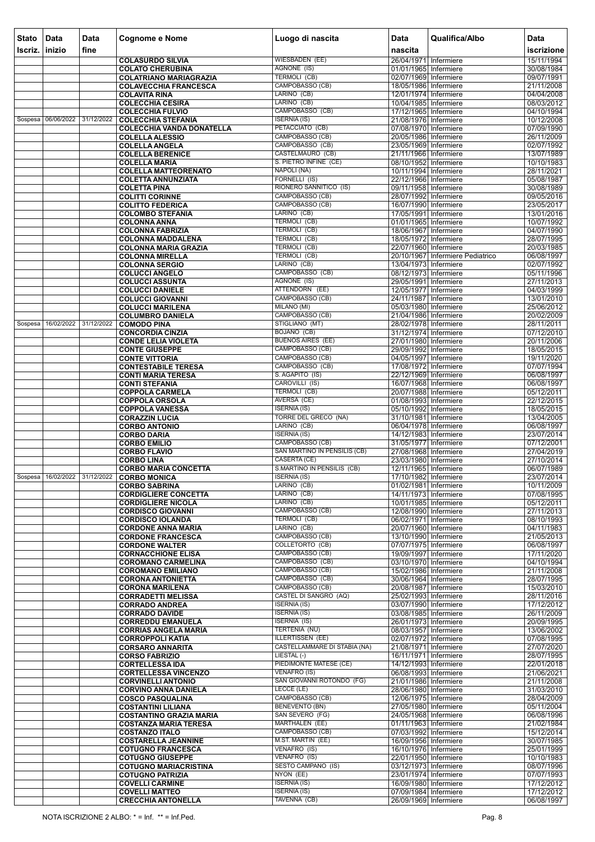| <b>Stato</b>   | Data                          | Data | <b>Cognome e Nome</b>                                       | Luogo di nascita                                | Data<br>nascita                                  | Qualifica/Albo                   | <b>Data</b>              |
|----------------|-------------------------------|------|-------------------------------------------------------------|-------------------------------------------------|--------------------------------------------------|----------------------------------|--------------------------|
| <b>Iscriz.</b> | inizio                        | fine |                                                             | <b>WIESBADEN (EE)</b>                           | 26/04/1971 Infermiere                            |                                  | iscrizione<br>15/11/1994 |
|                |                               |      | <b>COLASURDO SILVIA</b><br><b>COLATO CHERUBINA</b>          | <b>AGNONE (IS)</b>                              | 01/01/1965 Infermiere                            |                                  | 30/08/1984               |
|                |                               |      | <b>COLATRIANO MARIAGRAZIA</b>                               | <b>TERMOLI (CB)</b>                             | 02/07/1969 Infermiere                            |                                  | 09/07/1991               |
|                |                               |      | <b>COLAVECCHIA FRANCESCA</b>                                | CAMPOBASSO (CB)                                 | 18/05/1986 Infermiere                            |                                  | 21/11/2008               |
|                |                               |      | <b>COLAVITA RINA</b><br><b>COLECCHIA CESIRA</b>             | LARINO (CB)<br>LARINO (CB)                      | 12/01/1974 Infermiere<br>10/04/1985 Infermiere   |                                  | 04/04/2008<br>08/03/2012 |
|                |                               |      | <b>COLECCHIA FULVIO</b>                                     | CAMPOBASSO (CB)                                 | 17/12/1965 Infermiere                            |                                  | 04/10/1994               |
|                | Sospesa 06/06/2022 31/12/2022 |      | <b>COLECCHIA STEFANIA</b>                                   | <b>ISERNIA (IS)</b>                             | 21/08/1976 Infermiere                            |                                  | 10/12/2008               |
|                |                               |      | <b>COLECCHIA VANDA DONATELLA</b>                            | PETACCIATO (CB)<br>CAMPOBASSO (CB)              | 07/08/1970 Infermiere                            |                                  | 07/09/1990               |
|                |                               |      | <b>COLELLA ALESSIO</b><br><b>COLELLA ANGELA</b>             | CAMPOBASSO (CB)                                 | 20/05/1986 Infermiere<br>23/05/1969 Infermiere   |                                  | 26/11/2009<br>02/07/1992 |
|                |                               |      | <b>COLELLA BERENICE</b>                                     | <b>CASTELMAURO (CB)</b>                         | 21/11/1966 Infermiere                            |                                  | 13/07/1989               |
|                |                               |      | <b>COLELLA MARIA</b>                                        | S. PIETRO INFINE (CE)                           | 08/10/1952 Infermiere                            |                                  | 10/10/1983               |
|                |                               |      | <b>COLELLA MATTEORENATO</b><br><b>COLETTA ANNUNZIATA</b>    | NAPOLI (NA)<br>FORNELLI (IS)                    | 10/11/1994   Infermiere<br>22/12/1966 Infermiere |                                  | 28/11/2021<br>05/08/1987 |
|                |                               |      | <b>COLETTA PINA</b>                                         | RIONERO SANNITICO (IS)                          | 09/11/1958 Infermiere                            |                                  | 30/08/1989               |
|                |                               |      | <b>COLITTI CORINNE</b>                                      | CAMPOBASSO (CB)                                 | 28/07/1992 Infermiere                            |                                  | 09/05/2016               |
|                |                               |      | <b>COLITTO FEDERICA</b><br><b>COLOMBO STEFANIA</b>          | CAMPOBASSO (CB)<br>LARINO (CB)                  | 16/07/1990 Infermiere<br>17/05/1991 Infermiere   |                                  | 23/05/2017<br>13/01/2016 |
|                |                               |      | <b>COLONNA ANNA</b>                                         | <b>TERMOLI (CB)</b>                             | 01/01/1965 Infermiere                            |                                  | 10/07/1992               |
|                |                               |      | <b>COLONNA FABRIZIA</b>                                     | <b>TERMOLI (CB)</b>                             | 18/06/1967 Infermiere                            |                                  | 04/07/1990               |
|                |                               |      | <b>COLONNA MADDALENA</b>                                    | <b>TERMOLI (CB)</b><br><b>TERMOLI (CB)</b>      | 18/05/1972 Infermiere<br>22/07/1960 Infermiere   |                                  | 28/07/1995               |
|                |                               |      | <b>COLONNA MARIA GRAZIA</b><br><b>COLONNA MIRELLA</b>       | <b>TERMOLI (CB)</b>                             |                                                  | 20/10/1967 Infermiere Pediatrico | 20/03/1985<br>06/08/1997 |
|                |                               |      | <b>COLONNA SERGIO</b>                                       | LARINO (CB)                                     | 13/04/1973 Infermiere                            |                                  | 02/07/1992               |
|                |                               |      | <b>COLUCCI ANGELO</b>                                       | CAMPOBASSO (CB)                                 | 08/12/1973 Infermiere                            |                                  | 05/11/1996               |
|                |                               |      | <b>COLUCCI ASSUNTA</b><br><b>COLUCCI DANIELE</b>            | AGNONE (IS)<br>ATTENDORN (EE)                   | 29/05/1991 Infermiere<br>12/05/1977 Infermiere   |                                  | 27/11/2013<br>04/03/1999 |
|                |                               |      | <b>COLUCCI GIOVANNI</b>                                     | CAMPOBASSO (CB)                                 | 24/11/1987 Infermiere                            |                                  | 13/01/2010               |
|                |                               |      | <b>COLUCCI MARILENA</b>                                     | MILANO (MI)                                     | 05/03/1980 Infermiere                            |                                  | 25/06/2012               |
| Sospesa        | 16/02/2022 31/12/2022         |      | <b>COLUMBRO DANIELA</b><br><b>COMODO PINA</b>               | CAMPOBASSO (CB)<br>STIGLIANO (MT)               | 21/04/1986 Infermiere<br>28/02/1978 Infermiere   |                                  | 20/02/2009<br>28/11/2011 |
|                |                               |      | <b>CONCORDIA CINZIA</b>                                     | <b>BOJANO (CB)</b>                              | 31/12/1974 Infermiere                            |                                  | 07/12/2010               |
|                |                               |      | <b>CONDE LELIA VIOLETA</b>                                  | <b>BUENOS AIRES (EE)</b>                        | 27/01/1980 Infermiere                            |                                  | 20/11/2006               |
|                |                               |      | <b>CONTE GIUSEPPE</b>                                       | CAMPOBASSO (CB)<br>CAMPOBASSO (CB)              | 29/09/1992 Infermiere                            |                                  | 18/05/2015<br>19/11/2020 |
|                |                               |      | <b>CONTE VITTORIA</b><br><b>CONTESTABILE TERESA</b>         | CAMPOBASSO (CB)                                 | 04/05/1997 Infermiere<br>17/08/1972 Infermiere   |                                  | 07/07/1994               |
|                |                               |      | <b>CONTI MARIA TERESA</b>                                   | S. AGAPITO (IS)                                 | 22/12/1969 Infermiere                            |                                  | 06/08/1997               |
|                |                               |      | <b>CONTI STEFANIA</b>                                       | CAROVILLI (IS)                                  | 16/07/1968 Infermiere                            |                                  | 06/08/1997               |
|                |                               |      | <b>COPPOLA CARMELA</b><br><b>COPPOLA ORSOLA</b>             | <b>TERMOLI (CB)</b><br>AVERSA (CE)              | 20/07/1988 Infermiere<br>01/08/1993 Infermiere   |                                  | 05/12/2011<br>22/12/2015 |
|                |                               |      | <b>COPPOLA VANESSA</b>                                      | <b>ISERNIA (IS)</b>                             | 05/10/1992 Infermiere                            |                                  | 18/05/2015               |
|                |                               |      | <b>CORAZZIN LUCIA</b>                                       | TORRE DEL GRECO (NA)                            | 31/10/1981 Infermiere                            |                                  | 13/04/2005               |
|                |                               |      | <b>CORBO ANTONIO</b><br><b>CORBO DARIA</b>                  | LARINO (CB)<br><b>ISERNIA (IS)</b>              | 06/04/1978 Infermiere<br>14/12/1983 Infermiere   |                                  | 06/08/1997<br>23/07/2014 |
|                |                               |      | <b>CORBO EMILIO</b>                                         | CAMPOBASSO (CB)                                 | 31/05/1977 Infermiere                            |                                  | 07/12/2001               |
|                |                               |      | <b>CORBO FLAVIO</b>                                         | SAN MARTINO IN PENSILIS (CB)                    | 27/08/1968 Infermiere                            |                                  | 27/04/2019               |
|                |                               |      | <b>CORBO LINA</b><br><b>CORBO MARIA CONCETTA</b>            | CASERTA (CE)<br>S.MARTINO IN PENSILIS (CB)      | 23/03/1980 Infermiere<br>12/11/1965 Infermiere   |                                  | 27/10/2014<br>06/07/1989 |
|                |                               |      | Sospesa 16/02/2022 31/12/2022 CORBO MONICA                  | <b>ISERNIA (IS)</b>                             | 17/10/1982 Infermiere                            |                                  | 23/07/2014               |
|                |                               |      | <b>CORBO SABRINA</b>                                        | LARINO (CB)                                     | 01/02/1981 Infermiere                            |                                  | 10/11/2009               |
|                |                               |      | <b>CORDIGLIERE CONCETTA</b><br><b>CORDIGLIERE NICOLA</b>    | LARINO (CB)<br>LARINO (CB)                      | 14/11/1973 Infermiere<br>10/01/1985 Infermiere   |                                  | 07/08/1995<br>05/12/2011 |
|                |                               |      | <b>CORDISCO GIOVANNI</b>                                    | CAMPOBASSO (CB)                                 | 12/08/1990 Infermiere                            |                                  | 27/11/2013               |
|                |                               |      | <b>CORDISCO IOLANDA</b>                                     | <b>TERMOLI (CB)</b>                             | 06/02/1971 Infermiere                            |                                  | 08/10/1993               |
|                |                               |      | <b>CORDONE ANNA MARIA</b><br><b>CORDONE FRANCESCA</b>       | LARINO (CB)<br>CAMPOBASSO (CB)                  | 20/07/1960 Infermiere<br>13/10/1990 Infermiere   |                                  | 04/11/1983<br>21/05/2013 |
|                |                               |      | <b>CORDONE WALTER</b>                                       | <b>COLLETORTO (CB)</b>                          | 07/07/1975 Infermiere                            |                                  | 06/08/1997               |
|                |                               |      | <b>CORNACCHIONE ELISA</b>                                   | CAMPOBASSO (CB)                                 | 19/09/1997 Infermiere                            |                                  | 17/11/2020               |
|                |                               |      | <b>COROMANO CARMELINA</b><br><b>COROMANO EMILIANO</b>       | CAMPOBASSO (CB)<br>CAMPOBASSO (CB)              | 03/10/1970 Infermiere<br>15/02/1986 Infermiere   |                                  | 04/10/1994<br>21/11/2008 |
|                |                               |      | <b>CORONA ANTONIETTA</b>                                    | CAMPOBASSO (CB)                                 | 30/06/1964 Infermiere                            |                                  | 28/07/1995               |
|                |                               |      | <b>CORONA MARILENA</b>                                      | CAMPOBASSO (CB)                                 | 20/08/1987 Infermiere                            |                                  | 15/03/2010               |
|                |                               |      | <b>CORRADETTI MELISSA</b>                                   | CASTEL DI SANGRO (AQ)<br><b>ISERNIA (IS)</b>    | 25/02/1993 Infermiere<br>03/07/1990 Infermiere   |                                  | 28/11/2016<br>17/12/2012 |
|                |                               |      | <b>CORRADO ANDREA</b><br><b>CORRADO DAVIDE</b>              | <b>ISERNIA (IS)</b>                             | 03/08/1985 Infermiere                            |                                  | 26/11/2009               |
|                |                               |      | <b>CORREDDU EMANUELA</b>                                    | <b>ISERNIA (IS)</b>                             | 26/01/1973 Infermiere                            |                                  | 20/09/1995               |
|                |                               |      | <b>CORRIAS ANGELA MARIA</b>                                 | <b>TERTENIA (NU)</b><br><b>ILLERTISSEN (EE)</b> | 08/03/1957 Infermiere                            |                                  | 13/06/2002<br>07/08/1995 |
|                |                               |      | <b>CORROPPOLI KATIA</b><br><b>CORSARO ANNARITA</b>          | CASTELLAMMARE DI STABIA (NA)                    | 02/07/1972 Infermiere<br>21/08/1971 Infermiere   |                                  | 27/07/2020               |
|                |                               |      | <b>CORSO FABRIZIO</b>                                       | LIESTAL (-)                                     | 16/11/1971   Infermiere                          |                                  | 28/07/1995               |
|                |                               |      | <b>CORTELLESSA IDA</b>                                      | PIEDIMONTE MATESE (CE)<br><b>VENAFRO (IS)</b>   | 14/12/1993 Infermiere                            |                                  | 22/01/2018               |
|                |                               |      | <b>CORTELLESSA VINCENZO</b><br><b>CORVINELLI ANTONIO</b>    | SAN GIOVANNI ROTONDO (FG)                       | 06/08/1993 Infermiere<br>21/01/1986 Infermiere   |                                  | 21/06/2021<br>21/11/2008 |
|                |                               |      | <b>CORVINO ANNA DANIELA</b>                                 | LECCE (LE)                                      | 28/06/1980 Infermiere                            |                                  | 31/03/2010               |
|                |                               |      | <b>COSCO PASQUALINA</b>                                     | CAMPOBASSO (CB)                                 | 12/06/1975 Infermiere                            |                                  | 28/04/2009               |
|                |                               |      | <b>COSTANTINI LILIANA</b><br><b>COSTANTINO GRAZIA MARIA</b> | <b>BENEVENTO (BN)</b><br>SAN SEVERO (FG)        | 27/05/1980 Infermiere<br>24/05/1968 Infermiere   |                                  | 05/11/2004<br>06/08/1996 |
|                |                               |      | <b>COSTANZA MARIA TERESA</b>                                | MARTHALEN (EE)                                  | 01/11/1963 Infermiere                            |                                  | 21/02/1984               |
|                |                               |      | <b>COSTANZO ITALO</b>                                       | CAMPOBASSO (CB)                                 | 07/03/1992 Infermiere                            |                                  | 15/12/2014               |
|                |                               |      | <b>COSTARELLA JEANNINE</b><br><b>COTUGNO FRANCESCA</b>      | M.ST. MARTIN (EE)<br>VENAFRO (IS)               | 16/09/1956 Infermiere<br>16/10/1976 Infermiere   |                                  | 30/07/1985<br>25/01/1999 |
|                |                               |      | <b>COTUGNO GIUSEPPE</b>                                     | VENAFRO (IS)                                    | 22/01/1950 Infermiere                            |                                  | 10/10/1983               |
|                |                               |      | <b>COTUGNO MARIACRISTINA</b>                                | <b>SESTO CAMPANO (IS)</b>                       | 03/12/1973 Infermiere                            |                                  | 08/07/1996               |
|                |                               |      | <b>COTUGNO PATRIZIA</b><br><b>COVELLI CARMINE</b>           | NYON (EE)<br><b>ISERNIA (IS)</b>                | 23/01/1974 Infermiere<br>16/09/1980 Infermiere   |                                  | 07/07/1993<br>17/12/2012 |
|                |                               |      | <b>COVELLI MATTEO</b>                                       | <b>ISERNIA (IS)</b>                             | 07/09/1984 Infermiere                            |                                  | 17/12/2012               |
|                |                               |      | <b>CRECCHIA ANTONELLA</b>                                   | TAVENNA (CB)                                    | 26/09/1969 Infermiere                            |                                  | 06/08/1997               |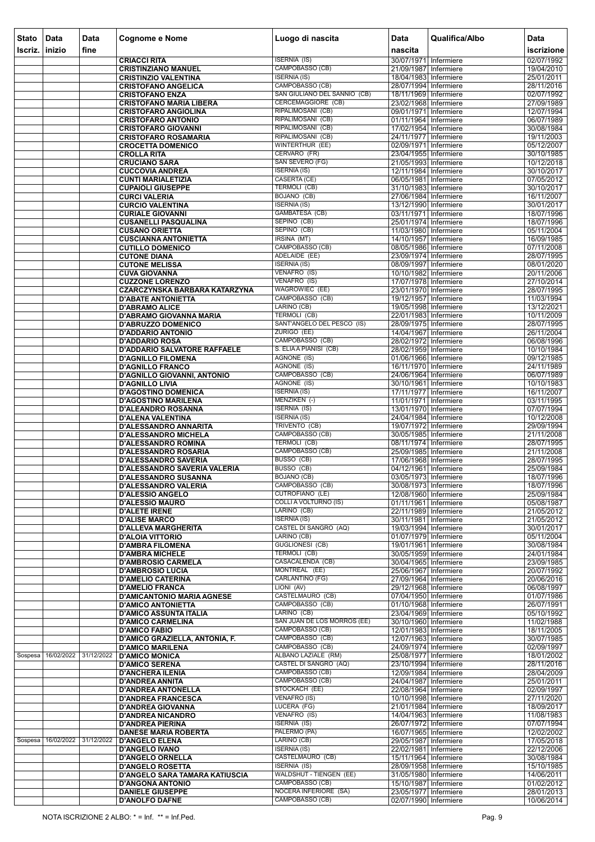| <b>Stato</b>   | Data                          | Data       | <b>Cognome e Nome</b>                                              | Luogo di nascita                                          | Data                                             | Qualifica/Albo | <b>Data</b>              |
|----------------|-------------------------------|------------|--------------------------------------------------------------------|-----------------------------------------------------------|--------------------------------------------------|----------------|--------------------------|
| Iscriz, inizio |                               | fine       |                                                                    |                                                           | nascita                                          |                | iscrizione               |
|                |                               |            | <b>CRIACCI RITA</b><br><b>CRISTINZIANO MANUEL</b>                  | <b>ISERNIA (IS)</b><br>CAMPOBASSO (CB)                    | 30/07/1971 Infermiere<br>21/09/1987 Infermiere   |                | 02/07/1992<br>19/04/2010 |
|                |                               |            | <b>CRISTINZIO VALENTINA</b>                                        | <b>ISERNIA (IS)</b>                                       | 18/04/1983 Infermiere                            |                | 25/01/2011               |
|                |                               |            | <b>CRISTOFANO ANGELICA</b>                                         | CAMPOBASSO (CB)                                           | 28/07/1994 Infermiere                            |                | 28/11/2016               |
|                |                               |            | <b>CRISTOFANO ENZA</b>                                             | SAN GIULIANO DEL SANNIO (CB)<br><b>CERCEMAGGIORE (CB)</b> | 18/11/1969 Infermiere<br>23/02/1968 Infermiere   |                | 02/07/1992               |
|                |                               |            | <b>CRISTOFANO MARIA LIBERA</b><br><b>CRISTOFARO ANGIOLINA</b>      | RIPALIMOSANI (CB)                                         | 09/01/1971 Infermiere                            |                | 27/09/1989<br>12/07/1994 |
|                |                               |            | <b>CRISTOFARO ANTONIO</b>                                          | RIPALIMOSANI (CB)                                         | 01/11/1964   Infermiere                          |                | 06/07/1989               |
|                |                               |            | <b>CRISTOFARO GIOVANNI</b>                                         | RIPALIMOSANI (CB)                                         | 17/02/1954 Infermiere                            |                | 30/08/1984               |
|                |                               |            | <b>CRISTOFARO ROSAMARIA</b><br><b>CROCETTA DOMENICO</b>            | RIPALIMOSANI (CB)<br><b>WINTERTHUR (EE)</b>               | 24/11/1977 Infermiere<br>02/09/1971 Infermiere   |                | 19/11/2003<br>05/12/2007 |
|                |                               |            | <b>CROLLA RITA</b>                                                 | CERVARO (FR)                                              | 23/04/1955 Infermiere                            |                | 30/10/1985               |
|                |                               |            | <b>CRUCIANO SARA</b>                                               | SAN SEVERO (FG)                                           | 21/05/1993 Infermiere                            |                | 10/12/2018               |
|                |                               |            | <b>CUCCOVIA ANDREA</b>                                             | <b>ISERNIA</b> (IS)<br>CASERTA (CE)                       | 12/11/1984 Infermiere<br>06/05/1981 Infermiere   |                | 30/10/2017<br>07/05/2012 |
|                |                               |            | <b>CUNTI MARIALETIZIA</b><br><b>CUPAIOLI GIUSEPPE</b>              | TERMOLI (CB)                                              | 31/10/1983 Infermiere                            |                | 30/10/2017               |
|                |                               |            | <b>CURCI VALERIA</b>                                               | BOJANO (CB)                                               | 27/06/1984 Infermiere                            |                | 16/11/2007               |
|                |                               |            | <b>CURCIO VALENTINA</b>                                            | <b>ISERNIA (IS)</b><br>GAMBATESA (CB)                     | 13/12/1990 Infermiere                            |                | 30/01/2017               |
|                |                               |            | <b>CURIALE GIOVANNI</b><br><b>CUSANELLI PASQUALINA</b>             | SEPINO (CB)                                               | 03/11/1971 Infermiere<br>25/01/1974 Infermiere   |                | 18/07/1996<br>18/07/1996 |
|                |                               |            | <b>CUSANO ORIETTA</b>                                              | SEPINO (CB)                                               | 11/03/1980 Infermiere                            |                | 05/11/2004               |
|                |                               |            | <b>CUSCIANNA ANTONIETTA</b>                                        | IRSINA (MT)                                               | 14/10/1957 Infermiere                            |                | 16/09/1985               |
|                |                               |            | <b>CUTILLO DOMENICO</b><br><b>CUTONE DIANA</b>                     | CAMPOBASSO (CB)<br>ADELAIDE (EE)                          | 08/05/1986 Infermiere<br>23/09/1974 Infermiere   |                | 07/11/2008<br>28/07/1995 |
|                |                               |            | <b>CUTONE MELISSA</b>                                              | <b>ISERNIA (IS)</b>                                       | 08/09/1997 Infermiere                            |                | 08/01/2020               |
|                |                               |            | <b>CUVA GIOVANNA</b>                                               | VENAFRO (IS)                                              | 10/10/1982 Infermiere                            |                | 20/11/2006               |
|                |                               |            | <b>CUZZONE LORENZO</b><br><b>CZARCZYNSKA BARBARA KATARZYNA</b>     | VENAFRO (IS)<br><b>WAGROWIEC (EE)</b>                     | 17/07/1978 Infermiere<br>23/01/1970 Infermiere   |                | 27/10/2014<br>28/07/1995 |
|                |                               |            | <b>D'ABATE ANTONIETTA</b>                                          | CAMPOBASSO (CB)                                           | 19/12/1957 Infermiere                            |                | 11/03/1994               |
|                |                               |            | <b>D'ABRAMO ALICE</b>                                              | LARINO (CB)                                               | 19/05/1998 Infermiere                            |                | 13/12/2021               |
|                |                               |            | <b>D'ABRAMO GIOVANNA MARIA</b>                                     | <b>TERMOLI (CB)</b><br>SANT'ANGELO DEL PESCO (IS)         | 22/01/1983 Infermiere                            |                | 10/11/2009               |
|                |                               |            | <b>D'ABRUZZO DOMENICO</b><br><b>D'ADDARIO ANTONIO</b>              | ZURIGO (EE)                                               | 28/09/1975 Infermiere<br>14/04/1967 Infermiere   |                | 28/07/1995<br>26/11/2004 |
|                |                               |            | <b>D'ADDARIO ROSA</b>                                              | CAMPOBASSO (CB)                                           | 28/02/1972 Infermiere                            |                | 06/08/1996               |
|                |                               |            | <b>D'ADDARIO SALVATORE RAFFAELE</b>                                | S. ELIAA PIANISI (CB)                                     | 28/02/1959 Infermiere                            |                | 10/10/1984               |
|                |                               |            | <b>D'AGNILLO FILOMENA</b><br><b>D'AGNILLO FRANCO</b>               | AGNONE (IS)<br>AGNONE (IS)                                | 01/06/1966 Infermiere<br>16/11/1970 Infermiere   |                | 09/12/1985<br>24/11/1989 |
|                |                               |            | <b>D'AGNILLO GIOVANNI, ANTONIO</b>                                 | CAMPOBASSO (CB)                                           | 24/06/1964 Infermiere                            |                | 06/07/1989               |
|                |                               |            | <b>D'AGNILLO LIVIA</b>                                             | AGNONE (IS)                                               | 30/10/1961 Infermiere                            |                | 10/10/1983               |
|                |                               |            | <b>D'AGOSTINO DOMENICA</b><br><b>D'AGOSTINO MARILENA</b>           | <b>ISERNIA (IS)</b><br>MENZIKEN (-)                       | 17/11/1977   Infermiere<br>11/01/1971 Infermiere |                | 16/11/2007<br>03/11/1995 |
|                |                               |            | <b>D'ALEANDRO ROSANNA</b>                                          | <b>ISERNIA (IS)</b>                                       | 13/01/1970 Infermiere                            |                | 07/07/1994               |
|                |                               |            | <b>D'ALENA VALENTINA</b>                                           | <b>ISERNIA (IS)</b>                                       | 24/04/1984 Infermiere                            |                | 10/12/2008               |
|                |                               |            | <b>D'ALESSANDRO ANNARITA</b>                                       | TRIVENTO (CB)<br>CAMPOBASSO (CB)                          | 19/07/1972 Infermiere                            |                | 29/09/1994               |
|                |                               |            | <b>D'ALESSANDRO MICHELA</b><br><b>D'ALESSANDRO ROMINA</b>          | <b>TERMOLI (CB)</b>                                       | 30/05/1985 Infermiere<br>08/11/1974 Infermiere   |                | 21/11/2008<br>28/07/1995 |
|                |                               |            | <b>D'ALESSANDRO ROSARIA</b>                                        | CAMPOBASSO (CB)                                           | 25/09/1985 Infermiere                            |                | 21/11/2008               |
|                |                               |            | <b>D'ALESSANDRO SAVERIA</b>                                        | BUSSO (CB)                                                | 17/06/1968 Infermiere                            |                | 28/07/1995               |
|                |                               |            | <b>D'ALESSANDRO SAVERIA VALERIA</b><br><b>D'ALESSANDRO SUSANNA</b> | BUSSO (CB)<br><b>BOJANO (CB)</b>                          | 04/12/1961 Infermiere<br>03/05/1973 Infermiere   |                | 25/09/1984<br>18/07/1996 |
|                |                               |            | <b>D'ALESSANDRO VALERIA</b>                                        | CAMPOBASSO (CB)                                           | 30/08/1973 Infermiere                            |                | 18/07/1996               |
|                |                               |            | <b>D'ALESSIO ANGELO</b>                                            | <b>CUTROFIANO (LE)</b>                                    | 12/08/1960 Infermiere                            |                | 25/09/1984               |
|                |                               |            | <b>D'ALESSIO MAURO</b><br><b>D'ALETE IRENE</b>                     | <b>COLLI A VOLTURNO (IS)</b><br>LARINO (CB)               | 01/11/1961 Infermiere<br>22/11/1989 Infermiere   |                | 05/08/1987<br>21/05/2012 |
|                |                               |            | <b>D'ALISE MARCO</b>                                               | <b>ISERNIA (IS)</b>                                       | 30/11/1981 Infermiere                            |                | 21/05/2012               |
|                |                               |            | <b>D'ALLEVA MARGHERITA</b>                                         | CASTEL DI SANGRO (AQ)                                     | 19/03/1994 Infermiere                            |                | 30/01/2017               |
|                |                               |            | <b>D'ALOIA VITTORIO</b><br><b>D'AMBRA FILOMENA</b>                 | LARINO (CB)<br><b>GUGLIONESI (CB)</b>                     | 01/07/1979 Infermiere<br>19/01/1961 Infermiere   |                | 05/11/2004<br>30/08/1984 |
|                |                               |            | <b>D'AMBRA MICHELE</b>                                             | TERMOLI (CB)                                              | 30/05/1959 Infermiere                            |                | 24/01/1984               |
|                |                               |            | <b>D'AMBROSIO CARMELA</b>                                          | CASACALENDA (CB)                                          | 30/04/1965 Infermiere                            |                | 23/09/1985               |
|                |                               |            | <b>D'AMBROSIO LUCIA</b><br><b>D'AMELIO CATERINA</b>                | MONTREAL (EE)<br>CARLANTINO (FG)                          | 25/06/1967 Infermiere<br>27/09/1964 Infermiere   |                | 20/07/1992<br>20/06/2016 |
|                |                               |            | <b>D'AMELIO FRANCA</b>                                             | LIONI (AV)                                                | 29/12/1968 Infermiere                            |                | 06/08/1997               |
|                |                               |            | <b>D'AMICANTONIO MARIA AGNESE</b>                                  | <b>CASTELMAURO (CB)</b>                                   | 07/04/1950 Infermiere                            |                | 01/07/1986               |
|                |                               |            | <b>D'AMICO ANTONIETTA</b><br><b>D'AMICO ASSUNTA ITALIA</b>         | CAMPOBASSO (CB)<br>LARINO (CB)                            | 01/10/1968 Infermiere<br>23/04/1969 Infermiere   |                | 26/07/1991<br>05/10/1992 |
|                |                               |            | <b>D'AMICO CARMELINA</b>                                           | SAN JUAN DE LOS MORROS (EE)                               | 30/10/1960 Infermiere                            |                | 11/02/1988               |
|                |                               |            | <b>D'AMICO FABIO</b>                                               | CAMPOBASSO (CB)                                           | 12/01/1983 Infermiere                            |                | 18/11/2005               |
|                |                               |            | D'AMICO GRAZIELLA, ANTONIA, F.                                     | CAMPOBASSO (CB)<br>CAMPOBASSO (CB)                        | 12/07/1963 Infermiere                            |                | 30/07/1985<br>02/09/1997 |
| Sospesa        | 16/02/2022                    | 31/12/2022 | <b>D'AMICO MARILENA</b><br><b>D'AMICO MONICA</b>                   | ALBANO LAZIALE (RM)                                       | 24/09/1974 Infermiere<br>25/08/1977 Infermiere   |                | 18/01/2002               |
|                |                               |            | <b>D'AMICO SERENA</b>                                              | CASTEL DI SANGRO (AQ)                                     | 23/10/1994 Infermiere                            |                | 28/11/2016               |
|                |                               |            | <b>D'ANCHERA ILENIA</b>                                            | CAMPOBASSO (CB)                                           | 12/09/1984 Infermiere                            |                | 28/04/2009               |
|                |                               |            | <b>D'ANDREA ANNITA</b><br><b>D'ANDREA ANTONELLA</b>                | CAMPOBASSO (CB)<br>STOCKACH (EE)                          | 24/04/1987 Infermiere<br>22/08/1964 Infermiere   |                | 25/01/2011<br>02/09/1997 |
|                |                               |            | <b>D'ANDREA FRANCESCA</b>                                          | <b>VENAFRO (IS)</b>                                       | 10/10/1998 Infermiere                            |                | 27/11/2020               |
|                |                               |            | <b>D'ANDREA GIOVANNA</b>                                           | LUCERA (FG)                                               | 21/01/1984 Infermiere                            |                | 18/09/2017               |
|                |                               |            | <b>D'ANDREA NICANDRO</b><br><b>D'ANDREA PIERINA</b>                | VENAFRO (IS)<br><b>ISERNIA (IS)</b>                       | 14/04/1963 Infermiere<br>26/07/1972 Infermiere   |                | 11/08/1983<br>07/07/1994 |
|                |                               |            | <b>DANESE MARIA ROBERTA</b>                                        | PALERMO (PA)                                              | 16/07/1965 Infermiere                            |                | 12/02/2002               |
|                | Sospesa 16/02/2022 31/12/2022 |            | <b>D'ANGELO ELENA</b>                                              | LARINO (CB)                                               | 29/05/1987 Infermiere                            |                | 17/05/2018               |
|                |                               |            | <b>D'ANGELO IVANO</b><br><b>D'ANGELO ORNELLA</b>                   | <b>ISERNIA (IS)</b><br>CASTELMAURO (CB)                   | 22/02/1981 Infermiere<br>15/11/1964   Infermiere |                | 22/12/2006<br>30/08/1984 |
|                |                               |            | <b>D'ANGELO ROSETTA</b>                                            | <b>ISERNIA (IS)</b>                                       | 28/09/1958 Infermiere                            |                | 15/10/1985               |
|                |                               |            | D'ANGELO SARA TAMARA KATIUSCIA                                     | <b>WALDSHUT - TIENGEN (EE)</b>                            | 31/05/1980 Infermiere                            |                | 14/06/2011               |
|                |                               |            | <b>D'ANGONA ANTONIO</b>                                            | CAMPOBASSO (CB)<br>NOCERA INFERIORE (SA)                  | 15/10/1987 Infermiere                            |                | 01/02/2012<br>28/01/2013 |
|                |                               |            | <b>DANIELE GIUSEPPE</b><br><b>D'ANOLFO DAFNE</b>                   | CAMPOBASSO (CB)                                           | 23/05/1977 Infermiere<br>02/07/1990 Infermiere   |                | 10/06/2014               |
|                |                               |            |                                                                    |                                                           |                                                  |                |                          |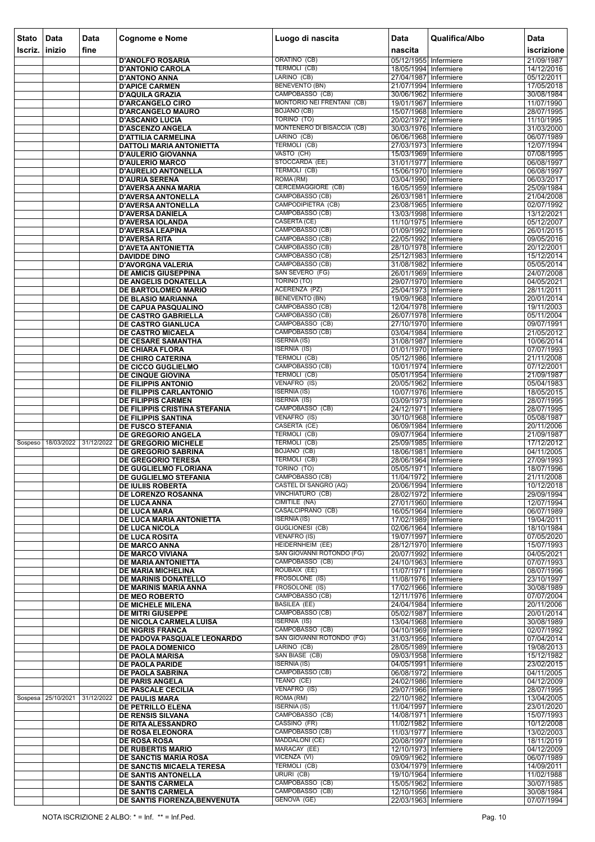| <b>Stato</b> | Data               | <b>Data</b> | <b>Cognome e Nome</b>                                      | Luogo di nascita                                 | <b>Data</b>                                    | Qualifica/Albo | Data                     |
|--------------|--------------------|-------------|------------------------------------------------------------|--------------------------------------------------|------------------------------------------------|----------------|--------------------------|
| Iscriz.      | inizio             | fine        |                                                            |                                                  | nascita                                        |                | iscrizione               |
|              |                    |             | <b>D'ANOLFO ROSARIA</b>                                    | ORATINO (CB)                                     | 05/12/1955 Infermiere                          |                | 21/09/1987               |
|              |                    |             | <b>D'ANTONIO CAROLA</b><br><b>D'ANTONO ANNA</b>            | <b>TERMOLI (CB)</b><br>LARINO (CB)               | 18/05/1994 Infermiere<br>27/04/1987 Infermiere |                | 14/12/2016<br>05/12/2011 |
|              |                    |             | <b>D'APICE CARMEN</b>                                      | <b>BENEVENTO (BN)</b>                            | 21/07/1994 Infermiere                          |                | 17/05/2018               |
|              |                    |             | <b>D'AQUILA GRAZIA</b>                                     | CAMPOBASSO (CB)                                  | 30/06/1962 Infermiere                          |                | 30/08/1984               |
|              |                    |             | <b>D'ARCANGELO CIRO</b><br><b>D'ARCANGELO MAURO</b>        | MONTORIO NEI FRENTANI (CB)<br><b>BOJANO (CB)</b> | 19/01/1967 Infermiere<br>15/07/1968 Infermiere |                | 11/07/1990<br>28/07/1995 |
|              |                    |             | <b>D'ASCANIO LUCIA</b>                                     | TORINO (TO)                                      | 20/02/1972 Infermiere                          |                | 11/10/1995               |
|              |                    |             | <b>D'ASCENZO ANGELA</b>                                    | MONTENERO DI BISACCIA (CB)                       | 30/03/1976 Infermiere                          |                | 31/03/2000               |
|              |                    |             | <b>D'ATTILIA CARMELINA</b><br>DATTOLI MARIA ANTONIETTA     | LARINO (CB)<br>TERMOLI (CB)                      | 06/06/1968 Infermiere<br>27/03/1973 Infermiere |                | 06/07/1989<br>12/07/1994 |
|              |                    |             | <b>D'AULERIO GIOVANNA</b>                                  | VASTO (CH)                                       | 15/03/1969 Infermiere                          |                | 07/08/1995               |
|              |                    |             | <b>D'AULERIO MARCO</b>                                     | STOCCARDA (EE)                                   | 31/01/1977 Infermiere                          |                | 06/08/1997               |
|              |                    |             | <b>D'AURELIO ANTONELLA</b><br><b>D'AURIA SERENA</b>        | TERMOLI (CB)<br>ROMA (RM)                        | 15/06/1970 Infermiere<br>03/04/1990 Infermiere |                | 06/08/1997<br>06/03/2017 |
|              |                    |             | D'AVERSA ANNA MARIA                                        | <b>CERCEMAGGIORE (CB)</b>                        | 16/05/1959 Infermiere                          |                | 25/09/1984               |
|              |                    |             | <b>D'AVERSA ANTONELLA</b>                                  | CAMPOBASSO (CB)<br>CAMPODIPIETRA (CB)            | 26/03/1981 Infermiere                          |                | 21/04/2008               |
|              |                    |             | <b>D'AVERSA ANTONELLA</b><br><b>D'AVERSA DANIELA</b>       | CAMPOBASSO (CB)                                  | 23/08/1965 Infermiere<br>13/03/1998 Infermiere |                | 02/07/1992<br>13/12/2021 |
|              |                    |             | <b>D'AVERSA IOLANDA</b>                                    | CASERTA (CE)                                     | 11/10/1975 Infermiere                          |                | 05/12/2007               |
|              |                    |             | <b>D'AVERSA LEAPINA</b><br><b>D'AVERSA RITA</b>            | CAMPOBASSO (CB)<br>CAMPOBASSO (CB)               | 01/09/1992 Infermiere<br>22/05/1992 Infermiere |                | 26/01/2015               |
|              |                    |             | <b>D'AVETA ANTONIETTA</b>                                  | CAMPOBASSO (CB)                                  | 28/10/1978 Infermiere                          |                | 09/05/2016<br>20/12/2001 |
|              |                    |             | <b>DAVIDDE DINO</b>                                        | CAMPOBASSO (CB)                                  | 25/12/1983 Infermiere                          |                | 15/12/2014               |
|              |                    |             | <b>D'AVORGNA VALERIA</b><br><b>DE AMICIS GIUSEPPINA</b>    | CAMPOBASSO (CB)<br>SAN SEVERO (FG)               | 31/08/1982 Infermiere<br>26/01/1969 Infermiere |                | 05/05/2014<br>24/07/2008 |
|              |                    |             | DE ANGELIS DONATELLA                                       | <b>TORINO (TO)</b>                               | 29/07/1970 Infermiere                          |                | 04/05/2021               |
|              |                    |             | DE BARTOLOMEO MARIO                                        | ACERENZA (PZ)                                    | 25/04/1973 Infermiere                          |                | 28/11/2011               |
|              |                    |             | DE BLASIO MARIANNA<br>DE CAPUA PASQUALINO                  | <b>BENEVENTO (BN)</b><br>CAMPOBASSO (CB)         | 19/09/1968 Infermiere<br>12/04/1978 Infermiere |                | 20/01/2014<br>19/11/2003 |
|              |                    |             | <b>DE CASTRO GABRIELLA</b>                                 | CAMPOBASSO (CB)                                  | 26/07/1978 Infermiere                          |                | 05/11/2004               |
|              |                    |             | DE CASTRO GIANLUCA                                         | CAMPOBASSO (CB)                                  | 27/10/1970 Infermiere                          |                | 09/07/1991               |
|              |                    |             | DE CASTRO MICAELA<br>DE CESARE SAMANTHA                    | CAMPOBASSO (CB)<br><b>ISERNIA (IS)</b>           | 03/04/1984 Infermiere<br>31/08/1987 Infermiere |                | 21/05/2012<br>10/06/2014 |
|              |                    |             | <b>DE CHIARA FLORA</b>                                     | <b>ISERNIA (IS)</b>                              | 01/01/1970 Infermiere                          |                | 07/07/1993               |
|              |                    |             | DE CHIRO CATERINA                                          | <b>TERMOLI (CB)</b>                              | 05/12/1986 Infermiere                          |                | 21/11/2008               |
|              |                    |             | DE CICCO GUGLIELMO<br><b>DE CINQUE GIOVINA</b>             | CAMPOBASSO (CB)<br><b>TERMOLI (CB)</b>           | 10/01/1974 Infermiere<br>05/01/1954 Infermiere |                | 07/12/2001<br>21/09/1987 |
|              |                    |             | <b>DE FILIPPIS ANTONIO</b>                                 | VENAFRO (IS)                                     | 20/05/1962 Infermiere                          |                | 05/04/1983               |
|              |                    |             | <b>DE FILIPPIS CARLANTONIO</b>                             | <b>ISERNIA</b> (IS)<br><b>ISERNIA (IS)</b>       | 10/07/1976 Infermiere                          |                | 18/05/2015               |
|              |                    |             | <b>DE FILIPPIS CARMEN</b><br>DE FILIPPIS CRISTINA STEFANIA | CAMPOBASSO (CB)                                  | 03/09/1973 Infermiere<br>24/12/1971 Infermiere |                | 28/07/1995<br>28/07/1995 |
|              |                    |             | <b>DE FILIPPIS SANTINA</b>                                 | VENAFRO (IS)                                     | 30/10/1968 Infermiere                          |                | 05/08/1987               |
|              |                    |             | <b>DE FUSCO STEFANIA</b><br><b>DE GREGORIO ANGELA</b>      | CASERTA (CE)<br><b>TERMOLI (CB)</b>              | 06/09/1984 Infermiere<br>09/07/1964 Infermiere |                | 20/11/2006<br>21/09/1987 |
| Sospeso      | 18/03/2022         | 31/12/2022  | DE GREGORIO MICHELE                                        | TERMOLI (CB)                                     | 25/09/1985 Infermiere                          |                | 17/12/2012               |
|              |                    |             | <b>DE GREGORIO SABRINA</b>                                 | BOJANO (CB)                                      | 18/06/1981 Infermiere                          |                | 04/11/2005               |
|              |                    |             | <b>DE GREGORIO TERESA</b><br>DE GUGLIELMO FLORIANA         | TERMOLI (CB)<br>TORINO (TO)                      | 28/06/1964 Infermiere<br>05/05/1971 Infermiere |                | 27/09/1993<br>18/07/1996 |
|              |                    |             | <b>DE GUGLIELMO STEFANIA</b>                               | CAMPOBASSO (CB)                                  | 11/04/1972 Infermiere                          |                | 21/11/2008               |
|              |                    |             | <b>DE IULIIS ROBERTA</b>                                   | CASTEL DI SANGRO (AQ)                            | 20/06/1994 Infermiere                          |                | 10/12/2018               |
|              |                    |             | DE LORENZO ROSANNA<br><b>DE LUCA ANNA</b>                  | VINCHIATURO (CB)<br>CIMITILE (NA)                | 28/02/1972 Infermiere<br>27/01/1960 Infermiere |                | 29/09/1994<br>12/07/1994 |
|              |                    |             | <b>DE LUCA MARA</b>                                        | CASALCIPRANO (CB)                                | 16/05/1964 Infermiere                          |                | 06/07/1989               |
|              |                    |             | DE LUCA MARIA ANTONIETTA                                   | <b>ISERNIA (IS)</b>                              | 17/02/1989 Infermiere                          |                | 19/04/2011               |
|              |                    |             | <b>DE LUCA NICOLA</b><br><b>DE LUCA ROSITA</b>             | <b>GUGLIONESI (CB)</b><br><b>VENAFRO (IS)</b>    | 02/06/1964 Infermiere<br>19/07/1997 Infermiere |                | 18/10/1984<br>07/05/2020 |
|              |                    |             | <b>DE MARCO ANNA</b>                                       | HEIDERNHEIM (EE)                                 | 28/12/1970 Infermiere                          |                | 15/07/1993               |
|              |                    |             | <b>DE MARCO VIVIANA</b>                                    | SAN GIOVANNI ROTONDO (FG)<br>CAMPOBASSO (CB)     | 20/07/1992 Infermiere                          |                | 04/05/2021               |
|              |                    |             | <b>DE MARIA ANTONIETTA</b><br><b>DE MARIA MICHELINA</b>    | ROUBAIX (EE)                                     | 24/10/1963 Infermiere<br>11/07/1971 Infermiere |                | 07/07/1993<br>08/07/1996 |
|              |                    |             | DE MARINIS DONATELLO                                       | FROSOLONE (IS)                                   | 11/08/1976 Infermiere                          |                | 23/10/1997               |
|              |                    |             | DE MARINIS MARIA ANNA<br><b>DE MEO ROBERTO</b>             | FROSOLONE (IS)<br>CAMPOBASSO (CB)                | 17/02/1966 Infermiere<br>12/11/1976 Infermiere |                | 30/08/1989<br>07/07/2004 |
|              |                    |             | <b>DE MICHELE MILENA</b>                                   | <b>BASILEA (EE)</b>                              | 24/04/1984 Infermiere                          |                | 20/11/2006               |
|              |                    |             | <b>DE MITRI GIUSEPPE</b>                                   | CAMPOBASSO (CB)                                  | 05/02/1987 Infermiere                          |                | 20/01/2014               |
|              |                    |             | DE NICOLA CARMELA LUISA<br><b>DE NIGRIS FRANCA</b>         | <b>ISERNIA (IS)</b><br>CAMPOBASSO (CB)           | 13/04/1968 Infermiere<br>04/10/1969 Infermiere |                | 30/08/1989<br>02/07/1992 |
|              |                    |             | DE PADOVA PASQUALE LEONARDO                                | SAN GIOVANNI ROTONDO (FG)                        | 31/03/1956 Infermiere                          |                | 07/04/2014               |
|              |                    |             | <b>DE PAOLA DOMENICO</b>                                   | LARINO (CB)                                      | 28/05/1989 Infermiere                          |                | 19/08/2013               |
|              |                    |             | <b>DE PAOLA MARISA</b><br><b>DE PAOLA PARIDE</b>           | SAN BIASE (CB)<br><b>ISERNIA (IS)</b>            | 09/03/1958 Infermiere<br>04/05/1991 Infermiere |                | 15/12/1982<br>23/02/2015 |
|              |                    |             | DE PAOLA SABRINA                                           | CAMPOBASSO (CB)                                  | 06/08/1972 Infermiere                          |                | 04/11/2005               |
|              |                    |             | <b>DE PARIS ANGELA</b>                                     | TEANO (CE)<br>VENAFRO (IS)                       | 24/02/1986 Infermiere                          |                | 04/12/2009               |
|              | Sospesa 25/10/2021 | 31/12/2022  | DE PASCALE CECILIA<br><b>DE PAULIS MARA</b>                | ROMA (RM)                                        | 29/07/1966 Infermiere<br>22/10/1982 Infermiere |                | 28/07/1995<br>13/04/2005 |
|              |                    |             | DE PETRILLO ELENA                                          | <b>ISERNIA (IS)</b>                              | 11/04/1997 Infermiere                          |                | 23/01/2020               |
|              |                    |             | <b>DE RENSIS SILVANA</b><br>DE RITA ALESSANDRO             | CAMPOBASSO (CB)<br>CASSINO (FR)                  | 14/08/1971 Infermiere<br>11/02/1982 Infermiere |                | 15/07/1993<br>10/12/2008 |
|              |                    |             | DE ROSA ELEONORA                                           | CAMPOBASSO (CB)                                  | 11/03/1977   Infermiere                        |                | 13/02/2003               |
|              |                    |             | <b>DE ROSA ROSA</b>                                        | <b>MADDALONI</b> (CE)                            | 20/08/1997 Infermiere                          |                | 18/11/2019               |
|              |                    |             | <b>DE RUBERTIS MARIO</b><br>DE SANCTIS MARIA ROSA          | MARACAY (EE)<br>VICENZA (VI)                     | 12/10/1973 Infermiere<br>09/09/1962 Infermiere |                | 04/12/2009<br>06/07/1989 |
|              |                    |             | DE SANCTIS MICAELA TERESA                                  | <b>TERMOLI (CB)</b>                              | 03/04/1979 Infermiere                          |                | 14/09/2011               |
|              |                    |             | DE SANTIS ANTONELLA                                        | URURI (CB)                                       | 19/10/1964 Infermiere                          |                | 11/02/1988               |
|              |                    |             | DE SANTIS CARMELA<br>DE SANTIS CARMELA                     | CAMPOBASSO (CB)<br>CAMPOBASSO (CB)               | 15/05/1962 Infermiere<br>12/10/1956 Infermiere |                | 30/07/1985<br>30/08/1984 |
|              |                    |             | DE SANTIS FIORENZA, BENVENUTA                              | GENOVA (GE)                                      | 22/03/1963 Infermiere                          |                | 07/07/1994               |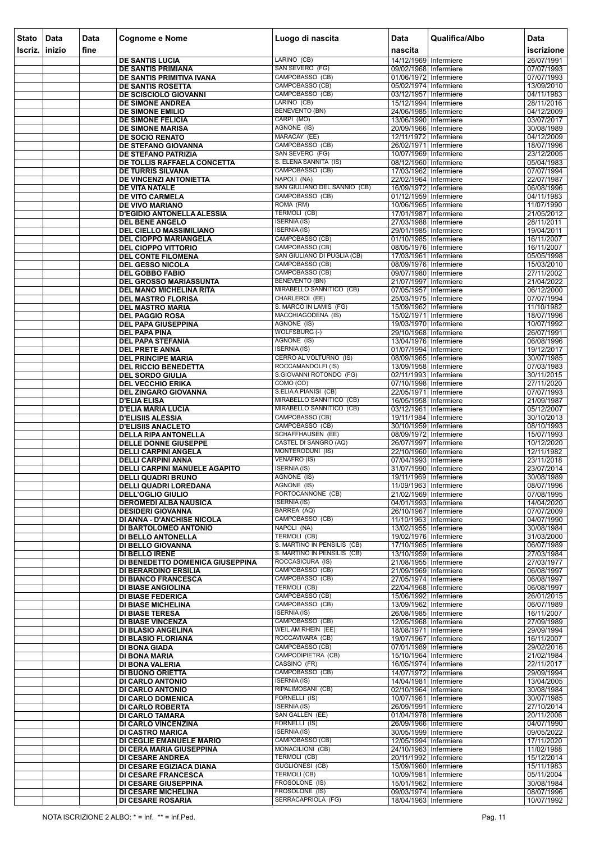| Stato | Data   | <b>Data</b> | <b>Cognome e Nome</b>                                             | Luogo di nascita                                         | <b>Data</b>                                    | Qualifica/Albo | <b>Data</b>              |
|-------|--------|-------------|-------------------------------------------------------------------|----------------------------------------------------------|------------------------------------------------|----------------|--------------------------|
| Iscri | inizio | fine        |                                                                   |                                                          | nascita                                        |                | iscrizione               |
|       |        |             | <b>DE SANTIS LUCIA</b>                                            | LARINO (CB)                                              | 14/12/1969 Infermiere                          |                | 26/07/1991               |
|       |        |             | <b>DE SANTIS PRIMIANA</b>                                         | SAN SEVERO (FG)<br>CAMPOBASSO (CB)                       | 09/02/1968 Infermiere                          |                | 07/07/1993               |
|       |        |             | DE SANTIS PRIMITIVA IVANA<br>DE SANTIS ROSETTA                    | CAMPOBASSO (CB)                                          | 01/06/1972 Infermiere<br>05/02/1974 Infermiere |                | 07/07/1993<br>13/09/2010 |
|       |        |             | <b>DE SCISCIOLO GIOVANNI</b>                                      | CAMPOBASSO (CB)                                          | 03/12/1957 Infermiere                          |                | 04/11/1983               |
|       |        |             | <b>DE SIMONE ANDREA</b>                                           | LARINO (CB)<br><b>BENEVENTO (BN)</b>                     | 15/12/1994 Infermiere                          |                | 28/11/2016               |
|       |        |             | DE SIMONE EMILIO<br>DE SIMONE FELICIA                             | CARPI (MO)                                               | 24/06/1985 Infermiere<br>13/06/1990 Infermiere |                | 04/12/2009<br>03/07/2017 |
|       |        |             | <b>DE SIMONE MARISA</b>                                           | AGNONE (IS)                                              | 20/09/1966 Infermiere                          |                | 30/08/1989               |
|       |        |             | <b>DE SOCIO RENATO</b>                                            | MARACAY (EE)<br>CAMPOBASSO (CB)                          | 12/11/1972 Infermiere                          |                | 04/12/2009               |
|       |        |             | DE STEFANO GIOVANNA<br>DE STEFANO PATRIZIA                        | SAN SEVERO (FG)                                          | 26/02/1971 Infermiere<br>10/07/1969 Infermiere |                | 18/07/1996<br>23/12/2005 |
|       |        |             | DE TOLLIS RAFFAELA CONCETTA                                       | S. ELENA SANNITA (IS)                                    | 08/12/1960 Infermiere                          |                | 05/04/1983               |
|       |        |             | <b>DE TURRIS SILVANA</b>                                          | CAMPOBASSO (CB)<br>NAPOLI (NA)                           | 17/03/1962 Infermiere                          |                | 07/07/1994               |
|       |        |             | DE VINCENZI ANTONIETTA<br>DE VITA NATALE                          | SAN GIULIANO DEL SANNIO (CB)                             | 22/02/1964 Infermiere<br>16/09/1972 Infermiere |                | 22/07/1987<br>06/08/1996 |
|       |        |             | <b>DE VITO CARMELA</b>                                            | CAMPOBASSO (CB)                                          | 01/12/1959 Infermiere                          |                | 04/11/1983               |
|       |        |             | DE VIVO MARIANO                                                   | ROMA (RM)<br>TERMOLI (CB)                                | 10/06/1965 Infermiere<br>17/01/1987 Infermiere |                | 11/07/1990<br>21/05/2012 |
|       |        |             | <b>D'EGIDIO ANTONELLA ALESSIA</b><br><b>DEL BENE ANGELO</b>       | <b>ISERNIA (IS)</b>                                      | 27/03/1988 Infermiere                          |                | 28/11/2011               |
|       |        |             | <b>DEL CIELLO MASSIMILIANO</b>                                    | <b>ISERNIA (IS)</b>                                      | 29/01/1985 Infermiere                          |                | 19/04/2011               |
|       |        |             | <b>DEL CIOPPO MARIANGELA</b>                                      | CAMPOBASSO (CB)<br>CAMPOBASSO (CB)                       | 01/10/1985 Infermiere<br>08/05/1976 Infermiere |                | 16/11/2007<br>16/11/2007 |
|       |        |             | <b>DEL CIOPPO VITTORIO</b><br><b>DEL CONTE FILOMENA</b>           | SAN GIULIANO DI PUGLIA (CB)                              | 17/03/1961 Infermiere                          |                | 05/05/1998               |
|       |        |             | <b>DEL GESSO NICOLA</b>                                           | CAMPOBASSO (CB)                                          | 08/09/1976 Infermiere                          |                | 15/03/2010               |
|       |        |             | <b>DEL GOBBO FABIO</b>                                            | CAMPOBASSO (CB)                                          | 09/07/1980 Infermiere                          |                | 27/11/2002               |
|       |        |             | <b>DEL GROSSO MARIASSUNTA</b><br><b>DEL MANO MICHELINA RITA</b>   | <b>BENEVENTO (BN)</b><br>MIRABELLO SANNITICO (CB)        | 21/07/1997 Infermiere<br>07/05/1957 Infermiere |                | 21/04/2022<br>06/12/2000 |
|       |        |             | <b>DEL MASTRO FLORISA</b>                                         | CHARLEROI (EE)                                           | 25/03/1975 Infermiere                          |                | 07/07/1994               |
|       |        |             | <b>DEL MASTRO MARIA</b>                                           | S. MARCO IN LAMIS (FG)                                   | 15/09/1962 Infermiere                          |                | 11/10/1982               |
|       |        |             | <b>DEL PAGGIO ROSA</b><br><b>DEL PAPA GIUSEPPINA</b>              | MACCHIAGODENA (IS)<br>AGNONE (IS)                        | 15/02/1971 Infermiere<br>19/03/1970 Infermiere |                | 18/07/1996<br>10/07/1992 |
|       |        |             | <b>DEL PAPA PINA</b>                                              | WOLFSBURG (-)                                            | 29/10/1968 Infermiere                          |                | 26/07/1991               |
|       |        |             | <b>DEL PAPA STEFANIA</b>                                          | AGNONE (IS)                                              | 13/04/1976 Infermiere                          |                | 06/08/1996               |
|       |        |             | <b>DEL PRETE ANNA</b><br><b>DEL PRINCIPE MARIA</b>                | <b>ISERNIA (IS)</b><br><b>CERRO AL VOLTURNO (IS)</b>     | 01/07/1994 Infermiere<br>08/09/1965 Infermiere |                | 19/12/2017<br>30/07/1985 |
|       |        |             | <b>DEL RICCIO BENEDETTA</b>                                       | ROCCAMANDOLFI (IS)                                       | 13/09/1958 Infermiere                          |                | 07/03/1983               |
|       |        |             | <b>DEL SORDO GIULIA</b>                                           | S.GIOVANNI ROTONDO (FG)<br>COMO (CO)                     | 02/11/1993 Infermiere                          |                | 30/11/2015               |
|       |        |             | <b>DEL VECCHIO ERIKA</b><br><b>DEL ZINGARO GIOVANNA</b>           | S.ELIA A PIANISI (CB)                                    | 07/10/1998 Infermiere<br>22/05/1971 Infermiere |                | 27/11/2020<br>07/07/1993 |
|       |        |             | <b>D'ELIA ELISA</b>                                               | MIRABELLO SANNITICO (CB)                                 | 16/05/1958 Infermiere                          |                | 21/09/1987               |
|       |        |             | <b>D'ELIA MARIA LUCIA</b><br><b>D'ELISIIS ALESSIA</b>             | MIRABELLO SANNITICO (CB)<br>CAMPOBASSO (CB)              | 03/12/1961 Infermiere<br>19/11/1984 Infermiere |                | 05/12/2007<br>30/10/2013 |
|       |        |             | <b>D'ELISIIS ANACLETO</b>                                         | CAMPOBASSO (CB)                                          | 30/10/1959 Infermiere                          |                | 08/10/1993               |
|       |        |             | <b>DELLA RIPA ANTONELLA</b>                                       | <b>SCHAFFHAUSEN (EE)</b><br><b>CASTEL DI SANGRO (AQ)</b> | 08/09/1972 Infermiere                          |                | 15/07/1993               |
|       |        |             | <b>DELLE DONNE GIUSEPPE</b><br><b>DELLI CARPINI ANGELA</b>        | MONTERODUNI (IS)                                         | 26/07/1997 Infermiere<br>22/10/1960 Infermiere |                | 10/12/2020<br>12/11/1982 |
|       |        |             | <b>DELLI CARPINI ANNA</b>                                         | <b>VENAFRO (IS)</b>                                      | 07/04/1993 Infermiere                          |                | 23/11/2018               |
|       |        |             | <b>DELLI CARPINI MANUELE AGAPITO</b><br><b>DELLI QUADRI BRUNO</b> | <b>ISERNIA (IS)</b><br>AGNONE (IS)                       | 31/07/1990 Infermiere<br>19/11/1969 Infermiere |                | 23/07/2014<br>30/08/1989 |
|       |        |             | <b>DELLI QUADRI LOREDANA</b>                                      | AGNONE (IS)                                              | 11/09/1963 Infermiere                          |                | 08/07/1996               |
|       |        |             | <b>DELL'OGLIO GIULIO</b>                                          | PORTOCANNONE (CB)                                        | 21/02/1969 Infermiere                          |                | 07/08/1995               |
|       |        |             | <b>DEROMEDI ALBA NAUSICA</b><br><b>DESIDERI GIOVANNA</b>          | <b>ISERNIA (IS)</b><br>BARREA (AQ)                       | 04/01/1993 Infermiere<br>26/10/1967 Infermiere |                | 14/04/2020<br>07/07/2009 |
|       |        |             | DI ANNA - D'ANCHISE NICOLA                                        | CAMPOBASSO (CB)                                          | 11/10/1963 Infermiere                          |                | 04/07/1990               |
|       |        |             | DI BARTOLOMEO ANTONIO                                             | NAPOLI (NA)<br><b>TERMOLI (CB)</b>                       | 13/02/1955 Infermiere                          |                | 30/08/1984               |
|       |        |             | DI BELLO ANTONELLA<br>DI BELLO GIOVANNA                           | S. MARTINO IN PENSILIS (CB)                              | 19/02/1976 Infermiere<br>17/10/1965 Infermiere |                | 31/03/2000<br>06/07/1989 |
|       |        |             | DI BELLO IRENE                                                    | S. MARTINO IN PENSILIS (CB)                              | 13/10/1959 Infermiere                          |                | 27/03/1984               |
|       |        |             | DI BENEDETTO DOMENICA GIUSEPPINA<br><b>DI BERARDINO ERSILIA</b>   | ROCCASICURA (IS)<br>CAMPOBASSO (CB)                      | 21/08/1955 Infermiere<br>21/09/1969 Infermiere |                | 27/03/1977<br>06/08/1997 |
|       |        |             | <b>DI BIANCO FRANCESCA</b>                                        | CAMPOBASSO (CB)                                          | 27/05/1974 Infermiere                          |                | 06/08/1997               |
|       |        |             | <b>DI BIASE ANGIOLINA</b>                                         | <b>TERMOLI (CB)</b>                                      | 22/04/1968 Infermiere                          |                | 06/08/1997               |
|       |        |             | <b>DI BIASE FEDERICA</b><br><b>DI BIASE MICHELINA</b>             | CAMPOBASSO (CB)<br>CAMPOBASSO (CB)                       | 15/06/1992 Infermiere<br>13/09/1962 Infermiere |                | 26/01/2015<br>06/07/1989 |
|       |        |             | <b>DI BIASE TERESA</b>                                            | <b>ISERNIA (IS)</b>                                      | 26/08/1985 Infermiere                          |                | 16/11/2007               |
|       |        |             | <b>DI BIASE VINCENZA</b>                                          | CAMPOBASSO (CB)<br>WEIL AM RHEIN (EE)                    | 12/05/1968 Infermiere                          |                | 27/09/1989               |
|       |        |             | DI BLASIO ANGELINA<br>DI BLASIO FLORIANA                          | ROCCAVIVARA (CB)                                         | 18/08/1971 Infermiere<br>19/07/1967 Infermiere |                | 29/09/1994<br>16/11/2007 |
|       |        |             | <b>DI BONA GIADA</b>                                              | CAMPOBASSO (CB)                                          | 07/01/1989 Infermiere                          |                | 29/02/2016               |
|       |        |             | DI BONA MARIA<br>DI BONA VALERIA                                  | CAMPODIPIETRA (CB)<br>CASSINO (FR)                       | 15/10/1964 Infermiere<br>16/05/1974 Infermiere |                | 21/02/1984<br>22/11/2017 |
|       |        |             | DI BUONO ORIETTA                                                  | CAMPOBASSO (CB)                                          | 14/07/1972 Infermiere                          |                | 29/09/1994               |
|       |        |             | DI CARLO ANTONIO                                                  | <b>ISERNIA (IS)</b>                                      | 14/04/1981 Infermiere                          |                | 13/04/2005               |
|       |        |             | <b>DI CARLO ANTONIO</b><br>DI CARLO DOMENICA                      | RIPALIMOSANI (CB)<br>FORNELLI (IS)                       | 02/10/1964 Infermiere<br>10/07/1961 Infermiere |                | 30/08/1984<br>30/07/1985 |
|       |        |             | DI CARLO ROBERTA                                                  | <b>ISERNIA (IS)</b>                                      | 26/09/1991 Infermiere                          |                | 27/10/2014               |
|       |        |             | <b>DI CARLO TAMARA</b>                                            | SAN GALLEN (EE)<br>FORNELLI (IS)                         | 01/04/1978 Infermiere<br>26/09/1966 Infermiere |                | 20/11/2006<br>04/07/1990 |
|       |        |             | DI CARLO VINCENZINA<br><b>DI CASTRO MARICA</b>                    | <b>ISERNIA (IS)</b>                                      | 30/05/1999 Infermiere                          |                | 09/05/2022               |
|       |        |             | DI CEGLIE EMANUELE MARIO                                          | CAMPOBASSO (CB)                                          | 12/05/1994 Infermiere                          |                | 17/11/2020               |
|       |        |             | DI CERA MARIA GIUSEPPINA<br><b>DI CESARE ANDREA</b>               | MONACILIONI (CB)<br><b>TERMOLI (CB)</b>                  | 24/10/1963 Infermiere<br>20/11/1992 Infermiere |                | 11/02/1988<br>15/12/2014 |
|       |        |             | DI CESARE EGIZIACA DIANA                                          | <b>GUGLIONESI (CB)</b>                                   | 15/09/1960 Infermiere                          |                | 15/11/1983               |
|       |        |             | <b>DI CESARE FRANCESCA</b>                                        | <b>TERMOLI (CB)</b><br>FROSOLONE (IS)                    | 10/09/1981 Infermiere<br>15/01/1962 Infermiere |                | 05/11/2004               |
|       |        |             | DI CESARE GIUSEPPINA<br><b>DI CESARE MICHELINA</b>                | FROSOLONE (IS)                                           | 09/03/1974 Infermiere                          |                | 30/08/1984<br>08/07/1996 |
|       |        |             | <b>DI CESARE ROSARIA</b>                                          | <b>SERRACAPRIOLA (FG)</b>                                | 18/04/1963 Infermiere                          |                | 10/07/1992               |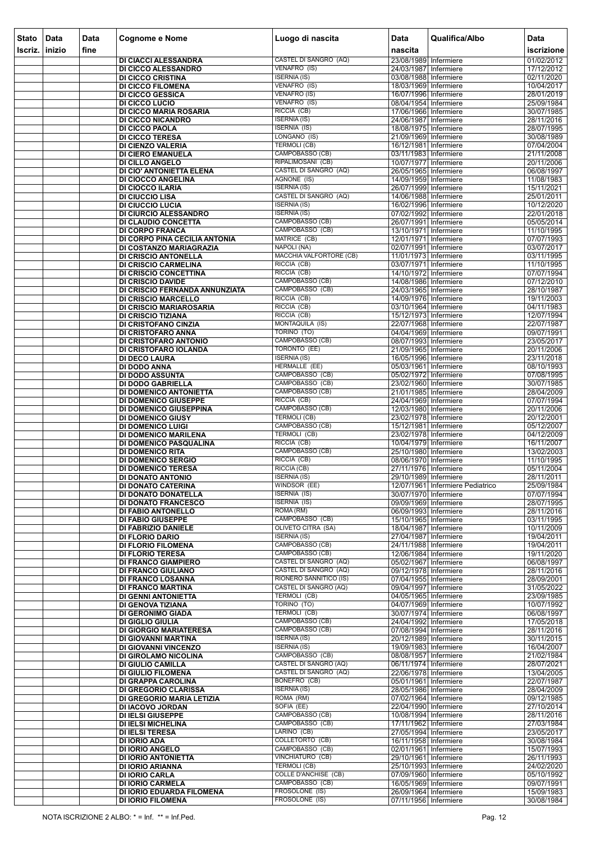| <b>Stato</b> | Data   | <b>Data</b> | <b>Cognome e Nome</b>                                   | Luogo di nascita                               | <b>Data</b>                                    | Qualifica/Albo                   | Data                     |
|--------------|--------|-------------|---------------------------------------------------------|------------------------------------------------|------------------------------------------------|----------------------------------|--------------------------|
| Iscriz.      | inizio | fine        |                                                         |                                                | nascita                                        |                                  | iscrizione               |
|              |        |             | DI CIACCI ALESSANDRA                                    | CASTEL DI SANGRO (AQ)                          | 23/08/1989 Infermiere                          |                                  | 01/02/2012               |
|              |        |             | DI CICCO ALESSANDRO                                     | VENAFRO (IS)<br><b>ISERNIA (IS)</b>            | 24/03/1987 Infermiere                          |                                  | 17/12/2012               |
|              |        |             | <b>DI CICCO CRISTINA</b><br><b>DI CICCO FILOMENA</b>    | VENAFRO (IS)                                   | 03/08/1988 Infermiere<br>18/03/1969 Infermiere |                                  | 02/11/2020<br>10/04/2017 |
|              |        |             | <b>DI CICCO GESSICA</b>                                 | <b>VENAFRO (IS)</b>                            | 16/07/1996 Infermiere                          |                                  | 28/01/2019               |
|              |        |             | <b>DI CICCO LUCIO</b>                                   | VENAFRO (IS)                                   | 08/04/1954 Infermiere                          |                                  | 25/09/1984               |
|              |        |             | DI CICCO MARIA ROSARIA<br><b>DI CICCO NICANDRO</b>      | RICCIA (CB)<br><b>ISERNIA (IS)</b>             | 17/06/1966 Infermiere<br>24/06/1987 Infermiere |                                  | 30/07/1985<br>28/11/2016 |
|              |        |             | <b>DI CICCO PAOLA</b>                                   | <b>ISERNIA (IS)</b>                            | 18/08/1975 Infermiere                          |                                  | 28/07/1995               |
|              |        |             | <b>DI CICCO TERESA</b>                                  | LONGANO (IS)                                   | 21/09/1969 Infermiere                          |                                  | 30/08/1989               |
|              |        |             | DI CIENZO VALERIA                                       | <b>TERMOLI (CB)</b><br>CAMPOBASSO (CB)         | 16/12/1981 Infermiere                          |                                  | 07/04/2004               |
|              |        |             | <b>DI CIERO EMANUELA</b><br><b>DI CILLO ANGELO</b>      | RIPALIMOSANI (CB)                              | 03/11/1983 Infermiere<br>10/07/1977 Infermiere |                                  | 21/11/2008<br>20/11/2006 |
|              |        |             | DI CIO' ANTONIETTA ELENA                                | CASTEL DI SANGRO (AQ)                          | 26/05/1965 Infermiere                          |                                  | 06/08/1997               |
|              |        |             | <b>DI CIOCCO ANGELINA</b>                               | AGNONE (IS)                                    | 14/09/1959 Infermiere                          |                                  | 11/08/1983               |
|              |        |             | <b>DI CIOCCO ILARIA</b><br><b>DI CIUCCIO LISA</b>       | <b>ISERNIA (IS)</b><br>CASTEL DI SANGRO (AQ)   | 26/07/1999 Infermiere<br>14/06/1988 Infermiere |                                  | 15/11/2021<br>25/01/2011 |
|              |        |             | <b>DI CIUCCIO LUCIA</b>                                 | <b>ISERNIA (IS)</b>                            | 16/02/1996 Infermiere                          |                                  | 10/12/2020               |
|              |        |             | DI CIURCIO ALESSANDRO                                   | <b>ISERNIA (IS)</b>                            | 07/02/1992 Infermiere                          |                                  | 22/01/2018               |
|              |        |             | DI CLAUDIO CONCETTA                                     | CAMPOBASSO (CB)<br>CAMPOBASSO (CB)             | 26/07/1991 Infermiere<br>13/10/1971 Infermiere |                                  | 05/05/2014               |
|              |        |             | <b>DI CORPO FRANCA</b><br>DI CORPO PINA CECILIA ANTONIA | MATRICE (CB)                                   | 12/01/1971 Infermiere                          |                                  | 11/10/1995<br>07/07/1993 |
|              |        |             | DI COSTANZO MARIAGRAZIA                                 | NAPOLI (NA)                                    | 02/07/1991 Infermiere                          |                                  | 03/07/2017               |
|              |        |             | DI CRISCIO ANTONELLA                                    | <b>MACCHIA VALFORTORE (CB)</b>                 | 11/01/1973 Infermiere                          |                                  | 03/11/1995               |
|              |        |             | DI CRISCIO CARMELINA<br>DI CRISCIO CONCETTINA           | RICCIA (CB)<br>RICCIA (CB)                     | 03/07/1971 Infermiere<br>14/10/1972 Infermiere |                                  | 11/10/1995<br>07/07/1994 |
|              |        |             | <b>DI CRISCIO DAVIDE</b>                                | CAMPOBASSO (CB)                                | 14/08/1986 Infermiere                          |                                  | 07/12/2010               |
|              |        |             | DI CRISCIO FERNANDA ANNUNZIATA                          | CAMPOBASSO (CB)                                | 24/03/1965 Infermiere                          |                                  | 28/10/1987               |
|              |        |             | <b>DI CRISCIO MARCELLO</b>                              | RICCIA (CB)                                    | 14/09/1976 Infermiere                          |                                  | 19/11/2003               |
|              |        |             | DI CRISCIO MARIAROSARIA<br>DI CRISCIO TIZIANA           | RICCIA (CB)<br>RICCIA (CB)                     | 03/10/1964 Infermiere<br>15/12/1973 Infermiere |                                  | 04/11/1983<br>12/07/1994 |
|              |        |             | DI CRISTOFANO CINZIA                                    | MONTAQUILA (IS)                                | 22/07/1968 Infermiere                          |                                  | 22/07/1987               |
|              |        |             | DI CRISTOFARO ANNA                                      | TORINO (TO)                                    | 04/04/1969 Infermiere                          |                                  | 09/07/1991               |
|              |        |             | DI CRISTOFARO ANTONIO<br>DI CRISTOFARO IOLANDA          | CAMPOBASSO (CB)<br>TORONTO (EE)                | 08/07/1993 Infermiere<br>21/09/1965 Infermiere |                                  | 23/05/2017<br>20/11/2006 |
|              |        |             | DI DECO LAURA                                           | <b>ISERNIA (IS)</b>                            | 16/05/1996 Infermiere                          |                                  | 23/11/2018               |
|              |        |             | DI DODO ANNA                                            | <b>HERMALLE (EE)</b>                           | 05/03/1961 Infermiere                          |                                  | 08/10/1993               |
|              |        |             | <b>DI DODO ASSUNTA</b>                                  | CAMPOBASSO (CB)<br>CAMPOBASSO (CB)             | 05/02/1972 Infermiere<br>23/02/1960 Infermiere |                                  | 07/08/1995               |
|              |        |             | DI DODO GABRIELLA<br>DI DOMENICO ANTONIETTA             | CAMPOBASSO (CB)                                | 21/01/1985 Infermiere                          |                                  | 30/07/1985<br>28/04/2009 |
|              |        |             | DI DOMENICO GIUSEPPE                                    | RICCIA (CB)                                    | 24/04/1969 Infermiere                          |                                  | 07/07/1994               |
|              |        |             | DI DOMENICO GIUSEPPINA                                  | CAMPOBASSO (CB)                                | 12/03/1980 Infermiere                          |                                  | 20/11/2006               |
|              |        |             | <b>DI DOMENICO GIUSY</b><br><b>DI DOMENICO LUIGI</b>    | <b>TERMOLI (CB)</b><br>CAMPOBASSO (CB)         | 23/02/1978 Infermiere<br>15/12/1981 Infermiere |                                  | 20/12/2001<br>05/12/2007 |
|              |        |             | <b>DI DOMENICO MARILENA</b>                             | TERMOLI (CB)                                   | 23/02/1978 Infermiere                          |                                  | 04/12/2009               |
|              |        |             | DI DOMENICO PASQUALINA                                  | RICCIA (CB)                                    | 10/04/1979 Infermiere                          |                                  | 16/11/2007               |
|              |        |             | <b>DI DOMENICO RITA</b><br><b>DI DOMENICO SERGIO</b>    | CAMPOBASSO (CB)<br>RICCIA (CB)                 | 25/10/1980 Infermiere<br>08/06/1970 Infermiere |                                  | 13/02/2003<br>11/10/1995 |
|              |        |             | <b>DI DOMENICO TERESA</b>                               | RICCIA (CB)                                    | 27/11/1976 Infermiere                          |                                  | 05/11/2004               |
|              |        |             | DI DONATO ANTONIO                                       | <b>ISERNIA (IS)</b>                            | 29/10/1989 Infermiere                          |                                  | 28/11/2011               |
|              |        |             | DI DONATO CATERINA<br>DI DONATO DONATELLA               | WINDSOR (EE)<br><b>ISERNIA (IS)</b>            | 30/07/1970 Infermiere                          | 12/07/1961 Infermiere Pediatrico | 25/09/1984<br>07/07/1994 |
|              |        |             | <b>DI DONATO FRANCESCO</b>                              | <b>ISERNIA (IS)</b>                            | 09/09/1969 Infermiere                          |                                  | 28/07/1995               |
|              |        |             | DI FABIO ANTONELLO                                      | ROMA (RM)                                      | 06/09/1993 Infermiere                          |                                  | 28/11/2016               |
|              |        |             | <b>DI FABIO GIUSEPPE</b>                                | CAMPOBASSO (CB)                                | 15/10/1965 Infermiere                          |                                  | 03/11/1995               |
|              |        |             | DI FABRIZIO DANIELE<br><b>DI FLORIO DARIO</b>           | OLIVETO CITRA (SA)<br><b>ISERNIA (IS)</b>      | 18/04/1987 Infermiere<br>27/04/1987 Infermiere |                                  | 10/11/2009<br>19/04/2011 |
|              |        |             | DI FLORIO FILOMENA                                      | CAMPOBASSO (CB)                                | 24/11/1988 Infermiere                          |                                  | 19/04/2011               |
|              |        |             | <b>DI FLORIO TERESA</b>                                 | CAMPOBASSO (CB)                                | 12/06/1984 Infermiere                          |                                  | 19/11/2020               |
|              |        |             | <b>DI FRANCO GIAMPIERO</b><br><b>DI FRANCO GIULIANO</b> | CASTEL DI SANGRO (AQ)<br>CASTEL DI SANGRO (AQ) | 05/02/1967 Infermiere<br>09/12/1978 Infermiere |                                  | 06/08/1997<br>28/11/2016 |
|              |        |             | <b>DI FRANCO LOSANNA</b>                                | <b>RIONERO SANNITICO (IS)</b>                  | 07/04/1955 Infermiere                          |                                  | 28/09/2001               |
|              |        |             | <b>DI FRANCO MARTINA</b>                                | CASTEL DI SANGRO (AQ)                          | 09/04/1997 Infermiere                          |                                  | 31/05/2022               |
|              |        |             | <b>DI GENNI ANTONIETTA</b><br>DI GENOVA TIZIANA         | <b>TERMOLI (CB)</b><br>TORINO (TO)             | 04/05/1965 Infermiere<br>04/07/1969 Infermiere |                                  | 23/09/1985<br>10/07/1992 |
|              |        |             | <b>DI GERONIMO GIADA</b>                                | <b>TERMOLI (CB)</b>                            | 30/07/1974 Infermiere                          |                                  | 06/08/1997               |
|              |        |             | <b>DI GIGLIO GIULIA</b>                                 | CAMPOBASSO (CB)                                | 24/04/1992 Infermiere                          |                                  | 17/05/2018               |
|              |        |             | <b>DI GIORGIO MARIATERESA</b>                           | CAMPOBASSO (CB)<br><b>ISERNIA (IS)</b>         | 07/08/1994 Infermiere                          |                                  | 28/11/2016               |
|              |        |             | DI GIOVANNI MARTINA<br>DI GIOVANNI VINCENZO             | <b>ISERNIA (IS)</b>                            | 20/12/1989 Infermiere<br>19/09/1983 Infermiere |                                  | 30/11/2015<br>16/04/2007 |
|              |        |             | DI GIROLAMO NICOLINA                                    | CAMPOBASSO (CB)                                | 08/08/1957 Infermiere                          |                                  | 21/02/1984               |
|              |        |             | DI GIULIO CAMILLA                                       | <b>CASTEL DI SANGRO (AQ)</b>                   | 06/11/1974 Infermiere                          |                                  | 28/07/2021               |
|              |        |             | DI GIULIO FILOMENA<br>DI GRAPPA CAROLINA                | CASTEL DI SANGRO (AQ)<br>BONEFRO (CB)          | 22/06/1978 Infermiere<br>05/01/1961 Infermiere |                                  | 13/04/2005<br>22/07/1987 |
|              |        |             | <b>DI GREGORIO CLARISSA</b>                             | <b>ISERNIA (IS)</b>                            | 28/05/1986 Infermiere                          |                                  | 28/04/2009               |
|              |        |             | DI GREGORIO MARIA LETIZIA                               | ROMA (RM)                                      | 07/02/1964 Infermiere                          |                                  | 09/12/1985               |
|              |        |             | DI IACOVO JORDAN<br><b>DI IELSI GIUSEPPE</b>            | SOFIA (EE)<br>CAMPOBASSO (CB)                  | 22/04/1990 Infermiere<br>10/08/1994 Infermiere |                                  | 27/10/2014<br>28/11/2016 |
|              |        |             | <b>DI IELSI MICHELINA</b>                               | CAMPOBASSO (CB)                                | 17/11/1962 Infermiere                          |                                  | 27/03/1984               |
|              |        |             | <b>DI IELSI TERESA</b>                                  | LARINO (CB)                                    | 27/05/1994 Infermiere                          |                                  | 23/05/2017               |
|              |        |             | DI IORIO ADA                                            | <b>COLLETORTO (CB)</b><br>CAMPOBASSO (CB)      | 16/11/1958 Infermiere                          |                                  | 30/08/1984               |
|              |        |             | <b>DI IORIO ANGELO</b><br>DI IORIO ANTONIETTA           | VINCHIATURO (CB)                               | 02/01/1961 Infermiere<br>29/10/1961 Infermiere |                                  | 15/07/1993<br>26/11/1993 |
|              |        |             | <b>DI IORIO ARIANNA</b>                                 | TERMOLI (CB)                                   | 25/10/1993 Infermiere                          |                                  | 24/02/2020               |
|              |        |             | <b>DI IORIO CARLA</b>                                   | <b>COLLE D'ANCHISE (CB)</b>                    | 07/09/1960 Infermiere                          |                                  | 05/10/1992               |
|              |        |             | <b>DI IORIO CARMELA</b><br>DI IORIO EDUARDA FILOMENA    | CAMPOBASSO (CB)<br>FROSOLONE (IS)              | 16/05/1969 Infermiere<br>26/09/1964 Infermiere |                                  | 09/07/1991<br>15/09/1983 |
|              |        |             | <b>DI IORIO FILOMENA</b>                                | FROSOLONE (IS)                                 | 07/11/1956 Infermiere                          |                                  | 30/08/1984               |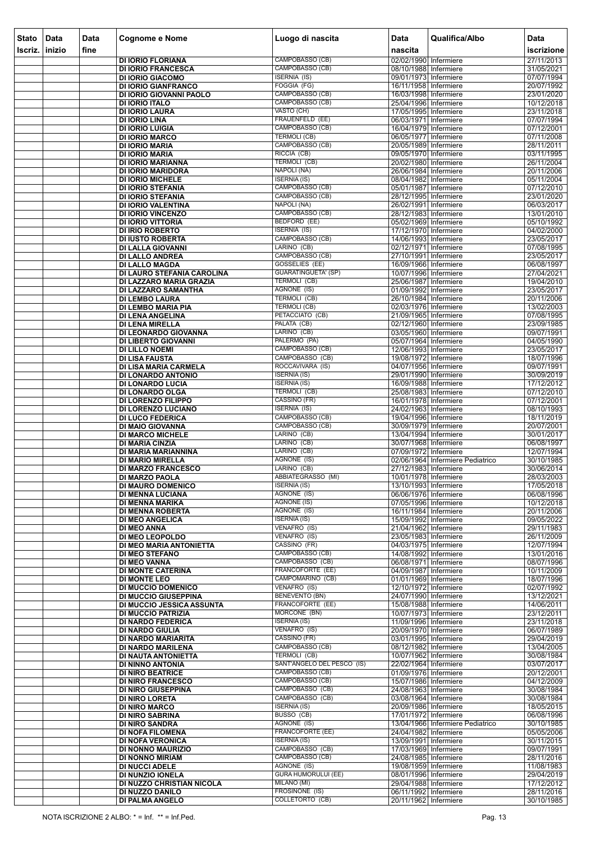| <b>Stato</b> | Data           | <b>Data</b> | <b>Cognome e Nome</b>                                    | Luogo di nascita                                 | <b>Data</b>                                    | Qualifica/Albo                   | Data                     |
|--------------|----------------|-------------|----------------------------------------------------------|--------------------------------------------------|------------------------------------------------|----------------------------------|--------------------------|
| Iscriz.      | <b>linizio</b> | fine        |                                                          |                                                  | nascita                                        |                                  | iscrizione               |
|              |                |             | <b>DI IORIO FLORIANA</b>                                 | CAMPOBASSO (CB)                                  | 02/02/1990 Infermiere                          |                                  | 27/11/2013               |
|              |                |             | <b>DI IORIO FRANCESCA</b>                                | CAMPOBASSO (CB)                                  | 08/10/1988 Infermiere                          |                                  | 31/05/2021               |
|              |                |             | <b>DI IORIO GIACOMO</b><br><b>DI IORIO GIANFRANCO</b>    | <b>ISERNIA (IS)</b><br>FOGGIA (FG)               | 09/01/1973 Infermiere<br>16/11/1958 Infermiere |                                  | 07/07/1994<br>20/07/1992 |
|              |                |             | DI IORIO GIOVANNI PAOLO                                  | CAMPOBASSO (CB)                                  | 16/03/1998 Infermiere                          |                                  | 23/01/2020               |
|              |                |             | <b>DI IORIO ITALO</b>                                    | CAMPOBASSO (CB)                                  | 25/04/1996 Infermiere                          |                                  | 10/12/2018               |
|              |                |             | <b>DI IORIO LAURA</b><br><b>DI IORIO LINA</b>            | VASTO (CH)<br>FRAUENFELD (EE)                    | 17/05/1995 Infermiere<br>06/03/1971 Infermiere |                                  | 23/11/2018<br>07/07/1994 |
|              |                |             | <b>DI IORIO LUIGIA</b>                                   | CAMPOBASSO (CB)                                  | 16/04/1979 Infermiere                          |                                  | 07/12/2001               |
|              |                |             | <b>DI IORIO MARCO</b>                                    | <b>TERMOLI (CB)</b>                              | 06/05/1977 Infermiere                          |                                  | 07/11/2008               |
|              |                |             | <b>DI IORIO MARIA</b>                                    | CAMPOBASSO (CB)<br>RICCIA (CB)                   | 20/05/1989 Infermiere<br>09/05/1970 Infermiere |                                  | 28/11/2011               |
|              |                |             | <b>DI IORIO MARIA</b><br>DI IORIO MARIANNA               | TERMOLI (CB)                                     | 20/02/1980 Infermiere                          |                                  | 03/11/1995<br>26/11/2004 |
|              |                |             | DI IORIO MARIDORA                                        | NAPOLI (NA)                                      | 26/06/1984 Infermiere                          |                                  | 20/11/2006               |
|              |                |             | <b>DI IORIO MICHELE</b>                                  | <b>ISERNIA (IS)</b>                              | 08/04/1982 Infermiere                          |                                  | 05/11/2004               |
|              |                |             | <b>DI IORIO STEFANIA</b><br><b>DI IORIO STEFANIA</b>     | CAMPOBASSO (CB)<br>CAMPOBASSO (CB)               | 05/01/1987 Infermiere<br>28/12/1995 Infermiere |                                  | 07/12/2010<br>23/01/2020 |
|              |                |             | DI IORIO VALENTINA                                       | NAPOLI (NA)                                      | 26/02/1991 Infermiere                          |                                  | 06/03/2017               |
|              |                |             | DI IORIO VINCENZO                                        | CAMPOBASSO (CB)                                  | 28/12/1983 Infermiere                          |                                  | 13/01/2010               |
|              |                |             | DI IORIO VITTORIA<br><b>DI IRIO ROBERTO</b>              | BEDFORD (EE)<br><b>ISERNIA</b> (IS)              | 05/02/1969 Infermiere<br>17/12/1970 Infermiere |                                  | 05/10/1992<br>04/02/2000 |
|              |                |             | <b>DI IUSTO ROBERTA</b>                                  | CAMPOBASSO (CB)                                  | 14/06/1993 Infermiere                          |                                  | 23/05/2017               |
|              |                |             | DI LALLA GIOVANNI                                        | LARINO (CB)                                      | 02/12/1971 Infermiere                          |                                  | 07/08/1995               |
|              |                |             | <b>DI LALLO ANDREA</b><br><b>DI LALLO MAGDA</b>          | CAMPOBASSO (CB)<br>GOSSELIES (EE)                | 27/10/1991 Infermiere<br>16/09/1966 Infermiere |                                  | 23/05/2017<br>06/08/1997 |
|              |                |             | DI LAURO STEFANIA CAROLINA                               | <b>GUARATINGUETA' (SP)</b>                       | 10/07/1996 Infermiere                          |                                  | 27/04/2021               |
|              |                |             | DI LAZZARO MARIA GRAZIA                                  | <b>TERMOLI (CB)</b>                              | 25/06/1987 Infermiere                          |                                  | 19/04/2010               |
|              |                |             | DI LAZZARO SAMANTHA                                      | AGNONE (IS)<br>TERMOLI (CB)                      | 01/09/1992 Infermiere<br>26/10/1984 Infermiere |                                  | 23/05/2017<br>20/11/2006 |
|              |                |             | <b>DI LEMBO LAURA</b><br>DI LEMBO MARIA PIA              | <b>TERMOLI (CB)</b>                              | 02/03/1976 Infermiere                          |                                  | 13/02/2003               |
|              |                |             | DI LENA ANGELINA                                         | PETACCIATO (CB)                                  | 21/09/1965 Infermiere                          |                                  | 07/08/1995               |
|              |                |             | <b>DI LENA MIRELLA</b>                                   | PALATA (CB)<br>LARINO (CB)                       | 02/12/1960 Infermiere                          |                                  | 23/09/1985               |
|              |                |             | DI LEONARDO GIOVANNA<br>DI LIBERTO GIOVANNI              | PALERMO (PA)                                     | 03/05/1960 Infermiere<br>05/07/1964 Infermiere |                                  | 09/07/1991<br>04/05/1990 |
|              |                |             | <b>DI LILLO NOEMI</b>                                    | CAMPOBASSO (CB)                                  | 12/06/1993 Infermiere                          |                                  | 23/05/2017               |
|              |                |             | <b>DI LISA FAUSTA</b>                                    | CAMPOBASSO (CB)                                  | 19/08/1972 Infermiere                          |                                  | 18/07/1996               |
|              |                |             | DI LISA MARIA CARMELA<br>DI LONARDO ANTONIO              | ROCCAVIVARA (IS)<br><b>ISERNIA (IS)</b>          | 04/07/1956 Infermiere<br>29/01/1990 Infermiere |                                  | 09/07/1991<br>30/09/2019 |
|              |                |             | <b>DI LONARDO LUCIA</b>                                  | <b>ISERNIA (IS)</b>                              | 16/09/1988 Infermiere                          |                                  | 17/12/2012               |
|              |                |             | DI LONARDO OLGA                                          | TERMOLI (CB)<br>CASSINO (FR)                     | 25/08/1983 Infermiere                          |                                  | 07/12/2010               |
|              |                |             | DI LORENZO FILIPPO<br>DI LORENZO LUCIANO                 | <b>ISERNIA (IS)</b>                              | 16/01/1978 Infermiere<br>24/02/1963 Infermiere |                                  | 07/12/2001<br>08/10/1993 |
|              |                |             | <b>DI LUCO FEDERICA</b>                                  | CAMPOBASSO (CB)                                  | 19/04/1996 Infermiere                          |                                  | 18/11/2019               |
|              |                |             | DI MAIO GIOVANNA                                         | CAMPOBASSO (CB)                                  | 30/09/1979 Infermiere                          |                                  | 20/07/2001               |
|              |                |             | <b>DI MARCO MICHELE</b><br><b>DI MARIA CINZIA</b>        | LARINO (CB)<br>LARINO (CB)                       | 13/04/1994 Infermiere<br>30/07/1968 Infermiere |                                  | 30/01/2017<br>06/08/1997 |
|              |                |             | DI MARIA MARIANNINA                                      | LARINO (CB)                                      | 07/09/1972 Infermiere                          |                                  | 12/07/1994               |
|              |                |             | <b>DI MARIO MIRELLA</b>                                  | AGNONE (IS)<br>LARINO (CB)                       |                                                | 02/06/1964 Infermiere Pediatrico | 30/10/1985               |
|              |                |             | <b>DI MARZO FRANCESCO</b><br><b>DI MARZO PAOLA</b>       | ABBIATEGRASSO (MI)                               | 27/12/1983 Infermiere<br>10/01/1978 Infermiere |                                  | 30/06/2014<br>28/03/2003 |
|              |                |             | <b>DI MAURO DOMENICO</b>                                 | <b>ISERNIA (IS)</b>                              | 13/10/1993 Infermiere                          |                                  | 17/05/2018               |
|              |                |             | <b>DI MENNA LUCIANA</b>                                  | AGNONE (IS)<br><b>AGNONE (IS)</b>                | 06/06/1976 Infermiere                          |                                  | 06/08/1996<br>10/12/2018 |
|              |                |             | DI MENNA MARIKA<br><b>DI MENNA ROBERTA</b>               | AGNONE (IS)                                      | 07/05/1996 Infermiere<br>16/11/1984 Infermiere |                                  | 20/11/2006               |
|              |                |             | <b>DI MEO ANGELICA</b>                                   | <b>ISERNIA (IS)</b>                              | 15/09/1992 Infermiere                          |                                  | 09/05/2022               |
|              |                |             | DI MEO ANNA                                              | VENAFRO (IS)<br>VENAFRO (IS)                     | 21/04/1962 Infermiere                          |                                  | 29/11/1983               |
|              |                |             | DI MEO LEOPOLDO<br>DI MEO MARIA ANTONIETTA               | CASSINO (FR)                                     | 23/05/1983 Infermiere<br>04/03/1975 Infermiere |                                  | 26/11/2009<br>12/07/1994 |
|              |                |             | <b>DI MEO STEFANO</b>                                    | CAMPOBASSO (CB)                                  | 14/08/1992 Infermiere                          |                                  | 13/01/2016               |
|              |                |             | <b>DI MEO VANNA</b><br><b>DI MONTE CATERINA</b>          | CAMPOBASSO (CB)<br>FRANCOFORTE (EE)              | 06/08/1971 Infermiere<br>04/09/1987 Infermiere |                                  | 08/07/1996<br>10/11/2009 |
|              |                |             | <b>DI MONTE LEO</b>                                      | CAMPOMARINO (CB)                                 | 01/01/1969 Infermiere                          |                                  | 18/07/1996               |
|              |                |             | <b>DI MUCCIO DOMENICO</b>                                | VENAFRO (IS)                                     | 12/10/1972 Infermiere                          |                                  | 02/07/1992               |
|              |                |             | <b>DI MUCCIO GIUSEPPINA</b><br>DI MUCCIO JESSICA ASSUNTA | <b>BENEVENTO (BN)</b><br><b>FRANCOFORTE (EE)</b> | 24/07/1990 Infermiere<br>15/08/1988 Infermiere |                                  | 13/12/2021<br>14/06/2011 |
|              |                |             | <b>DI MUCCIO PATRIZIA</b>                                | MORCONE (BN)                                     | 10/07/1973 Infermiere                          |                                  | 23/12/2011               |
|              |                |             | <b>DI NARDO FEDERICA</b>                                 | <b>ISERNIA (IS)</b>                              | 11/09/1996 Infermiere                          |                                  | 23/11/2018               |
|              |                |             | <b>DI NARDO GIULIA</b><br>DI NARDO MARIARITA             | VENAFRO (IS)<br>CASSINO (FR)                     | 20/09/1970 Infermiere<br>03/01/1995 Infermiere |                                  | 06/07/1989<br>29/04/2019 |
|              |                |             | DI NARDO MARILENA                                        | CAMPOBASSO (CB)                                  | 08/12/1982 Infermiere                          |                                  | 13/04/2005               |
|              |                |             | DI NAUTA ANTONIETTA                                      | TERMOLI (CB)                                     | 10/07/1962 Infermiere                          |                                  | 30/08/1984               |
|              |                |             | DI NINNO ANTONIA<br><b>DI NIRO BEATRICE</b>              | SANT'ANGELO DEL PESCO (IS)<br>CAMPOBASSO (CB)    | 22/02/1964 Infermiere<br>01/09/1976 Infermiere |                                  | 03/07/2017<br>20/12/2001 |
|              |                |             | <b>DI NIRO FRANCESCO</b>                                 | CAMPOBASSO (CB)                                  | 15/07/1986 Infermiere                          |                                  | 04/12/2009               |
|              |                |             | <b>DI NIRO GIUSEPPINA</b>                                | CAMPOBASSO (CB)                                  | 24/08/1963 Infermiere                          |                                  | 30/08/1984               |
|              |                |             | <b>DI NIRO LORETA</b><br><b>DI NIRO MARCO</b>            | CAMPOBASSO (CB)<br><b>ISERNIA (IS)</b>           | 03/08/1964 Infermiere<br>20/09/1986 Infermiere |                                  | 30/08/1984<br>18/05/2015 |
|              |                |             | <b>DI NIRO SABRINA</b>                                   | BUSSO (CB)                                       | 17/01/1972 Infermiere                          |                                  | 06/08/1996               |
|              |                |             | <b>DI NIRO SANDRA</b>                                    | AGNONE (IS)                                      |                                                | 13/04/1966 Infermiere Pediatrico | 30/10/1985               |
|              |                |             | DI NOFA FILOMENA<br><b>DI NOFA VERONICA</b>              | <b>FRANCOFORTE (EE)</b><br><b>ISERNIA (IS)</b>   | 24/04/1982 Infermiere<br>13/09/1991 Infermiere |                                  | 05/05/2006<br>30/11/2015 |
|              |                |             | DI NONNO MAURIZIO                                        | CAMPOBASSO (CB)                                  | 17/03/1969 Infermiere                          |                                  | 09/07/1991               |
|              |                |             | <b>DI NONNO MIRIAM</b>                                   | CAMPOBASSO (CB)                                  | 24/08/1985 Infermiere                          |                                  | 28/11/2016               |
|              |                |             | <b>DI NUCCI ADELE</b><br>DI NUNZIO IONELA                | AGNONE (IS)<br><b>GURA HUMORULUI (EE)</b>        | 19/08/1959 Infermiere<br>08/01/1996 Infermiere |                                  | 11/08/1983<br>29/04/2019 |
|              |                |             | DI NUZZO CHRISTIAN NICOLA                                | MILANO (MI)                                      | 29/04/1988 Infermiere                          |                                  | 17/12/2012               |
|              |                |             | DI NUZZO DANILO                                          | <b>FROSINONE (IS)</b>                            | 06/11/1992 Infermiere                          |                                  | 28/11/2016               |
|              |                |             | <b>DI PALMA ANGELO</b>                                   | <b>COLLETORTO (CB)</b>                           | 20/11/1962 Infermiere                          |                                  | 30/10/1985               |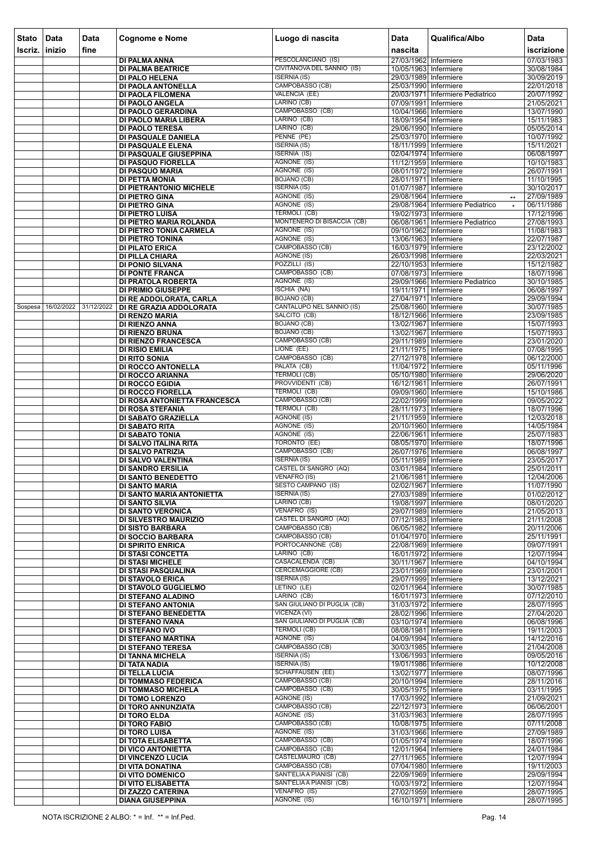| <b>Stato</b> | Data       | <b>Data</b> | <b>Cognome e Nome</b>                                   | Luogo di nascita                             | <b>Data</b>                                    | Qualifica/Albo                              | Data                     |
|--------------|------------|-------------|---------------------------------------------------------|----------------------------------------------|------------------------------------------------|---------------------------------------------|--------------------------|
| Iscriz.      | inizio     | fine        |                                                         |                                              | nascita                                        |                                             | iscrizione               |
|              |            |             | DI PALMA ANNA                                           | PESCOLANCIANO (IS)                           | 27/03/1962 Infermiere                          |                                             | 07/03/1983               |
|              |            |             | <b>DI PALMA BEATRICE</b>                                | CIVITANOVA DEL SANNIO (IS)                   | 10/05/1963 Infermiere                          |                                             | 30/08/1984               |
|              |            |             | <b>DI PALO HELENA</b>                                   | <b>ISERNIA (IS)</b><br>CAMPOBASSO (CB)       | 29/03/1989 Infermiere                          |                                             | 30/09/2019               |
|              |            |             | DI PAOLA ANTONELLA<br>DI PAOLA FILOMENA                 | VALENCIA (EE)                                | 25/03/1990 Infermiere                          | 20/03/1971 Infermiere Pediatrico            | 22/01/2018<br>20/07/1992 |
|              |            |             | DI PAOLO ANGELA                                         | LARINO (CB)                                  | 07/09/1991 Infermiere                          |                                             | 21/05/2021               |
|              |            |             | DI PAOLO GERARDINA                                      | CAMPOBASSO (CB)                              | 10/04/1966 Infermiere                          |                                             | 13/07/1990               |
|              |            |             | DI PAOLO MARIA LIBERA<br><b>DI PAOLO TERESA</b>         | LARINO (CB)<br>LARINO (CB)                   | 18/09/1954 Infermiere<br>29/06/1990 Infermiere |                                             | 15/11/1983<br>05/05/2014 |
|              |            |             | DI PASQUALE DANIELA                                     | PENNE (PE)                                   | 25/03/1970 Infermiere                          |                                             | 10/07/1992               |
|              |            |             | DI PASQUALE ELENA                                       | <b>ISERNIA (IS)</b>                          | 18/11/1999 Infermiere                          |                                             | 15/11/2021               |
|              |            |             | DI PASQUALE GIUSEPPINA                                  | <b>ISERNIA (IS)</b>                          | 02/04/1974 Infermiere                          |                                             | 06/08/1997               |
|              |            |             | DI PASQUO FIORELLA<br>DI PASQUO MARIA                   | AGNONE (IS)<br>AGNONE (IS)                   | 11/12/1959 Infermiere<br>08/01/1972 Infermiere |                                             | 10/10/1983<br>26/07/1991 |
|              |            |             | DI PETTA MONIA                                          | <b>BOJANO (CB)</b>                           | 28/01/1971 Infermiere                          |                                             | 11/10/1995               |
|              |            |             | DI PIETRANTONIO MICHELE                                 | <b>ISERNIA (IS)</b>                          | 01/07/1987 Infermiere                          |                                             | 30/10/2017               |
|              |            |             | DI PIETRO GINA                                          | AGNONE (IS)<br>AGNONE (IS)                   | 29/08/1964 Infermiere                          | $\star\star$                                | 27/09/1989               |
|              |            |             | <b>DI PIETRO GINA</b><br>DI PIETRO LUISA                | TERMOLI (CB)                                 | 19/02/1973 Infermiere                          | 29/08/1964 Infermiere Pediatrico<br>$\star$ | 06/11/1986<br>17/12/1996 |
|              |            |             | <b>DI PIETRO MARIA ROLANDA</b>                          | MONTENERO DI BISACCIA (CB)                   |                                                | 06/08/1961 Infermiere Pediatrico            | 27/08/1993               |
|              |            |             | DI PIETRO TONIA CARMELA                                 | AGNONE (IS)                                  | 09/10/1962 Infermiere                          |                                             | 11/08/1983               |
|              |            |             | DI PIETRO TONINA<br><b>DI PILATO ERICA</b>              | <b>AGNONE (IS)</b><br>CAMPOBASSO (CB)        | 13/06/1963 Infermiere<br>16/03/1979 Infermiere |                                             | 22/07/1987<br>23/12/2002 |
|              |            |             | <b>DI PILLA CHIARA</b>                                  | <b>AGNONE (IS)</b>                           | 26/03/1998 Infermiere                          |                                             | 22/03/2021               |
|              |            |             | DI PONIO SILVANA                                        | POZZILLI (IS)                                | 22/10/1953 Infermiere                          |                                             | 15/12/1982               |
|              |            |             | <b>DI PONTE FRANCA</b>                                  | CAMPOBASSO (CB)                              | 07/08/1973 Infermiere                          |                                             | 18/07/1996               |
|              |            |             | DI PRATOLA ROBERTA<br>DI PRIMIO GIUSEPPE                | AGNONE (IS)<br><b>ISCHIA (NA)</b>            | 19/11/1971 Infermiere                          | 29/09/1966 Infermiere Pediatrico            | 30/10/1985<br>06/08/1997 |
|              |            |             | DI RE ADDOLORATA, CARLA                                 | <b>BOJANO (CB)</b>                           | 27/04/1971 Infermiere                          |                                             | 29/09/1994               |
| Sospesa      | 16/02/2022 | 31/12/2022  | DI RE GRAZIA ADDOLORATA                                 | CANTALUPO NEL SANNIO (IS)                    | 25/08/1960 Infermiere                          |                                             | 30/07/1985               |
|              |            |             | <b>DI RENZO MARIA</b>                                   | SALCITO (CB)<br><b>BOJANO (CB)</b>           | 18/12/1966 Infermiere                          |                                             | 23/09/1985               |
|              |            |             | <b>DI RIENZO ANNA</b><br><b>DI RIENZO BRUNA</b>         | <b>BOJANO (CB)</b>                           | 13/02/1967 Infermiere<br>13/02/1967 Infermiere |                                             | 15/07/1993<br>15/07/1993 |
|              |            |             | <b>DI RIENZO FRANCESCA</b>                              | CAMPOBASSO (CB)                              | 29/11/1989 Infermiere                          |                                             | 23/01/2020               |
|              |            |             | <b>DI RISIO EMILIA</b>                                  | LIONE (EE)                                   | 21/11/1975 Infermiere                          |                                             | 07/08/1995               |
|              |            |             | <b>DI RITO SONIA</b><br>DI ROCCO ANTONELLA              | CAMPOBASSO (CB)<br>PALATA (CB)               | 27/12/1978 Infermiere<br>11/04/1972 Infermiere |                                             | 06/12/2000<br>05/11/1996 |
|              |            |             | DI ROCCO ARIANNA                                        | <b>TERMOLI (CB)</b>                          | 05/10/1980 Infermiere                          |                                             | 29/06/2020               |
|              |            |             | <b>DI ROCCO EGIDIA</b>                                  | PROVVIDENTI (CB)                             | 16/12/1961 Infermiere                          |                                             | 26/07/1991               |
|              |            |             | <b>DI ROCCO FIORELLA</b>                                | TERMOLI (CB)<br>CAMPOBASSO (CB)              | 09/09/1960 Infermiere<br>22/02/1999 Infermiere |                                             | 15/10/1986               |
|              |            |             | DI ROSA ANTONIETTA FRANCESCA<br><b>DI ROSA STEFANIA</b> | TERMOLI (CB)                                 | 28/11/1973 Infermiere                          |                                             | 09/05/2022<br>18/07/1996 |
|              |            |             | DI SABATO GRAZIELLA                                     | <b>AGNONE (IS)</b>                           | 21/11/1959 Infermiere                          |                                             | 12/03/2018               |
|              |            |             | <b>DI SABATO RITA</b>                                   | AGNONE (IS)                                  | 20/10/1960 Infermiere                          |                                             | 14/05/1984               |
|              |            |             | <b>DI SABATO TONIA</b><br>DI SALVO ITALINA RITA         | AGNONE (IS)<br><b>TORONTO (EE)</b>           | 22/06/1961 Infermiere<br>08/05/1970 Infermiere |                                             | 25/07/1983<br>18/07/1996 |
|              |            |             | DI SALVO PATRIZIA                                       | CAMPOBASSO (CB)                              | 26/07/1976 Infermiere                          |                                             | 06/08/1997               |
|              |            |             | DI SALVO VALENTINA                                      | <b>ISERNIA (IS)</b>                          | 05/11/1989 Infermiere                          |                                             | 23/05/2017               |
|              |            |             | <b>DI SANDRO ERSILIA</b><br><b>DI SANTO BENEDETTO</b>   | CASTEL DI SANGRO (AQ)<br><b>VENAFRO (IS)</b> | 03/01/1984 Infermiere<br>21/06/1981 Infermiere |                                             | 25/01/2011<br>12/04/2006 |
|              |            |             | <b>DI SANTO MARIA</b>                                   | SESTO CAMPANO (IS)                           | 02/02/1967 Infermiere                          |                                             | 11/07/1990               |
|              |            |             | DI SANTO MARIA ANTONIETTA                               | <b>ISERNIA (IS)</b>                          | 27/03/1989 Infermiere                          |                                             | 01/02/2012               |
|              |            |             | <b>DI SANTO SILVIA</b>                                  | LARINO (CB)<br>VENAFRO (IS)                  | 19/08/1997 Infermiere                          |                                             | 08/01/2020               |
|              |            |             | <b>DI SANTO VERONICA</b><br>DI SILVESTRO MAURIZIO       | CASTEL DI SANGRO (AQ)                        | 29/07/1989 Infermiere<br>07/12/1983 Infermiere |                                             | 21/05/2013<br>21/11/2008 |
|              |            |             | <b>DI SISTO BARBARA</b>                                 | CAMPOBASSO (CB)                              | 06/05/1982 Infermiere                          |                                             | 20/11/2006               |
|              |            |             | <b>DI SOCCIO BARBARA</b>                                | CAMPOBASSO (CB)                              | 01/04/1970 Infermiere                          |                                             | 25/11/1991               |
|              |            |             | <b>DI SPIRITO ENRICA</b><br><b>DI STASI CONCETTA</b>    | PORTOCANNONE (CB)<br>LARINO (CB)             | 22/08/1969 Infermiere<br>16/01/1972 Infermiere |                                             | 09/07/1991<br>12/07/1994 |
|              |            |             | <b>DI STASI MICHELE</b>                                 | CASACALENDA (CB)                             | 30/11/1967   Infermiere                        |                                             | 04/10/1994               |
|              |            |             | DI STASI PASQUALINA                                     | <b>CERCEMAGGIORE (CB)</b>                    | 23/01/1969 Infermiere                          |                                             | 23/01/2001               |
|              |            |             | DI STAVOLO ERICA                                        | <b>ISERNIA (IS)</b><br>LETINO (LE)           | 29/07/1999 Infermiere                          |                                             | 13/12/2021<br>30/07/1985 |
|              |            |             | DI STAVOLO GUGLIELMO<br><b>DI STEFANO ALADINO</b>       | LARINO (CB)                                  | 02/01/1964 Infermiere<br>16/01/1973 Infermiere |                                             | 07/12/2010               |
|              |            |             | <b>DI STEFANO ANTONIA</b>                               | SAN GIULIANO DI PUGLIA (CB)                  | 31/03/1972 Infermiere                          |                                             | 28/07/1995               |
|              |            |             | DI STEFANO BENEDETTA                                    | VICENZA (VI)<br>SAN GIULIANO DI PUGLIA (CB)  | 28/02/1996 Infermiere                          |                                             | 27/04/2020               |
|              |            |             | <b>DI STEFANO IVANA</b><br><b>DI STEFANO IVO</b>        | <b>TERMOLI (CB)</b>                          | 03/10/1974 Infermiere<br>08/08/1981 Infermiere |                                             | 06/08/1996<br>19/11/2003 |
|              |            |             | <b>DI STEFANO MARTINA</b>                               | AGNONE (IS)                                  | 04/09/1994 Infermiere                          |                                             | 14/12/2016               |
|              |            |             | <b>DI STEFANO TERESA</b>                                | CAMPOBASSO (CB)                              | 30/03/1985 Infermiere                          |                                             | 21/04/2008               |
|              |            |             | <b>DI TANNA MICHELA</b><br>DI TATA NADIA                | <b>ISERNIA (IS)</b><br><b>ISERNIA (IS)</b>   | 13/06/1993 Infermiere<br>19/01/1986 Infermiere |                                             | 09/05/2016<br>10/12/2008 |
|              |            |             | <b>DI TELLA LUCIA</b>                                   | <b>SCHAFFAUSEN (EE)</b>                      | 13/02/1977 Infermiere                          |                                             | 08/07/1996               |
|              |            |             | DI TOMMASO FEDERICA                                     | CAMPOBASSO (CB)                              | 20/10/1994 Infermiere                          |                                             | 28/11/2016               |
|              |            |             | <b>DI TOMMASO MICHELA</b>                               | CAMPOBASSO (CB)<br><b>AGNONE (IS)</b>        | 30/05/1975 Infermiere                          |                                             | 03/11/1995               |
|              |            |             | <b>DI TOMO LORENZO</b><br>DI TORO ANNUNZIATA            | CAMPOBASSO (CB)                              | 17/03/1992 Infermiere<br>22/12/1973 Infermiere |                                             | 21/09/2021<br>06/06/2001 |
|              |            |             | <b>DI TORO ELDA</b>                                     | AGNONE (IS)                                  | 31/03/1963 Infermiere                          |                                             | 28/07/1995               |
|              |            |             | DI TORO FABIO                                           | CAMPOBASSO (CB)                              | 10/08/1975 Infermiere                          |                                             | 07/11/2008               |
|              |            |             | <b>DI TORO LUISA</b><br>DI TOTA ELISABETTA              | AGNONE (IS)<br>CAMPOBASSO (CB)               | 31/03/1966 Infermiere<br>01/05/1974 Infermiere |                                             | 27/09/1989<br>18/07/1996 |
|              |            |             | DI VICO ANTONIETTA                                      | CAMPOBASSO (CB)                              | 12/01/1964 Infermiere                          |                                             | 24/01/1984               |
|              |            |             | <b>DI VINCENZO LUCIA</b>                                | CASTELMAURO (CB)                             | 27/11/1965 Infermiere                          |                                             | 12/07/1994               |
|              |            |             | DI VITA DONATINA                                        | CAMPOBASSO (CB)<br>SANT'ELIA A PIANISI (CB)  | 07/04/1980 Infermiere                          |                                             | 19/11/2003               |
|              |            |             | <b>DI VITO DOMENICO</b><br>DI VITO ELISABETTA           | SANT'ELIA A PIANISI (CB)                     | 22/09/1969 Infermiere<br>10/03/1972 Infermiere |                                             | 29/09/1994<br>12/07/1994 |
|              |            |             | DI ZAZZO CATERINA                                       | VENAFRO (IS)                                 | 27/02/1959 Infermiere                          |                                             | 28/07/1995               |
|              |            |             | <b>DIANA GIUSEPPINA</b>                                 | AGNONE (IS)                                  | 16/10/1971 Infermiere                          |                                             | 28/07/1995               |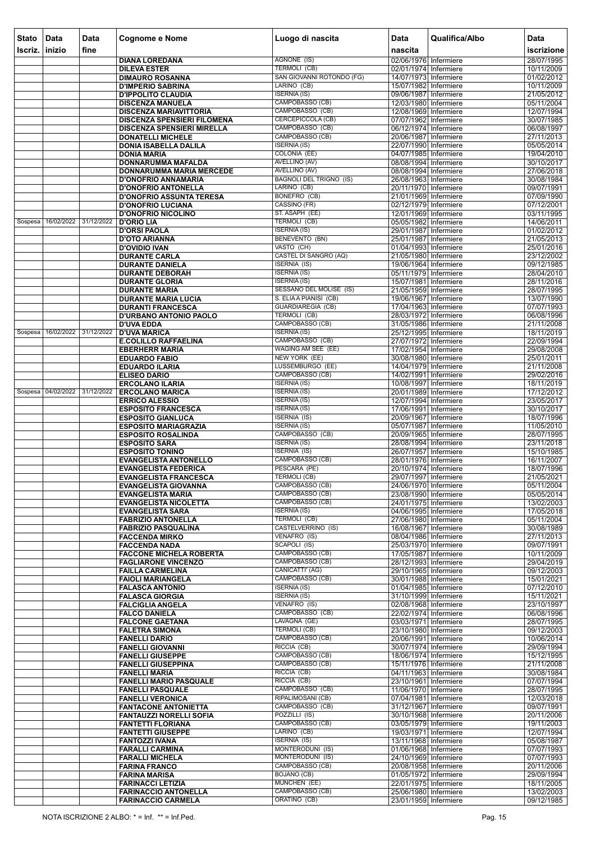| <b>Stato</b>   | Data                          | Data | Cognome e Nome                                                | Luogo di nascita                                  | Data                                           | Qualifica/Albo | <b>Data</b>              |
|----------------|-------------------------------|------|---------------------------------------------------------------|---------------------------------------------------|------------------------------------------------|----------------|--------------------------|
| <b>Iscriz.</b> | inizio                        | fine |                                                               | AGNONE (IS)                                       | nascita<br>02/06/1976 Infermiere               |                | iscrizione<br>28/07/1995 |
|                |                               |      | <b>DIANA LOREDANA</b><br><b>DILEVA ESTER</b>                  | <b>TERMOLI (CB)</b>                               | 02/01/1974 Infermiere                          |                | 10/11/2009               |
|                |                               |      | <b>DIMAURO ROSANNA</b>                                        | SAN GIOVANNI ROTONDO (FG)                         | 14/07/1973 Infermiere                          |                | 01/02/2012               |
|                |                               |      | <b>D'IMPERIO SABRINA</b>                                      | LARINO (CB)                                       | 15/07/1982 Infermiere                          |                | 10/11/2009               |
|                |                               |      | <b>D'IPPOLITO CLAUDIA</b><br><b>DISCENZA MANUELA</b>          | <b>ISERNIA (IS)</b><br>CAMPOBASSO (CB)            | 09/06/1987 Infermiere<br>12/03/1980 Infermiere |                | 21/05/2012<br>05/11/2004 |
|                |                               |      | <b>DISCENZA MARIAVITTORIA</b>                                 | CAMPOBASSO (CB)                                   | 12/08/1969 Infermiere                          |                | 12/07/1994               |
|                |                               |      | DISCENZA SPENSIERI FILOMENA                                   | CERCEPICCOLA (CB)                                 | 07/07/1962 Infermiere                          |                | 30/07/1985               |
|                |                               |      | <b>DISCENZA SPENSIERI MIRELLA</b><br><b>DONATELLI MICHELE</b> | CAMPOBASSO (CB)<br>CAMPOBASSO (CB)                | 06/12/1974 Infermiere<br>20/06/1987 Infermiere |                | 06/08/1997<br>27/11/2013 |
|                |                               |      | <b>DONIA ISABELLA DALILA</b>                                  | <b>ISERNIA (IS)</b>                               | 22/07/1990 Infermiere                          |                | 05/05/2014               |
|                |                               |      | <b>DONIA MARIA</b>                                            | <b>COLONIA (EE)</b>                               | 04/07/1985 Infermiere                          |                | 19/04/2010               |
|                |                               |      | DONNARUMMA MAFALDA<br>DONNARUMMA MARIA MERCEDE                | AVELLINO (AV)<br><b>AVELLINO (AV)</b>             | 08/08/1994 Infermiere<br>08/08/1994 Infermiere |                | 30/10/2017<br>27/06/2018 |
|                |                               |      | <b>D'ONOFRIO ANNAMARIA</b>                                    | <b>BAGNOLI DEL TRIGNO (IS)</b>                    | 26/08/1963 Infermiere                          |                | 30/08/1984               |
|                |                               |      | <b>D'ONOFRIO ANTONELLA</b>                                    | LARINO (CB)                                       | 20/11/1970 Infermiere                          |                | 09/07/1991               |
|                |                               |      | <b>D'ONOFRIO ASSUNTA TERESA</b><br><b>D'ONOFRIO LUCIANA</b>   | <b>BONEFRO (CB)</b><br>CASSINO (FR)               | 21/01/1969 Infermiere<br>02/12/1979 Infermiere |                | 07/09/1990<br>07/12/2001 |
|                |                               |      | <b>D'ONOFRIO NICOLINO</b>                                     | ST. ASAPH (EE)                                    | 12/01/1969 Infermiere                          |                | 03/11/1995               |
| Sospesa        | 16/02/2022 31/12/2022         |      | <b>D'ORIO LIA</b>                                             | <b>TERMOLI (CB)</b>                               | 05/05/1982 Infermiere                          |                | 14/06/2011               |
|                |                               |      | <b>D'ORSI PAOLA</b><br><b>D'OTO ARIANNA</b>                   | <b>ISERNIA (IS)</b><br><b>BENEVENTO (BN)</b>      | 29/01/1987 Infermiere<br>25/01/1987 Infermiere |                | 01/02/2012<br>21/05/2013 |
|                |                               |      | <b>D'OVIDIO IVAN</b>                                          | VASTO (CH)                                        | 01/04/1993 Infermiere                          |                | 25/01/2016               |
|                |                               |      | <b>DURANTE CARLA</b>                                          | <b>CASTEL DI SANGRO (AQ)</b>                      | 21/05/1980 Infermiere                          |                | 23/12/2002               |
|                |                               |      | <b>DURANTE DANIELA</b><br><b>DURANTE DEBORAH</b>              | <b>ISERNIA (IS)</b><br><b>ISERNIA (IS)</b>        | 19/06/1964 Infermiere<br>05/11/1979 Infermiere |                | 09/12/1985<br>28/04/2010 |
|                |                               |      | <b>DURANTE GLORIA</b>                                         | <b>ISERNIA (IS)</b>                               | 15/07/1981 Infermiere                          |                | 28/11/2016               |
|                |                               |      | <b>DURANTE MARIA</b>                                          | <b>SESSANO DEL MOLISE (IS)</b>                    | 21/05/1959 Infermiere                          |                | 28/07/1995               |
|                |                               |      | <b>DURANTE MARIA LUCIA</b><br><b>DURANTI FRANCESCA</b>        | S. ELIAA PIANISI (CB)<br><b>GUARDIAREGIA (CB)</b> | 19/06/1967 Infermiere<br>17/04/1963 Infermiere |                | 13/07/1990<br>07/07/1993 |
|                |                               |      | <b>D'URBANO ANTONIO PAOLO</b>                                 | <b>TERMOLI (CB)</b>                               | 28/03/1972 Infermiere                          |                | 06/08/1996               |
|                |                               |      | <b>D'UVA EDDA</b>                                             | CAMPOBASSO (CB)                                   | 31/05/1986 Infermiere                          |                | 21/11/2008               |
| Sospesa        | 16/02/2022 31/12/2022         |      | <b>D'UVA MARICA</b><br><b>E.COLILLO RAFFAELINA</b>            | <b>ISERNIA (IS)</b><br>CAMPOBASSO (CB)            | 25/12/1995 Infermiere<br>27/07/1972 Infermiere |                | 18/11/2019<br>22/09/1994 |
|                |                               |      | <b>EBERHERR MARIA</b>                                         | WAGING AM SEE (EE)                                | 17/02/1954 Infermiere                          |                | 29/08/2008               |
|                |                               |      | <b>EDUARDO FABIO</b>                                          | NEW YORK (EE)                                     | 30/08/1980 Infermiere                          |                | 25/01/2011               |
|                |                               |      | <b>EDUARDO ILARIA</b><br><b>ELISEO DARIO</b>                  | LUSSEMBURGO (EE)<br>CAMPOBASSO (CB)               | 14/04/1979 Infermiere<br>14/02/1991 Infermiere |                | 21/11/2008<br>29/02/2016 |
|                |                               |      | <b>ERCOLANO ILARIA</b>                                        | <b>ISERNIA (IS)</b>                               | 10/08/1997 Infermiere                          |                | 18/11/2019               |
|                | Sospesa 04/02/2022 31/12/2022 |      | <b>ERCOLANO MARICA</b>                                        | <b>ISERNIA (IS)</b>                               | 20/01/1989 Infermiere                          |                | 17/12/2012               |
|                |                               |      | <b>ERRICO ALESSIO</b><br><b>ESPOSITO FRANCESCA</b>            | <b>ISERNIA (IS)</b><br><b>ISERNIA (IS)</b>        | 12/07/1994 Infermiere<br>17/06/1991 Infermiere |                | 23/05/2017<br>30/10/2017 |
|                |                               |      | <b>ESPOSITO GIANLUCA</b>                                      | <b>ISERNIA (IS)</b>                               | 20/09/1967 Infermiere                          |                | 18/07/1996               |
|                |                               |      | <b>ESPOSITO MARIAGRAZIA</b>                                   | <b>ISERNIA (IS)</b><br>CAMPOBASSO (CB)            | 05/07/1987 Infermiere                          |                | 11/05/2010               |
|                |                               |      | <b>ESPOSITO ROSALINDA</b><br><b>ESPOSITO SARA</b>             | <b>ISERNIA (IS)</b>                               | 20/09/1965 Infermiere<br>28/08/1994 Infermiere |                | 28/07/1995<br>23/11/2018 |
|                |                               |      | <b>ESPOSITO TONINO</b>                                        | <b>ISERNIA (IS)</b>                               | 26/07/1957 Infermiere                          |                | 15/10/1985               |
|                |                               |      | <b>EVANGELISTA ANTONELLO</b><br><b>EVANGELISTA FEDERICA</b>   | CAMPOBASSO (CB)<br>PESCARA (PE)                   | 28/01/1976 Infermiere<br>20/10/1974 Infermiere |                | 16/11/2007<br>18/07/1996 |
|                |                               |      | <b>EVANGELISTA FRANCESCA</b>                                  | <b>TERMOLI (CB)</b>                               | 29/07/1997 Infermiere                          |                | 21/05/2021               |
|                |                               |      | <b>EVANGELISTA GIOVANNA</b>                                   | CAMPOBASSO (CB)                                   | 24/06/1970 Infermiere                          |                | 05/11/2004               |
|                |                               |      | <b>EVANGELISTA MARIA</b><br><b>EVANGELISTA NICOLETTA</b>      | CAMPOBASSO (CB)<br>CAMPOBASSO (CB)                | 23/08/1990 Infermiere<br>24/01/1975 Infermiere |                | 05/05/2014<br>13/02/2003 |
|                |                               |      | <b>EVANGELISTA SARA</b>                                       | <b>ISERNIA (IS)</b>                               | 04/06/1995 Infermiere                          |                | 17/05/2018               |
|                |                               |      | <b>FABRIZIO ANTONELLA</b>                                     | TERMOLI (CB)                                      | 27/06/1980 Infermiere                          |                | 05/11/2004               |
|                |                               |      | <b>FABRIZIO PASQUALINA</b><br><b>FACCENDA MIRKO</b>           | <b>CASTELVERRINO (IS)</b><br>VENAFRO (IS)         | 16/08/1967 Infermiere<br>08/04/1986 Infermiere |                | 30/08/1989<br>27/11/2013 |
|                |                               |      | <b>FACCENDA NADA</b>                                          | SCAPOLI (IS)                                      | 25/03/1970 Infermiere                          |                | 09/07/1991               |
|                |                               |      | <b>FACCONE MICHELA ROBERTA</b>                                | CAMPOBASSO (CB)<br>CAMPOBASSO (CB)                | 17/05/1987 Infermiere                          |                | 10/11/2009               |
|                |                               |      | <b>FAGLIARONE VINCENZO</b><br><b>FAILLA CARMELINA</b>         | CANICATTI' (AG)                                   | 28/12/1993 Infermiere<br>29/10/1965 Infermiere |                | 29/04/2019<br>09/12/2003 |
|                |                               |      | <b>FAIOLI MARIANGELA</b>                                      | CAMPOBASSO (CB)                                   | 30/01/1988 Infermiere                          |                | 15/01/2021               |
|                |                               |      | <b>FALASCA ANTONIO</b><br><b>FALASCA GIORGIA</b>              | <b>ISERNIA (IS)</b><br><b>ISERNIA (IS)</b>        | 01/04/1985 Infermiere<br>31/10/1999 Infermiere |                | 07/12/2010<br>15/11/2021 |
|                |                               |      | <b>FALCIGLIA ANGELA</b>                                       | VENAFRO (IS)                                      | 02/08/1968 Infermiere                          |                | 23/10/1997               |
|                |                               |      | <b>FALCO DANIELA</b>                                          | CAMPOBASSO (CB)                                   | 22/02/1974 Infermiere                          |                | 06/08/1996               |
|                |                               |      | <b>FALCONE GAETANA</b><br><b>FALETRA SIMONA</b>               | LAVAGNA (GE)<br><b>TERMOLI (CB)</b>               | 03/03/1971 Infermiere<br>23/10/1980 Infermiere |                | 28/07/1995<br>09/12/2003 |
|                |                               |      | <b>FANELLI DARIO</b>                                          | CAMPOBASSO (CB)                                   | 20/06/1991 Infermiere                          |                | 10/06/2014               |
|                |                               |      | <b>FANELLI GIOVANNI</b>                                       | RICCIA (CB)                                       | 30/07/1974 Infermiere                          |                | 29/09/1994               |
|                |                               |      | <b>FANELLI GIUSEPPE</b><br><b>FANELLI GIUSEPPINA</b>          | CAMPOBASSO (CB)<br>CAMPOBASSO (CB)                | 18/06/1974 Infermiere<br>15/11/1976 Infermiere |                | 15/12/1995<br>21/11/2008 |
|                |                               |      | <b>FANELLI MARIA</b>                                          | RICCIA (CB)                                       | 04/11/1963 Infermiere                          |                | 30/08/1984               |
|                |                               |      | <b>FANELLI MARIO PASQUALE</b>                                 | RICCIA (CB)<br>CAMPOBASSO (CB)                    | 23/10/1961 Infermiere                          |                | 07/07/1994               |
|                |                               |      | <b>FANELLI PASQUALE</b><br><b>FANELLI VERONICA</b>            | RIPALIMOSANI (CB)                                 | 11/06/1970 Infermiere<br>07/04/1981 Infermiere |                | 28/07/1995<br>12/03/2018 |
|                |                               |      | <b>FANTACONE ANTONIETTA</b>                                   | CAMPOBASSO (CB)                                   | 31/12/1967 Infermiere                          |                | 09/07/1991               |
|                |                               |      | <b>FANTAUZZI NORELLI SOFIA</b>                                | POZZILLI (IS)<br>CAMPOBASSO (CB)                  | 30/10/1968 Infermiere                          |                | 20/11/2006               |
|                |                               |      | <b>FANTETTI FLORIANA</b><br><b>FANTETTI GIUSEPPE</b>          | LARINO (CB)                                       | 03/05/1979 Infermiere<br>19/03/1971 Infermiere |                | 19/11/2003<br>12/07/1994 |
|                |                               |      | <b>FANTOZZI IVANA</b>                                         | <b>ISERNIA (IS)</b>                               | 13/11/1968   Infermiere                        |                | 05/08/1987               |
|                |                               |      | <b>FARALLI CARMINA</b><br><b>FARALLI MICHELA</b>              | MONTERODUNI (IS)<br>MONTERODUNI (IS)              | 01/06/1968 Infermiere<br>24/10/1969 Infermiere |                | 07/07/1993<br>07/07/1993 |
|                |                               |      | <b>FARINA FRANCO</b>                                          | CAMPOBASSO (CB)                                   | 20/08/1958 Infermiere                          |                | 20/11/2006               |
|                |                               |      | <b>FARINA MARISA</b>                                          | <b>BOJANO (CB)</b><br><b>MUNCHEN (EE)</b>         | 01/05/1972 Infermiere                          |                | 29/09/1994               |
|                |                               |      | <b>FARINACCI LETIZIA</b><br><b>FARINACCIO ANTONELLA</b>       | <b>CAMPOBASSO (CB)</b>                            | 22/01/1975 Infermiere<br>25/06/1980 Infermiere |                | 18/11/2005<br>13/02/2003 |
|                |                               |      | <b>FARINACCIO CARMELA</b>                                     | ORATINO (CB)                                      | 23/01/1959 Infermiere                          |                | 09/12/1985               |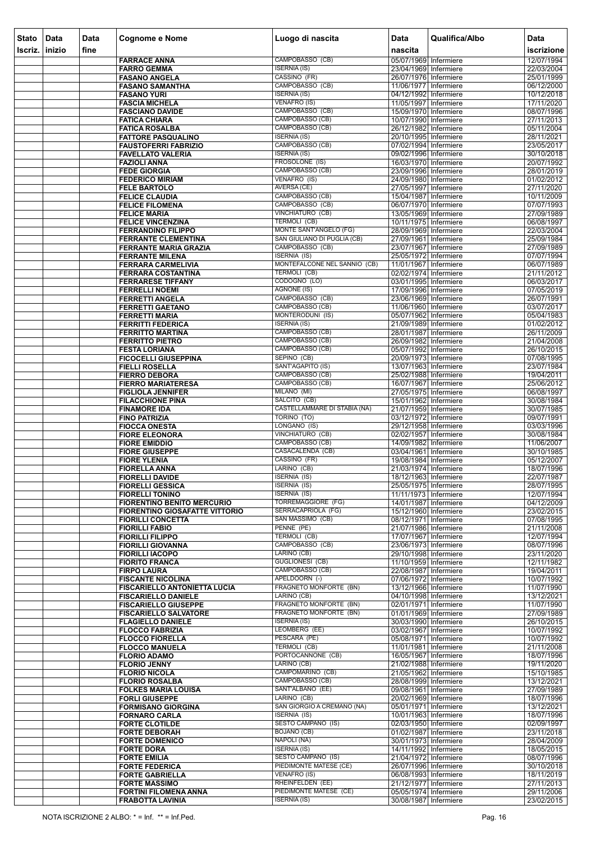| <b>Stato</b><br>Iscriz. | Data<br>inizio | Data<br>fine | <b>Cognome e Nome</b>                                       | Luogo di nascita                                    | <b>Data</b><br>nascita                           | Qualifica/Albo | <b>Data</b><br>iscrizione |
|-------------------------|----------------|--------------|-------------------------------------------------------------|-----------------------------------------------------|--------------------------------------------------|----------------|---------------------------|
|                         |                |              | <b>FARRACE ANNA</b>                                         | CAMPOBASSO (CB)                                     | 05/07/1969 Infermiere                            |                | 12/07/1994                |
|                         |                |              | <b>FARRO GEMMA</b>                                          | <b>ISERNIA (IS)</b>                                 | 23/04/1969 Infermiere                            |                | 22/03/2004                |
|                         |                |              | <b>FASANO ANGELA</b>                                        | CASSINO (FR)                                        | 26/07/1976 Infermiere                            |                | 25/01/1999                |
|                         |                |              | <b>FASANO SAMANTHA</b><br><b>FASANO YURI</b>                | CAMPOBASSO (CB)<br><b>ISERNIA (IS)</b>              | 11/06/1977   Infermiere<br>04/12/1992 Infermiere |                | 06/12/2000<br>10/12/2018  |
|                         |                |              | <b>FASCIA MICHELA</b>                                       | <b>VENAFRO (IS)</b>                                 | 11/05/1997 Infermiere                            |                | 17/11/2020                |
|                         |                |              | <b>FASCIANO DAVIDE</b>                                      | CAMPOBASSO (CB)<br>CAMPOBASSO (CB)                  | 15/09/1970 Infermiere                            |                | 08/07/1996                |
|                         |                |              | <b>FATICA CHIARA</b><br><b>FATICA ROSALBA</b>               | CAMPOBASSO (CB)                                     | 10/07/1990 Infermiere<br>26/12/1982 Infermiere   |                | 27/11/2013<br>05/11/2004  |
|                         |                |              | <b>FATTORE PASQUALINO</b>                                   | <b>ISERNIA (IS)</b>                                 | 20/10/1995 Infermiere                            |                | 28/11/2021                |
|                         |                |              | <b>FAUSTOFERRI FABRIZIO</b>                                 | CAMPOBASSO (CB)<br><b>ISERNIA (IS)</b>              | 07/02/1994 Infermiere<br>09/02/1996 Infermiere   |                | 23/05/2017<br>30/10/2018  |
|                         |                |              | <b>FAVELLATO VALERIA</b><br><b>FAZIOLI ANNA</b>             | FROSOLONE (IS)                                      | 16/03/1970 Infermiere                            |                | 20/07/1992                |
|                         |                |              | <b>FEDE GIORGIA</b>                                         | CAMPOBASSO (CB)                                     | 23/09/1996 Infermiere                            |                | 28/01/2019                |
|                         |                |              | <b>FEDERICO MIRIAM</b><br><b>FELE BARTOLO</b>               | VENAFRO (IS)<br>AVERSA (CE)                         | 24/09/1980 Infermiere<br>27/05/1997 Infermiere   |                | 01/02/2012<br>27/11/2020  |
|                         |                |              | <b>FELICE CLAUDIA</b>                                       | CAMPOBASSO (CB)                                     | 15/04/1987 Infermiere                            |                | 10/11/2009                |
|                         |                |              | <b>FELICE FILOMENA</b>                                      | CAMPOBASSO (CB)                                     | 06/07/1970 Infermiere                            |                | 07/07/1993                |
|                         |                |              | <b>FELICE MARIA</b><br><b>FELICE VINCENZINA</b>             | VINCHIATURO (CB)<br>TERMOLI (CB)                    | 13/05/1969 Infermiere<br>10/11/1975 Infermiere   |                | 27/09/1989<br>06/08/1997  |
|                         |                |              | <b>FERRANDINO FILIPPO</b>                                   | <b>MONTE SANT'ANGELO (FG)</b>                       | 28/09/1969 Infermiere                            |                | 22/03/2004                |
|                         |                |              | <b>FERRANTE CLEMENTINA</b>                                  | SAN GIULIANO DI PUGLIA (CB)                         | 27/09/1961 Infermiere                            |                | 25/09/1984                |
|                         |                |              | <b>FERRANTE MARIA GRAZIA</b>                                | CAMPOBASSO (CB)<br><b>ISERNIA (IS)</b>              | 23/07/1967 Infermiere<br>25/05/1972 Infermiere   |                | 27/09/1989                |
|                         |                |              | <b>FERRANTE MILENA</b><br><b>FERRARA CARMELIVIA</b>         | MONTEFALCONE NEL SANNIO (CB)                        | 11/01/1967 Infermiere                            |                | 07/07/1994<br>06/07/1989  |
|                         |                |              | <b>FERRARA COSTANTINA</b>                                   | TERMOLI (CB)                                        | 02/02/1974 Infermiere                            |                | 21/11/2012                |
|                         |                |              | <b>FERRARESE TIFFANY</b>                                    | CODOGNO (LO)                                        | 03/01/1995 Infermiere                            |                | 06/03/2017                |
|                         |                |              | <b>FERRELLI NOEMI</b><br><b>FERRETTI ANGELA</b>             | <b>AGNONE (IS)</b><br>CAMPOBASSO (CB)               | 17/09/1996 Infermiere<br>23/06/1969 Infermiere   |                | 07/05/2019<br>26/07/1991  |
|                         |                |              | <b>FERRETTI GAETANO</b>                                     | CAMPOBASSO (CB)                                     | 11/06/1960 Infermiere                            |                | 03/07/2017                |
|                         |                |              | <b>FERRETTI MARIA</b>                                       | MONTERODUNI (IS)                                    | 05/07/1962 Infermiere                            |                | 05/04/1983                |
|                         |                |              | <b>FERRITTI FEDERICA</b><br><b>FERRITTO MARTINA</b>         | <b>ISERNIA (IS)</b><br>CAMPOBASSO (CB)              | 21/09/1989 Infermiere<br>28/01/1987 Infermiere   |                | 01/02/2012<br>26/11/2009  |
|                         |                |              | <b>FERRITTO PIETRO</b>                                      | CAMPOBASSO (CB)                                     | 26/09/1982 Infermiere                            |                | 21/04/2008                |
|                         |                |              | <b>FESTA LORIANA</b>                                        | CAMPOBASSO (CB)                                     | 05/07/1992 Infermiere                            |                | 26/10/2015                |
|                         |                |              | <b>FICOCELLI GIUSEPPINA</b><br><b>FIELLI ROSELLA</b>        | SEPINO (CB)<br>SANT'AGAPITO (IS)                    | 20/09/1973 Infermiere<br>13/07/1963 Infermiere   |                | 07/08/1995<br>23/07/1984  |
|                         |                |              | <b>FIERRO DEBORA</b>                                        | CAMPOBASSO (CB)                                     | 25/02/1988 Infermiere                            |                | 19/04/2011                |
|                         |                |              | <b>FIERRO MARIATERESA</b>                                   | CAMPOBASSO (CB)                                     | 16/07/1967 Infermiere                            |                | 25/06/2012                |
|                         |                |              | <b>FIGLIOLA JENNIFER</b><br><b>FILACCHIONE PINA</b>         | MILANO (MI)<br>SALCITO (CB)                         | 27/05/1975 Infermiere<br>15/01/1962 Infermiere   |                | 06/08/1997<br>30/08/1984  |
|                         |                |              | <b>FINAMORE IDA</b>                                         | CASTELLAMMARE DI STABIA (NA)                        | 21/07/1959 Infermiere                            |                | 30/07/1985                |
|                         |                |              | <b>FINO PATRIZIA</b>                                        | TORINO (TO)                                         | 03/12/1972 Infermiere                            |                | 09/07/1991                |
|                         |                |              | <b>FIOCCA ONESTA</b><br><b>FIORE ELEONORA</b>               | LONGANO (IS)<br>VINCHIATURO (CB)                    | 29/12/1958 Infermiere<br>02/02/1957 Infermiere   |                | 03/03/1996<br>30/08/1984  |
|                         |                |              | <b>FIORE EMIDDIO</b>                                        | CAMPOBASSO (CB)                                     | 14/09/1982 Infermiere                            |                | 11/06/2007                |
|                         |                |              | <b>FIORE GIUSEPPE</b>                                       | CASACALENDA (CB)                                    | 03/04/1961 Infermiere                            |                | 30/10/1985                |
|                         |                |              | <b>FIORE YLENIA</b><br><b>FIORELLA ANNA</b>                 | CASSINO (FR)<br>LARINO (CB)                         | 19/08/1984 Infermiere<br>21/03/1974 Infermiere   |                | 05/12/2007<br>18/07/1996  |
|                         |                |              | <b>FIORELLI DAVIDE</b>                                      | <b>ISERNIA (IS)</b>                                 | 18/12/1963 Infermiere                            |                | 22/07/1987                |
|                         |                |              | <b>FIORELLI GESSICA</b>                                     | <b>ISERNIA (IS)</b>                                 | 25/05/1975 Infermiere                            |                | 28/07/1995                |
|                         |                |              | <b>FIORELLI TONINO</b><br><b>FIORENTINO BENITO MERCURIO</b> | <b>ISERNIA (IS)</b><br><b>TORREMAGGIORE (FG)</b>    | 11/11/1973   Infermiere<br>14/01/1987 Infermiere |                | 12/07/1994<br>04/12/2009  |
|                         |                |              | <b>FIORENTINO GIOSAFATTE VITTORIO</b>                       | SERRACAPRIOLA (FG)                                  | 15/12/1960 Infermiere                            |                | 23/02/2015                |
|                         |                |              | <b>FIORILLI CONCETTA</b>                                    | SAN MASSIMO (CB)                                    | 08/12/1971 Infermiere                            |                | 07/08/1995                |
|                         |                |              | <b>FIORILLI FABIO</b><br><b>FIORILLI FILIPPO</b>            | PENNE (PE)<br>TERMOLI (CB)                          | 21/07/1986 Infermiere<br>17/07/1967 Infermiere   |                | 21/11/2008<br>12/07/1994  |
|                         |                |              | <b>FIORILLI GIOVANNA</b>                                    | CAMPOBASSO (CB)                                     | 23/06/1973 Infermiere                            |                | 08/07/1996                |
|                         |                |              | <b>FIORILLI IACOPO</b>                                      | LARINO (CB)                                         | 29/10/1998 Infermiere                            |                | 23/11/2020                |
|                         |                |              | <b>FIORITO FRANCA</b><br><b>FIRPO LAURA</b>                 | <b>GUGLIONESI (CB)</b><br>CAMPOBASSO (CB)           | 11/10/1959 Infermiere<br>22/08/1987 Infermiere   |                | 12/11/1982<br>19/04/2011  |
|                         |                |              | <b>FISCANTE NICOLINA</b>                                    | APELDOORN (-)                                       | 07/06/1972 Infermiere                            |                | 10/07/1992                |
|                         |                |              | <b>FISCARIELLO ANTONIETTA LUCIA</b>                         | <b>FRAGNETO MONFORTE (BN)</b>                       | 13/12/1966 Infermiere                            |                | 11/07/1990                |
|                         |                |              | <b>FISCARIELLO DANIELE</b><br><b>FISCARIELLO GIUSEPPE</b>   | LARINO (CB)<br>FRAGNETO MONFORTE (BN)               | 04/10/1998 Infermiere<br>02/01/1971 Infermiere   |                | 13/12/2021<br>11/07/1990  |
|                         |                |              | <b>FISCARIELLO SALVATORE</b>                                | <b>FRAGNETO MONFORTE (BN)</b>                       | 01/01/1969 Infermiere                            |                | 27/09/1989                |
|                         |                |              | <b>FLAGIELLO DANIELE</b>                                    | <b>ISERNIA (IS)</b><br>LEOMBERG (EE)                | 30/03/1990 Infermiere                            |                | 26/10/2015                |
|                         |                |              | <b>FLOCCO FABRIZIA</b><br><b>FLOCCO FIORELLA</b>            | PESCARA (PE)                                        | 03/02/1967 Infermiere<br>05/08/1971 Infermiere   |                | 10/07/1992<br>10/07/1992  |
|                         |                |              | <b>FLOCCO MANUELA</b>                                       | <b>TERMOLI (CB)</b>                                 | 11/01/1981   Infermiere                          |                | 21/11/2008                |
|                         |                |              | <b>FLORIO ADAMO</b>                                         | PORTOCANNONE (CB)<br>LARINO (CB)                    | 16/05/1967 Infermiere                            |                | 18/07/1996                |
|                         |                |              | <b>FLORIO JENNY</b><br><b>FLORIO NICOLA</b>                 | CAMPOMARINO (CB)                                    | 21/02/1988 Infermiere<br>21/05/1962 Infermiere   |                | 19/11/2020<br>15/10/1985  |
|                         |                |              | <b>FLORIO ROSALBA</b>                                       | CAMPOBASSO (CB)                                     | 28/08/1999 Infermiere                            |                | 13/12/2021                |
|                         |                |              | <b>FOLKES MARIA LOUISA</b>                                  | SANT'ALBANO (EE)<br>LARINO (CB)                     | 09/08/1961 Infermiere                            |                | 27/09/1989                |
|                         |                |              | <b>FORLI GIUSEPPE</b><br><b>FORMISANO GIORGINA</b>          | SAN GIORGIO A CREMANO (NA)                          | 20/02/1969 Infermiere<br>05/01/1971 Infermiere   |                | 18/07/1996<br>13/12/2021  |
|                         |                |              | <b>FORNARO CARLA</b>                                        | <b>ISERNIA</b> (IS)                                 | 10/01/1963 Infermiere                            |                | 18/07/1996                |
|                         |                |              | <b>FORTE CLOTILDE</b>                                       | <b>SESTO CAMPANO (IS)</b>                           | 02/03/1950 Infermiere                            |                | 02/09/1997                |
|                         |                |              | <b>FORTE DEBORAH</b><br><b>FORTE DOMENICO</b>               | <b>BOJANO (CB)</b><br>NAPOLI (NA)                   | 01/02/1987 Infermiere<br>30/01/1973 Infermiere   |                | 23/11/2018<br>28/04/2009  |
|                         |                |              | <b>FORTE DORA</b>                                           | <b>ISERNIA (IS)</b>                                 | 14/11/1992 Infermiere                            |                | 18/05/2015                |
|                         |                |              | <b>FORTE EMILIA</b>                                         | <b>SESTO CAMPANO (IS)</b><br>PIEDIMONTE MATESE (CE) | 21/04/1972 Infermiere                            |                | 08/07/1996                |
|                         |                |              | <b>FORTE FEDERICA</b><br><b>FORTE GABRIELLA</b>             | <b>VENAFRO (IS)</b>                                 | 26/07/1996 Infermiere<br>06/08/1993 Infermiere   |                | 30/10/2018<br>18/11/2019  |
|                         |                |              | <b>FORTE MASSIMO</b>                                        | RHEINFELDEN (EE)                                    | 21/12/1977 Infermiere                            |                | 27/11/2013                |
|                         |                |              | <b>FORTINI FILOMENA ANNA</b>                                | PIEDIMONTE MATESE (CE)                              | 05/05/1974 Infermiere                            |                | 29/11/2006                |
|                         |                |              | <b>FRABOTTA LAVINIA</b>                                     | <b>ISERNIA (IS)</b>                                 | 30/08/1987 Infermiere                            |                | 23/02/2015                |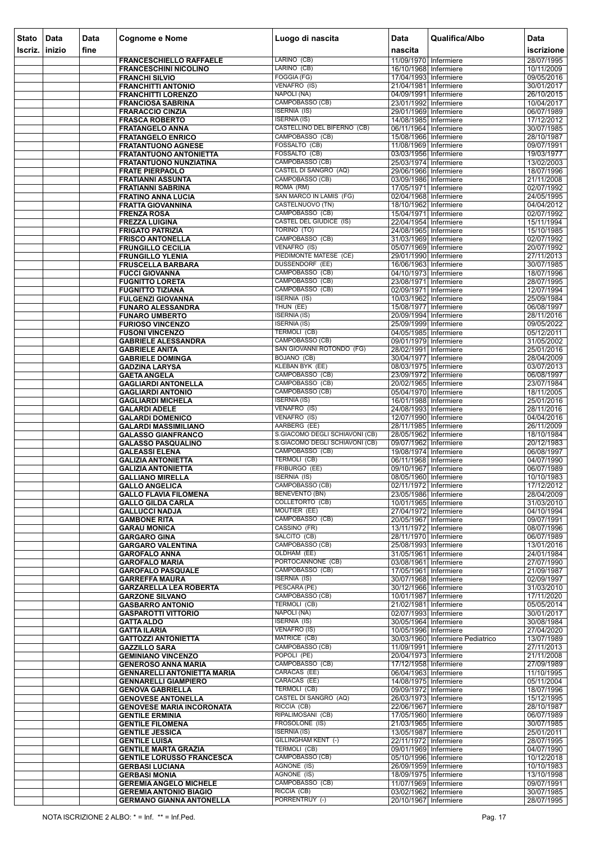| <b>Stato</b> | Data   | Data | <b>Cognome e Nome</b>                                  | Luogo di nascita                                      | <b>Data</b>                                      | Qualifica/Albo                   | <b>Data</b>              |
|--------------|--------|------|--------------------------------------------------------|-------------------------------------------------------|--------------------------------------------------|----------------------------------|--------------------------|
| Iscriz.      | inizio | fine |                                                        |                                                       | nascita                                          |                                  | iscrizione               |
|              |        |      | <b>FRANCESCHIELLO RAFFAELE</b>                         | LARINO (CB)                                           | 11/09/1970 Infermiere                            |                                  | 28/07/1995               |
|              |        |      | <b>FRANCESCHINI NICOLINO</b>                           | LARINO (CB)                                           | 16/10/1968 Infermiere                            |                                  | 10/11/2009               |
|              |        |      | <b>FRANCHI SILVIO</b>                                  | FOGGIA (FG)<br>VENAFRO (IS)                           | 17/04/1993 Infermiere<br>21/04/1981 Infermiere   |                                  | 09/05/2016               |
|              |        |      | <b>FRANCHITTI ANTONIO</b><br><b>FRANCHITTI LORENZO</b> | NAPOLI (NA)                                           | 04/09/1991 Infermiere                            |                                  | 30/01/2017<br>26/10/2015 |
|              |        |      | <b>FRANCIOSA SABRINA</b>                               | CAMPOBASSO (CB)                                       | 23/01/1992 Infermiere                            |                                  | 10/04/2017               |
|              |        |      | <b>FRARACCIO CINZIA</b>                                | <b>ISERNIA (IS)</b>                                   | 29/01/1969 Infermiere                            |                                  | 06/07/1989               |
|              |        |      | <b>FRASCA ROBERTO</b>                                  | <b>ISERNIA (IS)</b>                                   | 14/08/1985 Infermiere                            |                                  | 17/12/2012               |
|              |        |      | <b>FRATANGELO ANNA</b><br><b>FRATANGELO ENRICO</b>     | <b>CASTELLINO DEL BIFERNO (CB)</b><br>CAMPOBASSO (CB) | 06/11/1964 Infermiere<br>15/08/1966 Infermiere   |                                  | 30/07/1985<br>28/10/1987 |
|              |        |      | <b>FRATANTUONO AGNESE</b>                              | FOSSALTO (CB)                                         | 11/08/1969 Infermiere                            |                                  | 09/07/1991               |
|              |        |      | <b>FRATANTUONO ANTONIETTA</b>                          | FOSSALTO (CB)                                         | 03/03/1956 Infermiere                            |                                  | 19/03/1977               |
|              |        |      | <b>FRATANTUONO NUNZIATINA</b>                          | CAMPOBASSO (CB)                                       | 25/03/1974 Infermiere                            |                                  | 13/02/2003               |
|              |        |      | <b>FRATE PIERPAOLO</b>                                 | CASTEL DI SANGRO (AQ)<br>CAMPOBASSO (CB)              | 29/06/1966 Infermiere                            |                                  | 18/07/1996               |
|              |        |      | <b>FRATIANNI ASSUNTA</b><br><b>FRATIANNI SABRINA</b>   | ROMA (RM)                                             | 03/09/1986 Infermiere<br>17/05/1971 Infermiere   |                                  | 21/11/2008<br>02/07/1992 |
|              |        |      | <b>FRATINO ANNA LUCIA</b>                              | SAN MARCO IN LAMIS (FG)                               | 02/04/1968 Infermiere                            |                                  | 24/05/1995               |
|              |        |      | <b>FRATTA GIOVANNINA</b>                               | CASTELNUOVO (TN)                                      | 18/10/1962 Infermiere                            |                                  | 04/04/2012               |
|              |        |      | <b>FRENZA ROSA</b>                                     | CAMPOBASSO (CB)                                       | 15/04/1971 Infermiere                            |                                  | 02/07/1992               |
|              |        |      | <b>FREZZA LUIGINA</b><br><b>FRIGATO PATRIZIA</b>       | <b>CASTEL DEL GIUDICE (IS)</b><br>TORINO (TO)         | 22/04/1954 Infermiere<br>24/08/1965 Infermiere   |                                  | 15/11/1994<br>15/10/1985 |
|              |        |      | <b>FRISCO ANTONELLA</b>                                | CAMPOBASSO (CB)                                       | 31/03/1969 Infermiere                            |                                  | 02/07/1992               |
|              |        |      | <b>FRUNGILLO CECILIA</b>                               | VENAFRO (IS)                                          | 05/07/1969 Infermiere                            |                                  | 20/07/1992               |
|              |        |      | <b>FRUNGILLO YLENIA</b>                                | PIEDIMONTE MATESE (CE)                                | 29/01/1990 Infermiere                            |                                  | 27/11/2013               |
|              |        |      | <b>FRUSCELLA BARBARA</b>                               | <b>DUSSENDORF (EE)</b>                                | 16/06/1963 Infermiere                            |                                  | 30/07/1985               |
|              |        |      | <b>FUCCI GIOVANNA</b><br><b>FUGNITTO LORETA</b>        | CAMPOBASSO (CB)<br>CAMPOBASSO (CB)                    | 04/10/1973 Infermiere<br>23/08/1971 Infermiere   |                                  | 18/07/1996<br>28/07/1995 |
|              |        |      | <b>FUGNITTO TIZIANA</b>                                | CAMPOBASSO (CB)                                       | 02/09/1971 Infermiere                            |                                  | 12/07/1994               |
|              |        |      | <b>FULGENZI GIOVANNA</b>                               | <b>ISERNIA (IS)</b>                                   | 10/03/1962 Infermiere                            |                                  | 25/09/1984               |
|              |        |      | <b>FUNARO ALESSANDRA</b>                               | THUN (EE)                                             | 15/08/1977 Infermiere                            |                                  | 06/08/1997               |
|              |        |      | <b>FUNARO UMBERTO</b>                                  | <b>ISERNIA (IS)</b>                                   | 20/09/1994 Infermiere                            |                                  | 28/11/2016               |
|              |        |      | <b>FURIOSO VINCENZO</b><br><b>FUSONI VINCENZO</b>      | <b>ISERNIA (IS)</b><br><b>TERMOLI (CB)</b>            | 25/09/1999 Infermiere<br>04/05/1985 Infermiere   |                                  | 09/05/2022<br>05/12/2011 |
|              |        |      | <b>GABRIELE ALESSANDRA</b>                             | CAMPOBASSO (CB)                                       | 09/01/1979 Infermiere                            |                                  | 31/05/2002               |
|              |        |      | <b>GABRIELE ANITA</b>                                  | SAN GIOVANNI ROTONDO (FG)                             | 28/02/1991 Infermiere                            |                                  | 25/01/2016               |
|              |        |      | <b>GABRIELE DOMINGA</b>                                | <b>BOJANO (CB)</b>                                    | 30/04/1977 Infermiere                            |                                  | 28/04/2009               |
|              |        |      | <b>GADZINA LARYSA</b>                                  | KLEBAN BYK (EE)<br>CAMPOBASSO (CB)                    | 08/03/1975 Infermiere                            |                                  | 03/07/2013               |
|              |        |      | <b>GAETA ANGELA</b><br><b>GAGLIARDI ANTONELLA</b>      | CAMPOBASSO (CB)                                       | 23/09/1972 Infermiere<br>20/02/1965 Infermiere   |                                  | 06/08/1997<br>23/07/1984 |
|              |        |      | <b>GAGLIARDI ANTONIO</b>                               | CAMPOBASSO (CB)                                       | 05/04/1970 Infermiere                            |                                  | 18/11/2005               |
|              |        |      | <b>GAGLIARDI MICHELA</b>                               | <b>ISERNIA (IS)</b>                                   | 16/01/1988 Infermiere                            |                                  | 25/01/2016               |
|              |        |      | <b>GALARDI ADELE</b>                                   | VENAFRO (IS)                                          | 24/08/1993 Infermiere                            |                                  | 28/11/2016               |
|              |        |      | <b>GALARDI DOMENICO</b><br><b>GALARDI MASSIMILIANO</b> | VENAFRO (IS)<br>AARBERG (EE)                          | 12/07/1990 Infermiere<br>28/11/1985 Infermiere   |                                  | 04/04/2016<br>26/11/2009 |
|              |        |      | <b>GALASSO GIANFRANCO</b>                              | S.GIACOMO DEGLI SCHIAVONI (CB)                        | 28/05/1962 Infermiere                            |                                  | 18/10/1984               |
|              |        |      | <b>GALASSO PASQUALINO</b>                              | S.GIACOMO DEGLI SCHIAVONI (CB)                        | 09/07/1962 Infermiere                            |                                  | 20/12/1983               |
|              |        |      | <b>GALEASSI ELENA</b>                                  | CAMPOBASSO (CB)                                       | 19/08/1974 Infermiere                            |                                  | 06/08/1997               |
|              |        |      | <b>GALIZIA ANTONIETTA</b><br><b>GALIZIA ANTONIETTA</b> | <b>TERMOLI (CB)</b><br>FRIBURGO (EE)                  | 06/11/1968 Infermiere<br>09/10/1967 Infermiere   |                                  | 04/07/1990<br>06/07/1989 |
|              |        |      | <b>GALLIANO MIRELLA</b>                                | <b>ISERNIA (IS)</b>                                   | 08/05/1960 Infermiere                            |                                  | 10/10/1983               |
|              |        |      | <b>GALLO ANGELICA</b>                                  | CAMPOBASSO (CB)                                       | 02/11/1972 Infermiere                            |                                  | 17/12/2012               |
|              |        |      | <b>GALLO FLAVIA FILOMENA</b>                           | <b>BENEVENTO (BN)</b>                                 | 23/05/1986 Infermiere                            |                                  | 28/04/2009               |
|              |        |      | <b>GALLO GILDA CARLA</b>                               | <b>COLLETORTO (CB)</b><br>MOUTIER (EE)                | 10/01/1965 Infermiere                            |                                  | 31/03/2010               |
|              |        |      | <b>GALLUCCI NADJA</b><br><b>GAMBONE RITA</b>           | CAMPOBASSO (CB)                                       | 27/04/1972 Infermiere<br>20/05/1967 Infermiere   |                                  | 04/10/1994<br>09/07/1991 |
|              |        |      | <b>GARAU MONICA</b>                                    | CASSINO (FR)                                          | 13/11/1972 Infermiere                            |                                  | 08/07/1996               |
|              |        |      | <b>GARGARO GINA</b>                                    | SALCITO (CB)                                          | 28/11/1970 Infermiere                            |                                  | 06/07/1989               |
|              |        |      | <b>GARGARO VALENTINA</b>                               | CAMPOBASSO (CB)                                       | 25/08/1993 Infermiere                            |                                  | 13/01/2016               |
|              |        |      | <b>GAROFALO ANNA</b><br><b>GAROFALO MARIA</b>          | OLDHAM (EE)<br>PORTOCANNONE (CB)                      | 31/05/1961 Infermiere<br>03/08/1961 Infermiere   |                                  | 24/01/1984<br>27/07/1990 |
|              |        |      | <b>GAROFALO PASQUALE</b>                               | CAMPOBASSO (CB)                                       | 17/05/1961 Infermiere                            |                                  | 21/09/1987               |
|              |        |      | <b>GARREFFA MAURA</b>                                  | <b>ISERNIA (IS)</b>                                   | 30/07/1968 Infermiere                            |                                  | 02/09/1997               |
|              |        |      | <b>GARZARELLA LEA ROBERTA</b>                          | PESCARA (PE)                                          | 30/12/1966 Infermiere                            |                                  | 31/03/2010               |
|              |        |      | <b>GARZONE SILVANO</b><br><b>GASBARRO ANTONIO</b>      | CAMPOBASSO (CB)<br>TERMOLI (CB)                       | 10/01/1987 Infermiere<br>21/02/1981 Infermiere   |                                  | 17/11/2020<br>05/05/2014 |
|              |        |      | <b>GASPAROTTI VITTORIO</b>                             | NAPOLI (NA)                                           | 02/07/1993 Infermiere                            |                                  | 30/01/2017               |
|              |        |      | <b>GATTA ALDO</b>                                      | <b>ISERNIA (IS)</b>                                   | 30/05/1964 Infermiere                            |                                  | 30/08/1984               |
|              |        |      | <b>GATTA ILARIA</b>                                    | <b>VENAFRO (IS)</b>                                   | 10/05/1996 Infermiere                            |                                  | 27/04/2020               |
|              |        |      | <b>GATTOZZI ANTONIETTA</b>                             | MATRICE (CB)<br>CAMPOBASSO (CB)                       |                                                  | 30/03/1960 Infermiere Pediatrico | 13/07/1989               |
|              |        |      | <b>GAZZILLO SARA</b><br><b>GEMINIANO VINCENZO</b>      | POPOLI (PE)                                           | 11/09/1991   Infermiere<br>20/04/1973 Infermiere |                                  | 27/11/2013<br>21/11/2008 |
|              |        |      | <b>GENEROSO ANNA MARIA</b>                             | CAMPOBASSO (CB)                                       | 17/12/1958 Infermiere                            |                                  | 27/09/1989               |
|              |        |      | <b>GENNARELLI ANTONIETTA MARIA</b>                     | CARACAS (EE)                                          | 06/04/1963 Infermiere                            |                                  | 11/10/1995               |
|              |        |      | <b>GENNARELLI GIAMPIERO</b>                            | CARACAS (EE)                                          | 14/08/1975 Infermiere                            |                                  | 05/11/2004               |
|              |        |      | <b>GENOVA GABRIELLA</b><br><b>GENOVESE ANTONELLA</b>   | TERMOLI (CB)<br>CASTEL DI SANGRO (AQ)                 | 09/09/1972 Infermiere<br>26/03/1973 Infermiere   |                                  | 18/07/1996<br>15/12/1995 |
|              |        |      | <b>GENOVESE MARIA INCORONATA</b>                       | RICCIA (CB)                                           | 22/06/1967 Infermiere                            |                                  | 28/10/1987               |
|              |        |      | <b>GENTILE ERMINIA</b>                                 | RIPALIMOSANI (CB)                                     | 17/05/1960 Infermiere                            |                                  | 06/07/1989               |
|              |        |      | <b>GENTILE FILOMENA</b>                                | FROSOLONE (IS)                                        | 21/03/1965 Infermiere                            |                                  | 30/07/1985               |
|              |        |      | <b>GENTILE JESSICA</b><br><b>GENTILE LUISA</b>         | <b>ISERNIA (IS)</b><br><b>GILLINGHAM KENT (-)</b>     | 13/05/1987 Infermiere<br>22/11/1972 Infermiere   |                                  | 25/01/2011<br>28/07/1995 |
|              |        |      | <b>GENTILE MARTA GRAZIA</b>                            | <b>TERMOLI (CB)</b>                                   | 09/01/1969 Infermiere                            |                                  | 04/07/1990               |
|              |        |      | <b>GENTILE LORUSSO FRANCESCA</b>                       | CAMPOBASSO (CB)                                       | 05/10/1996 Infermiere                            |                                  | 10/12/2018               |
|              |        |      | <b>GERBASI LUCIANA</b>                                 | AGNONE (IS)                                           | 26/09/1959 Infermiere                            |                                  | 10/10/1983               |
|              |        |      | <b>GERBASI MONIA</b><br><b>GEREMIA ANGELO MICHELE</b>  | AGNONE (IS)<br>CAMPOBASSO (CB)                        | 18/09/1975 Infermiere<br>11/07/1969 Infermiere   |                                  | 13/10/1998<br>09/07/1991 |
|              |        |      | <b>GEREMIA ANTONIO BIAGIO</b>                          | RICCIA (CB)                                           | 03/02/1962 Infermiere                            |                                  | 30/07/1985               |
|              |        |      | <b>GERMANO GIANNA ANTONELLA</b>                        | PORRENTRUY (-)                                        | 20/10/1967 Infermiere                            |                                  | 28/07/1995               |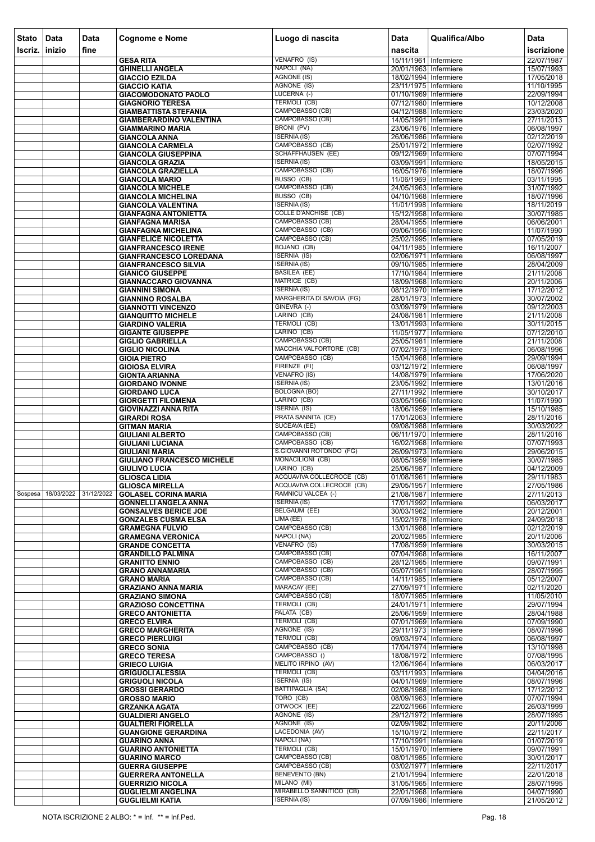| <b>Stato</b> | Data                          | <b>Data</b> | <b>Cognome e Nome</b>                                        | Luogo di nascita                                       | <b>Data</b>                                    | Qualifica/Albo | <b>Data</b>              |
|--------------|-------------------------------|-------------|--------------------------------------------------------------|--------------------------------------------------------|------------------------------------------------|----------------|--------------------------|
| Iscriz.      | inizio                        | fine        |                                                              |                                                        | nascita                                        |                | iscrizione               |
|              |                               |             | <b>GESA RITA</b>                                             | VENAFRO (IS)                                           | 15/11/1961 Infermiere                          |                | 22/07/1987               |
|              |                               |             | <b>GHINELLI ANGELA</b>                                       | NAPOLI (NA)                                            | 20/01/1963 Infermiere                          |                | 15/07/1993               |
|              |                               |             | <b>GIACCIO EZILDA</b>                                        | <b>AGNONE (IS)</b><br>AGNONE (IS)                      | 18/02/1994 Infermiere                          |                | 17/05/2018               |
|              |                               |             | <b>GIACCIO KATIA</b><br><b>GIACOMODONATO PAOLO</b>           | LUCERNA (-)                                            | 23/11/1975 Infermiere<br>01/10/1969 Infermiere |                | 11/10/1995<br>22/09/1994 |
|              |                               |             | <b>GIAGNORIO TERESA</b>                                      | <b>TERMOLI (CB)</b>                                    | 07/12/1980 Infermiere                          |                | 10/12/2008               |
|              |                               |             | <b>GIAMBATTISTA STEFANIA</b>                                 | CAMPOBASSO (CB)                                        | 04/12/1988 Infermiere                          |                | 23/03/2020               |
|              |                               |             | <b>GIAMBERARDINO VALENTINA</b>                               | CAMPOBASSO (CB)<br>BRONI (PV)                          | 14/05/1991 Infermiere<br>23/06/1976 Infermiere |                | 27/11/2013               |
|              |                               |             | <b>GIAMMARINO MARIA</b><br><b>GIANCOLA ANNA</b>              | <b>ISERNIA (IS)</b>                                    | 26/06/1986 Infermiere                          |                | 06/08/1997<br>02/12/2019 |
|              |                               |             | <b>GIANCOLA CARMELA</b>                                      | CAMPOBASSO (CB)                                        | 25/01/1972 Infermiere                          |                | 02/07/1992               |
|              |                               |             | <b>GIANCOLA GIUSEPPINA</b>                                   | <b>SCHAFFHAUSEN (EE)</b>                               | 09/12/1969 Infermiere                          |                | 07/07/1994               |
|              |                               |             | <b>GIANCOLA GRAZIA</b>                                       | <b>ISERNIA (IS)</b><br>CAMPOBASSO (CB)                 | 03/09/1991 Infermiere                          |                | 18/05/2015               |
|              |                               |             | <b>GIANCOLA GRAZIELLA</b><br><b>GIANCOLA MARIO</b>           | BUSSO (CB)                                             | 16/05/1976 Infermiere<br>11/06/1969 Infermiere |                | 18/07/1996<br>03/11/1995 |
|              |                               |             | <b>GIANCOLA MICHELE</b>                                      | CAMPOBASSO (CB)                                        | 24/05/1963 Infermiere                          |                | 31/07/1992               |
|              |                               |             | <b>GIANCOLA MICHELINA</b>                                    | BUSSO (CB)                                             | 04/10/1968 Infermiere                          |                | 18/07/1996               |
|              |                               |             | <b>GIANCOLA VALENTINA</b>                                    | <b>ISERNIA (IS)</b><br><b>COLLE D'ANCHISE (CB)</b>     | 11/01/1998 Infermiere<br>15/12/1958 Infermiere |                | 18/11/2019<br>30/07/1985 |
|              |                               |             | <b>GIANFAGNA ANTONIETTA</b><br><b>GIANFAGNA MARISA</b>       | CAMPOBASSO (CB)                                        | 28/04/1955 Infermiere                          |                | 06/06/2001               |
|              |                               |             | <b>GIANFAGNA MICHELINA</b>                                   | CAMPOBASSO (CB)                                        | 09/06/1956 Infermiere                          |                | 11/07/1990               |
|              |                               |             | <b>GIANFELICE NICOLETTA</b>                                  | CAMPOBASSO (CB)                                        | 25/02/1995 Infermiere                          |                | 07/05/2019               |
|              |                               |             | <b>GIANFRANCESCO IRENE</b>                                   | <b>BOJANO (CB)</b>                                     | 04/11/1985   Infermiere                        |                | 16/11/2007               |
|              |                               |             | <b>GIANFRANCESCO LOREDANA</b><br><b>GIANFRANCESCO SILVIA</b> | <b>ISERNIA (IS)</b><br><b>ISERNIA (IS)</b>             | 02/06/1971 Infermiere<br>09/10/1985 Infermiere |                | 06/08/1997<br>28/04/2009 |
|              |                               |             | <b>GIANICO GIUSEPPE</b>                                      | <b>BASILEA (EE)</b>                                    | 17/10/1984 Infermiere                          |                | 21/11/2008               |
|              |                               |             | <b>GIANNACCARO GIOVANNA</b>                                  | MATRICE (CB)                                           | 18/09/1968 Infermiere                          |                | 20/11/2006               |
|              |                               |             | <b>GIANNINI SIMONA</b>                                       | <b>ISERNIA (IS)</b>                                    | 08/12/1970 Infermiere                          |                | 17/12/2012               |
|              |                               |             | <b>GIANNINO ROSALBA</b><br><b>GIANNOTTI VINCENZO</b>         | MARGHERITA DI SAVOIA (FG)<br>GINEVRA (-)               | 28/01/1973 Infermiere<br>03/09/1979 Infermiere |                | 30/07/2002<br>09/12/2003 |
|              |                               |             | <b>GIANQUITTO MICHELE</b>                                    | LARINO (CB)                                            | 24/08/1981 Infermiere                          |                | 21/11/2008               |
|              |                               |             | <b>GIARDINO VALERIA</b>                                      | TERMOLI (CB)                                           | 13/01/1993 Infermiere                          |                | 30/11/2015               |
|              |                               |             | <b>GIGANTE GIUSEPPE</b>                                      | LARINO (CB)                                            | 11/05/1977   Infermiere                        |                | 07/12/2010               |
|              |                               |             | <b>GIGLIO GABRIELLA</b>                                      | CAMPOBASSO (CB)<br>MACCHIA VALFORTORE (CB)             | 25/05/1981 Infermiere                          |                | 21/11/2008               |
|              |                               |             | <b>GIGLIO NICOLINA</b><br><b>GIOIA PIETRO</b>                | CAMPOBASSO (CB)                                        | 07/02/1973 Infermiere<br>15/04/1968 Infermiere |                | 06/08/1996<br>29/09/1994 |
|              |                               |             | <b>GIOIOSA ELVIRA</b>                                        | FIRENZE (FI)                                           | 03/12/1972 Infermiere                          |                | 06/08/1997               |
|              |                               |             | <b>GIONTA ARIANNA</b>                                        | <b>VENAFRO (IS)</b>                                    | 14/08/1979 Infermiere                          |                | 17/06/2020               |
|              |                               |             | <b>GIORDANO IVONNE</b>                                       | <b>ISERNIA (IS)</b>                                    | 23/05/1992 Infermiere                          |                | 13/01/2016               |
|              |                               |             | <b>GIORDANO LUCA</b><br><b>GIORGETTI FILOMENA</b>            | <b>BOLOGNA (BO)</b><br>LARINO (CB)                     | 27/11/1992 Infermiere<br>03/05/1966 Infermiere |                | 30/10/2017<br>11/07/1990 |
|              |                               |             | <b>GIOVINAZZI ANNA RITA</b>                                  | <b>ISERNIA (IS)</b>                                    | 18/06/1959 Infermiere                          |                | 15/10/1985               |
|              |                               |             | <b>GIRARDI ROSA</b>                                          | PRATA SANNITA (CE)                                     | 17/01/2063 Infermiere                          |                | 28/11/2016               |
|              |                               |             | <b>GITMAN MARIA</b>                                          | SUCEAVA (EE)                                           | 09/08/1988 Infermiere                          |                | 30/03/2022               |
|              |                               |             | <b>GIULIANI ALBERTO</b><br><b>GIULIANI LUCIANA</b>           | CAMPOBASSO (CB)<br>CAMPOBASSO (CB)                     | 06/11/1970 Infermiere<br>16/02/1968 Infermiere |                | 28/11/2016<br>07/07/1993 |
|              |                               |             | <b>GIULIANI MARIA</b>                                        | S.GIOVANNI ROTONDO (FG)                                | 26/09/1973 Infermiere                          |                | 29/06/2015               |
|              |                               |             | <b>GIULIANO FRANCESCO MICHELE</b>                            | MONACILIONI (CB)                                       | 08/05/1959 Infermiere                          |                | 30/07/1985               |
|              |                               |             | <b>GIULIVO LUCIA</b>                                         | LARINO (CB)                                            | 25/06/1987 Infermiere                          |                | 04/12/2009               |
|              |                               |             | <b>GLIOSCA LIDIA</b><br><b>GLIOSCA MIRELLA</b>               | ACQUAVIVA COLLECROCE (CB)<br>ACQUAVIVA COLLECROCE (CB) | 01/08/1961 Infermiere<br>29/05/1957 Infermiere |                | 29/11/1983<br>27/05/1986 |
|              | Sospesa 18/03/2022 31/12/2022 |             | <b>GOLASEL CORINA MARIA</b>                                  | RAMNICU VALCEA (-)                                     | 21/08/1987 Infermiere                          |                | 27/11/2013               |
|              |                               |             | <b>GONNELLI ANGELA ANNA</b>                                  | <b>ISERNIA (IS)</b>                                    | 17/01/1992 Infermiere                          |                | 06/03/2017               |
|              |                               |             | <b>GONSALVES BERICE JOE</b>                                  | <b>BELGAUM (EE)</b>                                    | 30/03/1962 Infermiere                          |                | 20/12/2001               |
|              |                               |             | <b>GONZALES CUSMA ELSA</b><br><b>GRAMEGNA FULVIO</b>         | LIMA(EE)<br>CAMPOBASSO (CB)                            | 15/02/1978 Infermiere<br>13/01/1988 Infermiere |                | 24/09/2018<br>02/12/2019 |
|              |                               |             | <b>GRAMEGNA VERONICA</b>                                     | NAPOLI (NA)                                            | 20/02/1985 Infermiere                          |                | 20/11/2006               |
|              |                               |             | <b>GRANDE CONCETTA</b>                                       | VENAFRO (IS)                                           | 17/08/1959 Infermiere                          |                | 30/03/2015               |
|              |                               |             | <b>GRANDILLO PALMINA</b>                                     | CAMPOBASSO (CB)<br>CAMPOBASSO (CB)                     | 07/04/1968 Infermiere                          |                | 16/11/2007               |
|              |                               |             | <b>GRANITTO ENNIO</b><br><b>GRANO ANNAMARIA</b>              | CAMPOBASSO (CB)                                        | 28/12/1965 Infermiere<br>05/07/1961 Infermiere |                | 09/07/1991<br>28/07/1995 |
|              |                               |             | <b>GRANO MARIA</b>                                           | CAMPOBASSO (CB)                                        | 14/11/1985 Infermiere                          |                | 05/12/2007               |
|              |                               |             | <b>GRAZIANO ANNA MARIA</b>                                   | MARACAY (EE)                                           | 27/09/1971 Infermiere                          |                | 02/11/2020               |
|              |                               |             | <b>GRAZIANO SIMONA</b>                                       | CAMPOBASSO (CB)<br><b>TERMOLI (CB)</b>                 | 18/07/1985 Infermiere                          |                | 11/05/2010<br>29/07/1994 |
|              |                               |             | <b>GRAZIOSO CONCETTINA</b><br><b>GRECO ANTONIETTA</b>        | PALATA (CB)                                            | 24/01/1971 Infermiere<br>25/06/1959 Infermiere |                | 28/04/1988               |
|              |                               |             | <b>GRECO ELVIRA</b>                                          | <b>TERMOLI (CB)</b>                                    | 07/01/1969 Infermiere                          |                | 07/09/1990               |
|              |                               |             | <b>GRECO MARGHERITA</b>                                      | AGNONE (IS)                                            | 29/11/1973 Infermiere                          |                | 08/07/1996               |
|              |                               |             | <b>GRECO PIERLUIGI</b>                                       | TERMOLI (CB)<br>CAMPOBASSO (CB)                        | 09/03/1974 Infermiere                          |                | 06/08/1997               |
|              |                               |             | <b>GRECO SONIA</b><br><b>GRECO TERESA</b>                    | CAMPOBASSO ()                                          | 17/04/1974 Infermiere<br>18/08/1972 Infermiere |                | 13/10/1998<br>07/08/1995 |
|              |                               |             | <b>GRIECO LUIGIA</b>                                         | MELITO IRPINO (AV)                                     | 12/06/1964 Infermiere                          |                | 06/03/2017               |
|              |                               |             | <b>GRIGUOLI ALESSIA</b>                                      | TERMOLI (CB)                                           | 03/11/1993 Infermiere                          |                | 04/04/2016               |
|              |                               |             | <b>GRIGUOLI NICOLA</b>                                       | <b>ISERNIA (IS)</b>                                    | 04/01/1969 Infermiere                          |                | 08/07/1996               |
|              |                               |             | <b>GROSSI GERARDO</b><br><b>GROSSO MARIO</b>                 | BATTIPAGLIA (SA)<br>TORO (CB)                          | 02/08/1988 Infermiere<br>08/09/1963 Infermiere |                | 17/12/2012<br>07/07/1994 |
|              |                               |             | <b>GRZANKA AGATA</b>                                         | OTWOCK (EE)                                            | 22/02/1966 Infermiere                          |                | 26/03/1999               |
|              |                               |             | <b>GUALDIERI ANGELO</b>                                      | AGNONE (IS)                                            | 29/12/1972 Infermiere                          |                | 28/07/1995               |
|              |                               |             | <b>GUALTIERI FIORELLA</b>                                    | AGNONE (IS)                                            | 02/09/1982 Infermiere                          |                | 20/11/2006               |
|              |                               |             | <b>GUANGIONE GERARDINA</b><br><b>GUARINO ANNA</b>            | LACEDONIA (AV)<br>NAPOLI (NA)                          | 15/10/1972 Infermiere<br>17/10/1991 Infermiere |                | 22/11/2017<br>01/07/2019 |
|              |                               |             | <b>GUARINO ANTONIETTA</b>                                    | <b>TERMOLI (CB)</b>                                    | 15/01/1970 Infermiere                          |                | 09/07/1991               |
|              |                               |             | <b>GUARINO MARCO</b>                                         | CAMPOBASSO (CB)                                        | 08/01/1985 Infermiere                          |                | 30/01/2017               |
|              |                               |             | <b>GUERRA GIUSEPPE</b>                                       | CAMPOBASSO (CB)                                        | 03/02/1977 Infermiere                          |                | 22/11/2017               |
|              |                               |             | <b>GUERRERA ANTONELLA</b><br><b>GUERRIZIO NICOLA</b>         | <b>BENEVENTO (BN)</b><br>MILANO (MI)                   | 21/01/1994 Infermiere<br>31/05/1965 Infermiere |                | 22/01/2018<br>28/07/1995 |
|              |                               |             | <b>GUGLIELMI ANGELINA</b>                                    | MIRABELLO SANNITICO (CB)                               | 22/01/1968 Infermiere                          |                | 04/07/1990               |
|              |                               |             | <b>GUGLIELMI KATIA</b>                                       | <b>ISERNIA</b> (IS)                                    | 07/09/1986 Infermiere                          |                | 21/05/2012               |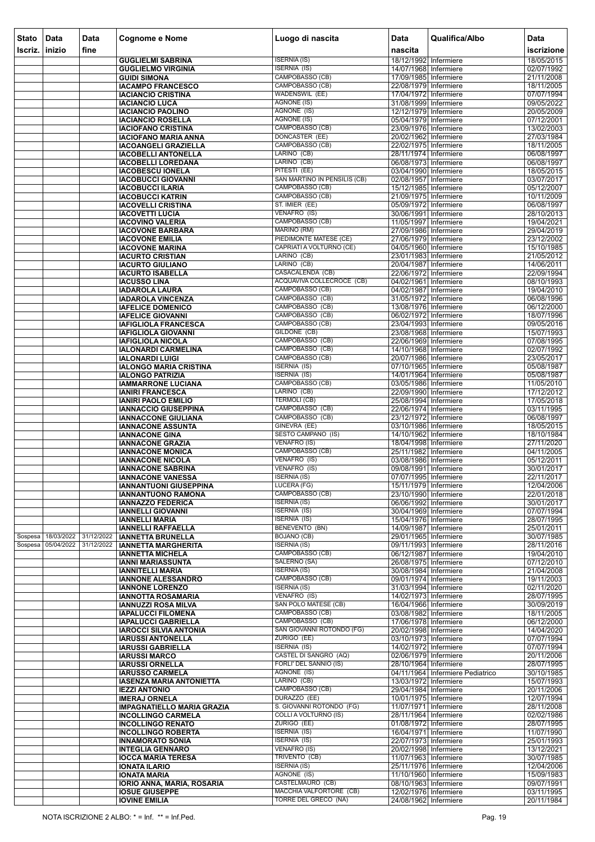| <b>Stato</b> | Data       | <b>Data</b> | <b>Cognome e Nome</b>                                     | Luogo di nascita                                              | <b>Data</b>                                    | Qualifica/Albo                   | Data                     |
|--------------|------------|-------------|-----------------------------------------------------------|---------------------------------------------------------------|------------------------------------------------|----------------------------------|--------------------------|
| Iscriz.      | inizio     | fine        |                                                           |                                                               | nascita                                        |                                  | iscrizione               |
|              |            |             | <b>GUGLIELMI SABRINA</b>                                  | <b>ISERNIA (IS)</b>                                           | 18/12/1992 Infermiere                          |                                  | 18/05/2015               |
|              |            |             | <b>GUGLIELMO VIRGINIA</b>                                 | <b>ISERNIA (IS)</b>                                           | 14/07/1968 Infermiere                          |                                  | 02/07/1992               |
|              |            |             | <b>GUIDI SIMONA</b>                                       | CAMPOBASSO (CB)                                               | 17/09/1985 Infermiere                          |                                  | 21/11/2008               |
|              |            |             | <b>IACAMPO FRANCESCO</b>                                  | CAMPOBASSO (CB)                                               | 22/08/1979 Infermiere                          |                                  | 18/11/2005               |
|              |            |             | <b>IACIANCIO CRISTINA</b>                                 | <b>WADENSWIL (EE)</b><br><b>AGNONE (IS)</b>                   | 17/04/1972 Infermiere<br>31/08/1999 Infermiere |                                  | 07/07/1994               |
|              |            |             | <b>IACIANCIO LUCA</b><br><b>IACIANCIO PAOLINO</b>         | AGNONE (IS)                                                   | 12/12/1979 Infermiere                          |                                  | 09/05/2022<br>20/05/2009 |
|              |            |             | <b>IACIANCIO ROSELLA</b>                                  | <b>AGNONE (IS)</b>                                            | 05/04/1979 Infermiere                          |                                  | 07/12/2001               |
|              |            |             | <b>IACIOFANO CRISTINA</b>                                 | CAMPOBASSO (CB)                                               | 23/09/1976 Infermiere                          |                                  | 13/02/2003               |
|              |            |             | <b>IACIOFANO MARIA ANNA</b>                               | <b>DONCASTER (EE)</b>                                         | 20/02/1962 Infermiere                          |                                  | 27/03/1984               |
|              |            |             | <b>IACOANGELI GRAZIELLA</b>                               | CAMPOBASSO (CB)                                               | 22/02/1975 Infermiere                          |                                  | 18/11/2005               |
|              |            |             | <b>IACOBELLI ANTONELLA</b>                                | LARINO (CB)                                                   | 28/11/1974 Infermiere                          |                                  | 06/08/1997               |
|              |            |             | <b>IACOBELLI LOREDANA</b><br><b>IACOBESCU IONELA</b>      | LARINO (CB)<br>PITESTI (EE)                                   | 06/08/1973 Infermiere<br>03/04/1990 Infermiere |                                  | 06/08/1997<br>18/05/2015 |
|              |            |             | <b>IACOBUCCI GIOVANNI</b>                                 | SAN MARTINO IN PENSILIS (CB)                                  | 02/08/1957 Infermiere                          |                                  | 03/07/2017               |
|              |            |             | <b>IACOBUCCI ILARIA</b>                                   | CAMPOBASSO (CB)                                               | 15/12/1985 Infermiere                          |                                  | 05/12/2007               |
|              |            |             | <b>IACOBUCCI KATRIN</b>                                   | CAMPOBASSO (CB)                                               | 21/09/1975 Infermiere                          |                                  | 10/11/2009               |
|              |            |             | <b>IACOVELLI CRISTINA</b>                                 | ST. IMIER (EE)                                                | 05/09/1972 Infermiere                          |                                  | 06/08/1997               |
|              |            |             | <b>IACOVETTI LUCIA</b>                                    | VENAFRO (IS)                                                  | 30/06/1991 Infermiere                          |                                  | 28/10/2013               |
|              |            |             | <b>IACOVINO VALERIA</b>                                   | CAMPOBASSO (CB)<br>MARINO (RM)                                | 11/05/1997 Infermiere<br>27/09/1986 Infermiere |                                  | 19/04/2021<br>29/04/2019 |
|              |            |             | <b>IACOVONE BARBARA</b><br><b>IACOVONE EMILIA</b>         | PIEDIMONTE MATESE (CE)                                        | 27/06/1979 Infermiere                          |                                  | 23/12/2002               |
|              |            |             | <b>IACOVONE MARINA</b>                                    | CAPRIATI A VOLTURNO (CE)                                      | 04/05/1960 Infermiere                          |                                  | 15/10/1985               |
|              |            |             | <b>IACURTO CRISTIAN</b>                                   | LARINO (CB)                                                   | 23/01/1983 Infermiere                          |                                  | 21/05/2012               |
|              |            |             | <b>IACURTO GIULIANO</b>                                   | LARINO (CB)                                                   | 20/04/1987 Infermiere                          |                                  | 14/06/2011               |
|              |            |             | <b>IACURTO ISABELLA</b>                                   | CASACALENDA (CB)                                              | 22/06/1972 Infermiere                          |                                  | 22/09/1994               |
|              |            |             | <b>IACUSSO LINA</b>                                       | ACQUAVIVA COLLECROCE (CB)                                     | 04/02/1961 Infermiere                          |                                  | 08/10/1993               |
|              |            |             | <b>IADAROLA LAURA</b>                                     | CAMPOBASSO (CB)                                               | 04/02/1987 Infermiere                          |                                  | 19/04/2010               |
|              |            |             | <b>IADAROLA VINCENZA</b><br><b>IAFELICE DOMENICO</b>      | CAMPOBASSO (CB)<br>CAMPOBASSO (CB)                            | 31/05/1972 Infermiere<br>13/08/1976 Infermiere |                                  | 06/08/1996<br>06/12/2000 |
|              |            |             | <b>IAFELICE GIOVANNI</b>                                  | CAMPOBASSO (CB)                                               | 06/02/1972 Infermiere                          |                                  | 18/07/1996               |
|              |            |             | IAFIGLIOLA FRANCESCA                                      | CAMPOBASSO (CB)                                               | 23/04/1993 Infermiere                          |                                  | 09/05/2016               |
|              |            |             | <b>IAFIGLIOLA GIOVANNI</b>                                | GILDONE (CB)                                                  | 23/08/1968 Infermiere                          |                                  | 15/07/1993               |
|              |            |             | <b>IAFIGLIOLA NICOLA</b>                                  | CAMPOBASSO (CB)                                               | 22/06/1969 Infermiere                          |                                  | 07/08/1995               |
|              |            |             | <b>IALONARDI CARMELINA</b>                                | CAMPOBASSO (CB)                                               | 14/10/1968 Infermiere                          |                                  | 02/07/1992               |
|              |            |             | <b>IALONARDI LUIGI</b>                                    | CAMPOBASSO (CB)                                               | 20/07/1986 Infermiere                          |                                  | 23/05/2017               |
|              |            |             | <b>IALONGO MARIA CRISTINA</b><br><b>IALONGO PATRIZIA</b>  | ISERNIA (IS)<br><b>ISERNIA (IS)</b>                           | 07/10/1965 Infermiere<br>14/01/1964 Infermiere |                                  | 05/08/1987<br>05/08/1987 |
|              |            |             | <b>IAMMARRONE LUCIANA</b>                                 | CAMPOBASSO (CB)                                               | 03/05/1986 Infermiere                          |                                  | 11/05/2010               |
|              |            |             | <b>IANIRI FRANCESCA</b>                                   | LARINO (CB)                                                   | 22/09/1990 Infermiere                          |                                  | 17/12/2012               |
|              |            |             | <b>IANIRI PAOLO EMILIO</b>                                | <b>TERMOLI (CB)</b>                                           | 25/08/1994 Infermiere                          |                                  | 17/05/2018               |
|              |            |             | <b>IANNACCIO GIUSEPPINA</b>                               | CAMPOBASSO (CB)                                               | 22/06/1974 Infermiere                          |                                  | 03/11/1995               |
|              |            |             | <b>IANNACCONE GIULIANA</b>                                | CAMPOBASSO (CB)                                               | 23/12/1972 Infermiere                          |                                  | 06/08/1997               |
|              |            |             | <b>IANNACONE ASSUNTA</b>                                  | GINEVRA (EE)<br><b>SESTO CAMPANO (IS)</b>                     | 03/10/1986 Infermiere                          |                                  | 18/05/2015               |
|              |            |             | <b>IANNACONE GINA</b><br><b>IANNACONE GRAZIA</b>          | <b>VENAFRO (IS)</b>                                           | 14/10/1962 Infermiere<br>18/04/1998 Infermiere |                                  | 18/10/1984<br>27/11/2020 |
|              |            |             | <b>IANNACONE MONICA</b>                                   | CAMPOBASSO (CB)                                               | 25/11/1982 Infermiere                          |                                  | 04/11/2005               |
|              |            |             | <b>IANNACONE NICOLA</b>                                   | VENAFRO (IS)                                                  | 03/08/1986 Infermiere                          |                                  | 05/12/2011               |
|              |            |             | <b>IANNACONE SABRINA</b>                                  | VENAFRO (IS)                                                  | 09/08/1991 Infermiere                          |                                  | 30/01/2017               |
|              |            |             | <b>IANNACONE VANESSA</b>                                  | <b>ISERNIA (IS)</b>                                           | 07/07/1995 Infermiere                          |                                  | 22/11/2017               |
|              |            |             | <b>IANNANTUONI GIUSEPPINA</b>                             | LUCERA (FG)<br>CAMPOBASSO (CB)                                | 15/11/1979 Infermiere<br>23/10/1990 Infermiere |                                  | 12/04/2006<br>22/01/2018 |
|              |            |             | <b>IANNANTUONO RAMONA</b><br><b>IANNAZZO FEDERICA</b>     | <b>ISERNIA (IS)</b>                                           | 06/06/1992 Infermiere                          |                                  | 30/01/2017               |
|              |            |             | <b>IANNELLI GIOVANNI</b>                                  | <b>ISERNIA (IS)</b>                                           | 30/04/1969 Infermiere                          |                                  | 07/07/1994               |
|              |            |             | <b>IANNELLI MARIA</b>                                     | <b>ISERNIA (IS)</b>                                           | 15/04/1976 Infermiere                          |                                  | 28/07/1995               |
|              |            |             | <b>IANNELLI RAFFAELLA</b>                                 | <b>BENEVENTO (BN)</b>                                         | 14/09/1987 Infermiere                          |                                  | 25/01/2011               |
| Sospesa      | 18/03/2022 | 31/12/2022  | <b>IANNETTA BRUNELLA</b>                                  | <b>BOJANO (CB)</b>                                            | 29/01/1965 Infermiere                          |                                  | 30/07/1985               |
| Sospesa      | 05/04/2022 | 31/12/2022  | <b>IANNETTA MARGHERITA</b>                                | <b>ISERNIA (IS)</b><br>CAMPOBASSO (CB)                        | 09/11/1993 Infermiere                          |                                  | 28/11/2016<br>19/04/2010 |
|              |            |             | <b>IANNETTA MICHELA</b><br><b>IANNI MARIASSUNTA</b>       | SALERNO (SA)                                                  | 06/12/1987 Infermiere<br>26/08/1975 Infermiere |                                  | 07/12/2010               |
|              |            |             | <b>IANNITELLI MARIA</b>                                   | <b>ISERNIA (IS)</b>                                           | 30/08/1984 Infermiere                          |                                  | 21/04/2008               |
|              |            |             | <b>IANNONE ALESSANDRO</b>                                 | CAMPOBASSO (CB)                                               | 09/01/1974 Infermiere                          |                                  | 19/11/2003               |
|              |            |             | <b>IANNONE LORENZO</b>                                    | <b>ISERNIA (IS)</b>                                           | 31/03/1994 Infermiere                          |                                  | 02/11/2020               |
|              |            |             | <b>IANNOTTA ROSAMARIA</b>                                 | VENAFRO (IS)                                                  | 14/02/1973 Infermiere                          |                                  | 28/07/1995               |
|              |            |             | <b>IANNUZZI ROSA MILVA</b>                                | <b>SAN POLO MATESE (CB)</b><br><b>CAMPOBASSO (CB)</b>         | 16/04/1966 Infermiere                          |                                  | 30/09/2019               |
|              |            |             | <b>IAPALUCCI FILOMENA</b><br><b>IAPALUCCI GABRIELLA</b>   | CAMPOBASSO (CB)                                               | 03/08/1982 Infermiere<br>17/06/1978 Infermiere |                                  | 18/11/2005<br>06/12/2000 |
|              |            |             | <b>IAROCCI SILVIA ANTONIA</b>                             | SAN GIOVANNI ROTONDO (FG)                                     | 20/02/1998 Infermiere                          |                                  | 14/04/2020               |
|              |            |             | <b>IARUSSI ANTONELLA</b>                                  | ZURIGO (EE)                                                   | 03/10/1973 Infermiere                          |                                  | 07/07/1994               |
|              |            |             | <b>IARUSSI GABRIELLA</b>                                  | <b>ISERNIA (IS)</b>                                           | 14/02/1972 Infermiere                          |                                  | 07/07/1994               |
|              |            |             | <b>IARUSSI MARCO</b>                                      | CASTEL DI SANGRO (AQ)                                         | 02/06/1979 Infermiere                          |                                  | 20/11/2006               |
|              |            |             | <b>IARUSSI ORNELLA</b>                                    | FORLI' DEL SANNIO (IS)<br>AGNONE (IS)                         | 28/10/1964 Infermiere                          |                                  | 28/07/1995               |
|              |            |             | <b>IARUSSO CARMELA</b><br><b>IASENZA MARIA ANTONIETTA</b> | LARINO (CB)                                                   | 13/03/1972 Infermiere                          | 04/11/1964 Infermiere Pediatrico | 30/10/1985<br>15/07/1993 |
|              |            |             | <b>IEZZI ANTONIO</b>                                      | CAMPOBASSO (CB)                                               | 29/04/1984 Infermiere                          |                                  | 20/11/2006               |
|              |            |             | <b>IMERAJ ORNELA</b>                                      | DURAZZO (EE)                                                  | 10/01/1975 Infermiere                          |                                  | 12/07/1994               |
|              |            |             | <b>IMPAGNATIELLO MARIA GRAZIA</b>                         | S. GIOVANNI ROTONDO (FG)                                      | 11/07/1971   Infermiere                        |                                  | 28/11/2008               |
|              |            |             | <b>INCOLLINGO CARMELA</b>                                 | <b>COLLI A VOLTURNO (IS)</b>                                  | 28/11/1964   Infermiere                        |                                  | 02/02/1986               |
|              |            |             | <b>INCOLLINGO RENATO</b>                                  | ZURIGO (EE)                                                   | 01/08/1972 Infermiere                          |                                  | 28/07/1995               |
|              |            |             | <b>INCOLLINGO ROBERTA</b><br><b>INNAMORATO SONIA</b>      | <b>ISERNIA (IS)</b><br><b>ISERNIA (IS)</b>                    | 16/04/1971 Infermiere<br>22/07/1973 Infermiere |                                  | 11/07/1990<br>25/01/1993 |
|              |            |             | <b>INTEGLIA GENNARO</b>                                   | <b>VENAFRO (IS)</b>                                           | 20/02/1998 Infermiere                          |                                  | 13/12/2021               |
|              |            |             | <b>IOCCA MARIA TERESA</b>                                 | TRIVENTO (CB)                                                 | 11/07/1963 Infermiere                          |                                  | 30/07/1985               |
|              |            |             | <b>IONATA ILARIO</b>                                      | <b>ISERNIA (IS)</b>                                           | 25/11/1976 Infermiere                          |                                  | 12/04/2006               |
|              |            |             | <b>IONATA MARIA</b>                                       | AGNONE (IS)                                                   | 11/10/1960 Infermiere                          |                                  | 15/09/1983               |
|              |            |             | <b>IORIO ANNA, MARIA, ROSARIA</b>                         | CASTELMAURO (CB)                                              | 08/10/1963 Infermiere                          |                                  | 09/07/1991               |
|              |            |             | <b>IOSUE GIUSEPPE</b>                                     | <b>MACCHIA VALFORTORE (CB)</b><br><b>TORRE DEL GRECO (NA)</b> | 12/02/1976 Infermiere<br>24/08/1962 Infermiere |                                  | 03/11/1995               |
|              |            |             | <b>IOVINE EMILIA</b>                                      |                                                               |                                                |                                  | 20/11/1984               |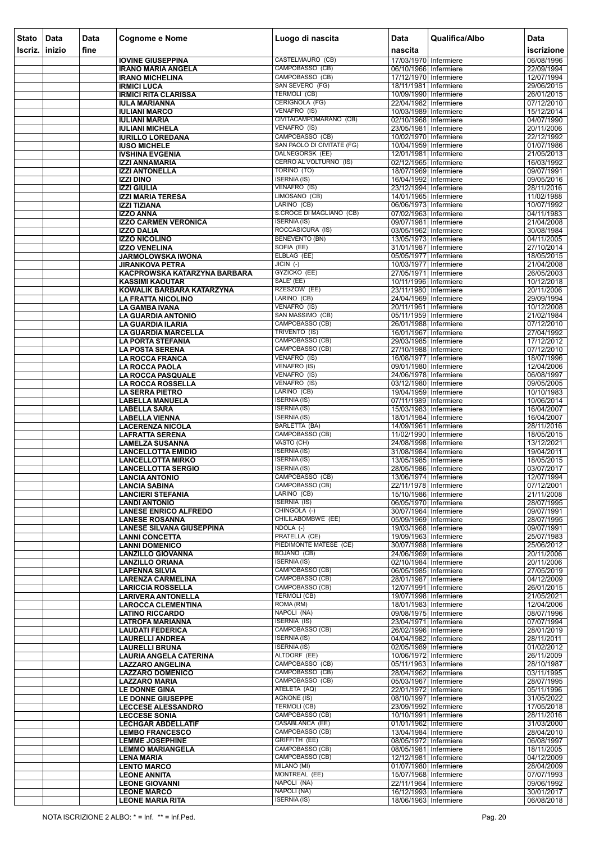| <b>Stato</b> | Data           | <b>Data</b> | <b>Cognome e Nome</b>                                     | Luogo di nascita                             | <b>Data</b>                                    | Qualifica/Albo | Data                     |
|--------------|----------------|-------------|-----------------------------------------------------------|----------------------------------------------|------------------------------------------------|----------------|--------------------------|
| Iscriz.      | <b>linizio</b> | fine        |                                                           |                                              | nascita                                        |                | iscrizione               |
|              |                |             | <b>IOVINE GIUSEPPINA</b><br><b>IRANO MARIA ANGELA</b>     | CASTELMAURO (CB)<br>CAMPOBASSO (CB)          | 17/03/1970 Infermiere<br>06/10/1966 Infermiere |                | 06/08/1996<br>22/09/1994 |
|              |                |             | <b>IRANO MICHELINA</b>                                    | CAMPOBASSO (CB)                              | 17/12/1970 Infermiere                          |                | 12/07/1994               |
|              |                |             | <b>IRMICI LUCA</b>                                        | SAN SEVERO (FG)                              | 18/11/1981   Infermiere                        |                | 29/06/2015               |
|              |                |             | <b>IRMICI RITA CLARISSA</b>                               | <b>TERMOLI (CB)</b><br><b>CERIGNOLA (FG)</b> | 10/09/1990 Infermiere<br>22/04/1982 Infermiere |                | 26/01/2015               |
|              |                |             | <b>IULA MARIANNA</b><br><b>IULIANI MARCO</b>              | VENAFRO (IS)                                 | 10/03/1989 Infermiere                          |                | 07/12/2010<br>15/12/2014 |
|              |                |             | <b>IULIANI MARIA</b>                                      | CIVITACAMPOMARANO (CB)                       | 02/10/1968 Infermiere                          |                | 04/07/1990               |
|              |                |             | <b>IULIANI MICHELA</b>                                    | VENAFRO (IS)<br>CAMPOBASSO (CB)              | 23/05/1981 Infermiere                          |                | 20/11/2006               |
|              |                |             | <b>IURILLO LOREDANA</b><br><b>IUSO MICHELE</b>            | SAN PAOLO DI CIVITATE (FG)                   | 10/02/1970 Infermiere<br>10/04/1959 Infermiere |                | 22/12/1992<br>01/07/1986 |
|              |                |             | <b>IVSHINA EVGENIA</b>                                    | DALNEGORSK (EE)                              | 12/01/1981 Infermiere                          |                | 21/05/2013               |
|              |                |             | <b>IZZI ANNAMARIA</b>                                     | CERRO AL VOLTURNO (IS)                       | 02/12/1965 Infermiere                          |                | 16/03/1992               |
|              |                |             | <b>IZZI ANTONELLA</b><br><b>IZZI DINO</b>                 | TORINO (TO)<br><b>ISERNIA (IS)</b>           | 18/07/1969 Infermiere<br>16/04/1992 Infermiere |                | 09/07/1991<br>09/05/2016 |
|              |                |             | <b>IZZI GIULIA</b>                                        | VENAFRO (IS)                                 | 23/12/1994 Infermiere                          |                | 28/11/2016               |
|              |                |             | <b>IZZI MARIA TERESA</b>                                  | LIMOSANO (CB)                                | 14/01/1965 Infermiere                          |                | 11/02/1988               |
|              |                |             | <b>IZZI TIZIANA</b><br><b>IZZO ANNA</b>                   | LARINO (CB)<br>S.CROCE DI MAGLIANO (CB)      | 06/06/1973 Infermiere<br>07/02/1963 Infermiere |                | 10/07/1992<br>04/11/1983 |
|              |                |             | <b>IZZO CARMEN VERONICA</b>                               | <b>ISERNIA (IS)</b>                          | 09/07/1981 Infermiere                          |                | 21/04/2008               |
|              |                |             | <b>IZZO DALIA</b>                                         | ROCCASICURA (IS)                             | 03/05/1962 Infermiere                          |                | 30/08/1984               |
|              |                |             | <b>IZZO NICOLINO</b>                                      | <b>BENEVENTO (BN)</b><br>SOFIA (EE)          | 13/05/1973 Infermiere<br>31/01/1987 Infermiere |                | 04/11/2005               |
|              |                |             | <b>IZZO VENELINA</b><br><b>JARMOLOWSKA IWONA</b>          | ELBLAG (EE)                                  | 05/05/1977 Infermiere                          |                | 27/10/2014<br>18/05/2015 |
|              |                |             | <b>JIRANKOVA PETRA</b>                                    | $JICIN$ (-)                                  | 10/03/1977 Infermiere                          |                | 21/04/2008               |
|              |                |             | KACPROWSKA KATARZYNA BARBARA                              | GYZICKO (EE)                                 | 27/05/1971 Infermiere                          |                | 26/05/2003               |
|              |                |             | <b>KASSIMI KAOUTAR</b><br>KOWALIK BARBARA KATARZYNA       | SALE' (EE)<br>RZESZOW (EE)                   | 10/11/1996 Infermiere<br>23/11/1980 Infermiere |                | 10/12/2018<br>20/11/2006 |
|              |                |             | <b>LA FRATTA NICOLINO</b>                                 | LARINO (CB)                                  | 24/04/1969 Infermiere                          |                | 29/09/1994               |
|              |                |             | <b>LA GAMBA IVANA</b>                                     | VENAFRO (IS)                                 | 20/11/1961   Infermiere                        |                | 10/12/2008               |
|              |                |             | <b>LA GUARDIA ANTONIO</b><br><b>LA GUARDIA ILARIA</b>     | SAN MASSIMO (CB)<br>CAMPOBASSO (CB)          | 05/11/1959 Infermiere<br>26/01/1988 Infermiere |                | 21/02/1984<br>07/12/2010 |
|              |                |             | <b>LA GUARDIA MARCELLA</b>                                | TRIVENTO (IS)                                | 16/01/1967 Infermiere                          |                | 27/04/1992               |
|              |                |             | <b>LA PORTA STEFANIA</b>                                  | CAMPOBASSO (CB)                              | 29/03/1985 Infermiere                          |                | 17/12/2012               |
|              |                |             | <b>LA POSTA SERENA</b>                                    | CAMPOBASSO (CB)<br>VENAFRO (IS)              | 27/10/1988 Infermiere                          |                | 07/12/2010               |
|              |                |             | <b>LA ROCCA FRANCA</b><br><b>LA ROCCA PAOLA</b>           | <b>VENAFRO (IS)</b>                          | 16/08/1977 Infermiere<br>09/01/1980 Infermiere |                | 18/07/1996<br>12/04/2006 |
|              |                |             | <b>LA ROCCA PASQUALE</b>                                  | VENAFRO (IS)                                 | 24/06/1978 Infermiere                          |                | 06/08/1997               |
|              |                |             | <b>LA ROCCA ROSSELLA</b>                                  | VENAFRO (IS)                                 | 03/12/1980 Infermiere                          |                | 09/05/2005               |
|              |                |             | <b>LA SERRA PIETRO</b><br><b>LABELLA MANUELA</b>          | LARINO (CB)<br><b>ISERNIA (IS)</b>           | 19/04/1959 Infermiere<br>07/11/1989 Infermiere |                | 10/10/1983<br>10/06/2014 |
|              |                |             | <b>LABELLA SARA</b>                                       | <b>ISERNIA (IS)</b>                          | 15/03/1983 Infermiere                          |                | 16/04/2007               |
|              |                |             | <b>LABELLA VIENNA</b>                                     | <b>ISERNIA (IS)</b>                          | 18/01/1984 Infermiere                          |                | 16/04/2007               |
|              |                |             | <b>LACERENZA NICOLA</b><br><b>LAFRATTA SERENA</b>         | <b>BARLETTA (BA)</b><br>CAMPOBASSO (CB)      | 14/09/1961 Infermiere<br>11/02/1990 Infermiere |                | 28/11/2016<br>18/05/2015 |
|              |                |             | <b>LAMELZA SUSANNA</b>                                    | VASTO (CH)                                   | 24/08/1998 Infermiere                          |                | 13/12/2021               |
|              |                |             | <b>LANCELLOTTA EMIDIO</b>                                 | <b>ISERNIA (IS)</b>                          | 31/08/1984 Infermiere                          |                | 19/04/2011               |
|              |                |             | <b>LANCELLOTTA MIRKO</b><br><b>LANCELLOTTA SERGIO</b>     | <b>ISERNIA (IS)</b><br><b>ISERNIA (IS)</b>   | 13/05/1985 Infermiere<br>28/05/1986 Infermiere |                | 18/05/2015<br>03/07/2017 |
|              |                |             | <b>LANCIA ANTONIO</b>                                     | CAMPOBASSO (CB)                              | 13/06/1974 Infermiere                          |                | 12/07/1994               |
|              |                |             | <b>LANCIA SABINA</b>                                      | CAMPOBASSO (CB)                              | 22/11/1978 Infermiere                          |                | 07/12/2001               |
|              |                |             | <b>LANCIERI STEFANIA</b><br><b>LANDI ANTONIO</b>          | LARINO (CB)<br><b>ISERNIA (IS)</b>           | 15/10/1986 Infermiere<br>06/05/1970 Infermiere |                | 21/11/2008<br>28/07/1995 |
|              |                |             | <b>LANESE ENRICO ALFREDO</b>                              | CHINGOLA (-)                                 | 30/07/1964 Infermiere                          |                | 09/07/1991               |
|              |                |             | <b>LANESE ROSANNA</b>                                     | CHILILABOMBWE (EE)                           | 05/09/1969 Infermiere                          |                | 28/07/1995               |
|              |                |             | <b>LANESE SILVANA GIUSEPPINA</b><br><b>LANNI CONCETTA</b> | NDOLA (-)<br>PRATELLA (CE)                   | 19/03/1968 Infermiere<br>19/09/1963 Infermiere |                | 09/07/1991<br>25/07/1983 |
|              |                |             | <b>LANNI DOMENICO</b>                                     | PIEDIMONTE MATESE (CE)                       | 30/07/1988 Infermiere                          |                | 25/06/2012               |
|              |                |             | <b>LANZILLO GIOVANNA</b>                                  | <b>BOJANO (CB)</b>                           | 24/06/1969 Infermiere                          |                | 20/11/2006               |
|              |                |             | <b>LANZILLO ORIANA</b><br><b>LAPENNA SILVIA</b>           | <b>ISERNIA (IS)</b><br>CAMPOBASSO (CB)       | 02/10/1984 Infermiere<br>06/05/1985 Infermiere |                | 20/11/2006<br>27/05/2019 |
|              |                |             | <b>LARENZA CARMELINA</b>                                  | CAMPOBASSO (CB)                              | 28/01/1987 Infermiere                          |                | 04/12/2009               |
|              |                |             | <b>LARICCIA ROSSELLA</b>                                  | CAMPOBASSO (CB)                              | 12/07/1991 Infermiere                          |                | 26/01/2015               |
|              |                |             | <b>LARIVERA ANTONELLA</b><br><b>LAROCCA CLEMENTINA</b>    | <b>TERMOLI (CB)</b><br>ROMA (RM)             | 19/07/1998 Infermiere<br>18/01/1983 Infermiere |                | 21/05/2021<br>12/04/2006 |
|              |                |             | <b>LATINO RICCARDO</b>                                    | NAPOLI (NA)                                  | 09/08/1975 Infermiere                          |                | 08/07/1996               |
|              |                |             | <b>LATROFA MARIANNA</b>                                   | <b>ISERNIA (IS)</b>                          | 23/04/1971 Infermiere                          |                | 07/07/1994               |
|              |                |             | <b>LAUDATI FEDERICA</b><br><b>LAURELLI ANDREA</b>         | CAMPOBASSO (CB)<br><b>ISERNIA (IS)</b>       | 26/02/1996 Infermiere<br>04/04/1982 Infermiere |                | 28/01/2019<br>28/11/2011 |
|              |                |             | <b>LAURELLI BRUNA</b>                                     | <b>ISERNIA (IS)</b>                          | 02/05/1989 Infermiere                          |                | 01/02/2012               |
|              |                |             | <b>LAURIA ANGELA CATERINA</b>                             | ALTDORF (EE)                                 | 10/06/1972 Infermiere                          |                | 26/11/2009               |
|              |                |             | <b>LAZZARO ANGELINA</b><br><b>LAZZARO DOMENICO</b>        | CAMPOBASSO (CB)<br>CAMPOBASSO (CB)           | 05/11/1963 Infermiere<br>28/04/1962 Infermiere |                | 28/10/1987<br>03/11/1995 |
|              |                |             | <b>LAZZARO MARIA</b>                                      | CAMPOBASSO (CB)                              | 05/03/1967 Infermiere                          |                | 28/07/1995               |
|              |                |             | <b>LE DONNE GINA</b>                                      | ATELETA (AQ)                                 | 22/01/1972 Infermiere                          |                | 05/11/1996               |
|              |                |             | LE DONNE GIUSEPPE<br><b>LECCESE ALESSANDRO</b>            | AGNONE (IS)<br><b>TERMOLI (CB)</b>           | 08/10/1997 Infermiere<br>23/09/1992 Infermiere |                | 31/05/2022<br>17/05/2018 |
|              |                |             | <b>LECCESE SONIA</b>                                      | CAMPOBASSO (CB)                              | 10/10/1991 Infermiere                          |                | 28/11/2016               |
|              |                |             | <b>LECHGAR ABDELLATIF</b>                                 | CASABLANCA (EE)                              | 01/01/1962 Infermiere                          |                | 31/03/2000               |
|              |                |             | <b>LEMBO FRANCESCO</b><br><b>LEMME JOSEPHINE</b>          | CAMPOBASSO (CB)<br><b>GRIFFITH (EE)</b>      | 13/04/1984 Infermiere<br>08/05/1972 Infermiere |                | 28/04/2010<br>06/08/1997 |
|              |                |             | <b>LEMMO MARIANGELA</b>                                   | <b>CAMPOBASSO (CB)</b>                       | 08/05/1981 Infermiere                          |                | 18/11/2005               |
|              |                |             | <b>LENA MARIA</b>                                         | CAMPOBASSO (CB)                              | 12/12/1981 Infermiere                          |                | 04/12/2009               |
|              |                |             | <b>LENTO MARCO</b><br><b>LEONE ANNITA</b>                 | MILANO (MI)<br>MONTREAL (EE)                 | 01/07/1980 Infermiere<br>15/07/1968 Infermiere |                | 28/04/2009<br>07/07/1993 |
|              |                |             | <b>LEONE GIOVANNI</b>                                     | NAPOLI (NA)                                  | 22/11/1964 Infermiere                          |                | 09/06/1992               |
|              |                |             | <b>LEONE MARCO</b>                                        | NAPOLI (NA)                                  | 16/12/1993 Infermiere                          |                | 30/01/2017               |
|              |                |             | <b>LEONE MARIA RITA</b>                                   | <b>ISERNIA (IS)</b>                          | 18/06/1963 Infermiere                          |                | 06/08/2018               |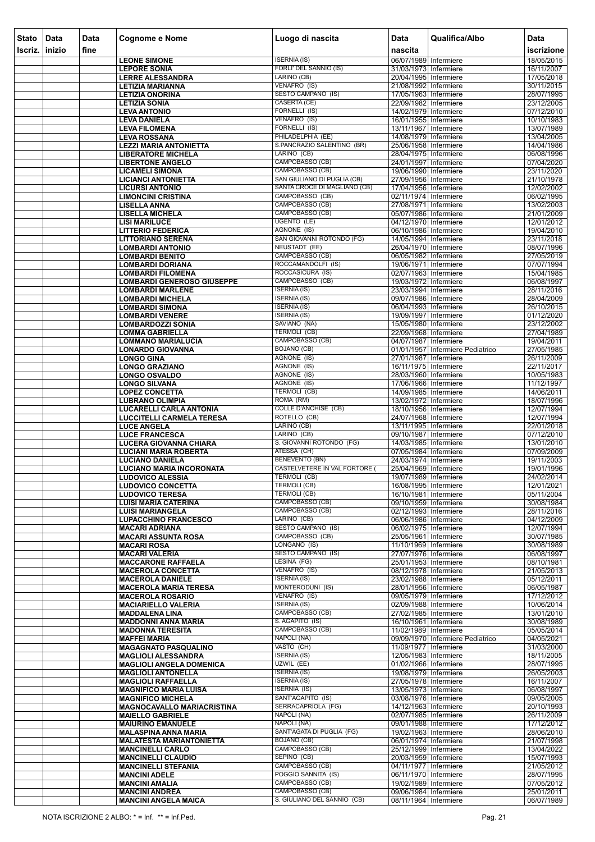| <b>Stato</b> | Data   | <b>Data</b> | <b>Cognome e Nome</b>                                      | Luogo di nascita                               | <b>Data</b>                                    | Qualifica/Albo                   | Data                     |
|--------------|--------|-------------|------------------------------------------------------------|------------------------------------------------|------------------------------------------------|----------------------------------|--------------------------|
| Iscriz.      | inizio | fine        |                                                            |                                                | nascita                                        |                                  | iscrizione               |
|              |        |             | <b>LEONE SIMONE</b>                                        | <b>ISERNIA (IS)</b>                            | 06/07/1989 Infermiere                          |                                  | 18/05/2015               |
|              |        |             | <b>LEPORE SONIA</b>                                        | FORLI' DEL SANNIO (IS)                         | 31/03/1973 Infermiere                          |                                  | 16/11/2007               |
|              |        |             | <b>LERRE ALESSANDRA</b>                                    | LARINO (CB)<br>VENAFRO (IS)                    | 20/04/1995 Infermiere                          |                                  | 17/05/2018               |
|              |        |             | <b>LETIZIA MARIANNA</b><br><b>LETIZIA ONORINA</b>          | <b>SESTO CAMPANO (IS)</b>                      | 21/08/1992 Infermiere<br>17/05/1963 Infermiere |                                  | 30/11/2015<br>28/07/1995 |
|              |        |             | <b>LETIZIA SONIA</b>                                       | <b>CASERTA (CE)</b>                            | 22/09/1982 Infermiere                          |                                  | 23/12/2005               |
|              |        |             | <b>LEVA ANTONIO</b>                                        | FORNELLI (IS)                                  | 14/02/1979 Infermiere                          |                                  | 07/12/2010               |
|              |        |             | <b>LEVA DANIELA</b>                                        | VENAFRO (IS)<br>FORNELLI (IS)                  | 16/01/1955 Infermiere                          |                                  | 10/10/1983               |
|              |        |             | <b>LEVA FILOMENA</b><br><b>LEVA ROSSANA</b>                | PHILADELPHIA (EE)                              | 13/11/1967 Infermiere<br>14/08/1979 Infermiere |                                  | 13/07/1989<br>13/04/2005 |
|              |        |             | <b>LEZZI MARIA ANTONIETTA</b>                              | S.PANCRAZIO SALENTINO (BR)                     | 25/06/1958 Infermiere                          |                                  | 14/04/1986               |
|              |        |             | <b>LIBERATORE MICHELA</b>                                  | LARINO (CB)                                    | 28/04/1975 Infermiere                          |                                  | 06/08/1996               |
|              |        |             | <b>LIBERTONE ANGELO</b>                                    | CAMPOBASSO (CB)                                | 24/01/1997 Infermiere                          |                                  | 07/04/2020               |
|              |        |             | <b>LICAMELI SIMONA</b><br><b>LICIANCI ANTONIETTA</b>       | CAMPOBASSO (CB)<br>SAN GIULIANO DI PUGLIA (CB) | 19/06/1990 Infermiere<br>27/09/1956 Infermiere |                                  | 23/11/2020<br>21/10/1978 |
|              |        |             | <b>LICURSI ANTONIO</b>                                     | SANTA CROCE DI MAGLIANO (CB)                   | 17/04/1956 Infermiere                          |                                  | 12/02/2002               |
|              |        |             | <b>LIMONCINI CRISTINA</b>                                  | CAMPOBASSO (CB)                                | 02/11/1974 Infermiere                          |                                  | 06/02/1995               |
|              |        |             | <b>LISELLA ANNA</b>                                        | CAMPOBASSO (CB)                                | 27/08/1971 Infermiere                          |                                  | 13/02/2003               |
|              |        |             | <b>LISELLA MICHELA</b><br><b>LISI MARILUCE</b>             | CAMPOBASSO (CB)<br>UGENTO (LE)                 | 05/07/1986 Infermiere<br>04/12/1970 Infermiere |                                  | 21/01/2009<br>12/01/2012 |
|              |        |             | <b>LITTERIO FEDERICA</b>                                   | AGNONE (IS)                                    | 06/10/1986 Infermiere                          |                                  | 19/04/2010               |
|              |        |             | <b>LITTORIANO SERENA</b>                                   | SAN GIOVANNI ROTONDO (FG)                      | 14/05/1994 Infermiere                          |                                  | 23/11/2018               |
|              |        |             | <b>LOMBARDI ANTONIO</b>                                    | <b>NEUSTADT (EE)</b>                           | 26/04/1970 Infermiere                          |                                  | 08/07/1996               |
|              |        |             | <b>LOMBARDI BENITO</b>                                     | CAMPOBASSO (CB)<br>ROCCAMANDOLFI (IS)          | 06/05/1982 Infermiere                          |                                  | 27/05/2019               |
|              |        |             | <b>LOMBARDI DORIANA</b><br><b>LOMBARDI FILOMENA</b>        | ROCCASICURA (IS)                               | 19/06/1971 Infermiere<br>02/07/1963 Infermiere |                                  | 07/07/1994<br>15/04/1985 |
|              |        |             | <b>LOMBARDI GENEROSO GIUSEPPE</b>                          | CAMPOBASSO (CB)                                | 19/03/1972 Infermiere                          |                                  | 06/08/1997               |
|              |        |             | <b>LOMBARDI MARLENE</b>                                    | <b>ISERNIA (IS)</b>                            | 23/03/1994 Infermiere                          |                                  | 28/11/2016               |
|              |        |             | <b>LOMBARDI MICHELA</b>                                    | <b>ISERNIA (IS)</b><br><b>ISERNIA (IS)</b>     | 09/07/1986 Infermiere<br>06/04/1993 Infermiere |                                  | 28/04/2009               |
|              |        |             | <b>LOMBARDI SIMONA</b><br><b>LOMBARDI VENERE</b>           | <b>ISERNIA (IS)</b>                            | 19/09/1997 Infermiere                          |                                  | 26/10/2015<br>01/12/2020 |
|              |        |             | <b>LOMBARDOZZI SONIA</b>                                   | SAVIANO (NA)                                   | 15/05/1980 Infermiere                          |                                  | 23/12/2002               |
|              |        |             | <b>LOMMA GABRIELLA</b>                                     | TERMOLI (CB)                                   | 22/09/1968 Infermiere                          |                                  | 27/04/1989               |
|              |        |             | <b>LOMMANO MARIALUCIA</b>                                  | CAMPOBASSO (CB)<br><b>BOJANO</b> (CB)          | 04/07/1987 Infermiere                          |                                  | 19/04/2011               |
|              |        |             | <b>LONARDO GIOVANNA</b><br><b>LONGO GINA</b>               | AGNONE (IS)                                    | 27/01/1987 Infermiere                          | 01/01/1957 Infermiere Pediatrico | 27/05/1985<br>26/11/2009 |
|              |        |             | <b>LONGO GRAZIANO</b>                                      | AGNONE (IS)                                    | 16/11/1975 Infermiere                          |                                  | 22/11/2017               |
|              |        |             | <b>LONGO OSVALDO</b>                                       | <b>AGNONE (IS)</b>                             | 28/03/1960 Infermiere                          |                                  | 10/05/1983               |
|              |        |             | <b>LONGO SILVANA</b><br><b>LOPEZ CONCETTA</b>              | AGNONE (IS)<br>TERMOLI (CB)                    | 17/06/1966 Infermiere                          |                                  | 11/12/1997               |
|              |        |             | <b>LUBRANO OLIMPIA</b>                                     | ROMA (RM)                                      | 14/09/1985 Infermiere<br>13/02/1972 Infermiere |                                  | 14/06/2011<br>18/07/1996 |
|              |        |             | <b>LUCARELLI CARLA ANTONIA</b>                             | <b>COLLE D'ANCHISE</b> (CB)                    | 18/10/1956 Infermiere                          |                                  | 12/07/1994               |
|              |        |             | <b>LUCCITELLI CARMELA TERESA</b>                           | ROTELLO (CB)                                   | 24/07/1968 Infermiere                          |                                  | 12/07/1994               |
|              |        |             | <b>LUCE ANGELA</b>                                         | LARINO (CB)<br>LARINO (CB)                     | 13/11/1995 Infermiere<br>09/10/1987 Infermiere |                                  | 22/01/2018<br>07/12/2010 |
|              |        |             | <b>LUCE FRANCESCA</b><br>LUCERA GIOVANNA CHIARA            | S. GIOVANNI ROTONDO (FG)                       | 14/03/1985 Infermiere                          |                                  | 13/01/2010               |
|              |        |             | <b>LUCIANI MARIA ROBERTA</b>                               | ATESSA (CH)                                    | 07/05/1984 Infermiere                          |                                  | 07/09/2009               |
|              |        |             | <b>LUCIANO DANIELA</b>                                     | <b>BENEVENTO (BN)</b>                          | 24/03/1974 Infermiere                          |                                  | 19/11/2003               |
|              |        |             | <b>LUCIANO MARIA INCORONATA</b><br><b>LUDOVICO ALESSIA</b> | CASTELVETERE IN VAL FORTORE (<br>TERMOLI (CB)  | 25/04/1969 Infermiere<br>19/07/1989 Infermiere |                                  | 19/01/1996<br>24/02/2014 |
|              |        |             | <b>LUDOVICO CONCETTA</b>                                   | TERMOLI (CB)                                   | 16/08/1995 Infermiere                          |                                  | 12/01/2021               |
|              |        |             | <b>LUDOVICO TERESA</b>                                     | <b>TERMOLI (CB)</b>                            | 16/10/1981 Infermiere                          |                                  | 05/11/2004               |
|              |        |             | <b>LUISI MARIA CATERINA</b>                                | CAMPOBASSO (CB)<br>CAMPOBASSO (CB)             | 09/10/1959 Infermiere<br>02/12/1993 Infermiere |                                  | 30/08/1984<br>28/11/2016 |
|              |        |             | <b>LUISI MARIANGELA</b><br><b>LUPACCHINO FRANCESCO</b>     | LARINO (CB)                                    | 06/06/1986 Infermiere                          |                                  | 04/12/2009               |
|              |        |             | <b>MACARI ADRIANA</b>                                      | <b>SESTO CAMPANO (IS)</b>                      | 06/02/1975 Infermiere                          |                                  | 12/07/1994               |
|              |        |             | <b>MACARI ASSUNTA ROSA</b>                                 | CAMPOBASSO (CB)                                | 25/05/1961 Infermiere                          |                                  | 30/07/1985               |
|              |        |             | <b>MACARI ROSA</b><br><b>MACARI VALERIA</b>                | LONGANO (IS)<br><b>SESTO CAMPANO (IS)</b>      | 11/10/1969 Infermiere<br>27/07/1976 Infermiere |                                  | 30/08/1989<br>06/08/1997 |
|              |        |             | <b>MACCARONE RAFFAELA</b>                                  | LESINA (FG)                                    | 25/01/1953 Infermiere                          |                                  | 08/10/1981               |
|              |        |             | <b>MACEROLA CONCETTA</b>                                   | VENAFRO (IS)                                   | 08/12/1978 Infermiere                          |                                  | 21/05/2013               |
|              |        |             | <b>MACEROLA DANIELE</b>                                    | <b>ISERNIA (IS)</b>                            | 23/02/1988 Infermiere                          |                                  | 05/12/2011               |
|              |        |             | <b>MACEROLA MARIA TERESA</b><br><b>MACEROLA ROSARIO</b>    | MONTERODUNI (IS)<br>VENAFRO (IS)               | 28/01/1956 Infermiere<br>09/05/1979 Infermiere |                                  | 06/05/1987<br>17/12/2012 |
|              |        |             | <b>MACIARIELLO VALERIA</b>                                 | <b>ISERNIA (IS)</b>                            | 02/09/1988 Infermiere                          |                                  | 10/06/2014               |
|              |        |             | <b>MADDALENA LINA</b>                                      | CAMPOBASSO (CB)                                | 27/02/1985 Infermiere                          |                                  | 13/01/2010               |
|              |        |             | <b>MADDONNI ANNA MARIA</b>                                 | S. AGAPITO (IS)                                | 16/10/1961 Infermiere                          |                                  | 30/08/1989               |
|              |        |             | <b>MADONNA TERESITA</b><br><b>MAFFEI MARIA</b>             | CAMPOBASSO (CB)<br>NAPOLI (NA)                 | 11/02/1989 Infermiere                          | 09/09/1970 Infermiere Pediatrico | 05/05/2014<br>04/05/2021 |
|              |        |             | <b>MAGAGNATO PASQUALINO</b>                                | VASTO (CH)                                     | 11/09/1977   Infermiere                        |                                  | 31/03/2000               |
|              |        |             | <b>MAGLIOLI ALESSANDRA</b>                                 | <b>ISERNIA (IS)</b>                            | 12/05/1983 Infermiere                          |                                  | 18/11/2005               |
|              |        |             | <b>MAGLIOLI ANGELA DOMENICA</b>                            | UZWIL (EE)<br><b>ISERNIA (IS)</b>              | 01/02/1966 Infermiere                          |                                  | 28/07/1995               |
|              |        |             | <b>MAGLIOLI ANTONELLA</b><br><b>MAGLIOLI RAFFAELLA</b>     | <b>ISERNIA (IS)</b>                            | 19/08/1979 Infermiere<br>27/05/1978 Infermiere |                                  | 26/05/2003<br>16/11/2007 |
|              |        |             | <b>MAGNIFICO MARIA LUISA</b>                               | <b>ISERNIA (IS)</b>                            | 13/05/1973 Infermiere                          |                                  | 06/08/1997               |
|              |        |             | <b>MAGNIFICO MICHELA</b>                                   | SANT'AGAPITO (IS)                              | 03/08/1976 Infermiere                          |                                  | 09/05/2005               |
|              |        |             | <b>MAGNOCAVALLO MARIACRISTINA</b>                          | SERRACAPRIOLA (FG)                             | 14/12/1963 Infermiere                          |                                  | 20/10/1993               |
|              |        |             | <b>MAIELLO GABRIELE</b><br><b>MAIURINO EMANUELE</b>        | NAPOLI (NA)<br>NAPOLI (NA)                     | 02/07/1985 Infermiere<br>09/01/1988 Infermiere |                                  | 26/11/2009<br>17/12/2012 |
|              |        |             | <b>MALASPINA ANNA MARIA</b>                                | SANT'AGATA DI PUGLIA (FG)                      | 19/02/1963 Infermiere                          |                                  | 28/06/2010               |
|              |        |             | <b>MALATESTA MARIANTONIETTA</b>                            | <b>BOJANO (CB)</b>                             | 06/01/1974 Infermiere                          |                                  | 21/07/1998               |
|              |        |             | <b>MANCINELLI CARLO</b>                                    | CAMPOBASSO (CB)<br>SEPINO (CB)                 | 25/12/1999 Infermiere<br>20/03/1959 Infermiere |                                  | 13/04/2022<br>15/07/1993 |
|              |        |             | <b>MANCINELLI CLAUDIO</b><br><b>MANCINELLI STEFANIA</b>    | CAMPOBASSO (CB)                                | 04/11/1977   Infermiere                        |                                  | 21/05/2012               |
|              |        |             | <b>MANCINI ADELE</b>                                       | POGGIO SANNITA (IS)                            | 06/11/1970 Infermiere                          |                                  | 28/07/1995               |
|              |        |             | <b>MANCINI AMALIA</b>                                      | CAMPOBASSO (CB)                                | 19/02/1989 Infermiere                          |                                  | 07/05/2012               |
|              |        |             | <b>MANCINI ANDREA</b><br><b>MANCINI ANGELA MAICA</b>       | CAMPOBASSO (CB)<br>S. GIULIANO DEL SANNIO (CB) | 09/06/1984 Infermiere<br>08/11/1964 Infermiere |                                  | 25/01/2011<br>06/07/1989 |
|              |        |             |                                                            |                                                |                                                |                                  |                          |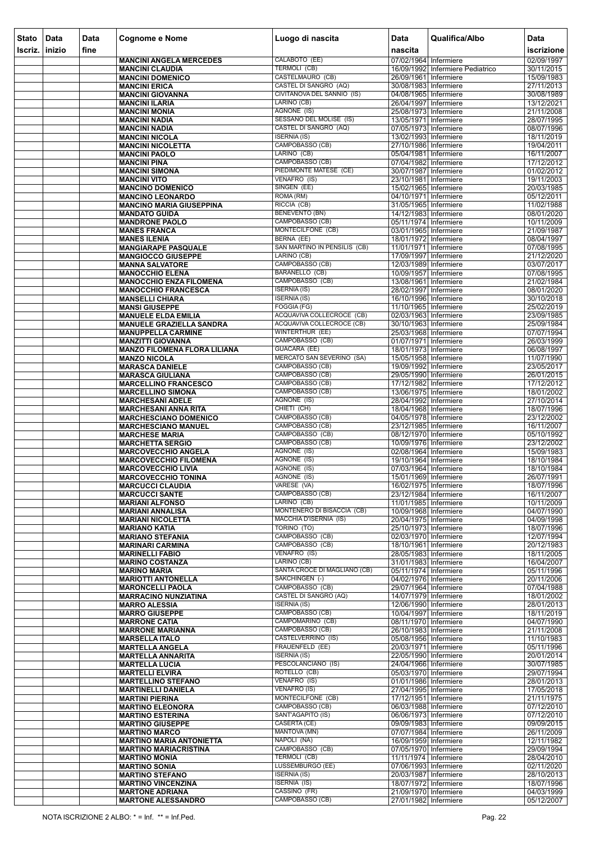| <b>Stato</b> | Data   | <b>Data</b> | <b>Cognome e Nome</b>                                           | Luogo di nascita                                | <b>Data</b>                                    | Qualifica/Albo                   | <b>Data</b>              |
|--------------|--------|-------------|-----------------------------------------------------------------|-------------------------------------------------|------------------------------------------------|----------------------------------|--------------------------|
| Iscriz.      | inizio | fine        |                                                                 |                                                 | nascita                                        |                                  | iscrizione               |
|              |        |             | <b>MANCINI ANGELA MERCEDES</b>                                  | CALABOTO (EE)                                   | 07/02/1964 Infermiere                          |                                  | 02/09/1997               |
|              |        |             | <b>MANCINI CLAUDIA</b>                                          | <b>TERMOLI (CB)</b><br>CASTELMAURO (CB)         |                                                | 16/09/1992 Infermiere Pediatrico | 30/11/2015               |
|              |        |             | <b>MANCINI DOMENICO</b><br><b>MANCINI ERICA</b>                 | CASTEL DI SANGRO (AQ)                           | 26/09/1961 Infermiere<br>30/08/1983 Infermiere |                                  | 15/09/1983<br>27/11/2013 |
|              |        |             | <b>MANCINI GIOVANNA</b>                                         | CIVITANOVA DEL SANNIO (IS)                      | 04/08/1965 Infermiere                          |                                  | 30/08/1989               |
|              |        |             | <b>MANCINI ILARIA</b>                                           | LARINO (CB)                                     | 26/04/1997 Infermiere                          |                                  | 13/12/2021               |
|              |        |             | <b>MANCINI MONIA</b><br><b>MANCINI NADIA</b>                    | AGNONE (IS)<br>SESSANO DEL MOLISE (IS)          | 25/08/1973 Infermiere<br>13/05/1971 Infermiere |                                  | 21/11/2008<br>28/07/1995 |
|              |        |             | <b>MANCINI NADIA</b>                                            | CASTEL DI SANGRO (AQ)                           | 07/05/1973 Infermiere                          |                                  | 08/07/1996               |
|              |        |             | <b>MANCINI NICOLA</b>                                           | <b>ISERNIA (IS)</b>                             | 13/02/1993 Infermiere                          |                                  | 18/11/2019               |
|              |        |             | <b>MANCINI NICOLETTA</b>                                        | CAMPOBASSO (CB)<br>LARINO (CB)                  | 27/10/1986 Infermiere                          |                                  | 19/04/2011               |
|              |        |             | <b>MANCINI PAOLO</b><br><b>MANCINI PINA</b>                     | CAMPOBASSO (CB)                                 | 05/04/1981 Infermiere<br>07/04/1982 Infermiere |                                  | 16/11/2007<br>17/12/2012 |
|              |        |             | <b>MANCINI SIMONA</b>                                           | PIEDIMONTE MATESE (CE)                          | 30/07/1987 Infermiere                          |                                  | 01/02/2012               |
|              |        |             | <b>MANCINI VITO</b>                                             | VENAFRO (IS)                                    | 23/10/1981 Infermiere                          |                                  | 19/11/2003               |
|              |        |             | <b>MANCINO DOMENICO</b><br><b>MANCINO LEONARDO</b>              | SINGEN (EE)<br>ROMA (RM)                        | 15/02/1965 Infermiere<br>04/10/1971 Infermiere |                                  | 20/03/1985<br>05/12/2011 |
|              |        |             | <b>MANCINO MARIA GIUSEPPINA</b>                                 | RICCIA (CB)                                     | 31/05/1965 Infermiere                          |                                  | 11/02/1988               |
|              |        |             | <b>MANDATO GUIDA</b>                                            | <b>BENEVENTO (BN)</b>                           | 14/12/1983 Infermiere                          |                                  | 08/01/2020               |
|              |        |             | <b>MANDRONE PAOLO</b>                                           | CAMPOBASSO (CB)<br>MONTECILFONE (CB)            | 05/11/1974 Infermiere                          |                                  | 10/11/2009               |
|              |        |             | <b>MANES FRANCA</b><br><b>MANES ILENIA</b>                      | <b>BERNA (EE)</b>                               | 03/01/1965 Infermiere<br>18/01/1972 Infermiere |                                  | 21/09/1987<br>08/04/1997 |
|              |        |             | <b>MANGIARAPE PASQUALE</b>                                      | SAN MARTINO IN PENSILIS (CB)                    | 11/01/1971 Infermiere                          |                                  | 07/08/1995               |
|              |        |             | <b>MANGIOCCO GIUSEPPE</b>                                       | LARINO (CB)                                     | 17/09/1997 Infermiere                          |                                  | 21/12/2020               |
|              |        |             | <b>MANNA SALVATORE</b><br><b>MANOCCHIO ELENA</b>                | CAMPOBASSO (CB)<br><b>BARANELLO (CB)</b>        | 12/03/1989 Infermiere<br>10/09/1957 Infermiere |                                  | 03/07/2017<br>07/08/1995 |
|              |        |             | <b>MANOCCHIO ENZA FILOMENA</b>                                  | CAMPOBASSO (CB)                                 | 13/08/1961 Infermiere                          |                                  | 21/02/1984               |
|              |        |             | <b>MANOCCHIO FRANCESCA</b>                                      | <b>ISERNIA (IS)</b>                             | 28/02/1997 Infermiere                          |                                  | 08/01/2020               |
|              |        |             | <b>MANSELLI CHIARA</b>                                          | <b>ISERNIA (IS)</b><br>FOGGIA (FG)              | 16/10/1996 Infermiere                          |                                  | 30/10/2018               |
|              |        |             | <b>MANSI GIUSEPPE</b><br><b>MANUELE ELDA EMILIA</b>             | ACQUAVIVA COLLECROCE (CB)                       | 11/10/1965 Infermiere<br>02/03/1963 Infermiere |                                  | 25/02/2019<br>23/09/1985 |
|              |        |             | <b>MANUELE GRAZIELLA SANDRA</b>                                 | ACQUAVIVA COLLECROCE (CB)                       | 30/10/1963 Infermiere                          |                                  | 25/09/1984               |
|              |        |             | <b>MANUPPELLA CARMINE</b>                                       | WINTERTHUR (EE)                                 | 25/03/1968 Infermiere                          |                                  | 07/07/1994               |
|              |        |             | <b>MANZITTI GIOVANNA</b><br><b>MANZO FILOMENA FLORA LILIANA</b> | CAMPOBASSO (CB)<br>GUACARA (EE)                 | 01/07/1971 Infermiere<br>18/01/1973 Infermiere |                                  | 26/03/1999<br>06/08/1997 |
|              |        |             | <b>MANZO NICOLA</b>                                             | <b>MERCATO SAN SEVERINO (SA)</b>                | 15/05/1958 Infermiere                          |                                  | 11/07/1990               |
|              |        |             | <b>MARASCA DANIELE</b>                                          | CAMPOBASSO (CB)                                 | 19/09/1992 Infermiere                          |                                  | 23/05/2017               |
|              |        |             | <b>MARASCA GIULIANA</b>                                         | CAMPOBASSO (CB)<br>CAMPOBASSO (CB)              | 29/05/1990 Infermiere<br>17/12/1982 Infermiere |                                  | 26/01/2015<br>17/12/2012 |
|              |        |             | <b>MARCELLINO FRANCESCO</b><br><b>MARCELLINO SIMONA</b>         | CAMPOBASSO (CB)                                 | 13/06/1975 Infermiere                          |                                  | 18/01/2002               |
|              |        |             | <b>MARCHESANI ADELE</b>                                         | AGNONE (IS)                                     | 28/04/1992 Infermiere                          |                                  | 27/10/2014               |
|              |        |             | <b>MARCHESANI ANNA RITA</b>                                     | CHIETI (CH)                                     | 18/04/1968 Infermiere                          |                                  | 18/07/1996               |
|              |        |             | <b>MARCHESCIANO DOMENICO</b><br><b>MARCHESCIANO MANUEL</b>      | CAMPOBASSO (CB)<br>CAMPOBASSO (CB)              | 04/05/1978 Infermiere<br>23/12/1985 Infermiere |                                  | 23/12/2002<br>16/11/2007 |
|              |        |             | <b>MARCHESE MARIA</b>                                           | CAMPOBASSO (CB)                                 | 08/12/1970 Infermiere                          |                                  | 05/10/1992               |
|              |        |             | <b>MARCHETTA SERGIO</b>                                         | CAMPOBASSO (CB)                                 | 10/09/1976 Infermiere                          |                                  | 23/12/2002               |
|              |        |             | <b>MARCOVECCHIO ANGELA</b><br><b>MARCOVECCHIO FILOMENA</b>      | AGNONE (IS)<br>AGNONE (IS)                      | 02/08/1964 Infermiere<br>19/10/1964 Infermiere |                                  | 15/09/1983<br>18/10/1984 |
|              |        |             | <b>MARCOVECCHIO LIVIA</b>                                       | AGNONE (IS)                                     | 07/03/1964 Infermiere                          |                                  | 18/10/1984               |
|              |        |             | <b>MARCOVECCHIO TONINA</b>                                      | AGNONE (IS)                                     | 15/01/1969 Infermiere                          |                                  | 26/07/1991               |
|              |        |             | <b>MARCUCCI CLAUDIA</b><br><b>MARCUCCI SANTE</b>                | VARESE (VA)<br>CAMPOBASSO (CB)                  | 16/02/1975 Infermiere<br>23/12/1984 Infermiere |                                  | 18/07/1996<br>16/11/2007 |
|              |        |             | <b>MARIANI ALFONSO</b>                                          | LARINO (CB)                                     | 11/01/1985 Infermiere                          |                                  | 10/11/2009               |
|              |        |             | <b>MARIANI ANNALISA</b>                                         | MONTENERO DI BISACCIA (CB)                      | 10/09/1968 Infermiere                          |                                  | 04/07/1990               |
|              |        |             | <b>MARIANI NICOLETTA</b><br><b>MARIANO KATIA</b>                | <b>MACCHIA D'ISERNIA (IS)</b><br>TORINO (TO)    | 20/04/1975 Infermiere<br>25/10/1973 Infermiere |                                  | 04/09/1998<br>18/07/1996 |
|              |        |             | <b>MARIANO STEFANIA</b>                                         | CAMPOBASSO (CB)                                 | 02/03/1970 Infermiere                          |                                  | 12/07/1994               |
|              |        |             | <b>MARINARI CARMINA</b>                                         | CAMPOBASSO (CB)                                 | 18/10/1961 Infermiere                          |                                  | 20/12/1983               |
|              |        |             | <b>MARINELLI FABIO</b>                                          | VENAFRO (IS)<br>LARINO (CB)                     | 28/05/1983 Infermiere                          |                                  | 18/11/2005               |
|              |        |             | <b>MARINO COSTANZA</b><br><b>MARINO MARIA</b>                   | SANTA CROCE DI MAGLIANO (CB)                    | 31/01/1983 Infermiere<br>05/11/1974 Infermiere |                                  | 16/04/2007<br>05/11/1996 |
|              |        |             | <b>MARIOTTI ANTONELLA</b>                                       | SAKCHINGEN (-)                                  | 04/02/1976 Infermiere                          |                                  | 20/11/2006               |
|              |        |             | <b>MARONCELLI PAOLA</b>                                         | CAMPOBASSO (CB)<br><b>CASTEL DI SANGRO (AQ)</b> | 29/07/1964 Infermiere                          |                                  | 07/04/1988               |
|              |        |             | <b>MARRACINO NUNZIATINA</b><br><b>MARRO ALESSIA</b>             | <b>ISERNIA (IS)</b>                             | 14/07/1979 Infermiere<br>12/06/1990 Infermiere |                                  | 18/01/2002<br>28/01/2013 |
|              |        |             | <b>MARRO GIUSEPPE</b>                                           | CAMPOBASSO (CB)                                 | 10/04/1997 Infermiere                          |                                  | 18/11/2019               |
|              |        |             | <b>MARRONE CATIA</b>                                            | CAMPOMARINO (CB)                                | 08/11/1970 Infermiere                          |                                  | 04/07/1990               |
|              |        |             | <b>MARRONE MARIANNA</b><br><b>MARSELLA ITALO</b>                | CAMPOBASSO (CB)<br>CASTELVERRINO (IS)           | 26/10/1983 Infermiere<br>05/08/1956 Infermiere |                                  | 21/11/2008<br>11/10/1983 |
|              |        |             | <b>MARTELLA ANGELA</b>                                          | <b>FRAUENFELD (EE)</b>                          | 20/03/1971 Infermiere                          |                                  | 05/11/1996               |
|              |        |             | <b>MARTELLA ANNARITA</b>                                        | <b>ISERNIA (IS)</b>                             | 22/05/1990 Infermiere                          |                                  | 20/01/2014               |
|              |        |             | <b>MARTELLA LUCIA</b>                                           | PESCOLANCIANO (IS)<br>ROTELLO (CB)              | 24/04/1966 Infermiere<br>05/03/1970 Infermiere |                                  | 30/07/1985<br>29/07/1994 |
|              |        |             | <b>MARTELLI ELVIRA</b><br><b>MARTELLINO STEFANO</b>             | VENAFRO (IS)                                    | 01/01/1986 Infermiere                          |                                  | 28/01/2013               |
|              |        |             | <b>MARTINELLI DANIELA</b>                                       | <b>VENAFRO (IS)</b>                             | 27/04/1995 Infermiere                          |                                  | 17/05/2018               |
|              |        |             | <b>MARTINI PIERINA</b>                                          | MONTECILFONE (CB)<br>CAMPOBASSO (CB)            | 17/12/1951 Infermiere                          |                                  | 21/11/1975               |
|              |        |             | <b>MARTINO ELEONORA</b><br><b>MARTINO ESTERINA</b>              | SANT'AGAPITO (IS)                               | 06/03/1988 Infermiere<br>06/06/1973 Infermiere |                                  | 07/12/2010<br>07/12/2010 |
|              |        |             | <b>MARTINO GIUSEPPE</b>                                         | CASERTA (CE)                                    | 09/09/1983 Infermiere                          |                                  | 09/09/2015               |
|              |        |             | <b>MARTINO MARCO</b>                                            | MANTOVA (MN)                                    | 07/07/1984 Infermiere                          |                                  | 26/11/2009               |
|              |        |             | <b>MARTINO MARIA ANTONIETTA</b><br><b>MARTINO MARIACRISTINA</b> | NAPOLI (NA)<br>CAMPOBASSO (CB)                  | 16/09/1959 Infermiere<br>07/05/1970 Infermiere |                                  | 12/11/1982<br>29/09/1994 |
|              |        |             | <b>MARTINO MONIA</b>                                            | <b>TERMOLI (CB)</b>                             | 11/11/1974   Infermiere                        |                                  | 28/04/2010               |
|              |        |             | <b>MARTINO SONIA</b>                                            | <b>LUSSEMBURGO (EE)</b>                         | 07/06/1993 Infermiere                          |                                  | 02/11/2020               |
|              |        |             | <b>MARTINO STEFANO</b>                                          | <b>ISERNIA (IS)</b><br><b>ISERNIA (IS)</b>      | 20/03/1987 Infermiere<br>18/07/1972 Infermiere |                                  | 28/10/2013<br>18/07/1996 |
|              |        |             | <b>MARTINO VINCENZINA</b><br><b>MARTONE ADRIANA</b>             | CASSINO (FR)                                    | 21/09/1970 Infermiere                          |                                  | 04/03/1999               |
|              |        |             | <b>MARTONE ALESSANDRO</b>                                       | CAMPOBASSO (CB)                                 | 27/01/1982 Infermiere                          |                                  | 05/12/2007               |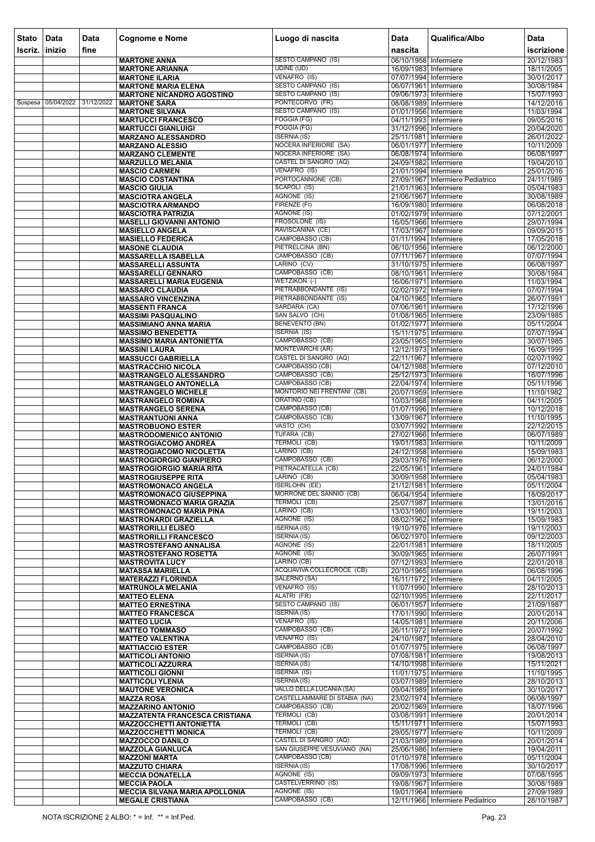| <b>Stato</b> | Data       | Data       | <b>Cognome e Nome</b>                                             | Luogo di nascita                                             | <b>Data</b>                                    | Qualifica/Albo                   | Data                     |
|--------------|------------|------------|-------------------------------------------------------------------|--------------------------------------------------------------|------------------------------------------------|----------------------------------|--------------------------|
| Iscriz.      | l inizio   | fine       |                                                                   |                                                              | nascita                                        |                                  | iscrizione               |
|              |            |            | <b>MARTONE ANNA</b><br><b>MARTONE ARIANNA</b>                     | SESTO CAMPANO (IS)<br><b>UDINE (UD)</b>                      | 06/10/1958 Infermiere<br>16/09/1983 Infermiere |                                  | 20/12/1983<br>18/11/2005 |
|              |            |            | <b>MARTONE ILARIA</b>                                             | VENAFRO (IS)                                                 | 07/07/1994 Infermiere                          |                                  | 30/01/2017               |
|              |            |            | <b>MARTONE MARIA ELENA</b>                                        | <b>SESTO CAMPANO (IS)</b>                                    | 06/07/1961 Infermiere                          |                                  | 30/08/1984               |
|              |            |            | <b>MARTONE NICANDRO AGOSTINO</b>                                  | <b>SESTO CAMPANO (IS)</b>                                    | 09/06/1973 Infermiere                          |                                  | 15/07/1993               |
| Sospesa      | 05/04/2022 | 31/12/2022 | <b>MARTONE SARA</b>                                               | PONTECORVO (FR)<br>SESTO CAMPANO (IS)                        | 08/08/1989 Infermiere<br>01/01/1956 Infermiere |                                  | 14/12/2016<br>11/03/1994 |
|              |            |            | <b>MARTONE SILVANA</b><br><b>MARTUCCI FRANCESCO</b>               | FOGGIA (FG)                                                  | 04/11/1993 Infermiere                          |                                  | 09/05/2016               |
|              |            |            | <b>MARTUCCI GIANLUIGI</b>                                         | FOGGIA (FG)                                                  | 31/12/1996 Infermiere                          |                                  | 20/04/2020               |
|              |            |            | <b>MARZANO ALESSANDRO</b>                                         | <b>ISERNIA (IS)</b>                                          | 25/11/1981   Infermiere                        |                                  | 26/01/2022               |
|              |            |            | <b>MARZANO ALESSIO</b><br><b>MARZANO CLEMENTE</b>                 | <b>NOCERA INFERIORE (SA)</b><br><b>NOCERA INFERIORE (SA)</b> | 06/01/1977 Infermiere<br>06/08/1974 Infermiere |                                  | 10/11/2009<br>06/08/1997 |
|              |            |            | <b>MARZULLO MELANIA</b>                                           | CASTEL DI SANGRO (AQ)                                        | 24/09/1982 Infermiere                          |                                  | 19/04/2010               |
|              |            |            | <b>MASCIO CARMEN</b>                                              | VENAFRO (IS)                                                 | 21/01/1994 Infermiere                          |                                  | 25/01/2016               |
|              |            |            | <b>MASCIO COSTANTINA</b>                                          | PORTOCANNONE (CB)                                            |                                                | 27/09/1967 Infermiere Pediatrico | 24/11/1989               |
|              |            |            | <b>MASCIO GIULIA</b><br><b>MASCIOTRA ANGELA</b>                   | SCAPOLI (IS)<br>AGNONE (IS)                                  | 21/01/1963 Infermiere<br>21/06/1967 Infermiere |                                  | 05/04/1983<br>30/08/1989 |
|              |            |            | <b>MASCIOTRA ARMANDO</b>                                          | FIRENZE (FI)                                                 | 16/09/1980 Infermiere                          |                                  | 06/08/2018               |
|              |            |            | <b>MASCIOTRA PATRIZIA</b>                                         | <b>AGNONE (IS)</b>                                           | 01/02/1979 Infermiere                          |                                  | 07/12/2001               |
|              |            |            | <b>MASELLI GIOVANNI ANTONIO</b>                                   | FROSOLONE (IS)<br>RAVISCANINA (CE)                           | 16/05/1966 Infermiere                          |                                  | 29/07/1994               |
|              |            |            | <b>MASIELLO ANGELA</b><br><b>MASIELLO FEDERICA</b>                | CAMPOBASSO (CB)                                              | 17/03/1967 Infermiere<br>01/11/1994 Infermiere |                                  | 09/09/2015<br>17/05/2018 |
|              |            |            | <b>MASONE CLAUDIA</b>                                             | PIETRELCINA (BN)                                             | 06/10/1956 Infermiere                          |                                  | 06/12/2000               |
|              |            |            | <b>MASSARELLA ISABELLA</b>                                        | CAMPOBASSO (CB)                                              | 07/11/1967 Infermiere                          |                                  | 07/07/1994               |
|              |            |            | <b>MASSARELLI ASSUNTA</b>                                         | LARINO (CV)<br>CAMPOBASSO (CB)                               | 31/10/1975 Infermiere<br>08/10/1961 Infermiere |                                  | 06/08/1997               |
|              |            |            | <b>MASSARELLI GENNARO</b><br><b>MASSARELLI MARIA EUGENIA</b>      | WETZIKON (-)                                                 | 16/06/1971 Infermiere                          |                                  | 30/08/1984<br>11/03/1994 |
|              |            |            | <b>MASSARO CLAUDIA</b>                                            | PIETRABBONDANTE (IS)                                         | 02/02/1972 Infermiere                          |                                  | 07/07/1994               |
|              |            |            | <b>MASSARO VINCENZINA</b>                                         | PIETRABBONDANTE (IS)                                         | 04/10/1965 Infermiere                          |                                  | 26/07/1991               |
|              |            |            | <b>MASSENTI FRANCA</b><br><b>MASSIMI PASQUALINO</b>               | SARDARA (CA)<br>SAN SALVO (CH)                               | 07/06/1961 Infermiere<br>01/08/1965 Infermiere |                                  | 17/12/1996<br>23/09/1985 |
|              |            |            | <b>MASSIMIANO ANNA MARIA</b>                                      | <b>BENEVENTO (BN)</b>                                        | 01/02/1977 Infermiere                          |                                  | 05/11/2004               |
|              |            |            | <b>MASSIMO BENEDETTA</b>                                          | <b>ISERNIA (IS)</b>                                          | 15/11/1975 Infermiere                          |                                  | 07/07/1994               |
|              |            |            | <b>MASSIMO MARIA ANTONIETTA</b>                                   | CAMPOBASSO (CB)                                              | 23/05/1965 Infermiere                          |                                  | 30/07/1985               |
|              |            |            | <b>MASSINI LAURA</b><br><b>MASSUCCI GABRIELLA</b>                 | MONTEVARCHI (AR)<br>CASTEL DI SANGRO (AQ)                    | 12/12/1973 Infermiere<br>22/11/1967 Infermiere |                                  | 16/09/1999<br>02/07/1992 |
|              |            |            | <b>MASTRACCHIO NICOLA</b>                                         | CAMPOBASSO (CB)                                              | 04/12/1988 Infermiere                          |                                  | 07/12/2010               |
|              |            |            | <b>MASTRANGELO ALESSANDRO</b>                                     | CAMPOBASSO (CB)                                              | 25/12/1973 Infermiere                          |                                  | 18/07/1996               |
|              |            |            | <b>MASTRANGELO ANTONELLA</b>                                      | CAMPOBASSO (CB)                                              | 22/04/1974 Infermiere                          |                                  | 05/11/1996               |
|              |            |            | <b>MASTRANGELO MICHELE</b><br><b>MASTRANGELO ROMINA</b>           | MONTORIO NEI FRENTANI (CB)<br>ORATINO (CB)                   | 20/07/1959 Infermiere<br>10/03/1968 Infermiere |                                  | 11/10/1982<br>04/11/2005 |
|              |            |            | <b>MASTRANGELO SERENA</b>                                         | CAMPOBASSO (CB)                                              | 01/07/1996 Infermiere                          |                                  | 10/12/2018               |
|              |            |            | <b>MASTRANTUONI ANNA</b>                                          | CAMPOBASSO (CB)                                              | 13/09/1967 Infermiere                          |                                  | 11/10/1995               |
|              |            |            | <b>MASTROBUONO ESTER</b><br><b>MASTRODOMENICO ANTONIO</b>         | VASTO (CH)<br>TUFARA (CB)                                    | 03/07/1992 Infermiere<br>27/02/1966 Infermiere |                                  | 22/12/2015<br>06/07/1989 |
|              |            |            | <b>MASTROGIACOMO ANDREA</b>                                       | TERMOLI (CB)                                                 | 19/01/1983 Infermiere                          |                                  | 10/11/2009               |
|              |            |            | <b>MASTROGIACOMO NICOLETTA</b>                                    | LARINO (CB)                                                  | 24/12/1958 Infermiere                          |                                  | 15/09/1983               |
|              |            |            | <b>MASTROGIORGIO GIANPIERO</b>                                    | CAMPOBASSO (CB)                                              | 29/03/1976 Infermiere                          |                                  | 06/12/2000               |
|              |            |            | <b>MASTROGIORGIO MARIA RITA</b><br><b>MASTROGIUSEPPE RITA</b>     | PIETRACATELLA (CB)<br>LARINO (CB)                            | 22/05/1961 Infermiere<br>30/09/1958 Infermiere |                                  | 24/01/1984<br>05/04/1983 |
|              |            |            | <b>MASTROMONACO ANGELA</b>                                        | ISERLOHN (EE)                                                | 21/12/1981 Infermiere                          |                                  | 05/11/2004               |
|              |            |            | <b>MASTROMONACO GIUSEPPINA</b>                                    | MORRONE DEL SANNIO (CB)                                      | 06/04/1954 Infermiere                          |                                  | 18/09/2017               |
|              |            |            | <b>MASTROMONACO MARIA GRAZIA</b>                                  | <b>TERMOLI (CB)</b><br>LARINO (CB)                           | 25/07/1987 Infermiere                          |                                  | 13/01/2016               |
|              |            |            | <b>MASTROMONACO MARIA PINA</b><br><b>MASTRONARDI GRAZIELLA</b>    | AGNONE (IS)                                                  | 13/03/1980 Infermiere<br>08/02/1962 Infermiere |                                  | 19/11/2003<br>15/09/1983 |
|              |            |            | <b>MASTRORILLI ELISEO</b>                                         | <b>ISERNIA (IS)</b>                                          | 19/10/1976 Infermiere                          |                                  | 19/11/2003               |
|              |            |            | <b>MASTRORILLI FRANCESCO</b>                                      | <b>ISERNIA (IS)</b>                                          | 06/02/1970 Infermiere                          |                                  | 09/12/2003               |
|              |            |            | <b>MASTROSTEFANO ANNALISA</b><br><b>MASTROSTEFANO ROSETTA</b>     | AGNONE (IS)<br>AGNONE (IS)                                   | 22/01/1981 Infermiere<br>30/09/1965 Infermiere |                                  | 18/11/2005<br>26/07/1991 |
|              |            |            | <b>MASTROVITA LUCY</b>                                            | LARINO (CB)                                                  | 07/12/1993 Infermiere                          |                                  | 22/01/2018               |
|              |            |            | <b>MATASSA MARIELLA</b>                                           | ACQUAVIVA COLLECROCE (CB)                                    | 20/10/1965 Infermiere                          |                                  | 06/08/1996               |
|              |            |            | <b>MATERAZZI FLORINDA</b>                                         | SALERNO (SA)                                                 | 16/11/1972 Infermiere                          |                                  | 04/11/2005               |
|              |            |            | <b>MATRUNOLA MELANIA</b><br><b>MATTEO ELENA</b>                   | VENAFRO (IS)<br>ALATRI (FR)                                  | 11/07/1990 Infermiere<br>02/10/1995 Infermiere |                                  | 28/10/2013<br>22/11/2017 |
|              |            |            | <b>MATTEO ERNESTINA</b>                                           | <b>SESTO CAMPANO (IS)</b>                                    | 06/01/1957 Infermiere                          |                                  | 21/09/1987               |
|              |            |            | <b>MATTEO FRANCESCA</b>                                           | <b>ISERNIA (IS)</b>                                          | 17/01/1990 Infermiere                          |                                  | 20/01/2014               |
|              |            |            | <b>MATTEO LUCIA</b><br><b>MATTEO TOMMASO</b>                      | VENAFRO (IS)<br>CAMPOBASSO (CB)                              | 14/05/1981 Infermiere<br>26/11/1972 Infermiere |                                  | 20/11/2006<br>20/07/1992 |
|              |            |            | <b>MATTEO VALENTINA</b>                                           | VENAFRO (IS)                                                 | 24/10/1987 Infermiere                          |                                  | 28/04/2010               |
|              |            |            | <b>MATTIACCIO ESTER</b>                                           | CAMPOBASSO (CB)                                              | 01/07/1975 Infermiere                          |                                  | 06/08/1997               |
|              |            |            | <b>MATTICOLI ANTONIO</b>                                          | <b>ISERNIA (IS)</b>                                          | 07/08/1981 Infermiere                          |                                  | 19/08/2013               |
|              |            |            | <b>MATTICOLI AZZURRA</b><br><b>MATTICOLI GIONNI</b>               | <b>ISERNIA (IS)</b><br><b>ISERNIA (IS)</b>                   | 14/10/1998 Infermiere<br>11/01/1975 Infermiere |                                  | 15/11/2021<br>11/10/1995 |
|              |            |            | <b>MATTICOLI YLENIA</b>                                           | <b>ISERNIA (IS)</b>                                          | 03/07/1989 Infermiere                          |                                  | 28/10/2013               |
|              |            |            | <b>MAUTONE VERONICA</b>                                           | <b>VALLO DELLA LUCANIA (SA)</b>                              | 09/04/1989 Infermiere                          |                                  | 30/10/2017               |
|              |            |            | <b>MAZZA ROSA</b>                                                 | CASTELLAMMARE DI STABIA (NA)<br>CAMPOBASSO (CB)              | 23/02/1974 Infermiere                          |                                  | 06/08/1997               |
|              |            |            | <b>MAZZARINO ANTONIO</b><br><b>MAZZATENTA FRANCESCA CRISTIANA</b> | <b>TERMOLI (CB)</b>                                          | 20/02/1969 Infermiere<br>03/08/1991 Infermiere |                                  | 18/07/1996<br>20/01/2014 |
|              |            |            | <b>MAZZOCCHETTI ANTONIETTA</b>                                    | <b>TERMOLI (CB)</b>                                          | 15/11/1971 Infermiere                          |                                  | 15/07/1993               |
|              |            |            | <b>MAZZOCCHETTI MONICA</b>                                        | TERMOLI (CB)                                                 | 29/05/1977 Infermiere                          |                                  | 10/11/2009               |
|              |            |            | <b>MAZZOCCO DANILO</b>                                            | CASTEL DI SANGRO (AQ)<br>SAN GIUSEPPE VESUVIANO (NA)         | 21/03/1989 Infermiere                          |                                  | 20/01/2014               |
|              |            |            | <b>MAZZOLA GIANLUCA</b><br><b>MAZZONI MARTA</b>                   | CAMPOBASSO (CB)                                              | 25/06/1986 Infermiere<br>01/10/1978 Infermiere |                                  | 19/04/2011<br>05/11/2004 |
|              |            |            | <b>MAZZUTO CHIARA</b>                                             | <b>ISERNIA (IS)</b>                                          | 17/08/1996 Infermiere                          |                                  | 30/10/2017               |
|              |            |            | <b>MECCIA DONATELLA</b>                                           | AGNONE (IS)                                                  | 09/09/1973 Infermiere                          |                                  | 07/08/1995               |
|              |            |            | <b>MECCIA PAOLA</b><br><b>MECCIA SILVANA MARIA APOLLONIA</b>      | <b>CASTELVERRINO (IS)</b><br>AGNONE (IS)                     | 19/08/1967 Infermiere<br>19/01/1964 Infermiere |                                  | 30/08/1989<br>27/09/1989 |
|              |            |            | <b>MEGALE CRISTIANA</b>                                           | CAMPOBASSO (CB)                                              |                                                | 12/11/1966 Infermiere Pediatrico | 28/10/1987               |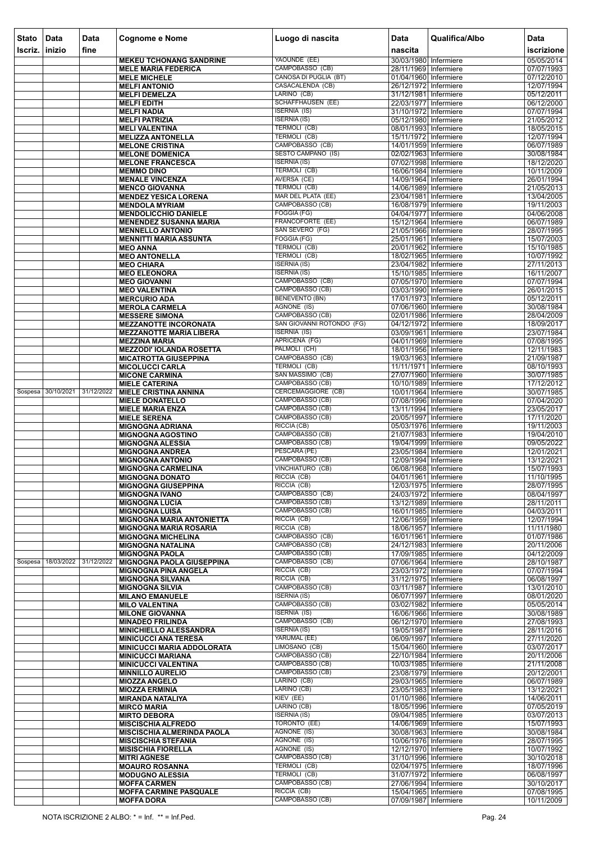| <b>Stato</b> | Data               | <b>Data</b> | <b>Cognome e Nome</b>                                          | Luogo di nascita                                 | <b>Data</b>                                    | Qualifica/Albo | Data                     |
|--------------|--------------------|-------------|----------------------------------------------------------------|--------------------------------------------------|------------------------------------------------|----------------|--------------------------|
| Iscriz.      | inizio             | fine        |                                                                |                                                  | nascita                                        |                | iscrizione               |
|              |                    |             | <b>MEKEU TCHONANG SANDRINE</b>                                 | YAOUNDE (EE)<br>CAMPOBASSO (CB)                  | 30/03/1980 Infermiere                          |                | 05/05/2014               |
|              |                    |             | <b>MELE MARIA FEDERICA</b><br><b>MELE MICHELE</b>              | CANOSA DI PUGLIA (BT)                            | 28/11/1969 Infermiere<br>01/04/1960 Infermiere |                | 07/07/1993<br>07/12/2010 |
|              |                    |             | <b>MELFI ANTONIO</b>                                           | CASACALENDA (CB)                                 | 26/12/1972 Infermiere                          |                | 12/07/1994               |
|              |                    |             | <b>MELFI DEMELZA</b><br><b>MELFI EDITH</b>                     | LARINO (CB)<br>SCHAFFHAUSEN (EE)                 | 31/12/1981 Infermiere<br>22/03/1977 Infermiere |                | 05/12/2011               |
|              |                    |             | <b>MELFI NADIA</b>                                             | <b>ISERNIA (IS)</b>                              | 31/10/1972 Infermiere                          |                | 06/12/2000<br>07/07/1994 |
|              |                    |             | <b>MELFI PATRIZIA</b>                                          | <b>ISERNIA (IS)</b>                              | 05/12/1980 Infermiere                          |                | 21/05/2012               |
|              |                    |             | <b>MELI VALENTINA</b>                                          | <b>TERMOLI (CB)</b><br><b>TERMOLI (CB)</b>       | 08/01/1993 Infermiere<br>15/11/1972 Infermiere |                | 18/05/2015<br>12/07/1994 |
|              |                    |             | <b>MELIZZA ANTONELLA</b><br><b>MELONE CRISTINA</b>             | CAMPOBASSO (CB)                                  | 14/01/1959 Infermiere                          |                | 06/07/1989               |
|              |                    |             | <b>MELONE DOMENICA</b>                                         | <b>SESTO CAMPANO (IS)</b>                        | 02/02/1963 Infermiere                          |                | 30/08/1984               |
|              |                    |             | <b>MELONE FRANCESCA</b><br><b>MEMMO DINO</b>                   | <b>ISERNIA (IS)</b><br><b>TERMOLI (CB)</b>       | 07/02/1998 Infermiere<br>16/06/1984 Infermiere |                | 18/12/2020<br>10/11/2009 |
|              |                    |             | <b>MENALE VINCENZA</b>                                         | AVERSA (CE)                                      | 14/09/1964 Infermiere                          |                | 26/01/1994               |
|              |                    |             | <b>MENCO GIOVANNA</b>                                          | TERMOLI (CB)                                     | 14/06/1989 Infermiere                          |                | 21/05/2013               |
|              |                    |             | <b>MENDEZ YESICA LORENA</b><br><b>MENDOLA MYRIAM</b>           | MAR DEL PLATA (EE)<br>CAMPOBASSO (CB)            | 23/04/1981 Infermiere<br>16/08/1979 Infermiere |                | 13/04/2005<br>19/11/2003 |
|              |                    |             | <b>MENDOLICCHIO DANIELE</b>                                    | FOGGIA (FG)                                      | 04/04/1977 Infermiere                          |                | 04/06/2008               |
|              |                    |             | <b>MENENDEZ SUSANNA MARIA</b>                                  | FRANCOFORTE (EE)                                 | 15/12/1964 Infermiere                          |                | 06/07/1989               |
|              |                    |             | <b>MENNELLO ANTONIO</b><br><b>MENNITTI MARIA ASSUNTA</b>       | SAN SEVERO (FG)<br>FOGGIA (FG)                   | 21/05/1966 Infermiere<br>25/01/1961 Infermiere |                | 28/07/1995<br>15/07/2003 |
|              |                    |             | <b>MEO ANNA</b>                                                | <b>TERMOLI (CB)</b>                              | 20/01/1962 Infermiere                          |                | 15/10/1985               |
|              |                    |             | <b>MEO ANTONELLA</b>                                           | <b>TERMOLI (CB)</b>                              | 18/02/1965 Infermiere                          |                | 10/07/1992               |
|              |                    |             | <b>MEO CHIARA</b><br><b>MEO ELEONORA</b>                       | <b>ISERNIA (IS)</b><br><b>ISERNIA (IS)</b>       | 23/04/1982 Infermiere<br>15/10/1985 Infermiere |                | 27/11/2013<br>16/11/2007 |
|              |                    |             | <b>MEO GIOVANNI</b>                                            | CAMPOBASSO (CB)                                  | 07/05/1970 Infermiere                          |                | 07/07/1994               |
|              |                    |             | <b>MEO VALENTINA</b>                                           | CAMPOBASSO (CB)<br><b>BENEVENTO (BN)</b>         | 03/03/1990 Infermiere                          |                | 26/01/2015               |
|              |                    |             | <b>MERCURIO ADA</b><br><b>MEROLA CARMELA</b>                   | AGNONE (IS)                                      | 17/01/1973 Infermiere<br>07/06/1960 Infermiere |                | 05/12/2011<br>30/08/1984 |
|              |                    |             | <b>MESSERE SIMONA</b>                                          | CAMPOBASSO (CB)                                  | 02/01/1986 Infermiere                          |                | 28/04/2009               |
|              |                    |             | <b>MEZZANOTTE INCORONATA</b>                                   | SAN GIOVANNI ROTONDO (FG)<br><b>ISERNIA (IS)</b> | 04/12/1972 Infermiere                          |                | 18/09/2017               |
|              |                    |             | <b>MEZZANOTTE MARIA LIBERA</b><br><b>MEZZINA MARIA</b>         | APRICENA (FG)                                    | 03/09/1961 Infermiere<br>04/01/1969 Infermiere |                | 23/07/1984<br>07/08/1995 |
|              |                    |             | <b>MEZZODI' IOLANDA ROSETTA</b>                                | PALMOLI (CH)                                     | 18/01/1956 Infermiere                          |                | 12/11/1983               |
|              |                    |             | <b>MICATROTTA GIUSEPPINA</b>                                   | CAMPOBASSO (CB)<br><b>TERMOLI (CB)</b>           | 19/03/1963 Infermiere<br>11/11/1971 Infermiere |                | 21/09/1987               |
|              |                    |             | <b>MICOLUCCI CARLA</b><br><b>MICONE CARMINA</b>                | SAN MASSIMO (CB)                                 | 27/07/1960 Infermiere                          |                | 08/10/1993<br>30/07/1985 |
|              |                    |             | <b>MIELE CATERINA</b>                                          | CAMPOBASSO (CB)                                  | 10/10/1989 Infermiere                          |                | 17/12/2012               |
|              | Sospesa 30/10/2021 | 31/12/2022  | <b>MIELE CRISTINA ANNINA</b><br><b>MIELE DONATELLO</b>         | CERCEMAGGIORE (CB)<br>CAMPOBASSO (CB)            | 10/01/1964 Infermiere<br>07/08/1996 Infermiere |                | 30/07/1985<br>07/04/2020 |
|              |                    |             | <b>MIELE MARIA ENZA</b>                                        | CAMPOBASSO (CB)                                  | 13/11/1994 Infermiere                          |                | 23/05/2017               |
|              |                    |             | <b>MIELE SERENA</b>                                            | CAMPOBASSO (CB)                                  | 20/05/1997 Infermiere                          |                | 17/11/2020               |
|              |                    |             | <b>MIGNOGNA ADRIANA</b><br><b>MIGNOGNA AGOSTINO</b>            | RICCIA (CB)<br>CAMPOBASSO (CB)                   | 05/03/1976 Infermiere<br>21/07/1983 Infermiere |                | 19/11/2003<br>19/04/2010 |
|              |                    |             | <b>MIGNOGNA ALESSIA</b>                                        | CAMPOBASSO (CB)                                  | 19/04/1999 Infermiere                          |                | 09/05/2022               |
|              |                    |             | <b>MIGNOGNA ANDREA</b>                                         | PESCARA (PE)                                     | 23/05/1984 Infermiere                          |                | 12/01/2021               |
|              |                    |             | <b>MIGNOGNA ANTONIO</b><br><b>MIGNOGNA CARMELINA</b>           | CAMPOBASSO (CB)<br><b>VINCHIATURO (CB)</b>       | 12/09/1994 Infermiere<br>06/08/1968 Infermiere |                | 13/12/2021<br>15/07/1993 |
|              |                    |             | <b>MIGNOGNA DONATO</b>                                         | RICCIA (CB)                                      | 04/01/1961 Infermiere                          |                | 11/10/1995               |
|              |                    |             | <b>MIGNOGNA GIUSEPPINA</b>                                     | RICCIA (CB)<br>CAMPOBASSO (CB)                   | 12/03/1975 Infermiere                          |                | 28/07/1995               |
|              |                    |             | <b>MIGNOGNA IVANO</b><br><b>MIGNOGNA LUCIA</b>                 | CAMPOBASSO (CB)                                  | 24/03/1972 Infermiere<br>13/12/1989 Infermiere |                | 08/04/1997<br>28/11/2011 |
|              |                    |             | <b>MIGNOGNA LUISA</b>                                          | CAMPOBASSO (CB)                                  | 16/01/1985 Infermiere                          |                | 04/03/2011               |
|              |                    |             | <b>MIGNOGNA MARIA ANTONIETTA</b>                               | RICCIA (CB)<br>RICCIA (CB)                       | 12/06/1959 Infermiere                          |                | 12/07/1994               |
|              |                    |             | <b>MIGNOGNA MARIA ROSARIA</b><br><b>MIGNOGNA MICHELINA</b>     | CAMPOBASSO (CB)                                  | 18/06/1957 Infermiere<br>16/01/1961 Infermiere |                | 11/11/1980<br>01/07/1986 |
|              |                    |             | <b>MIGNOGNA NATALINA</b>                                       | CAMPOBASSO (CB)                                  | 24/12/1983 Infermiere                          |                | 20/11/2006               |
| Sospesa      | 18/03/2022         | 31/12/2022  | <b>MIGNOGNA PAOLA</b><br><b>MIGNOGNA PAOLA GIUSEPPINA</b>      | CAMPOBASSO (CB)<br>CAMPOBASSO (CB)               | 17/09/1985 Infermiere<br>07/06/1964 Infermiere |                | 04/12/2009<br>28/10/1987 |
|              |                    |             | <b>MIGNOGNA PINA ANGELA</b>                                    | RICCIA (CB)                                      | 23/03/1972 Infermiere                          |                | 07/07/1994               |
|              |                    |             | <b>MIGNOGNA SILVANA</b>                                        | RICCIA (CB)                                      | 31/12/1975 Infermiere                          |                | 06/08/1997               |
|              |                    |             | <b>MIGNOGNA SILVIA</b><br><b>MILANO EMANUELE</b>               | CAMPOBASSO (CB)<br><b>ISERNIA (IS)</b>           | 03/11/1987 Infermiere<br>06/07/1997 Infermiere |                | 13/01/2010<br>08/01/2020 |
|              |                    |             | <b>MILO VALENTINA</b>                                          | CAMPOBASSO (CB)                                  | 03/02/1982 Infermiere                          |                | 05/05/2014               |
|              |                    |             | <b>MILONE GIOVANNA</b>                                         | <b>ISERNIA (IS)</b><br>CAMPOBASSO (CB)           | 16/06/1966 Infermiere                          |                | 30/08/1989               |
|              |                    |             | <b>MINADEO FRILINDA</b><br><b>MINICHIELLO ALESSANDRA</b>       | <b>ISERNIA (IS)</b>                              | 06/12/1970 Infermiere<br>19/05/1987 Infermiere |                | 27/08/1993<br>28/11/2016 |
|              |                    |             | <b>MINICUCCI ANA TERESA</b>                                    | YARUMAL (EE)                                     | 06/09/1997 Infermiere                          |                | 27/11/2020               |
|              |                    |             | <b>MINICUCCI MARIA ADDOLORATA</b>                              | LIMOSANO (CB)<br>CAMPOBASSO (CB)                 | 15/04/1960 Infermiere                          |                | 03/07/2017               |
|              |                    |             | <b>MINICUCCI MARIANA</b><br><b>MINICUCCI VALENTINA</b>         | CAMPOBASSO (CB)                                  | 22/10/1984 Infermiere<br>10/03/1985 Infermiere |                | 20/11/2006<br>21/11/2008 |
|              |                    |             | <b>MINNILLO AURELIO</b>                                        | CAMPOBASSO (CB)                                  | 23/08/1979 Infermiere                          |                | 20/12/2001               |
|              |                    |             | <b>MIOZZA ANGELO</b>                                           | LARINO (CB)                                      | 29/03/1965 Infermiere                          |                | 06/07/1989               |
|              |                    |             | <b>MIOZZA ERMINIA</b><br><b>MIRANDA NATALIYA</b>               | LARINO (CB)<br>KIEV (EE)                         | 23/05/1983 Infermiere<br>01/10/1986 Infermiere |                | 13/12/2021<br>14/06/2011 |
|              |                    |             | <b>MIRCO MARIA</b>                                             | LARINO (CB)                                      | 18/05/1996 Infermiere                          |                | 07/05/2019               |
|              |                    |             | <b>MIRTO DEBORA</b>                                            | <b>ISERNIA (IS)</b><br>TORONTO (EE)              | 09/04/1985 Infermiere                          |                | 03/07/2013               |
|              |                    |             | <b>MISCISCHIA ALFREDO</b><br><b>MISCISCHIA ALMERINDA PAOLA</b> | <b>AGNONE (IS)</b>                               | 14/06/1969 Infermiere<br>30/08/1963 Infermiere |                | 15/07/1993<br>30/08/1984 |
|              |                    |             | <b>MISCISCHIA STEFANIA</b>                                     | AGNONE (IS)                                      | 10/06/1976 Infermiere                          |                | 28/07/1995               |
|              |                    |             | <b>MISISCHIA FIORELLA</b>                                      | AGNONE (IS)<br>CAMPOBASSO (CB)                   | 12/12/1970 Infermiere                          |                | 10/07/1992               |
|              |                    |             | <b>MITRI AGNESE</b><br><b>MOAURO ROSANNA</b>                   | TERMOLI (CB)                                     | 31/10/1996 Infermiere<br>02/04/1975 Infermiere |                | 30/10/2018<br>18/07/1996 |
|              |                    |             | <b>MODUGNO ALESSIA</b>                                         | <b>TERMOLI (CB)</b>                              | 31/07/1972 Infermiere                          |                | 06/08/1997               |
|              |                    |             | <b>MOFFA CARMEN</b><br><b>MOFFA CARMINE PASQUALE</b>           | CAMPOBASSO (CB)<br>RICCIA (CB)                   | 27/06/1994 Infermiere<br>15/04/1965 Infermiere |                | 30/10/2017<br>07/08/1995 |
|              |                    |             | <b>MOFFA DORA</b>                                              | CAMPOBASSO (CB)                                  | 07/09/1987 Infermiere                          |                | 10/11/2009               |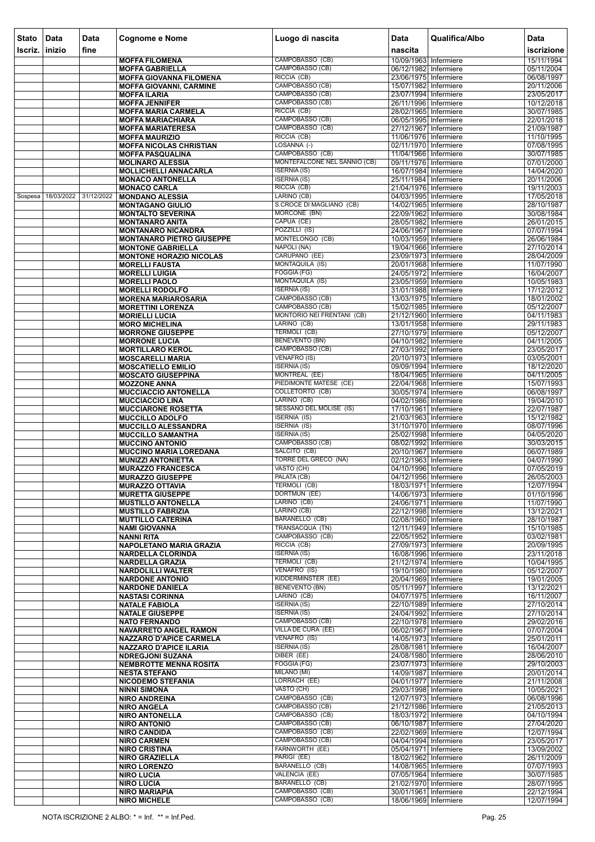| <b>Stato</b><br>Iscriz. | Data<br>$ $ inizio | Data                  | <b>Cognome e Nome</b>                                    | Luogo di nascita                                 | <b>Data</b><br>nascita                         | Qualifica/Albo | Data                     |
|-------------------------|--------------------|-----------------------|----------------------------------------------------------|--------------------------------------------------|------------------------------------------------|----------------|--------------------------|
|                         |                    | fine                  | <b>MOFFA FILOMENA</b>                                    | CAMPOBASSO (CB)                                  | 10/09/1963 Infermiere                          |                | iscrizione<br>15/11/1994 |
|                         |                    |                       | <b>MOFFA GABRIELLA</b>                                   | CAMPOBASSO (CB)                                  | 06/12/1982 Infermiere                          |                | 05/11/2004               |
|                         |                    |                       | <b>MOFFA GIOVANNA FILOMENA</b>                           | RICCIA (CB)                                      | 23/06/1975 Infermiere                          |                | 06/08/1997               |
|                         |                    |                       | <b>MOFFA GIOVANNI, CARMINE</b>                           | CAMPOBASSO (CB)                                  | 15/07/1982 Infermiere                          |                | 20/11/2006               |
|                         |                    |                       | <b>MOFFA ILARIA</b><br><b>MOFFA JENNIFER</b>             | CAMPOBASSO (CB)<br>CAMPOBASSO (CB)               | 23/07/1994 Infermiere<br>26/11/1996 Infermiere |                | 23/05/2017<br>10/12/2018 |
|                         |                    |                       | <b>MOFFA MARIA CARMELA</b>                               | RICCIA (CB)                                      | 28/02/1965 Infermiere                          |                | 30/07/1985               |
|                         |                    |                       | <b>MOFFA MARIACHIARA</b>                                 | CAMPOBASSO (CB)                                  | 06/05/1995 Infermiere                          |                | 22/01/2018               |
|                         |                    |                       | <b>MOFFA MARIATERESA</b>                                 | CAMPOBASSO (CB)                                  | 27/12/1967 Infermiere                          |                | 21/09/1987               |
|                         |                    |                       | <b>MOFFA MAURIZIO</b><br><b>MOFFA NICOLAS CHRISTIAN</b>  | RICCIA (CB)<br>LOSANNA (-)                       | 11/06/1976 Infermiere<br>02/11/1970 Infermiere |                | 11/10/1995<br>07/08/1995 |
|                         |                    |                       | <b>MOFFA PASQUALINA</b>                                  | CAMPOBASSO (CB)                                  | 11/04/1966 Infermiere                          |                | 30/07/1985               |
|                         |                    |                       | <b>MOLINARO ALESSIA</b>                                  | MONTEFALCONE NEL SANNIO (CB)                     | 09/11/1976 Infermiere                          |                | 07/01/2000               |
|                         |                    |                       | <b>MOLLICHELLI ANNACARLA</b>                             | <b>ISERNIA (IS)</b>                              | 16/07/1984 Infermiere                          |                | 14/04/2020               |
|                         |                    |                       | <b>MONACO ANTONELLA</b><br><b>MONACO CARLA</b>           | <b>ISERNIA (IS)</b><br>RICCIA (CB)               | 25/11/1984 Infermiere<br>21/04/1976 Infermiere |                | 20/11/2006<br>19/11/2003 |
| Sospesa                 |                    | 18/03/2022 31/12/2022 | <b>MONDANO ALESSIA</b>                                   | LARINO (CB)                                      | 04/03/1995 Infermiere                          |                | 17/05/2018               |
|                         |                    |                       | <b>MONTAGANO GIULIO</b>                                  | S.CROCE DI MAGLIANO (CB)                         | 14/02/1965 Infermiere                          |                | 28/10/1987               |
|                         |                    |                       | <b>MONTALTO SEVERINA</b>                                 | MORCONE (BN)<br>CAPUA (CE)                       | 22/09/1962 Infermiere<br>28/05/1982 Infermiere |                | 30/08/1984               |
|                         |                    |                       | <b>MONTANARO ANITA</b><br><b>MONTANARO NICANDRA</b>      | POZZILLI (IS)                                    | 24/06/1967 Infermiere                          |                | 26/01/2015<br>07/07/1994 |
|                         |                    |                       | <b>MONTANARO PIETRO GIUSEPPE</b>                         | MONTELONGO (CB)                                  | 10/03/1959 Infermiere                          |                | 26/06/1984               |
|                         |                    |                       | <b>MONTONE GABRIELLA</b>                                 | NAPOLI (NA)                                      | 19/04/1966 Infermiere                          |                | 27/10/2014               |
|                         |                    |                       | <b>MONTONE HORAZIO NICOLAS</b><br><b>MORELLI FAUSTA</b>  | CARUPANO (EE)<br>MONTAQUILA (IS)                 | 23/09/1973 Infermiere<br>20/01/1968 Infermiere |                | 28/04/2009<br>11/07/1990 |
|                         |                    |                       | <b>MORELLI LUIGIA</b>                                    | FOGGIA (FG)                                      | 24/05/1972 Infermiere                          |                | 16/04/2007               |
|                         |                    |                       | <b>MORELLI PAOLO</b>                                     | <b>MONTAQUILA (IS)</b>                           | 23/05/1959 Infermiere                          |                | 10/05/1983               |
|                         |                    |                       | <b>MORELLI RODOLFO</b>                                   | <b>ISERNIA (IS)</b>                              | 31/01/1988 Infermiere                          |                | 17/12/2012               |
|                         |                    |                       | <b>MORENA MARIAROSARIA</b><br><b>MORETTINI LORENZA</b>   | CAMPOBASSO (CB)<br>CAMPOBASSO (CB)               | 13/03/1975 Infermiere<br>15/02/1985 Infermiere |                | 18/01/2002<br>05/12/2007 |
|                         |                    |                       | <b>MORIELLI LUCIA</b>                                    | MONTORIO NEI FRENTANI (CB)                       | 21/12/1960 Infermiere                          |                | 04/11/1983               |
|                         |                    |                       | <b>MORO MICHELINA</b>                                    | LARINO (CB)                                      | 13/01/1958 Infermiere                          |                | 29/11/1983               |
|                         |                    |                       | <b>MORRONE GIUSEPPE</b>                                  | <b>TERMOLI (CB)</b>                              | 27/10/1979 Infermiere                          |                | 05/12/2007               |
|                         |                    |                       | <b>MORRONE LUCIA</b><br><b>MORTILLARO KEROL</b>          | <b>BENEVENTO (BN)</b><br>CAMPOBASSO (CB)         | 04/10/1982 Infermiere<br>27/03/1992 Infermiere |                | 04/11/2005<br>23/05/2017 |
|                         |                    |                       | <b>MOSCARELLI MARIA</b>                                  | VENAFRO (IS)                                     | 20/10/1973 Infermiere                          |                | 03/05/2001               |
|                         |                    |                       | <b>MOSCATIELLO EMILIO</b>                                | <b>ISERNIA (IS)</b>                              | 09/09/1994 Infermiere                          |                | 18/12/2020               |
|                         |                    |                       | <b>MOSCATO GIUSEPPINA</b>                                | MONTREAL (EE)                                    | 18/04/1965 Infermiere                          |                | 04/11/2005               |
|                         |                    |                       | <b>MOZZONE ANNA</b><br><b>MUCCIACCIO ANTONELLA</b>       | PIEDIMONTE MATESE (CE)<br><b>COLLETORTO (CB)</b> | 22/04/1968 Infermiere<br>30/05/1974 Infermiere |                | 15/07/1993<br>06/08/1997 |
|                         |                    |                       | <b>MUCCIACCIO LINA</b>                                   | LARINO (CB)                                      | 04/02/1986 Infermiere                          |                | 19/04/2010               |
|                         |                    |                       | <b>MUCCIARONE ROSETTA</b>                                | SESSANO DEL MOLISE (IS)                          | 17/10/1961 Infermiere                          |                | 22/07/1987               |
|                         |                    |                       | <b>MUCCILLO ADOLFO</b>                                   | <b>ISERNIA (IS)</b><br><b>ISERNIA (IS)</b>       | 21/03/1963 Infermiere                          |                | 15/12/1982               |
|                         |                    |                       | <b>MUCCILLO ALESSANDRA</b><br><b>MUCCILLO SAMANTHA</b>   | <b>ISERNIA (IS)</b>                              | 31/10/1970 Infermiere<br>25/02/1998 Infermiere |                | 08/07/1996<br>04/05/2020 |
|                         |                    |                       | <b>MUCCINO ANTONIO</b>                                   | CAMPOBASSO (CB)                                  | 08/02/1992 Infermiere                          |                | 30/03/2015               |
|                         |                    |                       | <b>MUCCINO MARIA LOREDANA</b>                            | SALCITO (CB)                                     | 20/10/1967 Infermiere                          |                | 06/07/1989               |
|                         |                    |                       | <b>MUNIZZI ANTONIETTA</b><br><b>MURAZZO FRANCESCA</b>    | TORRE DEL GRECO (NA)<br>VASTO (CH)               | 02/12/1963 Infermiere<br>04/10/1996 Infermiere |                | 04/07/1990<br>07/05/2019 |
|                         |                    |                       | <b>MURAZZO GIUSEPPE</b>                                  | PALATA (CB)                                      | 04/12/1956 Infermiere                          |                | 26/05/2003               |
|                         |                    |                       | <b>MURAZZO OTTAVIA</b>                                   | TERMOLI (CB)                                     | 18/03/1971 Infermiere                          |                | 12/07/1994               |
|                         |                    |                       | <b>MURETTA GIUSEPPE</b>                                  | DORTMUN (EE)                                     | 14/06/1973 Infermiere                          |                | 01/10/1996               |
|                         |                    |                       | <b>MUSTILLO ANTONELLA</b><br><b>MUSTILLO FABRIZIA</b>    | LARINO (CB)<br>LARINO (CB)                       | 24/06/1971 Infermiere<br>22/12/1998 Infermiere |                | 11/07/1990<br>13/12/2021 |
|                         |                    |                       | <b>MUTTILLO CATERINA</b>                                 | <b>BARANELLO (CB)</b>                            | 02/08/1960 Infermiere                          |                | 28/10/1987               |
|                         |                    |                       | <b>NAMI GIOVANNA</b>                                     | TRANSACQUA (TN)                                  | 12/11/1949 Infermiere                          |                | 15/10/1985               |
|                         |                    |                       | <b>NANNI RITA</b><br>NAPOLETANO MARIA GRAZIA             | CAMPOBASSO (CB)<br>RICCIA (CB)                   | 22/05/1952 Infermiere<br>27/09/1973 Infermiere |                | 03/02/1981<br>20/09/1995 |
|                         |                    |                       | <b>NARDELLA CLORINDA</b>                                 | <b>ISERNIA (IS)</b>                              | 16/08/1996 Infermiere                          |                | 23/11/2018               |
|                         |                    |                       | <b>NARDELLA GRAZIA</b>                                   | <b>TERMOLI (CB)</b>                              | 21/12/1974 Infermiere                          |                | 10/04/1995               |
|                         |                    |                       | <b>NARDOLILLI WALTER</b>                                 | VENAFRO (IS)                                     | 19/10/1980 Infermiere                          |                | 05/12/2007               |
|                         |                    |                       | <b>NARDONE ANTONIO</b><br><b>NARDONE DANIELA</b>         | KIDDERMINSTER (EE)<br><b>BENEVENTO (BN)</b>      | 20/04/1969 Infermiere<br>05/11/1997 Infermiere |                | 19/01/2005<br>13/12/2021 |
|                         |                    |                       | <b>NASTASI CORINNA</b>                                   | LARINO (CB)                                      | 04/07/1975 Infermiere                          |                | 16/11/2007               |
|                         |                    |                       | <b>NATALE FABIOLA</b>                                    | <b>ISERNIA (IS)</b>                              | 22/10/1989 Infermiere                          |                | 27/10/2014               |
|                         |                    |                       | <b>NATALE GIUSEPPE</b><br><b>NATO FERNANDO</b>           | <b>ISERNIA (IS)</b><br>CAMPOBASSO (CB)           | 24/04/1992 Infermiere<br>22/10/1978 Infermiere |                | 27/10/2014<br>29/02/2016 |
|                         |                    |                       | <b>NAVARRETO ANGEL RAMON</b>                             | VILLA DE CURA (EE)                               | 06/02/1967 Infermiere                          |                | 07/07/2004               |
|                         |                    |                       | <b>NAZZARO D'APICE CARMELA</b>                           | VENAFRO (IS)                                     | 14/05/1973 Infermiere                          |                | 25/01/2011               |
|                         |                    |                       | <b>NAZZARO D'APICE ILARIA</b>                            | <b>ISERNIA (IS)</b>                              | 28/08/1981 Infermiere                          |                | 16/04/2007               |
|                         |                    |                       | <b>NDREGJONI SUZANA</b><br><b>NEMBROTTE MENNA ROSITA</b> | DIBER (EE)<br>FOGGIA (FG)                        | 24/08/1980 Infermiere<br>23/07/1973 Infermiere |                | 28/06/2010<br>29/10/2003 |
|                         |                    |                       | <b>NESTA STEFANO</b>                                     | MILANO (MI)                                      | 14/09/1987 Infermiere                          |                | 20/01/2014               |
|                         |                    |                       | <b>NICODEMO STEFANIA</b>                                 | LORRACH (EE)                                     | 04/01/1977 Infermiere                          |                | 21/11/2008               |
|                         |                    |                       | <b>NINNI SIMONA</b>                                      | VASTO (CH)<br>CAMPOBASSO (CB)                    | 29/03/1998 Infermiere                          |                | 10/05/2021               |
|                         |                    |                       | <b>NIRO ANDREINA</b><br><b>NIRO ANGELA</b>               | CAMPOBASSO (CB)                                  | 12/07/1973 Infermiere<br>21/12/1986 Infermiere |                | 06/08/1996<br>21/05/2013 |
|                         |                    |                       | <b>NIRO ANTONELLA</b>                                    | CAMPOBASSO (CB)                                  | 18/03/1972 Infermiere                          |                | 04/10/1994               |
|                         |                    |                       | <b>NIRO ANTONIO</b>                                      | CAMPOBASSO (CB)                                  | 06/10/1987 Infermiere                          |                | 27/04/2020               |
|                         |                    |                       | <b>NIRO CANDIDA</b>                                      | CAMPOBASSO (CB)<br>CAMPOBASSO (CB)               | 22/02/1969 Infermiere<br>04/04/1994 Infermiere |                | 12/07/1994<br>23/05/2017 |
|                         |                    |                       | <b>NIRO CARMEN</b><br><b>NIRO CRISTINA</b>               | FARNWORTH (EE)                                   | 05/04/1971 Infermiere                          |                | 13/09/2002               |
|                         |                    |                       | <b>NIRO GRAZIELLA</b>                                    | PARIGI (EE)                                      | 18/02/1962 Infermiere                          |                | 26/11/2009               |
|                         |                    |                       | <b>NIRO LORENZO</b>                                      | BARANELLO (CB)                                   | 14/08/1965 Infermiere                          |                | 07/07/1993               |
|                         |                    |                       | <b>NIRO LUCIA</b><br><b>NIRO LUCIA</b>                   | VALENCIA (EE)<br><b>BARANELLO (CB)</b>           | 07/05/1964 Infermiere<br>21/02/1970 Infermiere |                | 30/07/1985<br>28/07/1995 |
|                         |                    |                       | <b>NIRO MARIAPIA</b>                                     | CAMPOBASSO (CB)                                  | 30/01/1961 Infermiere                          |                | 22/12/1994               |
|                         |                    |                       | <b>NIRO MICHELE</b>                                      | CAMPOBASSO (CB)                                  | 18/06/1969 Infermiere                          |                | 12/07/1994               |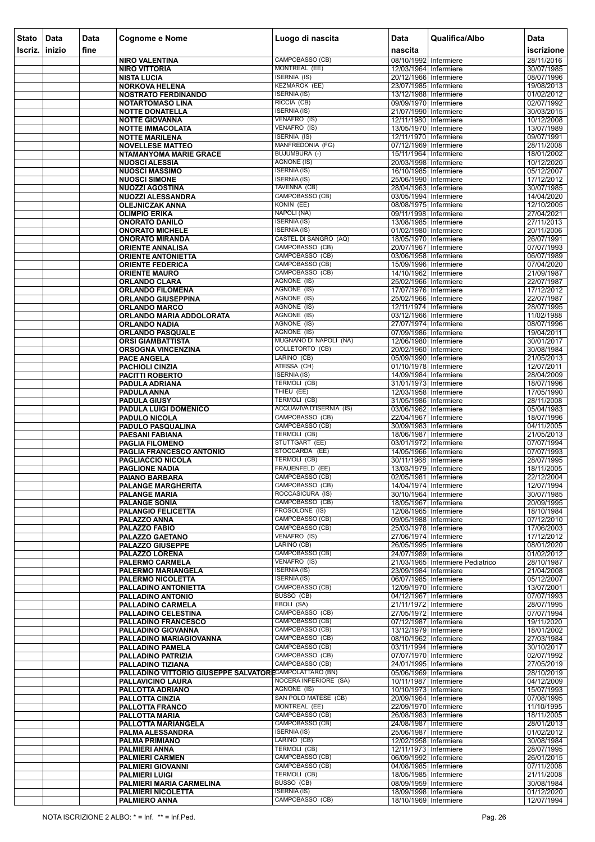| <b>Stato</b> | Data   | Data | <b>Cognome e Nome</b>                                  | Luogo di nascita                                       | <b>Data</b>                                    | Qualifica/Albo                   | <b>Data</b>              |
|--------------|--------|------|--------------------------------------------------------|--------------------------------------------------------|------------------------------------------------|----------------------------------|--------------------------|
| Iscriz.      | inizio | fine |                                                        | CAMPOBASSO (CB)                                        | nascita<br>08/10/1992 Infermiere               |                                  | iscrizione<br>28/11/2016 |
|              |        |      | <b>NIRO VALENTINA</b><br><b>NIRO VITTORIA</b>          | <b>MONTREAL (EE)</b>                                   | 12/03/1964 Infermiere                          |                                  | 30/07/1985               |
|              |        |      | <b>NISTA LUCIA</b>                                     | <b>ISERNIA (IS)</b>                                    | 20/12/1966 Infermiere                          |                                  | 08/07/1996               |
|              |        |      | <b>NORKOVA HELENA</b><br><b>NOSTRATO FERDINANDO</b>    | <b>KEZMAROK (EE)</b><br><b>ISERNIA (IS)</b>            | 23/07/1985 Infermiere<br>13/12/1988 Infermiere |                                  | 19/08/2013<br>01/02/2012 |
|              |        |      | <b>NOTARTOMASO LINA</b>                                | RICCIA (CB)                                            | 09/09/1970 Infermiere                          |                                  | 02/07/1992               |
|              |        |      | <b>NOTTE DONATELLA</b>                                 | <b>ISERNIA (IS)</b>                                    | 21/07/1990 Infermiere                          |                                  | 30/03/2015               |
|              |        |      | <b>NOTTE GIOVANNA</b><br><b>NOTTE IMMACOLATA</b>       | VENAFRO (IS)<br>VENAFRO (IS)                           | 12/11/1980 Infermiere<br>13/05/1970 Infermiere |                                  | 10/12/2008<br>13/07/1989 |
|              |        |      | <b>NOTTE MARILENA</b>                                  | <b>ISERNIA (IS)</b>                                    | 12/11/1970 Infermiere                          |                                  | 09/07/1991               |
|              |        |      | <b>NOVELLESE MATTEO</b>                                | MANFREDONIA (FG)                                       | 07/12/1969 Infermiere                          |                                  | 28/11/2008               |
|              |        |      | <b>NTAMANYOMA MARIE GRACE</b><br><b>NUOSCI ALESSIA</b> | BUJUMBURA (-)<br><b>AGNONE (IS)</b>                    | 15/11/1964 Infermiere<br>20/03/1998 Infermiere |                                  | 18/01/2002<br>10/12/2020 |
|              |        |      | <b>NUOSCI MASSIMO</b>                                  | <b>ISERNIA (IS)</b>                                    | 16/10/1985 Infermiere                          |                                  | 05/12/2007               |
|              |        |      | <b>NUOSCI SIMONE</b>                                   | <b>ISERNIA (IS)</b>                                    | 25/06/1990 Infermiere                          |                                  | 17/12/2012               |
|              |        |      | <b>NUOZZI AGOSTINA</b><br><b>NUOZZI ALESSANDRA</b>     | TAVENNA (CB)<br>CAMPOBASSO (CB)                        | 28/04/1963 Infermiere<br>03/05/1994 Infermiere |                                  | 30/07/1985<br>14/04/2020 |
|              |        |      | <b>OLEJNICZAK ANNA</b>                                 | KONIN (EE)                                             | 08/08/1975 Infermiere                          |                                  | 12/10/2005               |
|              |        |      | <b>OLIMPIO ERIKA</b>                                   | NAPOLI (NA)                                            | 09/11/1998 Infermiere                          |                                  | 27/04/2021               |
|              |        |      | <b>ONORATO DANILO</b><br><b>ONORATO MICHELE</b>        | <b>ISERNIA (IS)</b><br><b>ISERNIA (IS)</b>             | 13/08/1985 Infermiere<br>01/02/1980 Infermiere |                                  | 27/11/2013<br>20/11/2006 |
|              |        |      | <b>ONORATO MIRANDA</b>                                 | CASTEL DI SANGRO (AQ)                                  | 18/05/1970 Infermiere                          |                                  | 26/07/1991               |
|              |        |      | <b>ORIENTE ANNALISA</b>                                | CAMPOBASSO (CB)                                        | 20/07/1967 Infermiere                          |                                  | 07/07/1993               |
|              |        |      | <b>ORIENTE ANTONIETTA</b><br><b>ORIENTE FEDERICA</b>   | CAMPOBASSO (CB)<br>CAMPOBASSO (CB)                     | 03/06/1958 Infermiere                          |                                  | 06/07/1989               |
|              |        |      | <b>ORIENTE MAURO</b>                                   | CAMPOBASSO (CB)                                        | 15/09/1996 Infermiere<br>14/10/1962 Infermiere |                                  | 07/04/2020<br>21/09/1987 |
|              |        |      | <b>ORLANDO CLARA</b>                                   | AGNONE (IS)                                            | 25/02/1966 Infermiere                          |                                  | 22/07/1987               |
|              |        |      | <b>ORLANDO FILOMENA</b>                                | AGNONE (IS)<br>AGNONE (IS)                             | 17/07/1976 Infermiere<br>25/02/1966 Infermiere |                                  | 17/12/2012<br>22/07/1987 |
|              |        |      | <b>ORLANDO GIUSEPPINA</b><br><b>ORLANDO MARCO</b>      | AGNONE (IS)                                            | 12/11/1974 Infermiere                          |                                  | 28/07/1995               |
|              |        |      | ORLANDO MARIA ADDOLORATA                               | AGNONE (IS)                                            | 03/12/1966 Infermiere                          |                                  | 11/02/1988               |
|              |        |      | <b>ORLANDO NADIA</b>                                   | AGNONE (IS)                                            | 27/07/1974 Infermiere                          |                                  | 08/07/1996               |
|              |        |      | <b>ORLANDO PASQUALE</b><br><b>ORSI GIAMBATTISTA</b>    | AGNONE (IS)<br>MUGNANO DI NAPOLI (NA)                  | 07/09/1986 Infermiere<br>12/06/1980 Infermiere |                                  | 19/04/2011<br>30/01/2017 |
|              |        |      | <b>ORSOGNA VINCENZINA</b>                              | <b>COLLETORTO (CB)</b>                                 | 20/02/1960 Infermiere                          |                                  | 30/08/1984               |
|              |        |      | <b>PACE ANGELA</b>                                     | LARINO (CB)                                            | 05/09/1990 Infermiere                          |                                  | 21/05/2013               |
|              |        |      | <b>PACHIOLI CINZIA</b><br><b>PACITTI ROBERTO</b>       | ATESSA (CH)<br><b>ISERNIA (IS)</b>                     | 01/10/1978 Infermiere<br>14/09/1984 Infermiere |                                  | 12/07/2011<br>28/04/2009 |
|              |        |      | PADULA ADRIANA                                         | TERMOLI (CB)                                           | 31/01/1973 Infermiere                          |                                  | 18/07/1996               |
|              |        |      | PADULA ANNA                                            | THIEU (EE)                                             | 12/03/1958 Infermiere                          |                                  | 17/05/1990               |
|              |        |      | <b>PADULA GIUSY</b><br><b>PADULA LUIGI DOMENICO</b>    | <b>TERMOLI (CB)</b><br><b>ACQUAVIVA D'ISERNIA (IS)</b> | 31/05/1986 Infermiere<br>03/06/1962 Infermiere |                                  | 28/11/2008<br>05/04/1983 |
|              |        |      | <b>PADULO NICOLA</b>                                   | CAMPOBASSO (CB)                                        | 22/04/1967 Infermiere                          |                                  | 18/07/1996               |
|              |        |      | <b>PADULO PASQUALINA</b>                               | CAMPOBASSO (CB)<br><b>TERMOLI (CB)</b>                 | 30/09/1983 Infermiere                          |                                  | 04/11/2005               |
|              |        |      | <b>PAESANI FABIANA</b><br><b>PAGLIA FILOMENO</b>       | STUTTGART (EE)                                         | 18/06/1987 Infermiere<br>03/01/1972 Infermiere |                                  | 21/05/2013<br>07/07/1994 |
|              |        |      | PAGLIA FRANCESCO ANTONIO                               | STOCCARDA (EE)                                         | 14/05/1966 Infermiere                          |                                  | 07/07/1993               |
|              |        |      | <b>PAGLIACCIO NICOLA</b>                               | TERMOLI (CB)<br>FRAUENFELD (EE)                        | 30/11/1968 Infermiere<br>13/03/1979 Infermiere |                                  | 28/07/1995<br>18/11/2005 |
|              |        |      | <b>PAGLIONE NADIA</b><br><b>PAIANO BARBARA</b>         | CAMPOBASSO (CB)                                        | 02/05/1981 Infermiere                          |                                  | 22/12/2004               |
|              |        |      | <b>PALANGE MARGHERITA</b>                              | CAMPOBASSO (CB)                                        | 14/04/1974 Infermiere                          |                                  | 12/07/1994               |
|              |        |      | <b>PALANGE MARIA</b><br><b>PALANGE SONIA</b>           | ROCCASICURA (IS)<br>CAMPOBASSO (CB)                    | 30/10/1964 Infermiere<br>18/05/1967 Infermiere |                                  | 30/07/1985<br>20/09/1995 |
|              |        |      | <b>PALANGIO FELICETTA</b>                              | FROSOLONE (IS)                                         | 12/08/1965 Infermiere                          |                                  | 18/10/1984               |
|              |        |      | PALAZZO ANNA                                           | CAMPOBASSO (CB)                                        | 09/05/1988 Infermiere                          |                                  | 07/12/2010               |
|              |        |      | <b>PALAZZO FABIO</b><br>PALAZZO GAETANO                | CAMPOBASSO (CB)<br>VENAFRO (IS)                        | 25/03/1978 Infermiere<br>27/06/1974 Infermiere |                                  | 17/06/2003<br>17/12/2012 |
|              |        |      | <b>PALAZZO GIUSEPPE</b>                                | LARINO (CB)                                            | 26/05/1995 Infermiere                          |                                  | 08/01/2020               |
|              |        |      | PALAZZO LORENA                                         | CAMPOBASSO (CB)<br>VENAFRO (IS)                        | 24/07/1989 Infermiere                          |                                  | 01/02/2012               |
|              |        |      | <b>PALERMO CARMELA</b><br><b>PALERMO MARIANGELA</b>    | <b>ISERNIA (IS)</b>                                    | 23/09/1984 Infermiere                          | 21/03/1965 Infermiere Pediatrico | 28/10/1987<br>21/04/2008 |
|              |        |      | PALERMO NICOLETTA                                      | <b>ISERNIA (IS)</b>                                    | 06/07/1985 Infermiere                          |                                  | 05/12/2007               |
|              |        |      | PALLADINO ANTONIETTA<br>PALLADINO ANTONIO              | CAMPOBASSO (CB)<br>BUSSO (CB)                          | 12/09/1970 Infermiere<br>04/12/1967 Infermiere |                                  | 13/07/2001<br>07/07/1993 |
|              |        |      | <b>PALLADINO CARMELA</b>                               | EBOLI (SA)                                             | 21/11/1972 Infermiere                          |                                  | 28/07/1995               |
|              |        |      | PALLADINO CELESTINA                                    | CAMPOBASSO (CB)                                        | 27/05/1972 Infermiere                          |                                  | 07/07/1994               |
|              |        |      | <b>PALLADINO FRANCESCO</b>                             | CAMPOBASSO (CB)<br>CAMPOBASSO (CB)                     | 07/12/1987 Infermiere<br>13/12/1979 Infermiere |                                  | 19/11/2020<br>18/01/2002 |
|              |        |      | PALLADINO GIOVANNA<br>PALLADINO MARIAGIOVANNA          | CAMPOBASSO (CB)                                        | 08/10/1962 Infermiere                          |                                  | 27/03/1984               |
|              |        |      | PALLADINO PAMELA                                       | CAMPOBASSO (CB)                                        | 03/11/1994   Infermiere                        |                                  | 30/10/2017               |
|              |        |      | <b>PALLADINO PATRIZIA</b><br>PALLADINO TIZIANA         | CAMPOBASSO (CB)<br>CAMPOBASSO (CB)                     | 07/07/1970 Infermiere<br>24/01/1995 Infermiere |                                  | 02/07/1992<br>27/05/2019 |
|              |        |      | PALLADINO VITTORIO GIUSEPPE SALVATORECAMPOLATTARO (BN) |                                                        | 05/06/1969 Infermiere                          |                                  | 28/10/2019               |
|              |        |      | PALLAVICINO LAURA                                      | <b>NOCERA INFERIORE (SA)</b>                           | 10/11/1987   Infermiere                        |                                  | 04/12/2009               |
|              |        |      | PALLOTTA ADRIANO<br>PALLOTTA CINZIA                    | AGNONE (IS)<br>SAN POLO MATESE (CB)                    | 10/10/1973 Infermiere<br>20/09/1964 Infermiere |                                  | 15/07/1993<br>07/08/1995 |
|              |        |      | PALLOTTA FRANCO                                        | <b>MONTREAL (EE)</b>                                   | 22/09/1970 Infermiere                          |                                  | 11/10/1995               |
|              |        |      | PALLOTTA MARIA                                         | CAMPOBASSO (CB)                                        | 26/08/1983 Infermiere                          |                                  | 18/11/2005               |
|              |        |      | PALLOTTA MARIANGELA<br>PALMA ALESSANDRA                | CAMPOBASSO (CB)<br><b>ISERNIA (IS)</b>                 | 24/08/1987 Infermiere<br>25/06/1987 Infermiere |                                  | 28/01/2013<br>01/02/2012 |
|              |        |      | <b>PALMA PRIMIANO</b>                                  | LARINO (CB)                                            | 12/02/1958 Infermiere                          |                                  | 30/08/1984               |
|              |        |      | <b>PALMIERI ANNA</b>                                   | <b>TERMOLI (CB)</b>                                    | 12/11/1973 Infermiere                          |                                  | 28/07/1995               |
|              |        |      | <b>PALMIERI CARMEN</b><br><b>PALMIERI GIOVANNI</b>     | CAMPOBASSO (CB)<br>CAMPOBASSO (CB)                     | 06/09/1992 Infermiere<br>04/08/1985 Infermiere |                                  | 26/01/2015<br>07/11/2008 |
|              |        |      | <b>PALMIERI LUIGI</b>                                  | <b>TERMOLI (CB)</b>                                    | 18/05/1985 Infermiere                          |                                  | 21/11/2008               |
|              |        |      | PALMIERI MARIA CARMELINA                               | BUSSO (CB)                                             | 08/09/1959 Infermiere                          |                                  | 30/08/1984               |
|              |        |      | <b>PALMIERI NICOLETTA</b><br><b>PALMIERO ANNA</b>      | <b>ISERNIA (IS)</b><br>CAMPOBASSO (CB)                 | 18/09/1998 Infermiere<br>18/10/1969 Infermiere |                                  | 01/12/2020<br>12/07/1994 |
|              |        |      |                                                        |                                                        |                                                |                                  |                          |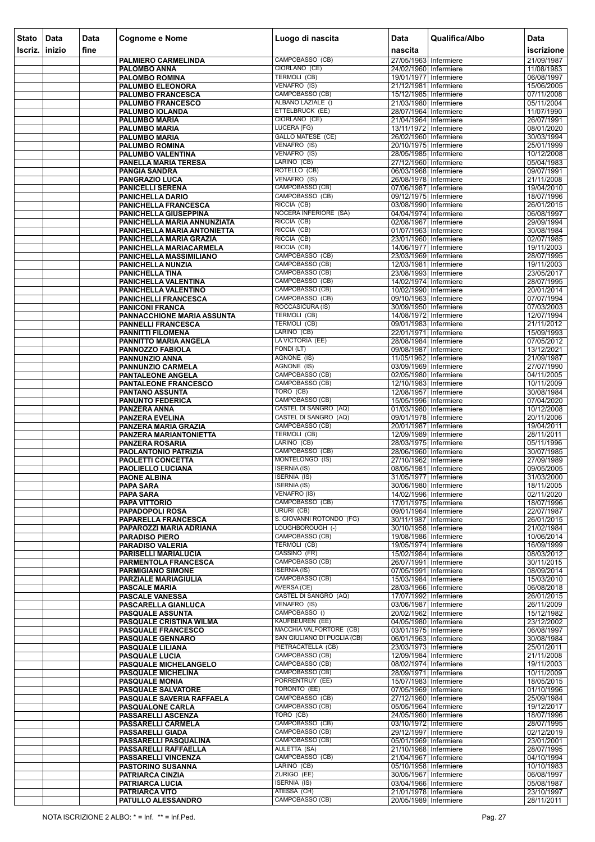| <b>Stato</b><br>Iscriz. | Data<br>inizio | Data<br>fine | Cognome e Nome                                              | Luogo di nascita                           | <b>Data</b><br>nascita                         | Qualifica/Albo | Data<br>iscrizione       |
|-------------------------|----------------|--------------|-------------------------------------------------------------|--------------------------------------------|------------------------------------------------|----------------|--------------------------|
|                         |                |              | <b>PALMIERO CARMELINDA</b>                                  | CAMPOBASSO (CB)                            | 27/05/1963 Infermiere                          |                | 21/09/1987               |
|                         |                |              | <b>PALOMBO ANNA</b>                                         | CIORLANO (CE)                              | 24/02/1960 Infermiere                          |                | 11/08/1983               |
|                         |                |              | <b>PALOMBO ROMINA</b>                                       | <b>TERMOLI (CB)</b>                        | 19/01/1977 Infermiere                          |                | 06/08/1997               |
|                         |                |              | <b>PALUMBO ELEONORA</b>                                     | VENAFRO (IS)                               | 21/12/1981 Infermiere                          |                | 15/06/2005               |
|                         |                |              | <b>PALUMBO FRANCESCA</b><br><b>PALUMBO FRANCESCO</b>        | CAMPOBASSO (CB)<br>ALBANO LAZIALE ()       | 15/12/1985 Infermiere<br>21/03/1980 Infermiere |                | 07/11/2008<br>05/11/2004 |
|                         |                |              | <b>PALUMBO IOLANDA</b>                                      | ETTELBRUCK (EE)                            | 28/07/1964 Infermiere                          |                | 11/07/1990               |
|                         |                |              | <b>PALUMBO MARIA</b>                                        | CIORLANO (CE)                              | 21/04/1964 Infermiere                          |                | 26/07/1991               |
|                         |                |              | <b>PALUMBO MARIA</b>                                        | LUCERA (FG)<br><b>GALLO MATESE (CE)</b>    | 13/11/1972 Infermiere                          |                | 08/01/2020               |
|                         |                |              | <b>PALUMBO MARIA</b><br><b>PALUMBO ROMINA</b>               | VENAFRO (IS)                               | 26/02/1960 Infermiere<br>20/10/1975 Infermiere |                | 30/03/1994<br>25/01/1999 |
|                         |                |              | <b>PALUMBO VALENTINA</b>                                    | VENAFRO (IS)                               | 28/05/1985 Infermiere                          |                | 10/12/2008               |
|                         |                |              | PANELLA MARIA TERESA                                        | LARINO (CB)                                | 27/12/1960 Infermiere                          |                | 05/04/1983               |
|                         |                |              | <b>PANGIA SANDRA</b><br><b>PANGRAZIO LUCA</b>               | ROTELLO (CB)<br>VENAFRO (IS)               | 06/03/1968 Infermiere<br>26/08/1978 Infermiere |                | 09/07/1991<br>21/11/2008 |
|                         |                |              | <b>PANICELLI SERENA</b>                                     | CAMPOBASSO (CB)                            | 07/06/1987 Infermiere                          |                | 19/04/2010               |
|                         |                |              | PANICHELLA DARIO                                            | CAMPOBASSO (CB)                            | 09/12/1975 Infermiere                          |                | 18/07/1996               |
|                         |                |              | <b>PANICHELLA FRANCESCA</b><br><b>PANICHELLA GIUSEPPINA</b> | RICCIA (CB)<br>NOCERA INFERIORE (SA)       | 03/08/1990 Infermiere<br>04/04/1974 Infermiere |                | 26/01/2015<br>06/08/1997 |
|                         |                |              | PANICHELLA MARIA ANNUNZIATA                                 | RICCIA (CB)                                | 02/08/1967 Infermiere                          |                | 29/09/1994               |
|                         |                |              | PANICHELLA MARIA ANTONIETTA                                 | RICCIA (CB)                                | 01/07/1963 Infermiere                          |                | 30/08/1984               |
|                         |                |              | PANICHELLA MARIA GRAZIA                                     | RICCIA (CB)                                | 23/01/1960 Infermiere                          |                | 02/07/1985               |
|                         |                |              | PANICHELLA MARIACARMELA<br>PANICHELLA MASSIMILIANO          | RICCIA (CB)<br>CAMPOBASSO (CB)             | 14/06/1977 Infermiere<br>23/03/1969 Infermiere |                | 19/11/2003<br>28/07/1995 |
|                         |                |              | PANICHELLA NUNZIA                                           | CAMPOBASSO (CB)                            | 12/03/1981 Infermiere                          |                | 19/11/2003               |
|                         |                |              | <b>PANICHELLA TINA</b>                                      | CAMPOBASSO (CB)                            | 23/08/1993 Infermiere                          |                | 23/05/2017               |
|                         |                |              | PANICHELLA VALENTINA                                        | CAMPOBASSO (CB)<br>CAMPOBASSO (CB)         | 14/02/1974 Infermiere                          |                | 28/07/1995               |
|                         |                |              | PANICHELLA VALENTINO<br><b>PANICHELLI FRANCESCA</b>         | CAMPOBASSO (CB)                            | 10/02/1990 Infermiere<br>09/10/1963 Infermiere |                | 20/01/2014<br>07/07/1994 |
|                         |                |              | <b>PANICONI FRANCA</b>                                      | ROCCASICURA (IS)                           | 30/09/1950 Infermiere                          |                | 07/03/2003               |
|                         |                |              | PANNACCHIONE MARIA ASSUNTA                                  | <b>TERMOLI (CB)</b>                        | 14/08/1972 Infermiere                          |                | 12/07/1994               |
|                         |                |              | <b>PANNELLI FRANCESCA</b><br><b>PANNITTI FILOMENA</b>       | TERMOLI (CB)<br>LARINO (CB)                | 09/01/1983 Infermiere<br>22/01/1971 Infermiere |                | 21/11/2012<br>15/09/1993 |
|                         |                |              | PANNITTO MARIA ANGELA                                       | LA VICTORIA (EE)                           | 28/08/1984 Infermiere                          |                | 07/05/2012               |
|                         |                |              | PANNOZZO FABIOLA                                            | FONDI (LT)                                 | 09/08/1987 Infermiere                          |                | 13/12/2021               |
|                         |                |              | PANNUNZIO ANNA<br><b>PANNUNZIO CARMELA</b>                  | AGNONE (IS)<br>AGNONE (IS)                 | 11/05/1962 Infermiere<br>03/09/1969 Infermiere |                | 21/09/1987<br>27/07/1990 |
|                         |                |              | <b>PANTALEONE ANGELA</b>                                    | CAMPOBASSO (CB)                            | 02/05/1980 Infermiere                          |                | 04/11/2005               |
|                         |                |              | <b>PANTALEONE FRANCESCO</b>                                 | CAMPOBASSO (CB)                            | 12/10/1983 Infermiere                          |                | 10/11/2009               |
|                         |                |              | <b>PANTANO ASSUNTA</b>                                      | TORO (CB)<br>CAMPOBASSO (CB)               | 12/08/1957 Infermiere                          |                | 30/08/1984               |
|                         |                |              | <b>PANUNTO FEDERICA</b><br>PANZERA ANNA                     | CASTEL DI SANGRO (AQ)                      | 15/05/1996 Infermiere<br>01/03/1980 Infermiere |                | 07/04/2020<br>10/12/2008 |
|                         |                |              | <b>PANZERA EVELINA</b>                                      | CASTEL DI SANGRO (AQ)                      | 09/01/1978 Infermiere                          |                | 20/11/2006               |
|                         |                |              | PANZERA MARIA GRAZIA                                        | CAMPOBASSO (CB)                            | 20/01/1987 Infermiere                          |                | 19/04/2011               |
|                         |                |              | PANZERA MARIANTONIETTA<br><b>PANZERA ROSARIA</b>            | <b>TERMOLI (CB)</b><br>LARINO (CB)         | 12/09/1989 Infermiere<br>28/03/1975 Infermiere |                | 28/11/2011<br>05/11/1996 |
|                         |                |              | <b>PAOLANTONIO PATRIZIA</b>                                 | CAMPOBASSO (CB)                            | 28/06/1960 Infermiere                          |                | 30/07/1985               |
|                         |                |              | <b>PAOLETTI CONCETTA</b>                                    | MONTELONGO (IS)                            | 27/10/1962 Infermiere                          |                | 27/09/1989               |
|                         |                |              | PAOLIELLO LUCIANA<br><b>PAONE ALBINA</b>                    | <b>ISERNIA (IS)</b><br><b>ISERNIA (IS)</b> | 08/05/1981 Infermiere<br>31/05/1977 Infermiere |                | 09/05/2005<br>31/03/2000 |
|                         |                |              | <b>PAPA SARA</b>                                            | ISERNIA (IS)                               | 30/06/1980 Infermiere                          |                | 18/11/2005               |
|                         |                |              | <b>PAPA SARA</b>                                            | <b>VENAFRO (IS)</b>                        | 14/02/1996 Infermiere                          |                | 02/11/2020               |
|                         |                |              | <b>PAPA VITTORIO</b><br><b>PAPADOPOLI ROSA</b>              | CAMPOBASSO (CB)<br>URURI (CB)              | 17/01/1975 Infermiere<br>09/01/1964 Infermiere |                | 18/07/1996<br>22/07/1987 |
|                         |                |              | PAPARELLA FRANCESCA                                         | S. GIOVANNI ROTONDO (FG)                   | 30/11/1987 Infermiere                          |                | 26/01/2015               |
|                         |                |              | PAPAROZZI MARIA ADRIANA                                     | LOUGHBOROUGH (-)                           | 30/10/1958 Infermiere                          |                | 21/02/1984               |
|                         |                |              | <b>PARADISO PIERO</b>                                       | CAMPOBASSO (CB)<br><b>TERMOLI (CB)</b>     | 19/08/1986 Infermiere                          |                | 10/06/2014               |
|                         |                |              | <b>PARADISO VALERIA</b><br><b>PARISELLI MARIALUCIA</b>      | CASSINO (FR)                               | 19/05/1974 Infermiere<br>15/02/1984 Infermiere |                | 16/09/1999<br>08/03/2012 |
|                         |                |              | PARMENTOLA FRANCESCA                                        | CAMPOBASSO (CB)                            | 26/07/1991 Infermiere                          |                | 30/11/2015               |
|                         |                |              | <b>PARMIGIANO SIMONE</b>                                    | <b>ISERNIA (IS)</b><br>CAMPOBASSO (CB)     | 07/05/1991 Infermiere<br>15/03/1984 Infermiere |                | 08/09/2014<br>15/03/2010 |
|                         |                |              | PARZIALE MARIAGIULIA<br><b>PASCALE MARIA</b>                | AVERSA (CE)                                | 28/03/1966 Infermiere                          |                | 06/08/2018               |
|                         |                |              | <b>PASCALE VANESSA</b>                                      | CASTEL DI SANGRO (AQ)                      | 17/07/1992 Infermiere                          |                | 26/01/2015               |
|                         |                |              | PASCARELLA GIANLUCA                                         | VENAFRO (IS)                               | 03/06/1987 Infermiere                          |                | 26/11/2009               |
|                         |                |              | <b>PASQUALE ASSUNTA</b><br>PASQUALE CRISTINA WILMA          | CAMPOBASSO ()<br>KAUFBEUREN (EE)           | 20/02/1962 Infermiere<br>04/05/1980 Infermiere |                | 15/12/1982<br>23/12/2002 |
|                         |                |              | <b>PASQUALE FRANCESCO</b>                                   | MACCHIA VALFORTORE (CB)                    | 03/01/1975 Infermiere                          |                | 06/08/1997               |
|                         |                |              | PASQUALE GENNARO                                            | SAN GIULIANO DI PUGLIA (CB)                | 06/01/1963 Infermiere                          |                | 30/08/1984               |
|                         |                |              | PASQUALE LILIANA<br><b>PASQUALE LUCIA</b>                   | PIETRACATELLA (CB)<br>CAMPOBASSO (CB)      | 23/03/1973 Infermiere<br>12/09/1984 Infermiere |                | 25/01/2011<br>21/11/2008 |
|                         |                |              | PASQUALE MICHELANGELO                                       | CAMPOBASSO (CB)                            | 08/02/1974 Infermiere                          |                | 19/11/2003               |
|                         |                |              | <b>PASQUALE MICHELINA</b>                                   | CAMPOBASSO (CB)                            | 28/09/1971 Infermiere                          |                | 10/11/2009               |
|                         |                |              | <b>PASQUALE MONIA</b>                                       | PORRENTRUY (EE)<br>TORONTO (EE)            | 15/07/1983 Infermiere                          |                | 18/05/2015               |
|                         |                |              | <b>PASQUALE SALVATORE</b><br>PASQUALE SAVERIA RAFFAELA      | CAMPOBASSO (CB)                            | 07/05/1969 Infermiere<br>27/12/1960 Infermiere |                | 01/10/1996<br>25/09/1984 |
|                         |                |              | PASQUALONE CARLA                                            | CAMPOBASSO (CB)                            | 05/05/1964 Infermiere                          |                | 19/12/2017               |
|                         |                |              | PASSARELLI ASCENZA                                          | TORO (CB)                                  | 24/05/1960 Infermiere                          |                | 18/07/1996               |
|                         |                |              | PASSARELLI CARMELA<br><b>PASSARELLI GIADA</b>               | CAMPOBASSO (CB)<br>CAMPOBASSO (CB)         | 03/10/1972 Infermiere<br>29/12/1997 Infermiere |                | 28/07/1995<br>02/12/2019 |
|                         |                |              | PASSARELLI PASQUALINA                                       | CAMPOBASSO (CB)                            | 05/01/1969 Infermiere                          |                | 23/01/2001               |
|                         |                |              | PASSARELLI RAFFAELLA                                        | <b>AULETTA (SA)</b>                        | 21/10/1968 Infermiere                          |                | 28/07/1995               |
|                         |                |              | <b>PASSARELLI VINCENZA</b><br>PASTORINO SUSANNA             | CAMPOBASSO (CB)<br>LARINO (CB)             | 21/04/1967 Infermiere<br>05/10/1958 Infermiere |                | 04/10/1994<br>10/10/1983 |
|                         |                |              | <b>PATRIARCA CINZIA</b>                                     | ZURIGO (EE)                                | 30/05/1967 Infermiere                          |                | 06/08/1997               |
|                         |                |              | <b>PATRIARCA LUCIA</b>                                      | <b>ISERNIA (IS)</b>                        | 03/04/1966 Infermiere                          |                | 05/08/1987               |
|                         |                |              | <b>PATRIARCA VITO</b><br>PATULLO ALESSANDRO                 | ATESSA (CH)<br>CAMPOBASSO (CB)             | 21/01/1978 Infermiere<br>20/05/1989 Infermiere |                | 23/10/1997               |
|                         |                |              |                                                             |                                            |                                                |                | 28/11/2011               |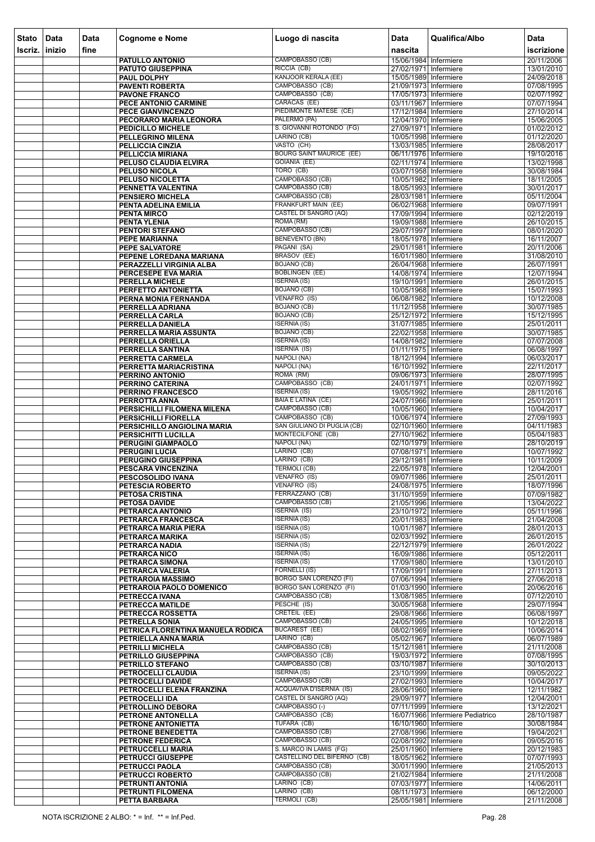| <b>Stato</b> | Data   | Data | <b>Cognome e Nome</b>                                     | Luogo di nascita                                        | <b>Data</b>                                    | Qualifica/Albo                   | Data                     |
|--------------|--------|------|-----------------------------------------------------------|---------------------------------------------------------|------------------------------------------------|----------------------------------|--------------------------|
| Iscriz.      | inizio | fine |                                                           |                                                         | nascita                                        |                                  | iscrizione               |
|              |        |      | PATULLO ANTONIO                                           | CAMPOBASSO (CB)                                         | 15/06/1984 Infermiere                          |                                  | 20/11/2006               |
|              |        |      | <b>PATUTO GIUSEPPINA</b>                                  | RICCIA (CB)<br>KANJOOR KERALA (EE)                      | 27/02/1971 Infermiere                          |                                  | 13/01/2010               |
|              |        |      | PAUL DOLPHY<br><b>PAVENTI ROBERTA</b>                     | CAMPOBASSO (CB)                                         | 15/05/1989 Infermiere<br>21/09/1973 Infermiere |                                  | 24/09/2018<br>07/08/1995 |
|              |        |      | <b>PAVONE FRANCO</b>                                      | CAMPOBASSO (CB)                                         | 17/05/1973 Infermiere                          |                                  | 02/07/1992               |
|              |        |      | PECE ANTONIO CARMINE                                      | CARACAS (EE)<br>PIEDIMONTE MATESE (CE)                  | 03/11/1967 Infermiere<br>17/12/1984 Infermiere |                                  | 07/07/1994               |
|              |        |      | PECE GIANVINCENZO<br>PECORARO MARIA LEONORA               | PALERMO (PA)                                            | 12/04/1970 Infermiere                          |                                  | 27/10/2014<br>15/06/2005 |
|              |        |      | PEDICILLO MICHELE                                         | S. GIOVANNI ROTONDO (FG)                                | 27/09/1971 Infermiere                          |                                  | 01/02/2012               |
|              |        |      | PELLEGRINO MILENA                                         | LARINO (CB)                                             | 10/05/1998 Infermiere                          |                                  | 01/12/2020               |
|              |        |      | PELLICCIA CINZIA<br><b>PELLICCIA MIRIANA</b>              | VASTO (CH)<br><b>BOURG SAINT MAURICE (EE)</b>           | 13/03/1985 Infermiere<br>06/11/1976 Infermiere |                                  | 28/08/2017<br>19/10/2016 |
|              |        |      | PELUSO CLAUDIA ELVIRA                                     | <b>GOIANIA (EE)</b>                                     | 02/11/1974 Infermiere                          |                                  | 13/02/1998               |
|              |        |      | PELUSO NICOLA                                             | TORO (CB)                                               | 03/07/1958 Infermiere                          |                                  | 30/08/1984               |
|              |        |      | PELUSO NICOLETTA<br>PENNETTA VALENTINA                    | CAMPOBASSO (CB)<br>CAMPOBASSO (CB)                      | 10/05/1982 Infermiere<br>18/05/1993 Infermiere |                                  | 18/11/2005<br>30/01/2017 |
|              |        |      | <b>PENSIERO MICHELA</b>                                   | CAMPOBASSO (CB)                                         | 28/03/1981 Infermiere                          |                                  | 05/11/2004               |
|              |        |      | PENTA ADELINA EMILIA                                      | <b>FRANKFURT MAIN (EE)</b>                              | 06/02/1968 Infermiere                          |                                  | 09/07/1991               |
|              |        |      | <b>PENTA MIRCO</b><br><b>PENTA YLENIA</b>                 | CASTEL DI SANGRO (AQ)<br>ROMA (RM)                      | 17/09/1994 Infermiere<br>19/09/1988 Infermiere |                                  | 02/12/2019<br>26/10/2015 |
|              |        |      | PENTORI STEFANO                                           | CAMPOBASSO (CB)                                         | 29/07/1997 Infermiere                          |                                  | 08/01/2020               |
|              |        |      | PEPE MARIANNA                                             | <b>BENEVENTO (BN)</b>                                   | 18/05/1978 Infermiere                          |                                  | 16/11/2007               |
|              |        |      | <b>PEPE SALVATORE</b>                                     | PAGANI (SA)<br>BRASOV (EE)                              | 29/01/1981 Infermiere                          |                                  | 20/11/2006               |
|              |        |      | PEPENE LOREDANA MARIANA<br>PERAZZELLI VIRGINIA ALBA       | <b>BOJANO (CB)</b>                                      | 16/01/1980 Infermiere<br>26/04/1968 Infermiere |                                  | 31/08/2010<br>26/07/1991 |
|              |        |      | PERCESEPE EVA MARIA                                       | <b>BOBLINGEN (EE)</b>                                   | 14/08/1974 Infermiere                          |                                  | 12/07/1994               |
|              |        |      | PERELLA MICHELE                                           | <b>ISERNIA (IS)</b>                                     | 19/10/1991 Infermiere                          |                                  | 26/01/2015               |
|              |        |      | PERFETTO ANTONIETTA<br>PERNA MONIA FERNANDA               | <b>BOJANO (CB)</b><br>VENAFRO (IS)                      | 10/05/1968 Infermiere<br>06/08/1982 Infermiere |                                  | 15/07/1993<br>10/12/2008 |
|              |        |      | PERRELLA ADRIANA                                          | <b>BOJANO (CB)</b>                                      | 11/12/1958 Infermiere                          |                                  | 30/07/1985               |
|              |        |      | PERRELLA CARLA                                            | <b>BOJANO (CB)</b>                                      | 25/12/1972 Infermiere                          |                                  | 15/12/1995               |
|              |        |      | PERRELLA DANIELA<br>PERRELLA MARIA ASSUNTA                | <b>ISERNIA (IS)</b><br><b>BOJANO (CB)</b>               | 31/07/1985 Infermiere<br>22/02/1958 Infermiere |                                  | 25/01/2011<br>30/07/1985 |
|              |        |      | PERRELLA ORIELLA                                          | <b>ISERNIA (IS)</b>                                     | 14/08/1982 Infermiere                          |                                  | 07/07/2008               |
|              |        |      | PERRELLA SANTINA                                          | <b>ISERNIA (IS)</b>                                     | 01/11/1975 Infermiere                          |                                  | 06/08/1997               |
|              |        |      | PERRETTA CARMELA                                          | NAPOLI (NA)<br>NAPOLI (NA)                              | 18/12/1994 Infermiere<br>16/10/1992 Infermiere |                                  | 06/03/2017<br>22/11/2017 |
|              |        |      | PERRETTA MARIACRISTINA<br>PERRINO ANTONIO                 | ROMA (RM)                                               | 09/06/1973 Infermiere                          |                                  | 28/07/1995               |
|              |        |      | PERRINO CATERINA                                          | CAMPOBASSO (CB)                                         | 24/01/1971 Infermiere                          |                                  | 02/07/1992               |
|              |        |      | <b>PERRINO FRANCESCO</b><br>PERROTTA ANNA                 | <b>ISERNIA (IS)</b><br><b>BAIA E LATINA (CE)</b>        | 19/05/1992 Infermiere<br>24/07/1966 Infermiere |                                  | 28/11/2016<br>25/01/2011 |
|              |        |      | PERSICHILLI FILOMENA MILENA                               | CAMPOBASSO (CB)                                         | 10/05/1960 Infermiere                          |                                  | 10/04/2017               |
|              |        |      | PERSICHILLI FIORELLA                                      | CAMPOBASSO (CB)                                         | 10/06/1974 Infermiere                          |                                  | 27/09/1993               |
|              |        |      | PERSICHILLO ANGIOLINA MARIA                               | <b>SAN GIULIANO DI PUGLIA (CB)</b><br>MONTECILFONE (CB) | 02/10/1960 Infermiere                          |                                  | 04/11/1983               |
|              |        |      | PERSICHITTI LUCILLA<br>PERUGINI GIAMPAOLO                 | NAPOLI (NA)                                             | 27/10/1962 Infermiere<br>02/10/1979 Infermiere |                                  | 05/04/1983<br>28/10/2019 |
|              |        |      | <b>PERUGINI LUCIA</b>                                     | LARINO (CB)                                             | 07/08/1971 Infermiere                          |                                  | 10/07/1992               |
|              |        |      | PERUGINO GIUSEPPINA                                       | LARINO (CB)<br><b>TERMOLI (CB)</b>                      | 29/12/1981 Infermiere                          |                                  | 10/11/2009               |
|              |        |      | PESCARA VINCENZINA<br><b>PESCOSOLIDO IVANA</b>            | VENAFRO (IS)                                            | 22/05/1978 Infermiere<br>09/07/1986 Infermiere |                                  | 12/04/2001<br>25/01/2011 |
|              |        |      | PETESCIA ROBERTO                                          | VENAFRO (IS)                                            | 24/08/1975 Infermiere                          |                                  | 18/07/1996               |
|              |        |      | PETOSA CRISTINA                                           | FERRAZZANO (CB)<br>CAMPOBASSO (CB)                      | 31/10/1959 Infermiere                          |                                  | 07/09/1982               |
|              |        |      | PETOSA DAVIDE<br>PETRARCA ANTONIO                         | <b>ISERNIA (IS)</b>                                     | 21/05/1996 Infermiere<br>23/10/1972 Infermiere |                                  | 13/04/2022<br>05/11/1996 |
|              |        |      | PETRARCA FRANCESCA                                        | <b>ISERNIA (IS)</b>                                     | 20/01/1983 Infermiere                          |                                  | 21/04/2008               |
|              |        |      | PETRARCA MARIA PIERA                                      | <b>ISERNIA (IS)</b><br><b>ISERNIA (IS)</b>              | 10/01/1987 Infermiere<br>02/03/1992 Infermiere |                                  | 28/01/2013<br>26/01/2015 |
|              |        |      | PETRARCA MARIKA<br>PETRARCA NADIA                         | <b>ISERNIA (IS)</b>                                     | 22/12/1979 Infermiere                          |                                  | 26/01/2022               |
|              |        |      | PETRARCA NICO                                             | <b>ISERNIA (IS)</b>                                     | 16/09/1986 Infermiere                          |                                  | 05/12/2011               |
|              |        |      | PETRARCA SIMONA<br>PETRARCA VALERIA                       | <b>ISERNIA (IS)</b><br><b>FORNELLI (IS)</b>             | 17/09/1980 Infermiere<br>17/09/1991 Infermiere |                                  | 13/01/2010<br>27/11/2013 |
|              |        |      | PETRAROIA MASSIMO                                         | <b>BORGO SAN LORENZO (FI)</b>                           | 07/06/1994 Infermiere                          |                                  | 27/06/2018               |
|              |        |      | PETRAROIA PAOLO DOMENICO                                  | BORGO SAN LORENZO (FI)                                  | 01/03/1990 Infermiere                          |                                  | 20/06/2016               |
|              |        |      | PETRECCA IVANA<br>PETRECCA MATILDE                        | CAMPOBASSO (CB)<br>PESCHE (IS)                          | 13/08/1985 Infermiere<br>30/05/1968 Infermiere |                                  | 07/12/2010<br>29/07/1994 |
|              |        |      | PETRECCA ROSSETTA                                         | <b>CRETEIL (EE)</b>                                     | 29/08/1966 Infermiere                          |                                  | 06/08/1997               |
|              |        |      | PETRELLA SONIA                                            | CAMPOBASSO (CB)                                         | 24/05/1995 Infermiere                          |                                  | 10/12/2018               |
|              |        |      | PETRICA FLORENTINA MANUELA RODICA<br>PETRIELLA ANNA MARIA | <b>BUCAREST (EE)</b><br>LARINO (CB)                     | 08/02/1969 Infermiere<br>05/02/1967 Infermiere |                                  | 10/06/2014<br>06/07/1989 |
|              |        |      | PETRILLI MICHELA                                          | CAMPOBASSO (CB)                                         | 15/12/1981 Infermiere                          |                                  | 21/11/2008               |
|              |        |      | PETRILLO GIUSEPPINA                                       | CAMPOBASSO (CB)                                         | 19/03/1972 Infermiere                          |                                  | 07/08/1995               |
|              |        |      | PETRILLO STEFANO<br>PETROCELLI CLAUDIA                    | CAMPOBASSO (CB)<br><b>ISERNIA (IS)</b>                  | 03/10/1987 Infermiere<br>23/10/1999 Infermiere |                                  | 30/10/2013<br>09/05/2022 |
|              |        |      | PETROCELLI DAVIDE                                         | CAMPOBASSO (CB)                                         | 27/02/1993 Infermiere                          |                                  | 10/04/2017               |
|              |        |      | PETROCELLI ELENA FRANZINA                                 | <b>ACQUAVIVA D'ISERNIA (IS)</b>                         | 28/06/1960 Infermiere                          |                                  | 12/11/1982               |
|              |        |      | PETROCELLI IDA<br>PETROLLINO DEBORA                       | <b>CASTEL DI SANGRO (AQ)</b><br>CAMPOBASSO (-)          | 29/09/1977 Infermiere<br>07/11/1999 Infermiere |                                  | 12/04/2001<br>13/12/2021 |
|              |        |      | PETRONE ANTONELLA                                         | CAMPOBASSO (CB)                                         |                                                | 16/07/1966 Infermiere Pediatrico | 28/10/1987               |
|              |        |      | <b>PETRONE ANTONIETTA</b>                                 | TUFARA (CB)                                             | 16/10/1960 Infermiere                          |                                  | 30/08/1984               |
|              |        |      | <b>PETRONE BENEDETTA</b><br>PETRONE FEDERICA              | CAMPOBASSO (CB)<br>CAMPOBASSO (CB)                      | 27/08/1996 Infermiere<br>02/08/1992 Infermiere |                                  | 19/04/2021<br>09/05/2016 |
|              |        |      | PETRUCCELLI MARIA                                         | S. MARCO IN LAMIS (FG)                                  | 25/01/1960 Infermiere                          |                                  | 20/12/1983               |
|              |        |      | <b>PETRUCCI GIUSEPPE</b>                                  | CASTELLINO DEL BIFERNO (CB)                             | 18/05/1962 Infermiere                          |                                  | 07/07/1993               |
|              |        |      | PETRUCCI PAOLA<br>PETRUCCI ROBERTO                        | CAMPOBASSO (CB)<br>CAMPOBASSO (CB)                      | 30/01/1990 Infermiere<br>21/02/1984 Infermiere |                                  | 21/05/2013<br>21/11/2008 |
|              |        |      | PETRUNTI ANTONIA                                          | LARINO (CB)                                             | 07/03/1977 Infermiere                          |                                  | 14/06/2011               |
|              |        |      | PETRUNTI FILOMENA                                         | LARINO (CB)                                             | 08/11/1973 Infermiere                          |                                  | 06/12/2000               |
|              |        |      | PETTA BARBARA                                             | TERMOLI (CB)                                            | 25/05/1981 Infermiere                          |                                  | 21/11/2008               |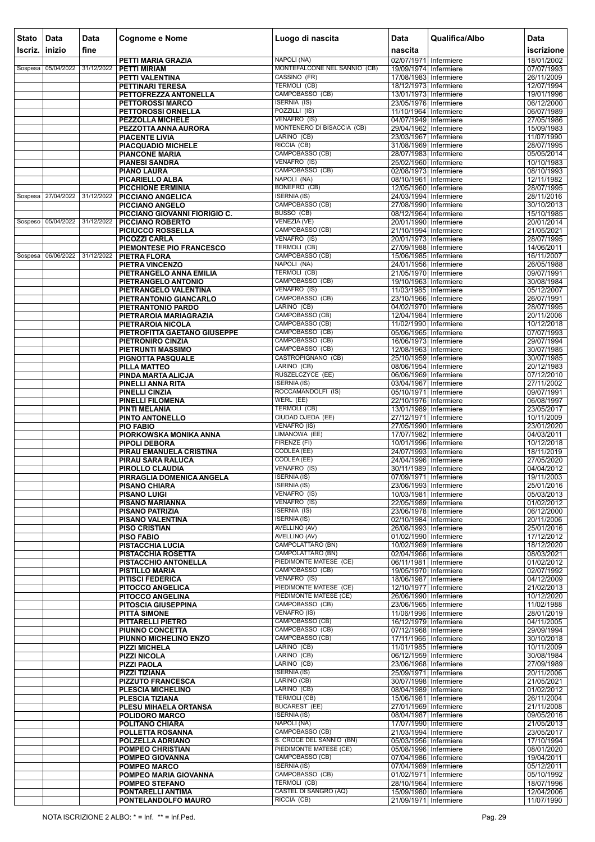| Stato   | Data                          | <b>Data</b> | <b>Cognome e Nome</b>                             | Luogo di nascita                                    | <b>Data</b>                                      | Qualifica/Albo | <b>Data</b>              |
|---------|-------------------------------|-------------|---------------------------------------------------|-----------------------------------------------------|--------------------------------------------------|----------------|--------------------------|
| Iscriz. | inizio                        | fine        |                                                   |                                                     | nascita                                          |                | iscrizione               |
|         |                               |             | PETTI MARIA GRAZIA                                | NAPOLI (NA)<br>MONTEFALCONE NEL SANNIO (CB)         | 02/07/1971 Infermiere                            |                | 18/01/2002               |
|         | Sospesa 05/04/2022            | 31/12/2022  | <b>PETTI MIRIAM</b><br>PETTI VALENTINA            | CASSINO (FR)                                        | 19/09/1974 Infermiere<br>17/08/1983 Infermiere   |                | 07/07/1993<br>26/11/2009 |
|         |                               |             | <b>PETTINARI TERESA</b>                           | <b>TERMOLI (CB)</b>                                 | 18/12/1973 Infermiere                            |                | 12/07/1994               |
|         |                               |             | PETTOFREZZA ANTONELLA<br><b>PETTOROSSI MARCO</b>  | CAMPOBASSO (CB)<br><b>ISERNIA (IS)</b>              | 13/01/1973 Infermiere<br>23/05/1976 Infermiere   |                | 19/01/1996               |
|         |                               |             | PETTOROSSI ORNELLA                                | POZZILLI (IS)                                       | 11/10/1964 Infermiere                            |                | 06/12/2000<br>06/07/1989 |
|         |                               |             | <b>PEZZOLLA MICHELE</b>                           | VENAFRO (IS)                                        | 04/07/1949 Infermiere                            |                | 27/05/1986               |
|         |                               |             | PEZZOTTA ANNA AURORA<br><b>PIACENTE LIVIA</b>     | MONTENERO DI BISACCIA (CB)<br>LARINO (CB)           | 29/04/1962 Infermiere<br>23/03/1967 Infermiere   |                | 15/09/1983<br>11/07/1990 |
|         |                               |             | <b>PIACQUADIO MICHELE</b>                         | RICCIA (CB)                                         | 31/08/1969 Infermiere                            |                | 28/07/1995               |
|         |                               |             | <b>PIANCONE MARIA</b>                             | <b>CAMPOBASSO (CB)</b>                              | 28/07/1983 Infermiere                            |                | 05/05/2014               |
|         |                               |             | <b>PIANESI SANDRA</b><br><b>PIANO LAURA</b>       | VENAFRO (IS)<br>CAMPOBASSO (CB)                     | 25/02/1960 Infermiere<br>02/08/1973 Infermiere   |                | 10/10/1983<br>08/10/1993 |
|         |                               |             | PICARIELLO ALBA                                   | NAPOLI (NA)                                         | 08/10/1961 Infermiere                            |                | 12/11/1982               |
|         |                               |             | <b>PICCHIONE ERMINIA</b>                          | <b>BONEFRO (CB)</b>                                 | 12/05/1960 Infermiere                            |                | 28/07/1995               |
|         | Sospesa 27/04/2022 31/12/2022 |             | PICCIANO ANGELICA<br>PICCIANO ANGELO              | <b>ISERNIA (IS)</b><br>CAMPOBASSO (CB)              | 24/03/1994 Infermiere<br>27/08/1990 Infermiere   |                | 28/11/2016<br>30/10/2013 |
|         |                               |             | PICCIANO GIOVANNI FIORIGIO C.                     | BUSSO (CB)                                          | 08/12/1964 Infermiere                            |                | 15/10/1985               |
|         | Sospeso 05/04/2022            | 31/12/2022  | <b>PICCIANO ROBERTO</b>                           | <b>VENEZIA (VE)</b>                                 | 20/01/1990 Infermiere                            |                | 20/01/2014               |
|         |                               |             | PICIUCCO ROSSELLA<br>PICOZZI CARLA                | <b>CAMPOBASSO (CB)</b><br>VENAFRO (IS)              | 21/10/1994 Infermiere<br>20/01/1973 Infermiere   |                | 21/05/2021<br>28/07/1995 |
|         |                               |             | PIEMONTESE PIO FRANCESCO                          | <b>TERMOLI (CB)</b>                                 | 27/09/1988 Infermiere                            |                | 14/06/2011               |
|         | Sospesa 06/06/2022 31/12/2022 |             | <b>PIETRA FLORA</b>                               | <b>CAMPOBASSO (CB)</b>                              | 15/06/1985 Infermiere                            |                | 16/11/2007               |
|         |                               |             | <b>PIETRA VINCENZO</b><br>PIETRANGELO ANNA EMILIA | NAPOLI (NA)<br>TERMOLI (CB)                         | 24/01/1956 Infermiere<br>21/05/1970 Infermiere   |                | 26/05/1988<br>09/07/1991 |
|         |                               |             | PIETRANGELO ANTONIO                               | CAMPOBASSO (CB)                                     | 19/10/1963 Infermiere                            |                | 30/08/1984               |
|         |                               |             | PIETRANGELO VALENTINA                             | VENAFRO (IS)                                        | 11/03/1985 Infermiere                            |                | 05/12/2007               |
|         |                               |             | PIETRANTONIO GIANCARLO<br>PIETRANTONIO PARDO      | CAMPOBASSO (CB)<br>LARINO (CB)                      | 23/10/1966 Infermiere<br>04/02/1970 Infermiere   |                | 26/07/1991<br>28/07/1995 |
|         |                               |             | PIETRAROIA MARIAGRAZIA                            | CAMPOBASSO (CB)                                     | 12/04/1984 Infermiere                            |                | 20/11/2006               |
|         |                               |             | PIETRAROIA NICOLA                                 | CAMPOBASSO (CB)<br>CAMPOBASSO (CB)                  | 11/02/1990   Infermiere                          |                | 10/12/2018               |
|         |                               |             | PIETROFITTA GAETANO GIUSEPPE<br>PIETRONIRO CINZIA | CAMPOBASSO (CB)                                     | 05/06/1965 Infermiere<br>16/06/1973 Infermiere   |                | 07/07/1993<br>29/07/1994 |
|         |                               |             | PIETRUNTI MASSIMO                                 | CAMPOBASSO (CB)                                     | 12/08/1963 Infermiere                            |                | 30/07/1985               |
|         |                               |             | PIGNOTTA PASQUALE                                 | CASTROPIGNANO (CB)<br>LARINO (CB)                   | 25/10/1959 Infermiere<br>08/06/1954 Infermiere   |                | 30/07/1985<br>20/12/1983 |
|         |                               |             | <b>PILLA MATTEO</b><br>PINDA MARTA ALICJA         | RUSZELCZYCE (EE)                                    | 06/06/1969 Infermiere                            |                | 07/12/2010               |
|         |                               |             | PINELLI ANNA RITA                                 | <b>ISERNIA (IS)</b>                                 | 03/04/1967 Infermiere                            |                | 27/11/2002               |
|         |                               |             | <b>PINELLI CINZIA</b><br><b>PINELLI FILOMENA</b>  | ROCCAMANDOLFI (IS)<br>WERL (EE)                     | 05/10/1971 Infermiere<br>22/10/1976 Infermiere   |                | 09/07/1991<br>06/08/1997 |
|         |                               |             | <b>PINTI MELANIA</b>                              | <b>TERMOLI (CB)</b>                                 | 13/01/1989 Infermiere                            |                | 23/05/2017               |
|         |                               |             | PINTO ANTONELLO                                   | CIUDAD OJEDA (EE)                                   | 27/12/1971 Infermiere                            |                | 10/11/2009               |
|         |                               |             | <b>PIO FABIO</b><br>PIORKOWSKA MONIKA ANNA        | <b>VENAFRO (IS)</b><br>LIMANOWA (EE)                | 27/05/1990 Infermiere<br>17/07/1982 Infermiere   |                | 23/01/2020<br>04/03/2011 |
|         |                               |             | <b>PIPOLI DEBORA</b>                              | FIRENZE (FI)                                        | 10/01/1996 Infermiere                            |                | 10/12/2018               |
|         |                               |             | PIRAU EMANUELA CRISTINA                           | <b>CODLEA</b> (EE)                                  | 24/07/1993 Infermiere                            |                | 18/11/2019               |
|         |                               |             | PIRAU SARA RALUCA<br>PIROLLO CLAUDIA              | <b>CODLEA (EE)</b><br>VENAFRO (IS)                  | 24/04/1996 Infermiere<br>30/11/1989 Infermiere   |                | 27/05/2020<br>04/04/2012 |
|         |                               |             | PIRRAGLIA DOMENICA ANGELA                         | <b>ISERNIA (IS)</b>                                 | 07/09/1971 Infermiere                            |                | 19/11/2003               |
|         |                               |             | <b>PISANO CHIARA</b>                              | <b>ISERNIA (IS)</b><br>VENAFRO (IS)                 | 23/06/1993 Infermiere                            |                | 25/01/2016               |
|         |                               |             | <b>PISANO LUIGI</b><br><b>PISANO MARIANNA</b>     | VENAFRO (IS)                                        | 10/03/1981 Infermiere<br>22/05/1989 Infermiere   |                | 05/03/2013<br>01/02/2012 |
|         |                               |             | <b>PISANO PATRIZIA</b>                            | <b>ISERNIA (IS)</b>                                 | 23/06/1978 Infermiere                            |                | 06/12/2000               |
|         |                               |             | <b>PISANO VALENTINA</b>                           | <b>ISERNIA (IS)</b><br>AVELLINO (AV)                | 02/10/1984 Infermiere                            |                | 20/11/2006               |
|         |                               |             | <b>PISO CRISTIAN</b><br><b>PISO FABIO</b>         | <b>AVELLINO (AV)</b>                                | 26/08/1993 Infermiere<br>01/02/1990 Infermiere   |                | 25/01/2016<br>17/12/2012 |
|         |                               |             | <b>PISTACCHIA LUCIA</b>                           | <b>CAMPOLATTARO (BN)</b>                            | 10/02/1969 Infermiere                            |                | 18/12/2020               |
|         |                               |             | PISTACCHIA ROSETTA<br>PISTACCHIO ANTONELLA        | <b>CAMPOLATTARO (BN)</b><br>PIEDIMONTE MATESE (CE)  | 02/04/1966 Infermiere<br>06/11/1981   Infermiere |                | 08/03/2021<br>01/02/2012 |
|         |                               |             | <b>PISTILLO MARIA</b>                             | CAMPOBASSO (CB)                                     | 19/05/1970 Infermiere                            |                | 02/07/1992               |
|         |                               |             | <b>PITISCI FEDERICA</b>                           | VENAFRO (IS)                                        | 18/06/1987 Infermiere                            |                | 04/12/2009               |
|         |                               |             | PITOCCO ANGELICA<br><b>PITOCCO ANGELINA</b>       | PIEDIMONTE MATESE (CE)<br>PIEDIMONTE MATESE (CE)    | 12/10/1977 Infermiere<br>26/06/1990 Infermiere   |                | 21/02/2013<br>10/12/2020 |
|         |                               |             | <b>PITOSCIA GIUSEPPINA</b>                        | CAMPOBASSO (CB)                                     | 23/06/1965 Infermiere                            |                | 11/02/1988               |
|         |                               |             | PITTÀ SIMONE                                      | <b>VENAFRO (IS)</b>                                 | 11/06/1996 Infermiere                            |                | 28/01/2019               |
|         |                               |             | <b>PITTARELLI PIETRO</b><br>PIUNNO CONCETTA       | CAMPOBASSO (CB)<br>CAMPOBASSO (CB)                  | 16/12/1979 Infermiere<br>07/12/1968 Infermiere   |                | 04/11/2005<br>29/09/1994 |
|         |                               |             | PIUNNO MICHELINO ENZO                             | CAMPOBASSO (CB)                                     | 17/11/1966 Infermiere                            |                | 30/10/2018               |
|         |                               |             | <b>PIZZI MICHELA</b>                              | LARINO (CB)                                         | 11/01/1985 Infermiere                            |                | 10/11/2009               |
|         |                               |             | <b>PIZZI NICOLA</b><br><b>PIZZI PAOLA</b>         | LARINO (CB)<br>LARINO (CB)                          | 06/12/1959 Infermiere<br>23/06/1968 Infermiere   |                | 30/08/1984<br>27/09/1989 |
|         |                               |             | <b>PIZZI TIZIANA</b>                              | <b>ISERNIA (IS)</b>                                 | 25/09/1971 Infermiere                            |                | 20/11/2006               |
|         |                               |             | <b>PIZZUTO FRANCESCA</b>                          | LARINO (CB)<br>LARINO (CB)                          | 30/07/1998 Infermiere                            |                | 21/05/2021<br>01/02/2012 |
|         |                               |             | PLESCIA MICHELINO<br>PLESCIA TIZIANA              | <b>TERMOLI (CB)</b>                                 | 08/04/1989 Infermiere<br>15/06/1981 Infermiere   |                | 26/11/2004               |
|         |                               |             | PLESU MIHAELA ORTANSA                             | <b>BUCAREST (EE)</b>                                | 27/01/1969 Infermiere                            |                | 21/11/2008               |
|         |                               |             | <b>POLIDORO MARCO</b><br>POLITANO CHIARA          | <b>ISERNIA (IS)</b><br>NAPOLI (NA)                  | 08/04/1987 Infermiere<br>17/07/1990 Infermiere   |                | 09/05/2016<br>21/05/2013 |
|         |                               |             | POLLETTA ROSANNA                                  | CAMPOBASSO (CB)                                     | 21/03/1994 Infermiere                            |                | 23/05/2017               |
|         |                               |             | POLZELLA ADRIANO                                  | S. CROCE DEL SANNIO (BN)                            | 05/03/1956 Infermiere                            |                | 17/10/1994               |
|         |                               |             | POMPEO CHRISTIAN<br>POMPEO GIOVANNA               | PIEDIMONTE MATESE (CE)<br>CAMPOBASSO (CB)           | 05/08/1996 Infermiere<br>07/04/1986 Infermiere   |                | 08/01/2020<br>19/04/2011 |
|         |                               |             | <b>POMPEO MARCO</b>                               | <b>ISERNIA (IS)</b>                                 | 07/04/1989 Infermiere                            |                | 05/12/2011               |
|         |                               |             | POMPEO MARIA GIOVANNA                             | CAMPOBASSO (CB)                                     | 01/02/1971 Infermiere                            |                | 05/10/1992               |
|         |                               |             | <b>POMPEO STEFANO</b><br>PONTARELLI ANTIMA        | <b>TERMOLI (CB)</b><br><b>CASTEL DI SANGRO (AQ)</b> | 28/10/1964 Infermiere<br>15/09/1980 Infermiere   |                | 18/07/1996<br>12/04/2006 |
|         |                               |             | PONTELANDOLFO MAURO                               | RICCIA (CB)                                         | 21/09/1971 Infermiere                            |                | 11/07/1990               |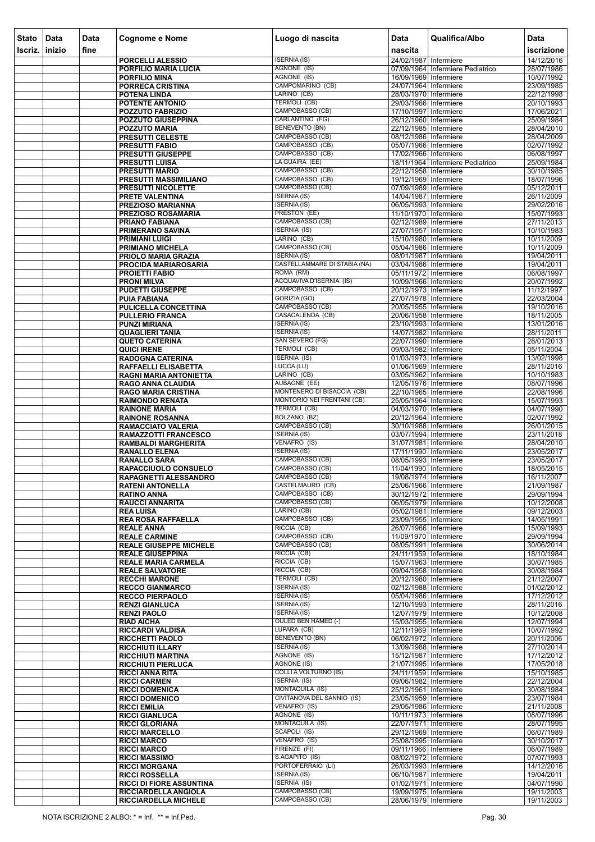| <b>Stato</b> | Data   | <b>Data</b> | <b>Cognome e Nome</b>                                     | Luogo di nascita                                         | <b>Data</b>                                    | Qualifica/Albo                   | Data                     |
|--------------|--------|-------------|-----------------------------------------------------------|----------------------------------------------------------|------------------------------------------------|----------------------------------|--------------------------|
| Iscriz.      | inizio | fine        |                                                           |                                                          | nascita                                        |                                  | iscrizione               |
|              |        |             | PORCELLI ALESSIO                                          | <b>ISERNIA (IS)</b>                                      | 24/02/1987 Infermiere                          |                                  | 14/12/2016               |
|              |        |             | PORFILIO MARIA LUCIA                                      | AGNONE (IS)                                              |                                                | 07/09/1964 Infermiere Pediatrico | 28/07/1986               |
|              |        |             | <b>PORFILIO MINA</b>                                      | AGNONE (IS)<br>CAMPOMARINO (CB)                          | 16/09/1969 Infermiere<br>24/07/1964 Infermiere |                                  | 10/07/1992               |
|              |        |             | <b>PORRECA CRISTINA</b><br><b>POTENA LINDA</b>            | LARINO (CB)                                              | 28/03/1970 Infermiere                          |                                  | 23/09/1985<br>22/12/1998 |
|              |        |             | <b>POTENTE ANTONIO</b>                                    | <b>TERMOLI (CB)</b>                                      | 29/03/1966 Infermiere                          |                                  | 20/10/1993               |
|              |        |             | <b>POZZUTO FABRIZIO</b>                                   | CAMPOBASSO (CB)                                          | 17/10/1997 Infermiere                          |                                  | 17/06/2021               |
|              |        |             | <b>POZZUTO GIUSEPPINA</b>                                 | CARLANTINO (FG)<br><b>BENEVENTO (BN)</b>                 | 26/12/1960 Infermiere                          |                                  | 25/09/1984               |
|              |        |             | <b>POZZUTO MARIA</b><br><b>PRESUTTI CELESTE</b>           | CAMPOBASSO (CB)                                          | 22/12/1985 Infermiere<br>08/12/1986 Infermiere |                                  | 28/04/2010<br>28/04/2009 |
|              |        |             | <b>PRESUTTI FABIO</b>                                     | CAMPOBASSO (CB)                                          | 05/07/1966 Infermiere                          |                                  | 02/07/1992               |
|              |        |             | <b>PRESUTTI GIUSEPPE</b>                                  | CAMPOBASSO (CB)                                          | 17/02/1966 Infermiere                          |                                  | 06/08/1997               |
|              |        |             | <b>PRESUTTI LUISA</b>                                     | LA GUAIRA (EE)<br>CAMPOBASSO (CB)                        | 22/12/1958 Infermiere                          | 18/11/1964 Infermiere Pediatrico | 25/09/1984               |
|              |        |             | <b>PRESUTTI MARIO</b><br>PRESUTTI MASSIMILIANO            | CAMPOBASSO (CB)                                          | 19/12/1969 Infermiere                          |                                  | 30/10/1985<br>18/07/1996 |
|              |        |             | <b>PRESUTTI NICOLETTE</b>                                 | CAMPOBASSO (CB)                                          | 07/09/1989 Infermiere                          |                                  | 05/12/2011               |
|              |        |             | <b>PRETE VALENTINA</b>                                    | <b>ISERNIA (IS)</b>                                      | 14/04/1987 Infermiere                          |                                  | 26/11/2009               |
|              |        |             | PREZIOSO MARIANNA                                         | <b>ISERNIA (IS)</b><br>PRESTON (EE)                      | 06/05/1993 Infermiere<br>11/10/1970 Infermiere |                                  | 29/02/2016               |
|              |        |             | PREZIOSO ROSAMARIA<br><b>PRIANO FABIANA</b>               | CAMPOBASSO (CB)                                          | 02/12/1989 Infermiere                          |                                  | 15/07/1993<br>27/11/2013 |
|              |        |             | <b>PRIMERANO SAVINA</b>                                   | <b>ISERNIA</b> (IS)                                      | 27/07/1957 Infermiere                          |                                  | 10/10/1983               |
|              |        |             | <b>PRIMIANI LUIGI</b>                                     | LARINO (CB)                                              | 15/10/1980 Infermiere                          |                                  | 10/11/2009               |
|              |        |             | <b>PRIMIANO MICHELA</b>                                   | CAMPOBASSO (CB)                                          | 05/04/1986 Infermiere                          |                                  | 10/11/2009               |
|              |        |             | PRIOLO MARIA GRAZIA<br>PROCIDA MARIAROSARIA               | <b>ISERNIA (IS)</b><br>CASTELLAMMARE DI STABIA (NA)      | 08/01/1987 Infermiere<br>03/04/1986 Infermiere |                                  | 19/04/2011<br>19/04/2011 |
|              |        |             | <b>PROIETTI FABIO</b>                                     | ROMA (RM)                                                | 05/11/1972 Infermiere                          |                                  | 06/08/1997               |
|              |        |             | <b>PRONI MILVA</b>                                        | <b>ACQUAVIVA D'ISERNIA (IS)</b>                          | 10/09/1966 Infermiere                          |                                  | 20/07/1992               |
|              |        |             | <b>PUDETTI GIUSEPPE</b>                                   | CAMPOBASSO (CB)                                          | 20/12/1973 Infermiere                          |                                  | 11/12/1997               |
|              |        |             | <b>PUIA FABIANA</b><br><b>PULICELLA CONCETTINA</b>        | GORIZIA (GO)<br>CAMPOBASSO (CB)                          | 27/07/1978 Infermiere<br>20/05/1955 Infermiere |                                  | 22/03/2004<br>19/10/2016 |
|              |        |             | <b>PULLERIO FRANCA</b>                                    | CASACALENDA (CB)                                         | 20/06/1958 Infermiere                          |                                  | 18/11/2005               |
|              |        |             | <b>PUNZI MIRIANA</b>                                      | <b>ISERNIA (IS)</b>                                      | 23/10/1993 Infermiere                          |                                  | 13/01/2016               |
|              |        |             | <b>QUAGLIERI TANIA</b>                                    | <b>ISERNIA (IS)</b>                                      | 14/07/1982 Infermiere                          |                                  | 28/11/2011               |
|              |        |             | <b>QUETO CATERINA</b>                                     | SAN SEVERO (FG)<br>TERMOLI (CB)                          | 22/07/1990 Infermiere                          |                                  | 28/01/2013               |
|              |        |             | <b>QUICI IRENE</b><br><b>RADOGNA CATERINA</b>             | <b>ISERNIA (IS)</b>                                      | 09/03/1982 Infermiere<br>01/03/1973 Infermiere |                                  | 05/11/2004<br>13/02/1998 |
|              |        |             | RAFFAELLI ELISABETTA                                      | LUCCA (LU)                                               | 01/06/1969 Infermiere                          |                                  | 28/11/2016               |
|              |        |             | RAGNI MARIA ANTONIETTA                                    | LARINO (CB)                                              | 03/05/1962 Infermiere                          |                                  | 10/10/1983               |
|              |        |             | <b>RAGO ANNA CLAUDIA</b>                                  | <b>AUBAGNE (EE)</b>                                      | 12/05/1976 Infermiere                          |                                  | 08/07/1996               |
|              |        |             | <b>RAGO MARIA CRISTINA</b><br><b>RAIMONDO RENATA</b>      | MONTENERO DI BISACCIA (CB)<br>MONTORIO NEI FRENTANI (CB) | 22/10/1965 Infermiere<br>25/05/1964 Infermiere |                                  | 22/08/1996<br>15/07/1993 |
|              |        |             | <b>RAINONE MARIA</b>                                      | TERMOLI (CB)                                             | 04/03/1970 Infermiere                          |                                  | 04/07/1990               |
|              |        |             | <b>RAINONE ROSANNA</b>                                    | BOLZANO (BZ)                                             | 20/12/1964 Infermiere                          |                                  | 02/07/1992               |
|              |        |             | <b>RAMACCIATO VALERIA</b>                                 | CAMPOBASSO (CB)                                          | 30/10/1988 Infermiere                          |                                  | 26/01/2015               |
|              |        |             | <b>RAMAZZOTTI FRANCESCO</b><br><b>RAMBALDI MARGHERITA</b> | <b>ISERNIA (IS)</b><br>VENAFRO (IS)                      | 03/07/1994 Infermiere<br>31/07/1981 Infermiere |                                  | 23/11/2018<br>28/04/2010 |
|              |        |             | <b>RANALLO ELENA</b>                                      | <b>ISERNIA (IS)</b>                                      | 17/11/1990 Infermiere                          |                                  | 23/05/2017               |
|              |        |             | <b>RANALLO SARA</b>                                       | CAMPOBASSO (CB)                                          | 08/05/1993 Infermiere                          |                                  | 23/05/2017               |
|              |        |             | RAPACCIUOLO CONSUELO                                      | CAMPOBASSO (CB)<br>CAMPOBASSO (CB)                       | 11/04/1990 Infermiere<br>19/08/1974 Infermiere |                                  | 18/05/2015               |
|              |        |             | RAPAGNETTI ALESSANDRO<br><b>RATENI ANTONELLA</b>          | CASTELMAURO (CB)                                         | 25/06/1966 Infermiere                          |                                  | 16/11/2007<br>21/09/1987 |
|              |        |             | <b>RATINO ANNA</b>                                        | CAMPOBASSO (CB)                                          | 30/12/1972 Infermiere                          |                                  | 29/09/1994               |
|              |        |             | <b>RAUCCI ANNARITA</b>                                    | CAMPOBASSO (CB)                                          | 06/05/1979 Infermiere                          |                                  | 10/12/2008               |
|              |        |             | <b>REA LUISA</b>                                          | LARINO (CB)<br>CAMPOBASSO (CB)                           | 05/02/1981 Infermiere<br>23/09/1955 Infermiere |                                  | 09/12/2003<br>14/05/1991 |
|              |        |             | <b>REA ROSA RAFFAELLA</b><br><b>REALE ANNA</b>            | RICCIA (CB)                                              | 26/07/1966 Infermiere                          |                                  | 15/09/1993               |
|              |        |             | <b>REALE CARMINE</b>                                      | CAMPOBASSO (CB)                                          | 11/09/1970 Infermiere                          |                                  | 29/09/1994               |
|              |        |             | <b>REALE GIUSEPPE MICHELE</b>                             | CAMPOBASSO (CB)                                          | 08/05/1991 Infermiere                          |                                  | 30/06/2014               |
|              |        |             | <b>REALE GIUSEPPINA</b>                                   | RICCIA (CB)<br>RICCIA (CB)                               | 24/11/1959 Infermiere<br>15/07/1963 Infermiere |                                  | 18/10/1984<br>30/07/1985 |
|              |        |             | <b>REALE MARIA CARMELA</b><br><b>REALE SALVATORE</b>      | RICCIA (CB)                                              | 09/04/1958 Infermiere                          |                                  | 30/08/1984               |
|              |        |             | <b>RECCHI MARONE</b>                                      | TERMOLI (CB)                                             | 20/12/1980 Infermiere                          |                                  | 21/12/2007               |
|              |        |             | <b>RECCO GIANMARCO</b>                                    | <b>ISERNIA (IS)</b>                                      | 02/12/1988 Infermiere                          |                                  | 01/02/2012               |
|              |        |             | <b>RECCO PIERPAOLO</b><br><b>RENZI GIANLUCA</b>           | <b>ISERNIA (IS)</b><br><b>ISERNIA (IS)</b>               | 05/04/1986 Infermiere<br>12/10/1993 Infermiere |                                  | 17/12/2012<br>28/11/2016 |
|              |        |             | <b>RENZI PAOLO</b>                                        | <b>ISERNIA (IS)</b>                                      | 12/07/1979 Infermiere                          |                                  | 10/12/2008               |
|              |        |             | <b>RIAD AICHA</b>                                         | OULED BEN HAMED (-)                                      | 15/03/1955 Infermiere                          |                                  | 12/07/1994               |
|              |        |             | <b>RICCARDI VALDISA</b>                                   | LUPARA (CB)                                              | 12/11/1969 Infermiere                          |                                  | 10/07/1992               |
|              |        |             | <b>RICCHETTI PAOLO</b><br><b>RICCHIUTI ILLARY</b>         | <b>BENEVENTO (BN)</b><br><b>ISERNIA (IS)</b>             | 06/02/1972 Infermiere<br>13/09/1988 Infermiere |                                  | 20/11/2006<br>27/10/2014 |
|              |        |             | <b>RICCHIUTI MARTINA</b>                                  | AGNONE (IS)                                              | 15/12/1987 Infermiere                          |                                  | 17/12/2012               |
|              |        |             | <b>RICCHIUTI PIERLUCA</b>                                 | <b>AGNONE (IS)</b>                                       | 21/07/1995 Infermiere                          |                                  | 17/05/2018               |
|              |        |             | <b>RICCI ANNA RITA</b>                                    | <b>COLLI A VOLTURNO (IS)</b>                             | 24/11/1959 Infermiere                          |                                  | 15/10/1985               |
|              |        |             | <b>RICCI CARMEN</b>                                       | <b>ISERNIA (IS)</b><br>MONTAQUILA (IS)                   | 09/06/1982 Infermiere                          |                                  | 22/12/2004               |
|              |        |             | <b>RICCI DOMENICA</b><br><b>RICCI DOMENICO</b>            | CIVITANOVA DEL SANNIO (IS)                               | 25/12/1961 Infermiere<br>23/05/1959 Infermiere |                                  | 30/08/1984<br>23/07/1984 |
|              |        |             | <b>RICCI EMILIA</b>                                       | VENAFRO (IS)                                             | 29/05/1986 Infermiere                          |                                  | 21/11/2008               |
|              |        |             | <b>RICCI GIANLUCA</b>                                     | AGNONE (IS)                                              | 10/11/1973 Infermiere                          |                                  | 08/07/1996               |
|              |        |             | <b>RICCI GLORIANA</b>                                     | <b>MONTAQUILA (IS)</b><br>SCAPOLI (IS)                   | 22/07/1971 Infermiere<br>29/12/1969 Infermiere |                                  | 28/07/1995<br>06/07/1989 |
|              |        |             | <b>RICCI MARCELLO</b><br><b>RICCI MARCO</b>               | VENAFRO (IS)                                             | 25/08/1995 Infermiere                          |                                  | 30/10/2017               |
|              |        |             | <b>RICCI MARCO</b>                                        | FIRENZE (FI)                                             | 09/11/1966 Infermiere                          |                                  | 06/07/1989               |
|              |        |             | <b>RICCI MASSIMO</b>                                      | S.AGAPITO (IS)                                           | 08/02/1972 Infermiere                          |                                  | 07/07/1993               |
|              |        |             | <b>RICCI MORGANA</b>                                      | PORTOFERRAIO (LI)<br><b>ISERNIA (IS)</b>                 | 26/03/1993 Infermiere                          |                                  | 14/12/2016               |
|              |        |             | <b>RICCI ROSSELLA</b><br><b>RICCI DI FIORE ASSUNTINA</b>  | <b>ISERNIA (IS)</b>                                      | 06/10/1987 Infermiere<br>01/02/1971 Infermiere |                                  | 19/04/2011<br>04/07/1990 |
|              |        |             | RICCIARDELLA ANGIOLA                                      | CAMPOBASSO (CB)                                          | 19/09/1975 Infermiere                          |                                  | 19/11/2003               |
|              |        |             | <b>RICCIARDELLA MICHELE</b>                               | CAMPOBASSO (CB)                                          | 28/06/1979 Infermiere                          |                                  | 19/11/2003               |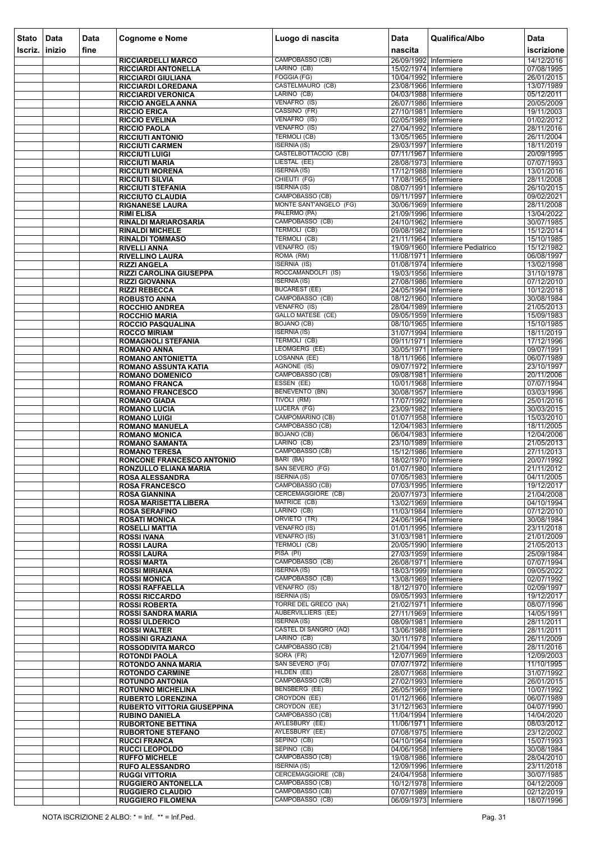| <b>Stato</b> | Data   | Data<br>fine | <b>Cognome e Nome</b>                                       | Luogo di nascita                                         | <b>Data</b><br>nascita                           | Qualifica/Albo                   | Data<br>iscrizione       |
|--------------|--------|--------------|-------------------------------------------------------------|----------------------------------------------------------|--------------------------------------------------|----------------------------------|--------------------------|
| Iscriz.      | inizio |              | <b>RICCIARDELLI MARCO</b>                                   | CAMPOBASSO (CB)                                          | 26/09/1992 Infermiere                            |                                  | 14/12/2016               |
|              |        |              | <b>RICCIARDI ANTONELLA</b>                                  | LARINO (CB)                                              | 15/02/1974 Infermiere                            |                                  | 07/08/1995               |
|              |        |              | <b>RICCIARDI GIULIANA</b>                                   | FOGGIA (FG)                                              | 10/04/1992 Infermiere                            |                                  | 26/01/2015               |
|              |        |              | <b>RICCIARDI LOREDANA</b><br><b>RICCIARDI VERONICA</b>      | CASTELMAURO (CB)<br>LARINO (CB)                          | 23/08/1966 Infermiere<br>04/03/1988 Infermiere   |                                  | 13/07/1989<br>05/12/2011 |
|              |        |              | <b>RICCIO ANGELA ANNA</b>                                   | VENAFRO (IS)                                             | 26/07/1986 Infermiere                            |                                  | 20/05/2009               |
|              |        |              | <b>RICCIO ERICA</b>                                         | CASSINO (FR)                                             | 27/10/1981 Infermiere                            |                                  | 19/11/2003               |
|              |        |              | <b>RICCIO EVELINA</b><br><b>RICCIO PAOLA</b>                | VENAFRO (IS)<br>VENAFRO (IS)                             | 02/05/1989 Infermiere<br>27/04/1992 Infermiere   |                                  | 01/02/2012<br>28/11/2016 |
|              |        |              | <b>RICCIUTI ANTONIO</b>                                     | <b>TERMOLI (CB)</b>                                      | 13/05/1965 Infermiere                            |                                  | 26/11/2004               |
|              |        |              | <b>RICCIUTI CARMEN</b>                                      | <b>ISERNIA (IS)</b><br>CASTELBOTTACCIO (CB)              | 29/03/1997 Infermiere                            |                                  | 18/11/2019               |
|              |        |              | <b>RICCIUTI LUIGI</b><br><b>RICCIUTI MARIA</b>              | LIESTAL (EE)                                             | 07/11/1967 Infermiere<br>28/08/1973 Infermiere   |                                  | 20/09/1995<br>07/07/1993 |
|              |        |              | <b>RICCIUTI MORENA</b>                                      | <b>ISERNIA (IS)</b>                                      | 17/12/1988 Infermiere                            |                                  | 13/01/2016               |
|              |        |              | <b>RICCIUTI SILVIA</b>                                      | CHIEUTI (FG)<br><b>ISERNIA (IS)</b>                      | 17/08/1965 Infermiere                            |                                  | 28/11/2008               |
|              |        |              | <b>RICCIUTI STEFANIA</b><br><b>RICCIUTO CLAUDIA</b>         | CAMPOBASSO (CB)                                          | 08/07/1991 Infermiere<br>09/11/1997 Infermiere   |                                  | 26/10/2015<br>09/02/2021 |
|              |        |              | <b>RIGNANESE LAURA</b>                                      | MONTE SANT'ANGELO (FG)                                   | 30/06/1969 Infermiere                            |                                  | 28/11/2008               |
|              |        |              | <b>RIMI ELISA</b>                                           | PALERMO (PA)<br>CAMPOBASSO (CB)                          | 21/09/1996 Infermiere<br>24/10/1962 Infermiere   |                                  | 13/04/2022               |
|              |        |              | RINALDI MARIAROSARIA<br><b>RINALDI MICHELE</b>              | <b>TERMOLI (CB)</b>                                      | 09/08/1982 Infermiere                            |                                  | 30/07/1985<br>15/12/2014 |
|              |        |              | <b>RINALDI TOMMASO</b>                                      | <b>TERMOLI (CB)</b>                                      | 21/11/1964 Infermiere                            |                                  | 15/10/1985               |
|              |        |              | <b>RIVELLI ANNA</b>                                         | VENAFRO (IS)<br>ROMA (RM)                                |                                                  | 19/09/1960 Infermiere Pediatrico | 15/12/1982               |
|              |        |              | <b>RIVELLINO LAURA</b><br><b>RIZZI ANGELA</b>               | <b>ISERNIA (IS)</b>                                      | 11/08/1971 Infermiere<br>01/08/1974 Infermiere   |                                  | 06/08/1997<br>13/02/1998 |
|              |        |              | <b>RIZZI CAROLINA GIUSEPPA</b>                              | ROCCAMANDOLFI (IS)                                       | 19/03/1956 Infermiere                            |                                  | 31/10/1978               |
|              |        |              | <b>RIZZI GIOVANNA</b>                                       | <b>ISERNIA (IS)</b><br><b>BUCAREST (EE)</b>              | 27/08/1986 Infermiere                            |                                  | 07/12/2010               |
|              |        |              | <b>RIZZI REBECCA</b><br><b>ROBUSTO ANNA</b>                 | CAMPOBASSO (CB)                                          | 24/05/1994 Infermiere<br>08/12/1960 Infermiere   |                                  | 10/12/2018<br>30/08/1984 |
|              |        |              | <b>ROCCHIO ANDREA</b>                                       | VENAFRO (IS)                                             | 28/04/1989 Infermiere                            |                                  | 21/05/2013               |
|              |        |              | <b>ROCCHIO MARIA</b><br><b>ROCCIO PASQUALINA</b>            | <b>GALLO MATESE (CE)</b><br><b>BOJANO (CB)</b>           | 09/05/1959 Infermiere<br>08/10/1965 Infermiere   |                                  | 15/09/1983<br>15/10/1985 |
|              |        |              | <b>ROCCO MIRIAM</b>                                         | <b>ISERNIA (IS)</b>                                      | 31/07/1994 Infermiere                            |                                  | 18/11/2019               |
|              |        |              | <b>ROMAGNOLI STEFANIA</b>                                   | TERMOLI (CB)                                             | 09/11/1971 Infermiere                            |                                  | 17/12/1996               |
|              |        |              | <b>ROMANO ANNA</b><br><b>ROMANO ANTONIETTA</b>              | LEOMGERG (EE)<br>LOSANNA (EE)                            | 30/05/1971 Infermiere<br>18/11/1966 Infermiere   |                                  | 09/07/1991<br>06/07/1989 |
|              |        |              | <b>ROMANO ASSUNTA KATIA</b>                                 | AGNONE (IS)                                              | 09/07/1972 Infermiere                            |                                  | 23/10/1997               |
|              |        |              | <b>ROMANO DOMENICO</b>                                      | CAMPOBASSO (CB)                                          | 09/08/1981 Infermiere                            |                                  | 20/11/2006               |
|              |        |              | <b>ROMANO FRANCA</b><br><b>ROMANO FRANCESCO</b>             | ESSEN (EE)<br><b>BENEVENTO (BN)</b>                      | 10/01/1968 Infermiere<br>30/08/1957 Infermiere   |                                  | 07/07/1994<br>03/03/1996 |
|              |        |              | <b>ROMANO GIADA</b>                                         | TIVOLI (RM)                                              | 17/07/1992 Infermiere                            |                                  | 25/01/2016               |
|              |        |              | <b>ROMANO LUCIA</b>                                         | LUCERA (FG)                                              | 23/09/1982 Infermiere                            |                                  | 30/03/2015               |
|              |        |              | <b>ROMANO LUIGI</b><br><b>ROMANO MANUELA</b>                | <b>CAMPOMARINO (CB)</b><br>CAMPOBASSO (CB)               | 01/07/1958 Infermiere<br>12/04/1983 Infermiere   |                                  | 15/03/2010<br>18/11/2005 |
|              |        |              | <b>ROMANO MONICA</b>                                        | <b>BOJANO (CB)</b>                                       | 06/04/1983 Infermiere                            |                                  | 12/04/2006               |
|              |        |              | <b>ROMANO SAMANTA</b>                                       | LARINO (CB)<br>CAMPOBASSO (CB)                           | 23/10/1989 Infermiere                            |                                  | 21/05/2013               |
|              |        |              | <b>ROMANO TERESA</b><br><b>RONCONE FRANCESCO ANTONIO</b>    | BARI (BA)                                                | 15/12/1986 Infermiere<br>18/02/1970 Infermiere   |                                  | 27/11/2013<br>20/07/1992 |
|              |        |              | <b>RONZULLO ELIANA MARIA</b>                                | SAN SEVERO (FG)                                          | 01/07/1980 Infermiere                            |                                  | 21/11/2012               |
|              |        |              | <b>ROSA ALESSANDRA</b>                                      | <b>ISERNIA (IS)</b><br>CAMPOBASSO (CB)                   | 07/05/1983 Infermiere<br>07/03/1995 Infermiere   |                                  | 04/11/2005<br>19/12/2017 |
|              |        |              | <b>ROSA FRANCESCO</b><br><b>ROSA GIANNINA</b>               | CERCEMAGGIORE (CB)                                       | 20/07/1973 Infermiere                            |                                  | 21/04/2008               |
|              |        |              | <b>ROSA MARISETTA LIBERA</b>                                | MATRICE (CB)                                             | 13/02/1969 Infermiere                            |                                  | 04/10/1994               |
|              |        |              | <b>ROSA SERAFINO</b><br><b>ROSATI MONICA</b>                | LARINO (CB)<br>ORVIETO (TR)                              | 11/03/1984 Infermiere<br>24/06/1964 Infermiere   |                                  | 07/12/2010<br>30/08/1984 |
|              |        |              | <b>ROSELLI MATTIA</b>                                       | <b>VENAFRO (IS)</b>                                      | 01/01/1995 Infermiere                            |                                  | 23/11/2018               |
|              |        |              | <b>ROSSI IVANA</b>                                          | <b>VENAFRO (IS)</b>                                      | 31/03/1981 Infermiere                            |                                  | 21/01/2009               |
|              |        |              | <b>ROSSI LAURA</b><br><b>ROSSI LAURA</b>                    | TERMOLI (CB)<br>PISA (PI)                                | 20/05/1990 Infermiere<br>27/03/1959 Infermiere   |                                  | 21/05/2013<br>25/09/1984 |
|              |        |              | <b>ROSSI MARTA</b>                                          | CAMPOBASSO (CB)                                          | 26/08/1971 Infermiere                            |                                  | 07/07/1994               |
|              |        |              | <b>ROSSI MIRIANA</b>                                        | <b>ISERNIA (IS)</b>                                      | 18/03/1999 Infermiere                            |                                  | 09/05/2022               |
|              |        |              | <b>ROSSI MONICA</b><br><b>ROSSI RAFFAELLA</b>               | CAMPOBASSO (CB)<br>VENAFRO (IS)                          | 13/08/1969 Infermiere<br>18/12/1970 Infermiere   |                                  | 02/07/1992<br>02/09/1997 |
|              |        |              | <b>ROSSI RICCARDO</b>                                       | <b>ISERNIA (IS)</b>                                      | 09/05/1993 Infermiere                            |                                  | 19/12/2017               |
|              |        |              | <b>ROSSI ROBERTA</b>                                        | <b>TORRE DEL GRECO (NA)</b><br><b>AUBERVILLIERS (EE)</b> | 21/02/1971 Infermiere                            |                                  | 08/07/1996               |
|              |        |              | <b>ROSSI SANDRA MARIA</b><br><b>ROSSI ULDERICO</b>          | <b>ISERNIA (IS)</b>                                      | 27/11/1969 Infermiere<br>08/09/1981 Infermiere   |                                  | 14/05/1991<br>28/11/2011 |
|              |        |              | <b>ROSSI WALTER</b>                                         | CASTEL DI SANGRO (AQ)                                    | 13/06/1988 Infermiere                            |                                  | 28/11/2011               |
|              |        |              | <b>ROSSINI GRAZIANA</b>                                     | LARINO (CB)<br>CAMPOBASSO (CB)                           | 30/11/1978 Infermiere<br>21/04/1994 Infermiere   |                                  | 26/11/2009<br>28/11/2016 |
|              |        |              | <b>ROSSODIVITA MARCO</b><br><b>ROTONDI PAOLA</b>            | SORA (FR)                                                | 12/07/1969 Infermiere                            |                                  | 12/09/2003               |
|              |        |              | <b>ROTONDO ANNA MARIA</b>                                   | SAN SEVERO (FG)                                          | 07/07/1972 Infermiere                            |                                  | 11/10/1995               |
|              |        |              | <b>ROTONDO CARMINE</b><br><b>ROTUNDO ANTONIA</b>            | HILDEN (EE)<br>CAMPOBASSO (CB)                           | 28/07/1968 Infermiere<br>27/02/1993 Infermiere   |                                  | 31/07/1992<br>26/01/2015 |
|              |        |              | <b>ROTUNNO MICHELINA</b>                                    | <b>BENSBERG</b> (EE)                                     | 26/05/1969 Infermiere                            |                                  | 10/07/1992               |
|              |        |              | <b>RUBERTO LORENZINA</b>                                    | CROYDON (EE)                                             | 01/12/1966 Infermiere                            |                                  | 06/07/1989               |
|              |        |              | <b>RUBERTO VITTORIA GIUSEPPINA</b><br><b>RUBINO DANIELA</b> | CROYDON (EE)<br>CAMPOBASSO (CB)                          | 31/12/1963 Infermiere<br>11/04/1994   Infermiere |                                  | 04/07/1990<br>14/04/2020 |
|              |        |              | <b>RUBORTONE BETTINA</b>                                    | AYLESBURY (EE)                                           | 11/06/1971 Infermiere                            |                                  | 08/03/2012               |
|              |        |              | <b>RUBORTONE STEFANO</b>                                    | AYLESBURY (EE)                                           | 07/08/1975 Infermiere                            |                                  | 23/12/2002               |
|              |        |              | <b>RUCCI FRANCA</b><br><b>RUCCI LEOPOLDO</b>                | SEPINO (CB)<br>SEPINO (CB)                               | 04/10/1964 Infermiere<br>04/06/1958 Infermiere   |                                  | 15/07/1993<br>30/08/1984 |
|              |        |              | <b>RUFFO MICHELE</b>                                        | CAMPOBASSO (CB)                                          | 19/08/1986 Infermiere                            |                                  | 28/04/2010               |
|              |        |              | <b>RUFO ALESSANDRO</b>                                      | <b>ISERNIA (IS)</b>                                      | 12/09/1996 Infermiere                            |                                  | 23/11/2018               |
|              |        |              | <b>RUGGI VITTORIA</b><br><b>RUGGIERO ANTONELLA</b>          | CERCEMAGGIORE (CB)<br>CAMPOBASSO (CB)                    | 24/04/1958 Infermiere<br>10/12/1978 Infermiere   |                                  | 30/07/1985<br>04/12/2009 |
|              |        |              | <b>RUGGIERO CLAUDIO</b>                                     | CAMPOBASSO (CB)                                          | 07/07/1989 Infermiere                            |                                  | 02/12/2019               |
|              |        |              | <b>RUGGIERO FILOMENA</b>                                    | CAMPOBASSO (CB)                                          | 06/09/1973 Infermiere                            |                                  | 18/07/1996               |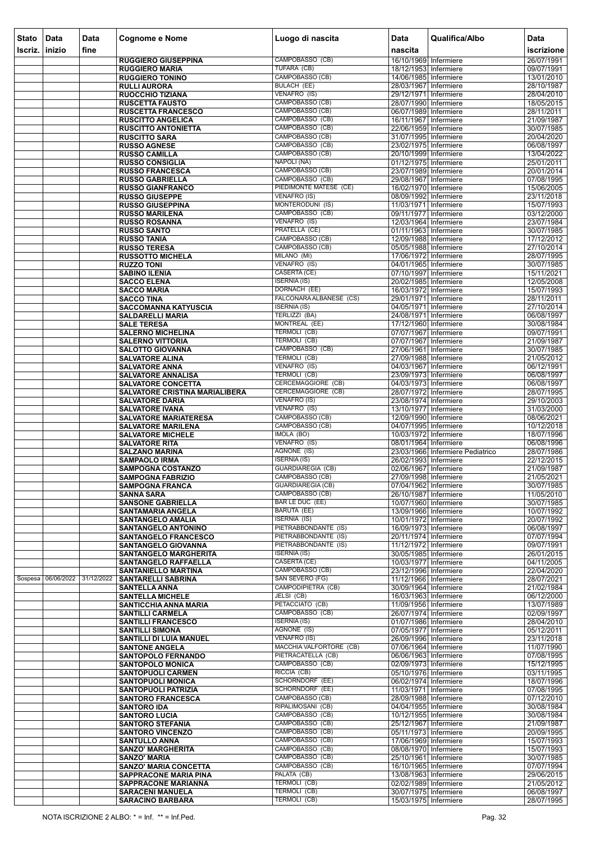| <b>Stato</b> | Data       | <b>Data</b> | <b>Cognome e Nome</b>                                           | Luogo di nascita                                | <b>Data</b>                                    | Qualifica/Albo                   | Data                     |
|--------------|------------|-------------|-----------------------------------------------------------------|-------------------------------------------------|------------------------------------------------|----------------------------------|--------------------------|
| Iscriz.      | inizio     | fine        |                                                                 |                                                 | nascita                                        |                                  | iscrizione               |
|              |            |             | <b>RUGGIERO GIUSEPPINA</b><br><b>RUGGIERO MARIA</b>             | CAMPOBASSO (CB)<br>TUFARA (CB)                  | 16/10/1969 Infermiere<br>18/12/1953 Infermiere |                                  | 26/07/1991<br>09/07/1991 |
|              |            |             | <b>RUGGIERO TONINO</b>                                          | CAMPOBASSO (CB)                                 | 14/06/1985 Infermiere                          |                                  | 13/01/2010               |
|              |            |             | <b>RULLI AURORA</b>                                             | <b>BULACH (EE)</b>                              | 28/03/1967 Infermiere                          |                                  | 28/10/1987               |
|              |            |             | RUOCCHIO TIZIANA<br><b>RUSCETTA FAUSTO</b>                      | VENAFRO (IS)<br>CAMPOBASSO (CB)                 | 29/12/1971 Infermiere<br>28/07/1990 Infermiere |                                  | 28/04/2010<br>18/05/2015 |
|              |            |             | <b>RUSCETTA FRANCESCO</b>                                       | CAMPOBASSO (CB)                                 | 06/07/1989 Infermiere                          |                                  | 28/11/2011               |
|              |            |             | <b>RUSCITTO ANGELICA</b>                                        | CAMPOBASSO (CB)                                 | 16/11/1967 Infermiere                          |                                  | 21/09/1987               |
|              |            |             | <b>RUSCITTO ANTONIETTA</b>                                      | CAMPOBASSO (CB)<br>CAMPOBASSO (CB)              | 22/06/1959 Infermiere<br>31/07/1995 Infermiere |                                  | 30/07/1985               |
|              |            |             | <b>RUSCITTO SARA</b><br><b>RUSSO AGNESE</b>                     | CAMPOBASSO (CB)                                 | 23/02/1975 Infermiere                          |                                  | 20/04/2020<br>06/08/1997 |
|              |            |             | <b>RUSSO CAMILLA</b>                                            | CAMPOBASSO (CB)                                 | 20/10/1999 Infermiere                          |                                  | 13/04/2022               |
|              |            |             | <b>RUSSO CONSIGLIA</b>                                          | NAPOLI (NA)                                     | 01/12/1975 Infermiere                          |                                  | 25/01/2011               |
|              |            |             | <b>RUSSO FRANCESCA</b><br><b>RUSSO GABRIELLA</b>                | CAMPOBASSO (CB)<br>CAMPOBASSO (CB)              | 23/07/1989 Infermiere<br>29/08/1967 Infermiere |                                  | 20/01/2014<br>07/08/1995 |
|              |            |             | <b>RUSSO GIANFRANCO</b>                                         | PIEDIMONTE MATESE (CE)                          | 16/02/1970 Infermiere                          |                                  | 15/06/2005               |
|              |            |             | <b>RUSSO GIUSEPPE</b>                                           | <b>VENAFRO (IS)</b>                             | 08/09/1992 Infermiere                          |                                  | 23/11/2018               |
|              |            |             | <b>RUSSO GIUSEPPINA</b><br><b>RUSSO MARILENA</b>                | MONTERODUNI (IS)<br>CAMPOBASSO (CB)             | 11/03/1971 Infermiere<br>09/11/1977 Infermiere |                                  | 15/07/1993<br>03/12/2000 |
|              |            |             | <b>RUSSO ROSANNA</b>                                            | VENAFRO (IS)                                    | 12/03/1964 Infermiere                          |                                  | 23/07/1984               |
|              |            |             | <b>RUSSO SANTO</b>                                              | PRATELLA (CE)                                   | 01/11/1963 Infermiere                          |                                  | 30/07/1985               |
|              |            |             | <b>RUSSO TANIA</b><br><b>RUSSO TERESA</b>                       | CAMPOBASSO (CB)<br>CAMPOBASSO (CB)              | 12/09/1988 Infermiere<br>05/05/1988 Infermiere |                                  | 17/12/2012<br>27/10/2014 |
|              |            |             | <b>RUSSOTTO MICHELA</b>                                         | MILANO (MI)                                     | 17/06/1972 Infermiere                          |                                  | 28/07/1995               |
|              |            |             | <b>RUZZO TONI</b>                                               | VENAFRO (IS)                                    | 04/01/1965 Infermiere                          |                                  | 30/07/1985               |
|              |            |             | <b>SABINO ILENIA</b>                                            | CASERTA (CE)                                    | 07/10/1997 Infermiere                          |                                  | 15/11/2021               |
|              |            |             | <b>SACCO ELENA</b><br><b>SACCO MARIA</b>                        | <b>ISERNIA (IS)</b><br>DORNACH (EE)             | 20/02/1985 Infermiere<br>16/03/1972 Infermiere |                                  | 12/05/2008<br>15/07/1993 |
|              |            |             | <b>SACCO TINA</b>                                               | FALCONARA ALBANESE (CS)                         | 29/01/1971 Infermiere                          |                                  | 28/11/2011               |
|              |            |             | <b>SACCOMANNA KATYUSCIA</b>                                     | <b>ISERNIA (IS)</b>                             | 04/05/1971 Infermiere                          |                                  | 27/10/2014               |
|              |            |             | <b>SALDARELLI MARIA</b><br><b>SALE TERESA</b>                   | TERLIZZI (BA)<br>MONTREAL (EE)                  | 24/08/1971 Infermiere<br>17/12/1960 Infermiere |                                  | 06/08/1997<br>30/08/1984 |
|              |            |             | <b>SALERNO MICHELINA</b>                                        | <b>TERMOLI (CB)</b>                             | 07/07/1967 Infermiere                          |                                  | 09/07/1991               |
|              |            |             | <b>SALERNO VITTORIA</b>                                         | TERMOLI (CB)                                    | 07/07/1967 Infermiere                          |                                  | 21/09/1987               |
|              |            |             | <b>SALOTTO GIOVANNA</b><br><b>SALVATORE ALINA</b>               | CAMPOBASSO (CB)<br><b>TERMOLI (CB)</b>          | 27/06/1961 Infermiere<br>27/09/1988 Infermiere |                                  | 30/07/1985<br>21/05/2012 |
|              |            |             | <b>SALVATORE ANNA</b>                                           | VENAFRO (IS)                                    | 04/03/1967 Infermiere                          |                                  | 06/12/1991               |
|              |            |             | <b>SALVATORE ANNALISA</b>                                       | <b>TERMOLI (CB)</b>                             | 23/09/1973 Infermiere                          |                                  | 06/08/1997               |
|              |            |             | <b>SALVATORE CONCETTA</b>                                       | CERCEMAGGIORE (CB)<br><b>CERCEMAGGIORE (CB)</b> | 04/03/1973 Infermiere                          |                                  | 06/08/1997               |
|              |            |             | <b>SALVATORE CRISTINA MARIALIBERA</b><br><b>SALVATORE DARIA</b> | <b>VENAFRO (IS)</b>                             | 28/07/1972 Infermiere<br>23/08/1974 Infermiere |                                  | 28/07/1995<br>29/10/2003 |
|              |            |             | <b>SALVATORE IVANA</b>                                          | VENAFRO (IS)                                    | 13/10/1977 Infermiere                          |                                  | 31/03/2000               |
|              |            |             | <b>SALVATORE MARIATERESA</b><br><b>SALVATORE MARILENA</b>       | CAMPOBASSO (CB)<br>CAMPOBASSO (CB)              | 12/09/1990 Infermiere<br>04/07/1995 Infermiere |                                  | 08/06/2021               |
|              |            |             | <b>SALVATORE MICHELE</b>                                        | IMOLA (BO)                                      | 10/03/1972 Infermiere                          |                                  | 10/12/2018<br>18/07/1996 |
|              |            |             | <b>SALVATORE RITA</b>                                           | VENAFRO (IS)                                    | 08/01/1964 Infermiere                          |                                  | 06/08/1996               |
|              |            |             | <b>SALZANO MARINA</b><br><b>SAMPAOLO IRMA</b>                   | AGNONE (IS)<br><b>ISERNIA (IS)</b>              | 26/02/1993 Infermiere                          | 23/03/1966 Infermiere Pediatrico | 28/07/1986<br>22/12/2015 |
|              |            |             | <b>SAMPOGNA COSTANZO</b>                                        | <b>GUARDIAREGIA (CB)</b>                        | 02/06/1967 Infermiere                          |                                  | 21/09/1987               |
|              |            |             | <b>SAMPOGNA FABRIZIO</b>                                        | CAMPOBASSO (CB)                                 | 27/09/1998 Infermiere                          |                                  | 21/05/2021               |
|              |            |             | <b>SAMPOGNA FRANCA</b><br><b>SANNA SARA</b>                     | <b>GUARDIAREGIA (CB)</b><br>CAMPOBASSO (CB)     | 07/04/1962 Infermiere<br>26/10/1987 Infermiere |                                  | 30/07/1985<br>11/05/2010 |
|              |            |             | <b>SANSONE GABRIELLA</b>                                        | <b>BAR LE DUC (EE)</b>                          | 10/07/1960 Infermiere                          |                                  | 30/07/1985               |
|              |            |             | <b>SANTAMARIA ANGELA</b>                                        | <b>BARUTA (EE)</b>                              | 13/09/1966 Infermiere                          |                                  | 10/07/1992               |
|              |            |             | <b>SANTANGELO AMALIA</b><br><b>SANTANGELO ANTONINO</b>          | <b>ISERNIA (IS)</b><br>PIETRABBONDANTE (IS)     | 10/01/1972 Infermiere<br>16/09/1973 Infermiere |                                  | 20/07/1992<br>06/08/1997 |
|              |            |             | <b>SANTANGELO FRANCESCO</b>                                     | PIETRABBONDANTE (IS)                            | 20/11/1974 Infermiere                          |                                  | 07/07/1994               |
|              |            |             | <b>SANTANGELO GIOVANNA</b>                                      | PIETRABBONDANTE (IS)                            | 11/12/1972 Infermiere                          |                                  | 09/07/1991               |
|              |            |             | <b>SANTANGELO MARGHERITA</b>                                    | <b>ISERNIA (IS)</b><br><b>CASERTA (CE)</b>      | 30/05/1985 Infermiere<br>10/03/1977 Infermiere |                                  | 26/01/2015<br>04/11/2005 |
|              |            |             | <b>SANTANGELO RAFFAELLA</b><br><b>SANTANIELLO MARTINA</b>       | CAMPOBASSO (CB)                                 | 23/12/1996 Infermiere                          |                                  | 22/04/2020               |
| Sospesa      | 06/06/2022 | 31/12/2022  | <b>SANTARELLI SABRINA</b>                                       | SAN SEVERO (FG)                                 | 11/12/1966 Infermiere                          |                                  | 28/07/2021               |
|              |            |             | <b>SANTELLA ANNA</b><br><b>SANTELLA MICHELE</b>                 | CAMPODIPIETRA (CB)<br>JELSI (CB)                | 30/09/1964 Infermiere<br>16/03/1963 Infermiere |                                  | 21/02/1984<br>06/12/2000 |
|              |            |             | <b>SANTICCHIA ANNA MARIA</b>                                    | PETACCIATO (CB)                                 | 11/09/1956 Infermiere                          |                                  | 13/07/1989               |
|              |            |             | <b>SANTILLI CARMELA</b>                                         | CAMPOBASSO (CB)                                 | 26/07/1974 Infermiere                          |                                  | 02/09/1997               |
|              |            |             | <b>SANTILLI FRANCESCO</b><br><b>SANTILLI SIMONA</b>             | <b>ISERNIA (IS)</b><br>AGNONE (IS)              | 01/07/1986 Infermiere<br>07/05/1977 Infermiere |                                  | 28/04/2010<br>05/12/2011 |
|              |            |             | SANTILLI DI LUIA MANUEL                                         | VENAFRO (IS)                                    | 26/09/1996 Infermiere                          |                                  | 23/11/2018               |
|              |            |             | <b>SANTONE ANGELA</b>                                           | MACCHIA VALFORTORE (CB)                         | 07/06/1964 Infermiere                          |                                  | 11/07/1990               |
|              |            |             | <b>SANTOPOLO FERNANDO</b><br><b>SANTOPOLO MONICA</b>            | PIETRACATELLA (CB)<br>CAMPOBASSO (CB)           | 06/06/1963 Infermiere<br>02/09/1973 Infermiere |                                  | 07/08/1995<br>15/12/1995 |
|              |            |             | <b>SANTOPUOLI CARMEN</b>                                        | RICCIA (CB)                                     | 05/10/1976 Infermiere                          |                                  | 03/11/1995               |
|              |            |             | <b>SANTOPUOLI MONICA</b>                                        | SCHORNDORF (EE)                                 | 06/02/1974 Infermiere                          |                                  | 18/07/1996               |
|              |            |             | <b>SANTOPUOLI PATRIZIA</b><br><b>SANTORO FRANCESCA</b>          | SCHORNDORF (EE)<br>CAMPOBASSO (CB)              | 11/03/1971 Infermiere<br>28/09/1988 Infermiere |                                  | 07/08/1995<br>07/12/2010 |
|              |            |             | <b>SANTORO IDA</b>                                              | RIPALIMOSANI (CB)                               | 04/04/1955 Infermiere                          |                                  | 30/08/1984               |
|              |            |             | <b>SANTORO LUCIA</b>                                            | CAMPOBASSO (CB)                                 | 10/12/1955 Infermiere                          |                                  | 30/08/1984               |
|              |            |             | <b>SANTORO STEFANIA</b><br><b>SANTORO VINCENZO</b>              | CAMPOBASSO (CB)<br>CAMPOBASSO (CB)              | 25/12/1967 Infermiere<br>05/11/1973 Infermiere |                                  | 21/09/1987<br>20/09/1995 |
|              |            |             | <b>SANTULLO ANNA</b>                                            | CAMPOBASSO (CB)                                 | 17/06/1969 Infermiere                          |                                  | 15/07/1993               |
|              |            |             | <b>SANZO' MARGHERITA</b>                                        | CAMPOBASSO (CB)                                 | 08/08/1970 Infermiere                          |                                  | 15/07/1993               |
|              |            |             | <b>SANZO' MARIA</b><br><b>SANZO' MARIA CONCETTA</b>             | CAMPOBASSO (CB)<br>CAMPOBASSO (CB)              | 25/10/1961 Infermiere<br>16/10/1965 Infermiere |                                  | 30/07/1985<br>07/07/1994 |
|              |            |             | <b>SAPPRACONE MARIA PINA</b>                                    | PALATA (CB)                                     | 13/08/1963 Infermiere                          |                                  | 29/06/2015               |
|              |            |             | <b>SAPPRACONE MARIANNA</b>                                      | <b>TERMOLI (CB)</b>                             | 02/02/1989 Infermiere                          |                                  | 21/05/2012               |
|              |            |             | <b>SARACENI MANUELA</b><br><b>SARACINO BARBARA</b>              | TERMOLI (CB)<br>TERMOLI (CB)                    | 30/07/1975 Infermiere<br>15/03/1975 Infermiere |                                  | 06/08/1997<br>28/07/1995 |
|              |            |             |                                                                 |                                                 |                                                |                                  |                          |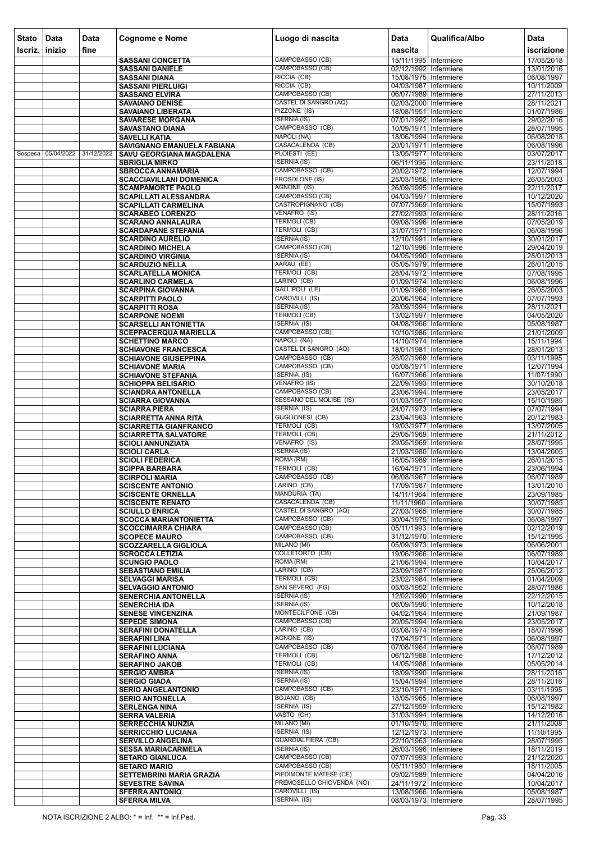| <b>Stato</b><br>Iscriz. | Data<br><b>linizio</b> | Data<br>fine | <b>Cognome e Nome</b>                                         | Luogo di nascita                               | <b>Data</b><br>nascita                         | Qualifica/Albo | Data<br>iscrizione       |
|-------------------------|------------------------|--------------|---------------------------------------------------------------|------------------------------------------------|------------------------------------------------|----------------|--------------------------|
|                         |                        |              |                                                               | CAMPOBASSO (CB)                                | 15/11/1995 Infermiere                          |                | 17/05/2018               |
|                         |                        |              | <b>SASSANI CONCETTA</b><br><b>SASSANI DANIELE</b>             | CAMPOBASSO (CB)                                | 02/12/1992 Infermiere                          |                | 13/01/2016               |
|                         |                        |              | <b>SASSANI DIANA</b>                                          | RICCIA (CB)                                    | 15/08/1975 Infermiere                          |                | 06/08/1997               |
|                         |                        |              | <b>SASSANI PIERLUIGI</b>                                      | RICCIA (CB)                                    | 04/03/1987 Infermiere                          |                | 10/11/2009               |
|                         |                        |              | <b>SASSANO ELVIRA</b>                                         | CAMPOBASSO (CB)                                | 06/07/1989 Infermiere                          |                | 27/11/2013               |
|                         |                        |              | <b>SAVAIANO DENISE</b><br><b>SAVAIANO LIBERATA</b>            | <b>CASTEL DI SANGRO (AQ)</b><br>PIZZONE (IS)   | 02/03/2000 Infermiere<br>18/08/1951 Infermiere |                | 28/11/2021<br>01/07/1986 |
|                         |                        |              | <b>SAVARESE MORGANA</b>                                       | <b>ISERNIA (IS)</b>                            | 07/01/1992 Infermiere                          |                | 29/02/2016               |
|                         |                        |              | <b>SAVASTANO DIANA</b>                                        | CAMPOBASSO (CB)                                | 10/09/1971 Infermiere                          |                | 28/07/1995               |
|                         |                        |              | <b>SAVELLI KATIA</b>                                          | NAPOLI (NA)                                    | 18/06/1994 Infermiere                          |                | 06/08/2018               |
|                         | Sospesa 05/04/2022     | 31/12/2022   | SAVIGNANO EMANUELA FABIANA<br><b>SAVU GEORGIANA MAGDALENA</b> | CASACALENDA (CB)<br>PLOIESTI (EE)              | 20/01/1971 Infermiere<br>13/05/1977 Infermiere |                | 06/08/1996<br>03/07/2017 |
|                         |                        |              | <b>SBRIGLIA MIRKO</b>                                         | <b>ISERNIA (IS)</b>                            | 06/11/1996 Infermiere                          |                | 23/11/2018               |
|                         |                        |              | <b>SBROCCA ANNAMARIA</b>                                      | CAMPOBASSO (CB)                                | 20/02/1972 Infermiere                          |                | 12/07/1994               |
|                         |                        |              | <b>SCACCIAVILLANI DOMENICA</b>                                | <b>FROSOLONE (IS)</b>                          | 25/03/1956 Infermiere                          |                | 26/05/2003               |
|                         |                        |              | <b>SCAMPAMORTE PAOLO</b><br><b>SCAPILLATI ALESSANDRA</b>      | AGNONE (IS)<br>CAMPOBASSO (CB)                 | 26/09/1995 Infermiere<br>04/03/1997 Infermiere |                | 22/11/2017<br>10/12/2020 |
|                         |                        |              | <b>SCAPILLATI CARMELINA</b>                                   | CASTROPIGNANO (CB)                             | 07/07/1969 Infermiere                          |                | 15/07/1993               |
|                         |                        |              | <b>SCARABEO LORENZO</b>                                       | VENAFRO (IS)                                   | 27/02/1993 Infermiere                          |                | 28/11/2016               |
|                         |                        |              | <b>SCARANO ANNALAURA</b>                                      | <b>TERMOLI (CB)</b>                            | 09/08/1996 Infermiere                          |                | 07/05/2019               |
|                         |                        |              | <b>SCARDAPANE STEFANIA</b><br><b>SCARDINO AURELIO</b>         | TERMOLI (CB)<br><b>ISERNIA (IS)</b>            | 31/07/1971 Infermiere<br>12/10/1991 Infermiere |                | 06/08/1996<br>30/01/2017 |
|                         |                        |              | <b>SCARDINO MICHELA</b>                                       | CAMPOBASSO (CB)                                | 12/10/1996 Infermiere                          |                | 29/04/2019               |
|                         |                        |              | <b>SCARDINO VIRGINIA</b>                                      | <b>ISERNIA (IS)</b>                            | 04/05/1990 Infermiere                          |                | 28/01/2013               |
|                         |                        |              | <b>SCARDUZIO NELLA</b>                                        | AARAU (EE)                                     | 05/05/1979 Infermiere                          |                | 26/01/2015               |
|                         |                        |              | <b>SCARLATELLA MONICA</b>                                     | TERMOLI (CB)<br>LARINO (CB)                    | 28/04/1972 Infermiere<br>01/09/1974 Infermiere |                | 07/08/1995<br>06/08/1996 |
|                         |                        |              | <b>SCARLINO CARMELA</b><br><b>SCARPINA GIOVANNA</b>           | <b>GALLIPOLI (LE)</b>                          | 01/09/1968 Infermiere                          |                | 26/05/2003               |
|                         |                        |              | <b>SCARPITTI PAOLO</b>                                        | CAROVILLI (IS)                                 | 20/06/1964 Infermiere                          |                | 07/07/1993               |
|                         |                        |              | <b>SCARPITTI ROSA</b>                                         | <b>ISERNIA (IS)</b>                            | 28/09/1994 Infermiere                          |                | 28/11/2021               |
|                         |                        |              | <b>SCARPONE NOEMI</b>                                         | <b>TERMOLI (CB)</b><br><b>ISERNIA (IS)</b>     | 13/02/1997 Infermiere<br>04/08/1966 Infermiere |                | 04/05/2020               |
|                         |                        |              | <b>SCARSELLI ANTONIETTA</b><br><b>SCEPPACERQUA MARIELLA</b>   | CAMPOBASSO (CB)                                | 10/10/1986 Infermiere                          |                | 05/08/1987<br>21/01/2009 |
|                         |                        |              | <b>SCHETTINO MARCO</b>                                        | NAPOLI (NA)                                    | 14/10/1974 Infermiere                          |                | 15/11/1994               |
|                         |                        |              | <b>SCHIAVONE FRANCESCA</b>                                    | CASTEL DI SANGRO (AQ)                          | 18/01/1981 Infermiere                          |                | 28/01/2013               |
|                         |                        |              | <b>SCHIAVONE GIUSEPPINA</b>                                   | CAMPOBASSO (CB)<br>CAMPOBASSO (CB)             | 28/02/1969 Infermiere                          |                | 03/11/1995               |
|                         |                        |              | <b>SCHIAVONE MARIA</b><br><b>SCHIAVONE STEFANIA</b>           | <b>ISERNIA (IS)</b>                            | 05/08/1971 Infermiere<br>16/07/1966 Infermiere |                | 12/07/1994<br>11/07/1990 |
|                         |                        |              | <b>SCHIOPPA BELISARIO</b>                                     | <b>VENAFRO (IS)</b>                            | 22/09/1993 Infermiere                          |                | 30/10/2018               |
|                         |                        |              | <b>SCIANDRA ANTONELLA</b>                                     | CAMPOBASSO (CB)                                | 23/06/1994 Infermiere                          |                | 23/05/2017               |
|                         |                        |              | <b>SCIARRA GIOVANNA</b><br><b>SCIARRA PIERA</b>               | SESSANO DEL MOLISE (IS)<br><b>ISERNIA (IS)</b> | 01/03/1957 Infermiere<br>24/07/1973 Infermiere |                | 15/10/1985<br>07/07/1994 |
|                         |                        |              | <b>SCIARRETTA ANNA RITA</b>                                   | <b>GUGLIONESI (CB)</b>                         | 23/04/1963 Infermiere                          |                | 20/12/1983               |
|                         |                        |              | <b>SCIARRETTA GIANFRANCO</b>                                  | <b>TERMOLI (CB)</b>                            | 19/03/1977 Infermiere                          |                | 13/07/2005               |
|                         |                        |              | <b>SCIARRETTA SALVATORE</b>                                   | <b>TERMOLI (CB)</b><br>VENAFRO (IS)            | 29/05/1969 Infermiere<br>29/05/1969 Infermiere |                | 21/11/2012<br>28/07/1995 |
|                         |                        |              | <b>SCIOLI ANNUNZIATA</b><br><b>SCIOLI CARLA</b>               | <b>ISERNIA (IS)</b>                            | 21/03/1980 Infermiere                          |                | 13/04/2005               |
|                         |                        |              | <b>SCIOLI FEDERICA</b>                                        | ROMA (RM)                                      | 16/05/1989 Infermiere                          |                | 26/01/2015               |
|                         |                        |              | <b>SCIPPA BARBARA</b>                                         | TERMOLI (CB)                                   | 16/04/1971 Infermiere                          |                | 23/06/1994               |
|                         |                        |              | <b>SCIRPOLI MARIA</b><br><b>SCISCENTE ANTONIO</b>             | CAMPOBASSO (CB)<br>LARINO (CB)                 | 06/08/1967 Infermiere<br>17/09/1987 Infermiere |                | 06/07/1989<br>13/01/2010 |
|                         |                        |              | <b>SCISCENTE ORNELLA</b>                                      | <b>MANDURIA (TA)</b>                           | 14/11/1964 Infermiere                          |                | 23/09/1985               |
|                         |                        |              | <b>SCISCENTE RENATO</b>                                       | CASACALENDA (CB)                               | 11/11/1960 Infermiere                          |                | 30/07/1985               |
|                         |                        |              | <b>SCIULLO ENRICA</b>                                         | CASTEL DI SANGRO (AQ)<br>CAMPOBASSO (CB)       | 27/03/1965 Infermiere                          |                | 30/07/1985<br>06/08/1997 |
|                         |                        |              | <b>SCOCCA MARIANTONIETTA</b><br><b>SCOCCIMARRA CHIARA</b>     | CAMPOBASSO (CB)                                | 30/04/1975 Infermiere<br>05/11/1993 Infermiere |                | 02/12/2019               |
|                         |                        |              | <b>SCOPECE MAURO</b>                                          | CAMPOBASSO (CB)                                | 31/12/1970 Infermiere                          |                | 15/12/1995               |
|                         |                        |              | <b>SCOZZARELLA GIGLIOLA</b>                                   | MILANO (MI)                                    | 05/09/1973 Infermiere                          |                | 06/06/2001               |
|                         |                        |              | <b>SCROCCA LETIZIA</b>                                        | <b>COLLETORTO (CB)</b><br>ROMA (RM)            | 19/06/1966 Infermiere                          |                | 06/07/1989<br>10/04/2017 |
|                         |                        |              | <b>SCUNGIO PAOLO</b><br><b>SEBASTIANO EMILIA</b>              | LARINO (CB)                                    | 21/06/1994 Infermiere<br>23/09/1987 Infermiere |                | 25/06/2012               |
|                         |                        |              | <b>SELVAGGI MARISA</b>                                        | <b>TERMOLI (CB)</b>                            | 23/02/1984 Infermiere                          |                | 01/04/2009               |
|                         |                        |              | <b>SELVAGGIO ANTONIO</b>                                      | SAN SEVERO (FG)                                | 05/03/1952 Infermiere                          |                | 28/07/1986               |
|                         |                        |              | <b>SENERCHIA ANTONELLA</b><br><b>SENERCHIA IDA</b>            | <b>ISERNIA (IS)</b><br><b>ISERNIA (IS)</b>     | 12/02/1990 Infermiere<br>06/09/1990 Infermiere |                | 22/12/2015<br>10/12/2018 |
|                         |                        |              | <b>SENESE VINCENZINA</b>                                      | MONTECILFONE (CB)                              | 04/02/1964 Infermiere                          |                | 21/09/1987               |
|                         |                        |              | <b>SEPEDE SIMONA</b>                                          | CAMPOBASSO (CB)                                | 20/05/1994 Infermiere                          |                | 23/05/2017               |
|                         |                        |              | <b>SERAFINI DONATELLA</b>                                     | LARINO (CB)                                    | 03/08/1974 Infermiere                          |                | 18/07/1996               |
|                         |                        |              | <b>SERAFINI LINA</b><br><b>SERAFINI LUCIANA</b>               | AGNONE (IS)<br>CAMPOBASSO (CB)                 | 17/04/1971 Infermiere<br>07/08/1964 Infermiere |                | 06/08/1997<br>06/07/1989 |
|                         |                        |              | <b>SERAFINO ANNA</b>                                          | TERMOLI (CB)                                   | 06/12/1988 Infermiere                          |                | 17/12/2012               |
|                         |                        |              | <b>SERAFINO JAKOB</b>                                         | TERMOLI (CB)                                   | 14/05/1988 Infermiere                          |                | 05/05/2014               |
|                         |                        |              | <b>SERGIO AMBRA</b>                                           | <b>ISERNIA (IS)</b><br><b>ISERNIA (IS)</b>     | 18/09/1990 Infermiere                          |                | 28/11/2016               |
|                         |                        |              | <b>SERGIO GIADA</b><br><b>SERIO ANGELANTONIO</b>              | CAMPOBASSO (CB)                                | 15/04/1994 Infermiere<br>23/10/1971 Infermiere |                | 28/11/2016<br>03/11/1995 |
|                         |                        |              | <b>SERIO ANTONELLA</b>                                        | BOJANO (CB)                                    | 18/05/1965 Infermiere                          |                | 06/08/1997               |
|                         |                        |              | <b>SERLENGA NINA</b>                                          | <b>ISERNIA (IS)</b>                            | 27/12/1959 Infermiere                          |                | 15/12/1982               |
|                         |                        |              | <b>SERRA VALERIA</b><br><b>SERRECCHIA NUNZIA</b>              | VASTO (CH)<br>MILANO (MI)                      | 31/03/1994 Infermiere<br>01/10/1970 Infermiere |                | 14/12/2016<br>21/11/2008 |
|                         |                        |              | <b>SERRICCHIO LUCIANA</b>                                     | <b>ISERNIA (IS)</b>                            | 12/12/1973 Infermiere                          |                | 11/10/1995               |
|                         |                        |              | <b>SERVILLO ANGELINA</b>                                      | <b>GUARDIALFIERA (CB)</b>                      | 22/10/1963 Infermiere                          |                | 28/07/1995               |
|                         |                        |              | <b>SESSA MARIACARMELA</b>                                     | <b>ISERNIA (IS)</b>                            | 26/03/1996 Infermiere                          |                | 18/11/2019               |
|                         |                        |              | <b>SETARO GIANLUCA</b><br><b>SETARO MARIO</b>                 | CAMPOBASSO (CB)<br>CAMPOBASSO (CB)             | 07/07/1993 Infermiere<br>05/11/1980 Infermiere |                | 21/12/2020<br>18/11/2005 |
|                         |                        |              | <b>SETTEMBRINI MARIA GRAZIA</b>                               | PIEDIMONTE MATESE (CE)                         | 09/02/1989 Infermiere                          |                | 04/04/2016               |
|                         |                        |              | <b>SEVESTRE SAVINA</b>                                        | PREMOSELLO CHIOVENDA (NO)                      | 24/11/1972 Infermiere                          |                | 10/04/2017               |
|                         |                        |              | <b>SFERRA ANTONIO</b><br><b>SFERRA MILVA</b>                  | CAROVILLI (IS)<br><b>ISERNIA (IS)</b>          | 13/08/1966 Infermiere<br>08/03/1973 Infermiere |                | 05/08/1987<br>28/07/1995 |
|                         |                        |              |                                                               |                                                |                                                |                |                          |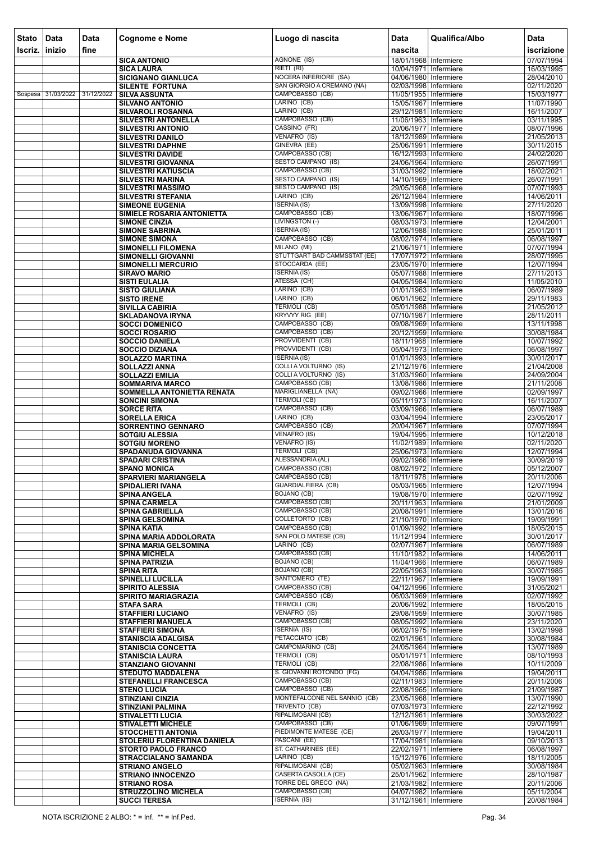| <b>Stato</b> | Data               | <b>Data</b> | <b>Cognome e Nome</b>                                   | Luogo di nascita                                    | <b>Data</b>                                    | Qualifica/Albo | Data                     |
|--------------|--------------------|-------------|---------------------------------------------------------|-----------------------------------------------------|------------------------------------------------|----------------|--------------------------|
| Iscriz.      | inizio             | fine        |                                                         |                                                     | nascita                                        |                | iscrizione               |
|              |                    |             | <b>SICA ANTONIO</b>                                     | AGNONE (IS)                                         | 18/01/1968 Infermiere                          |                | 07/07/1994               |
|              |                    |             | <b>SICA LAURA</b>                                       | RIETI (RI)                                          | 10/04/1971 Infermiere                          |                | 16/03/1995               |
|              |                    |             | <b>SICIGNANO GIANLUCA</b>                               | NOCERA INFERIORE (SA)<br>SAN GIORGIO A CREMANO (NA) | 04/06/1980 Infermiere                          |                | 28/04/2010               |
|              | Sospesa 31/03/2022 | 31/12/2022  | <b>SILENTE FORTUNA</b><br><b>SILVA ASSUNTA</b>          | CAMPOBASSO (CB)                                     | 02/03/1998 Infermiere<br>11/05/1955 Infermiere |                | 02/11/2020<br>15/03/1977 |
|              |                    |             | <b>SILVANO ANTONIO</b>                                  | LARINO (CB)                                         | 15/05/1967 Infermiere                          |                | 11/07/1990               |
|              |                    |             | <b>SILVAROLI ROSANNA</b>                                | LARINO (CB)                                         | 29/12/1981 Infermiere                          |                | 16/11/2007               |
|              |                    |             | <b>SILVESTRI ANTONELLA</b><br><b>SILVESTRI ANTONIO</b>  | CAMPOBASSO (CB)<br>CASSINO (FR)                     | 11/06/1963 Infermiere<br>20/06/1977 Infermiere |                | 03/11/1995<br>08/07/1996 |
|              |                    |             | <b>SILVESTRI DANILO</b>                                 | VENAFRO (IS)                                        | 18/12/1989 Infermiere                          |                | 21/05/2013               |
|              |                    |             | <b>SILVESTRI DAPHNE</b>                                 | GINEVRA (EE)                                        | 25/06/1991 Infermiere                          |                | 30/11/2015               |
|              |                    |             | <b>SILVESTRI DAVIDE</b>                                 | CAMPOBASSO (CB)                                     | 16/12/1993 Infermiere                          |                | 24/02/2020               |
|              |                    |             | <b>SILVESTRI GIOVANNA</b><br><b>SILVESTRI KATIUSCIA</b> | SESTO CAMPANO (IS)<br>CAMPOBASSO (CB)               | 24/06/1964 Infermiere<br>31/03/1992 Infermiere |                | 26/07/1991<br>18/02/2021 |
|              |                    |             | <b>SILVESTRI MARINA</b>                                 | <b>SESTO CAMPANO (IS)</b>                           | 14/10/1969 Infermiere                          |                | 26/07/1991               |
|              |                    |             | <b>SILVESTRI MASSIMO</b>                                | <b>SESTO CAMPANO (IS)</b>                           | 29/05/1968 Infermiere                          |                | 07/07/1993               |
|              |                    |             | <b>SILVESTRI STEFANIA</b><br><b>SIMEONE EUGENIA</b>     | LARINO (CB)<br><b>ISERNIA (IS)</b>                  | 26/12/1984 Infermiere<br>13/09/1998 Infermiere |                | 14/06/2011<br>27/11/2020 |
|              |                    |             | SIMIELE ROSARIA ANTONIETTA                              | CAMPOBASSO (CB)                                     | 13/06/1967 Infermiere                          |                | 18/07/1996               |
|              |                    |             | <b>SIMONE CINZIA</b>                                    | LIVINGSTON (-)                                      | 08/03/1973 Infermiere                          |                | 12/04/2001               |
|              |                    |             | <b>SIMONE SABRINA</b>                                   | <b>ISERNIA (IS)</b><br>CAMPOBASSO (CB)              | 12/06/1988 Infermiere                          |                | 25/01/2011               |
|              |                    |             | <b>SIMONE SIMONA</b><br><b>SIMONELLI FILOMENA</b>       | MILANO (MI)                                         | 08/02/1974 Infermiere<br>21/06/1971 Infermiere |                | 06/08/1997<br>07/07/1994 |
|              |                    |             | <b>SIMONELLI GIOVANNI</b>                               | STUTTGART BAD CAMMSSTAT (EE)                        | 17/07/1972 Infermiere                          |                | 28/07/1995               |
|              |                    |             | <b>SIMONELLI MERCURIO</b>                               | STOCCARDA (EE)                                      | 23/05/1970 Infermiere                          |                | 12/07/1994               |
|              |                    |             | <b>SIRAVO MARIO</b>                                     | <b>ISERNIA (IS)</b><br>ATESSA (CH)                  | 05/07/1988 Infermiere                          |                | 27/11/2013<br>11/05/2010 |
|              |                    |             | <b>SISTI EULALIA</b><br><b>SISTO GIULIANA</b>           | LARINO (CB)                                         | 04/05/1984 Infermiere<br>01/01/1963 Infermiere |                | 06/07/1989               |
|              |                    |             | <b>SISTO IRENE</b>                                      | LARINO (CB)                                         | 06/01/1962 Infermiere                          |                | 29/11/1983               |
|              |                    |             | <b>SIVILLA CABIRIA</b>                                  | <b>TERMOLI (CB)</b>                                 | 05/01/1988 Infermiere                          |                | 21/05/2012               |
|              |                    |             | <b>SKLADANOVA IRYNA</b><br><b>SOCCI DOMENICO</b>        | <b>KRYVYY RIG (EE)</b><br>CAMPOBASSO (CB)           | 07/10/1987 Infermiere<br>09/08/1969 Infermiere |                | 28/11/2011<br>13/11/1998 |
|              |                    |             | <b>SOCCI ROSARIO</b>                                    | CAMPOBASSO (CB)                                     | 20/12/1959 Infermiere                          |                | 30/08/1984               |
|              |                    |             | <b>SOCCIO DANIELA</b>                                   | PROVVIDENTI (CB)                                    | 18/11/1968 Infermiere                          |                | 10/07/1992               |
|              |                    |             | <b>SOCCIO DIZIANA</b>                                   | PROVVIDENTI (CB)<br><b>ISERNIA (IS)</b>             | 05/04/1973 Infermiere                          |                | 06/08/1997               |
|              |                    |             | <b>SOLAZZO MARTINA</b><br><b>SOLLAZZI ANNA</b>          | <b>COLLI A VOLTURNO (IS)</b>                        | 01/01/1993 Infermiere<br>21/12/1976 Infermiere |                | 30/01/2017<br>21/04/2008 |
|              |                    |             | <b>SOLLAZZI EMILIA</b>                                  | <b>COLLI A VOLTURNO (IS)</b>                        | 31/03/1960 Infermiere                          |                | 24/09/2004               |
|              |                    |             | <b>SOMMARIVA MARCO</b>                                  | CAMPOBASSO (CB)                                     | 13/08/1986 Infermiere                          |                | 21/11/2008               |
|              |                    |             | SOMMELLA ANTONIETTA RENATA<br><b>SONCINI SIMONA</b>     | MARIGLIANELLA (NA)<br><b>TERMOLI (CB)</b>           | 09/02/1966 Infermiere<br>05/11/1973 Infermiere |                | 02/09/1997<br>16/11/2007 |
|              |                    |             | <b>SORCE RITA</b>                                       | CAMPOBASSO (CB)                                     | 03/09/1966 Infermiere                          |                | 06/07/1989               |
|              |                    |             | <b>SORELLA ERICA</b>                                    | LARINO (CB)                                         | 03/04/1994 Infermiere                          |                | 23/05/2017               |
|              |                    |             | <b>SORRENTINO GENNARO</b>                               | CAMPOBASSO (CB)<br><b>VENAFRO (IS)</b>              | 20/04/1967 Infermiere                          |                | 07/07/1994               |
|              |                    |             | <b>SOTGIU ALESSIA</b><br><b>SOTGIU MORENO</b>           | <b>VENAFRO (IS)</b>                                 | 19/04/1995 Infermiere<br>11/02/1989 Infermiere |                | 10/12/2018<br>02/11/2020 |
|              |                    |             | SPADANUDA GIOVANNA                                      | <b>TERMOLI (CB)</b>                                 | 25/06/1973 Infermiere                          |                | 12/07/1994               |
|              |                    |             | <b>SPADARI CRISTINA</b>                                 | <b>ALESSANDRIA (AL)</b>                             | 09/02/1966 Infermiere                          |                | 30/09/2019               |
|              |                    |             | <b>SPANO MONICA</b><br><b>SPARVIERI MARIANGELA</b>      | CAMPOBASSO (CB)<br>CAMPOBASSO (CB)                  | 08/02/1972 Infermiere<br>18/11/1978 Infermiere |                | 05/12/2007<br>20/11/2006 |
|              |                    |             | SPIDALIERI IVANA                                        | <b>GUARDIALFIERA (CB)</b>                           | 05/03/1965 Infermiere                          |                | 12/07/1994               |
|              |                    |             | <b>SPINA ANGELA</b>                                     | <b>BOJANO (CB)</b>                                  | 19/08/1970 Infermiere                          |                | 02/07/1992               |
|              |                    |             | <b>SPINA CARMELA</b><br><b>SPINA GABRIELLA</b>          | CAMPOBASSO (CB)<br>CAMPOBASSO (CB)                  | 20/11/1963 Infermiere<br>20/08/1991 Infermiere |                | 21/01/2009<br>13/01/2016 |
|              |                    |             | <b>SPINA GELSOMINA</b>                                  | COLLETORTO (CB)                                     | 21/10/1970 Infermiere                          |                | 19/09/1991               |
|              |                    |             | <b>SPINA KATIA</b>                                      | CAMPOBASSO (CB)                                     | 01/09/1992 Infermiere                          |                | 18/05/2015               |
|              |                    |             | <b>SPINA MARIA ADDOLORATA</b>                           | SAN POLO MATESE (CB)<br>LARINO (CB)                 | 11/12/1994   Infermiere                        |                | 30/01/2017<br>06/07/1989 |
|              |                    |             | SPINA MARIA GELSOMINA<br><b>SPINA MICHELA</b>           | CAMPOBASSO (CB)                                     | 02/07/1967 Infermiere<br>11/10/1982 Infermiere |                | 14/06/2011               |
|              |                    |             | <b>SPINA PATRIZIA</b>                                   | <b>BOJANO (CB)</b>                                  | 11/04/1966 Infermiere                          |                | 06/07/1989               |
|              |                    |             | <b>SPINA RITA</b>                                       | <b>BOJANO (CB)</b>                                  | 22/05/1963 Infermiere                          |                | 30/07/1985               |
|              |                    |             | <b>SPINELLI LUCILLA</b><br><b>SPIRITO ALESSIA</b>       | SANT'OMERO (TE)<br>CAMPOBASSO (CB)                  | 22/11/1967 Infermiere<br>04/12/1996 Infermiere |                | 19/09/1991<br>31/05/2021 |
|              |                    |             | <b>SPIRITO MARIAGRAZIA</b>                              | CAMPOBASSO (CB)                                     | 06/03/1969 Infermiere                          |                | 02/07/1992               |
|              |                    |             | <b>STAFA SARA</b>                                       | <b>TERMOLI (CB)</b>                                 | 20/06/1992 Infermiere                          |                | 18/05/2015               |
|              |                    |             | <b>STAFFIERI LUCIANO</b><br><b>STAFFIERI MANUELA</b>    | VENAFRO (IS)<br>CAMPOBASSO (CB)                     | 29/08/1959 Infermiere<br>08/05/1992 Infermiere |                | 30/07/1985<br>23/11/2020 |
|              |                    |             | <b>STAFFIERI SIMONA</b>                                 | <b>ISERNIA (IS)</b>                                 | 06/02/1975 Infermiere                          |                | 13/02/1998               |
|              |                    |             | <b>STANISCIA ADALGISA</b>                               | PETACCIATO (CB)                                     | 02/01/1961 Infermiere                          |                | 30/08/1984               |
|              |                    |             | <b>STANISCIA CONCETTA</b>                               | CAMPOMARINO (CB)<br>TERMOLI (CB)                    | 24/05/1964 Infermiere                          |                | 13/07/1989               |
|              |                    |             | <b>STANISCIA LAURA</b><br><b>STANZIANO GIOVANNI</b>     | <b>TERMOLI (CB)</b>                                 | 05/01/1971 Infermiere<br>22/08/1986 Infermiere |                | 08/10/1993<br>10/11/2009 |
|              |                    |             | <b>STEDUTO MADDALENA</b>                                | S. GIOVANNI ROTONDO (FG)                            | 04/04/1986 Infermiere                          |                | 19/04/2011               |
|              |                    |             | <b>STEFANELLI FRANCESCA</b>                             | CAMPOBASSO (CB)                                     | 02/11/1983 Infermiere                          |                | 20/11/2006               |
|              |                    |             | <b>STENO LUCIA</b><br><b>STINZIANI CINZIA</b>           | CAMPOBASSO (CB)<br>MONTEFALCONE NEL SANNIO (CB)     | 22/08/1965 Infermiere<br>23/05/1968 Infermiere |                | 21/09/1987<br>13/07/1990 |
|              |                    |             | <b>STINZIANI PALMINA</b>                                | TRIVENTO (CB)                                       | 07/03/1973 Infermiere                          |                | 22/12/1992               |
|              |                    |             | <b>STIVALETTI LUCIA</b>                                 | RIPALIMOSANI (CB)                                   | 12/12/1961 Infermiere                          |                | 30/03/2022               |
|              |                    |             | <b>STIVALETTI MICHELE</b><br><b>STOCCHETTI ANTONIA</b>  | CAMPOBASSO (CB)<br>PIEDIMONTE MATESE (CE)           | 01/06/1969 Infermiere<br>26/03/1977 Infermiere |                | 09/07/1991<br>19/04/2011 |
|              |                    |             | STOLERIU FLORENTINA DANIELA                             | PASCANI (EE)                                        | 17/04/1981 Infermiere                          |                | 09/10/2013               |
|              |                    |             | <b>STORTO PAOLO FRANCO</b>                              | ST. CATHARINES (EE)                                 | 22/02/1971 Infermiere                          |                | 06/08/1997               |
|              |                    |             | <b>STRACCIALANO SAMANDA</b>                             | LARINO (CB)                                         | 15/12/1976 Infermiere                          |                | 18/11/2005               |
|              |                    |             | <b>STRIANO ANGELO</b><br><b>STRIANO INNOCENZO</b>       | RIPALIMOSANI (CB)<br><b>CASERTA CASOLLA (CE)</b>    | 05/02/1963 Infermiere<br>25/01/1962 Infermiere |                | 30/08/1984<br>28/10/1987 |
|              |                    |             | <b>STRIANO ROSA</b>                                     | TORRE DEL GRECO (NA)                                | 21/03/1982 Infermiere                          |                | 20/11/2006               |
|              |                    |             | <b>STRUZZOLINO MICHELA</b>                              | CAMPOBASSO (CB)                                     | 04/07/1982 Infermiere                          |                | 05/11/2004               |
|              |                    |             | <b>SUCCI TERESA</b>                                     | <b>ISERNIA (IS)</b>                                 | 31/12/1961 Infermiere                          |                | 20/08/1984               |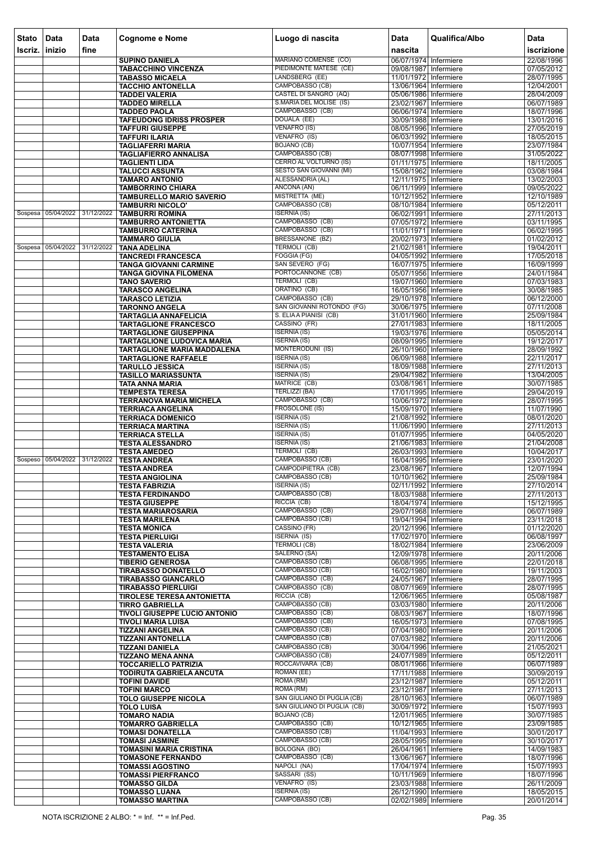| <b>Stato</b> | Data                          | <b>Data</b> | <b>Cognome e Nome</b>                                             | Luogo di nascita                                   | <b>Data</b>                                      | Qualifica/Albo | <b>Data</b>              |
|--------------|-------------------------------|-------------|-------------------------------------------------------------------|----------------------------------------------------|--------------------------------------------------|----------------|--------------------------|
| scriz.       | inizio                        | fine        |                                                                   |                                                    | nascita                                          |                | iscrizione               |
|              |                               |             | <b>SUPINO DANIELA</b>                                             | MARIANO COMENSE (CO)                               | 06/07/1974 Infermiere                            |                | 22/08/1996               |
|              |                               |             | <b>TABACCHINO VINCENZA</b>                                        | PIEDIMONTE MATESE (CE)                             | 09/08/1987 Infermiere                            |                | 07/05/2012               |
|              |                               |             | <b>TABASSO MICAELA</b><br><b>TACCHIO ANTONELLA</b>                | LANDSBERG (EE)<br>CAMPOBASSO (CB)                  | 11/01/1972 Infermiere<br>13/06/1964 Infermiere   |                | 28/07/1995<br>12/04/2001 |
|              |                               |             | <b>TADDEI VALERIA</b>                                             | CASTEL DI SANGRO (AQ)                              | 05/06/1986 Infermiere                            |                | 28/04/2009               |
|              |                               |             | <b>TADDEO MIRELLA</b>                                             | S.MARIA DEL MOLISE (IS)                            | 23/02/1967 Infermiere                            |                | 06/07/1989               |
|              |                               |             | <b>TADDEO PAOLA</b>                                               | CAMPOBASSO (CB)                                    | 06/06/1974 Infermiere                            |                | 18/07/1996               |
|              |                               |             | <b>TAFEUDONG IDRISS PROSPER</b><br><b>TAFFURI GIUSEPPE</b>        | DOUALA (EE)<br><b>VENAFRO (IS)</b>                 | 30/09/1988 Infermiere<br>08/05/1996 Infermiere   |                | 13/01/2016<br>27/05/2019 |
|              |                               |             | <b>TAFFURI ILARIA</b>                                             | VENAFRO (IS)                                       | 06/03/1992 Infermiere                            |                | 18/05/2015               |
|              |                               |             | <b>TAGLIAFERRI MARIA</b>                                          | <b>BOJANO (CB)</b>                                 | 10/07/1954 Infermiere                            |                | 23/07/1984               |
|              |                               |             | <b>TAGLIAFIERRO ANNALISA</b><br><b>TAGLIENTI LIDA</b>             | CAMPOBASSO (CB)<br>CERRO AL VOLTURNO (IS)          | 08/07/1998 Infermiere<br>01/11/1975   Infermiere |                | 31/05/2022<br>18/11/2005 |
|              |                               |             | <b>TALUCCI ASSUNTA</b>                                            | SESTO SAN GIOVANNI (MI)                            | 15/08/1962 Infermiere                            |                | 03/08/1984               |
|              |                               |             | <b>TAMARO ANTONIO</b>                                             | ALESSANDRIA (AL)                                   | 12/11/1975 Infermiere                            |                | 13/02/2003               |
|              |                               |             | <b>TAMBORRINO CHIARA</b>                                          | ANCONA (AN)<br>MISTRETTA (ME)                      | 06/11/1999 Infermiere                            |                | 09/05/2022               |
|              |                               |             | <b>TAMBURELLO MARIO SAVERIO</b><br><b>TAMBURRI NICOLO'</b>        | CAMPOBASSO (CB)                                    | 10/12/1952 Infermiere<br>08/10/1984 Infermiere   |                | 12/10/1989<br>05/12/2011 |
|              | Sospesa 05/04/2022            | 31/12/2022  | <b>TAMBURRI ROMINA</b>                                            | <b>ISERNIA (IS)</b>                                | 06/02/1991 Infermiere                            |                | 27/11/2013               |
|              |                               |             | <b>TAMBURRO ANTONIETTA</b>                                        | CAMPOBASSO (CB)                                    | 07/05/1972 Infermiere                            |                | 03/11/1995               |
|              |                               |             | <b>TAMBURRO CATERINA</b><br><b>TAMMARO GIULIA</b>                 | CAMPOBASSO (CB)<br>BRESSANONE (BZ)                 | 11/01/1971 Infermiere<br>20/02/1973 Infermiere   |                | 06/02/1995<br>01/02/2012 |
|              | Sospesa 05/04/2022 31/12/2022 |             | <b>TANA ADELINA</b>                                               | <b>TERMOLI (CB)</b>                                | 21/02/1981 Infermiere                            |                | 19/04/2011               |
|              |                               |             | <b>TANCREDI FRANCESCA</b>                                         | FOGGIA (FG)                                        | 04/05/1992 Infermiere                            |                | 17/05/2018               |
|              |                               |             | <b>TANGA GIOVANNI CARMINE</b>                                     | SAN SEVERO (FG)                                    | 16/07/1975 Infermiere                            |                | 16/09/1999               |
|              |                               |             | <b>TANGA GIOVINA FILOMENA</b><br><b>TANO SAVERIO</b>              | PORTOCANNONE (CB)<br><b>TERMOLI (CB)</b>           | 05/07/1956 Infermiere<br>19/07/1960 Infermiere   |                | 24/01/1984<br>07/03/1983 |
|              |                               |             | <b>TARASCO ANGELINA</b>                                           | ORATINO (CB)                                       | 16/05/1956 Infermiere                            |                | 30/08/1985               |
|              |                               |             | <b>TARASCO LETIZIA</b>                                            | CAMPOBASSO (CB)                                    | 29/10/1978 Infermiere                            |                | 06/12/2000               |
|              |                               |             | <b>TARONNO ANGELA</b>                                             | SAN GIOVANNI ROTONDO (FG)<br>S. ELIAA PIANISI (CB) | 30/06/1975 Infermiere<br>31/01/1960 Infermiere   |                | 07/11/2008<br>25/09/1984 |
|              |                               |             | <b>TARTAGLIA ANNAFELICIA</b><br><b>TARTAGLIONE FRANCESCO</b>      | CASSINO (FR)                                       | 27/01/1983 Infermiere                            |                | 18/11/2005               |
|              |                               |             | <b>TARTAGLIONE GIUSEPPINA</b>                                     | <b>ISERNIA (IS)</b>                                | 19/03/1976 Infermiere                            |                | 05/05/2014               |
|              |                               |             | <b>TARTAGLIONE LUDOVICA MARIA</b>                                 | <b>ISERNIA (IS)</b>                                | 08/09/1995 Infermiere                            |                | 19/12/2017               |
|              |                               |             | <b>TARTAGLIONE MARIA MADDALENA</b><br><b>TARTAGLIONE RAFFAELE</b> | MONTERODUNI (IS)<br><b>ISERNIA (IS)</b>            | 26/10/1960 Infermiere<br>06/09/1988 Infermiere   |                | 28/09/1992<br>22/11/2017 |
|              |                               |             | <b>TARULLO JESSICA</b>                                            | <b>ISERNIA (IS)</b>                                | 18/09/1988 Infermiere                            |                | 27/11/2013               |
|              |                               |             | <b>TASILLO MARIASSUNTA</b>                                        | <b>ISERNIA (IS)</b>                                | 29/04/1982 Infermiere                            |                | 13/04/2005               |
|              |                               |             | TATA ANNA MARIA<br><b>TEMPESTA TERESA</b>                         | MATRICE (CB)<br>TERLIZZI (BA)                      | 03/08/1961 Infermiere<br>17/01/1995 Infermiere   |                | 30/07/1985<br>29/04/2019 |
|              |                               |             | <b>TERRANOVA MARIA MICHELA</b>                                    | CAMPOBASSO (CB)                                    | 10/06/1972 Infermiere                            |                | 28/07/1995               |
|              |                               |             | <b>TERRIACA ANGELINA</b>                                          | <b>FROSOLONE (IS)</b>                              | 15/09/1970 Infermiere                            |                | 11/07/1990               |
|              |                               |             | <b>TERRIACA DOMENICO</b>                                          | <b>ISERNIA (IS)</b><br><b>ISERNIA (IS)</b>         | 21/08/1992 Infermiere                            |                | 08/01/2020               |
|              |                               |             | <b>TERRIACA MARTINA</b><br><b>TERRIACA STELLA</b>                 | <b>ISERNIA (IS)</b>                                | 11/06/1990 Infermiere<br>01/07/1995 Infermiere   |                | 27/11/2013<br>04/05/2020 |
|              |                               |             | <b>TESTA ALESSANDRO</b>                                           | <b>ISERNIA (IS)</b>                                | 21/06/1983 Infermiere                            |                | 21/04/2008               |
|              |                               |             | <b>TESTA AMEDEO</b>                                               | TERMOLI (CB)<br>CAMPOBASSO (CB)                    | 26/03/1993 Infermiere                            |                | 10/04/2017               |
|              | Sospeso 05/04/2022 31/12/2022 |             | <b>TESTA ANDREA</b><br><b>TESTA ANDREA</b>                        | CAMPODIPIETRA (CB)                                 | 16/04/1995 Infermiere<br>23/08/1967 Infermiere   |                | 23/01/2020<br>12/07/1994 |
|              |                               |             | <b>TESTA ANGIOLINA</b>                                            | CAMPOBASSO (CB)                                    | 10/10/1962 Infermiere                            |                | 25/09/1984               |
|              |                               |             | <b>TESTA FABRIZIA</b>                                             | <b>ISERNIA (IS)</b>                                | 02/11/1992   Infermiere                          |                | 27/10/2014               |
|              |                               |             | <b>TESTA FERDINANDO</b><br><b>TESTA GIUSEPPE</b>                  | CAMPOBASSO (CB)<br>RICCIA (CB)                     | 18/03/1988 Infermiere<br>18/04/1974 Infermiere   |                | 27/11/2013<br>15/12/1995 |
|              |                               |             | <b>TESTA MARIAROSARIA</b>                                         | CAMPOBASSO (CB)                                    | 29/07/1968 Infermiere                            |                | 06/07/1989               |
|              |                               |             | <b>TESTA MARILENA</b>                                             | CAMPOBASSO (CB)                                    | 19/04/1994 Infermiere                            |                | 23/11/2018               |
|              |                               |             | <b>TESTA MONICA</b><br><b>TESTA PIERLUIGI</b>                     | CASSINO (FR)<br><b>ISERNIA (IS)</b>                | 20/12/1996 Infermiere<br>17/02/1970 Infermiere   |                | 01/12/2020<br>06/08/1997 |
|              |                               |             | <b>TESTA VALERIA</b>                                              | <b>TERMOLI (CB)</b>                                | 18/02/1984 Infermiere                            |                | 23/06/2009               |
|              |                               |             | <b>TESTAMENTO ELISA</b>                                           | SALERNO (SA)                                       | 12/09/1978 Infermiere                            |                | 20/11/2006               |
|              |                               |             | <b>TIBERIO GENEROSA</b>                                           | CAMPOBASSO (CB)<br>CAMPOBASSO (CB)                 | 06/08/1995 Infermiere<br>16/02/1980 Infermiere   |                | 22/01/2018               |
|              |                               |             | <b>TIRABASSO DONATELLO</b><br><b>TIRABASSO GIANCARLO</b>          | CAMPOBASSO (CB)                                    | 24/05/1967 Infermiere                            |                | 19/11/2003<br>28/07/1995 |
|              |                               |             | <b>TIRABASSO PIERLUIGI</b>                                        | CAMPOBASSO (CB)                                    | 08/07/1969 Infermiere                            |                | 28/07/1995               |
|              |                               |             | <b>TIROLESE TERESA ANTONIETTA</b>                                 | RICCIA (CB)<br>CAMPOBASSO (CB)                     | 12/06/1965 Infermiere                            |                | 05/08/1987               |
|              |                               |             | <b>TIRRO GABRIELLA</b><br><b>TIVOLI GIUSEPPE LUCIO ANTONIO</b>    | CAMPOBASSO (CB)                                    | 03/03/1980 Infermiere<br>08/03/1967 Infermiere   |                | 20/11/2006<br>18/07/1996 |
|              |                               |             | <b>TIVOLI MARIA LUISA</b>                                         | CAMPOBASSO (CB)                                    | 16/05/1973 Infermiere                            |                | 07/08/1995               |
|              |                               |             | <b>TIZZANI ANGELINA</b>                                           | CAMPOBASSO (CB)                                    | 07/04/1980 Infermiere                            |                | 20/11/2006               |
|              |                               |             | <b>TIZZANI ANTONELLA</b><br><b>TIZZANI DANIELA</b>                | CAMPOBASSO (CB)<br>CAMPOBASSO (CB)                 | 07/03/1982 Infermiere<br>30/04/1996 Infermiere   |                | 20/11/2006<br>21/05/2021 |
|              |                               |             | <b>TIZZANO MENA ANNA</b>                                          | CAMPOBASSO (CB)                                    | 24/07/1989 Infermiere                            |                | 05/12/2011               |
|              |                               |             | <b>TOCCARIELLO PATRIZIA</b>                                       | ROCCAVIVARA (CB)                                   | 08/01/1966 Infermiere                            |                | 06/07/1989               |
|              |                               |             | TODIRUTA GABRIELA ANCUTA                                          | ROMAN (EE)<br>ROMA (RM)                            | 17/11/1988 Infermiere                            |                | 30/09/2019               |
|              |                               |             | <b>TOFINI DAVIDE</b><br><b>TOFINI MARCO</b>                       | ROMA (RM)                                          | 23/12/1987 Infermiere<br>23/12/1987 Infermiere   |                | 05/12/2011<br>27/11/2013 |
|              |                               |             | <b>TOLO GIUSEPPE NICOLA</b>                                       | SAN GIULIANO DI PUGLIA (CB)                        | 28/10/1963 Infermiere                            |                | 06/07/1989               |
|              |                               |             | <b>TOLO LUISA</b>                                                 | SAN GIULIANO DI PUGLIA (CB)                        | 30/09/1972 Infermiere                            |                | 15/07/1993               |
|              |                               |             | <b>TOMARO NADIA</b><br><b>TOMARRO GABRIELLA</b>                   | <b>BOJANO (CB)</b><br>CAMPOBASSO (CB)              | 12/01/1965 Infermiere<br>10/12/1965 Infermiere   |                | 30/07/1985<br>23/09/1985 |
|              |                               |             | <b>TOMASI DONATELLA</b>                                           | CAMPOBASSO (CB)                                    | 11/04/1993 Infermiere                            |                | 30/01/2017               |
|              |                               |             | <b>TOMASI JASMINE</b>                                             | CAMPOBASSO (CB)                                    | 28/05/1995 Infermiere                            |                | 30/10/2017               |
|              |                               |             | <b>TOMASINI MARIA CRISTINA</b>                                    | <b>BOLOGNA (BO)</b><br>CAMPOBASSO (CB)             | 26/04/1961 Infermiere<br>13/06/1967 Infermiere   |                | 14/09/1983<br>18/07/1996 |
|              |                               |             | <b>TOMASONE FERNANDO</b><br><b>TOMASSI AGOSTINO</b>               | NAPOLI (NA)                                        | 17/04/1974 Infermiere                            |                | 15/07/1993               |
|              |                               |             | <b>TOMASSI PIERFRANCO</b>                                         | SASSARI (SS)                                       | 10/11/1969 Infermiere                            |                | 18/07/1996               |
|              |                               |             | <b>TOMASSO GILDA</b>                                              | VENAFRO (IS)                                       | 23/03/1988 Infermiere                            |                | 26/11/2009               |
|              |                               |             | <b>TOMASSO LUANA</b><br><b>TOMASSO MARTINA</b>                    | <b>ISERNIA (IS)</b><br><b>CAMPOBASSO (CB)</b>      | 26/12/1990 Infermiere<br>02/02/1989 Infermiere   |                | 18/05/2015<br>20/01/2014 |
|              |                               |             |                                                                   |                                                    |                                                  |                |                          |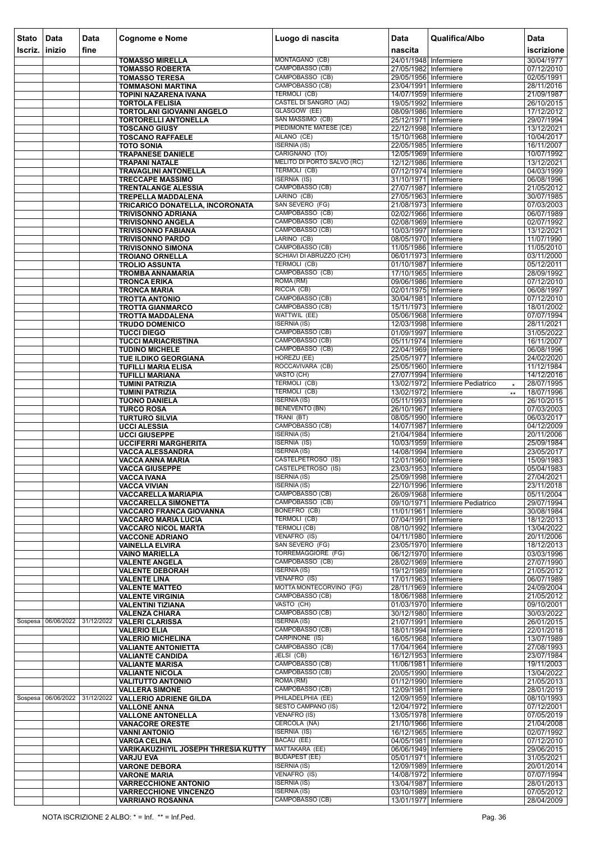| <b>Stato</b><br>Iscriz. | Data<br>$ $ inizio | Data<br>fine | <b>Cognome e Nome</b>                                          | Luogo di nascita                                 | <b>Data</b><br>nascita                           | Qualifica/Albo                              | Data                     |
|-------------------------|--------------------|--------------|----------------------------------------------------------------|--------------------------------------------------|--------------------------------------------------|---------------------------------------------|--------------------------|
|                         |                    |              |                                                                | MONTAGANO (CB)                                   | 24/01/1948 Infermiere                            |                                             | iscrizione<br>30/04/1977 |
|                         |                    |              | <b>TOMASSO MIRELLA</b><br><b>TOMASSO ROBERTA</b>               | <b>CAMPOBASSO (CB)</b>                           | 27/05/1982 Infermiere                            |                                             | 07/12/2010               |
|                         |                    |              | <b>TOMASSO TERESA</b>                                          | CAMPOBASSO (CB)                                  | 29/05/1956 Infermiere                            |                                             | 02/05/1991               |
|                         |                    |              | <b>TOMMASONI MARTINA</b>                                       | CAMPOBASSO (CB)                                  | 23/04/1991 Infermiere                            |                                             | 28/11/2016               |
|                         |                    |              | TOPINI NAZARENA IVANA<br><b>TORTOLA FELISIA</b>                | TERMOLI (CB)<br>CASTEL DI SANGRO (AQ)            | 14/07/1959 Infermiere<br>19/05/1992 Infermiere   |                                             | 21/09/1987<br>26/10/2015 |
|                         |                    |              | <b>TORTOLANI GIOVANNI ANGELO</b>                               | GLASGOW (EE)                                     | 08/09/1986 Infermiere                            |                                             | 17/12/2012               |
|                         |                    |              | <b>TORTORELLI ANTONELLA</b>                                    | SAN MASSIMO (CB)                                 | 25/12/1971 Infermiere                            |                                             | 29/07/1994               |
|                         |                    |              | <b>TOSCANO GIUSY</b>                                           | PIEDIMONTE MATESE (CE)                           | 22/12/1998 Infermiere                            |                                             | 13/12/2021               |
|                         |                    |              | <b>TOSCANO RAFFAELE</b><br><b>TOTO SONIA</b>                   | AILANO (CE)<br><b>ISERNIA (IS)</b>               | 15/10/1968 Infermiere<br>22/05/1985 Infermiere   |                                             | 10/04/2017<br>16/11/2007 |
|                         |                    |              | <b>TRAPANESE DANIELE</b>                                       | CARIGNANO (TO)                                   | 12/05/1969 Infermiere                            |                                             | 10/07/1992               |
|                         |                    |              | <b>TRAPANI NATALE</b>                                          | MELITO DI PORTO SALVO (RC)                       | 12/12/1986 Infermiere                            |                                             | 13/12/2021               |
|                         |                    |              | <b>TRAVAGLINI ANTONELLA</b>                                    | <b>TERMOLI (CB)</b>                              | 07/12/1974 Infermiere                            |                                             | 04/03/1999               |
|                         |                    |              | <b>TRECCAPE MASSIMO</b><br><b>TRENTALANGE ALESSIA</b>          | <b>ISERNIA (IS)</b><br>CAMPOBASSO (CB)           | 31/10/1971 Infermiere<br>27/07/1987 Infermiere   |                                             | 06/08/1996<br>21/05/2012 |
|                         |                    |              | <b>TREPELLA MADDALENA</b>                                      | LARINO (CB)                                      | 27/05/1963 Infermiere                            |                                             | 30/07/1985               |
|                         |                    |              | TRICARICO DONATELLA, INCORONATA                                | SAN SEVERO (FG)                                  | 21/08/1973 Infermiere                            |                                             | 07/03/2003               |
|                         |                    |              | <b>TRIVISONNO ADRIANA</b>                                      | CAMPOBASSO (CB)                                  | 02/02/1966 Infermiere                            |                                             | 06/07/1989               |
|                         |                    |              | <b>TRIVISONNO ANGELA</b><br><b>TRIVISONNO FABIANA</b>          | CAMPOBASSO (CB)<br>CAMPOBASSO (CB)               | 02/08/1969 Infermiere<br>10/03/1997 Infermiere   |                                             | 02/07/1992<br>13/12/2021 |
|                         |                    |              | <b>TRIVISONNO PARDO</b>                                        | LARINO (CB)                                      | 08/05/1970 Infermiere                            |                                             | 11/07/1990               |
|                         |                    |              | <b>TRIVISONNO SIMONA</b>                                       | CAMPOBASSO (CB)                                  | 11/05/1986 Infermiere                            |                                             | 11/05/2010               |
|                         |                    |              | <b>TROIANO ORNELLA</b>                                         | SCHIAVI DI ABRUZZO (CH)                          | 06/01/1973 Infermiere                            |                                             | 03/11/2000               |
|                         |                    |              | <b>TROLIO ASSUNTA</b><br><b>TROMBA ANNAMARIA</b>               | <b>TERMOLI (CB)</b><br>CAMPOBASSO (CB)           | 01/10/1987 Infermiere<br>17/10/1965 Infermiere   |                                             | 05/12/2011<br>28/09/1992 |
|                         |                    |              | <b>TRONCA ERIKA</b>                                            | ROMA (RM)                                        | 09/06/1986 Infermiere                            |                                             | 07/12/2010               |
|                         |                    |              | <b>TRONCA MARIA</b>                                            | RICCIA (CB)                                      | 02/01/1975 Infermiere                            |                                             | 06/08/1997               |
|                         |                    |              | <b>TROTTA ANTONIO</b>                                          | CAMPOBASSO (CB)<br>CAMPOBASSO (CB)               | 30/04/1981 Infermiere                            |                                             | 07/12/2010               |
|                         |                    |              | <b>TROTTA GIANMARCO</b><br><b>TROTTA MADDALENA</b>             | WATTWIL (EE)                                     | 15/11/1973 Infermiere<br>05/06/1968 Infermiere   |                                             | 18/01/2002<br>07/07/1994 |
|                         |                    |              | <b>TRUDO DOMENICO</b>                                          | <b>ISERNIA (IS)</b>                              | 12/03/1998 Infermiere                            |                                             | 28/11/2021               |
|                         |                    |              | <b>TUCCI DIEGO</b>                                             | CAMPOBASSO (CB)                                  | 01/09/1997 Infermiere                            |                                             | 31/05/2022               |
|                         |                    |              | <b>TUCCI MARIACRISTINA</b>                                     | CAMPOBASSO (CB)<br>CAMPOBASSO (CB)               | 05/11/1974 Infermiere                            |                                             | 16/11/2007               |
|                         |                    |              | <b>TUDINO MICHELE</b><br>TUE ILDIKO GEORGIANA                  | HOREZU (EE)                                      | 22/04/1969 Infermiere<br>25/05/1977 Infermiere   |                                             | 06/08/1996<br>24/02/2020 |
|                         |                    |              | <b>TUFILLI MARIA ELISA</b>                                     | ROCCAVIVARA (CB)                                 | 25/05/1960 Infermiere                            |                                             | 11/12/1984               |
|                         |                    |              | <b>TUFILLI MARIANA</b>                                         | VASTO (CH)                                       | 27/07/1994 Infermiere                            |                                             | 14/12/2016               |
|                         |                    |              | <b>TUMINI PATRIZIA</b>                                         | TERMOLI (CB)                                     |                                                  | 13/02/1972 Infermiere Pediatrico<br>$\star$ | 28/07/1995               |
|                         |                    |              | <b>TUMINI PATRIZIA</b><br><b>TUONO DANIELA</b>                 | TERMOLI (CB)<br><b>ISERNIA (IS)</b>              | 13/02/1972 Infermiere<br>05/11/1993 Infermiere   | $\star\star$                                | 18/07/1996<br>26/10/2015 |
|                         |                    |              | <b>TURCO ROSA</b>                                              | <b>BENEVENTO (BN)</b>                            | 26/10/1967 Infermiere                            |                                             | 07/03/2003               |
|                         |                    |              | <b>TURTURO SILVIA</b>                                          | TRANI (BT)                                       | 08/05/1990 Infermiere                            |                                             | 06/03/2017               |
|                         |                    |              | <b>UCCI ALESSIA</b>                                            | CAMPOBASSO (CB)<br><b>ISERNIA (IS)</b>           | 14/07/1987 Infermiere<br>21/04/1984 Infermiere   |                                             | 04/12/2009<br>20/11/2006 |
|                         |                    |              | <b>UCCI GIUSEPPE</b><br><b>UCCIFERRI MARGHERITA</b>            | <b>ISERNIA (IS)</b>                              | 10/03/1959 Infermiere                            |                                             | 25/09/1984               |
|                         |                    |              | <b>VACCA ALESSANDRA</b>                                        | <b>ISERNIA (IS)</b>                              | 14/08/1994 Infermiere                            |                                             | 23/05/2017               |
|                         |                    |              | VACCA ANNA MARIA                                               | CASTELPETROSO (IS)                               | 12/01/1960 Infermiere                            |                                             | 15/09/1983               |
|                         |                    |              | <b>VACCA GIUSEPPE</b><br><b>VACCA IVANA</b>                    | <b>CASTELPETROSO (IS)</b><br><b>ISERNIA (IS)</b> | 23/03/1953 Infermiere<br>25/09/1998 Infermiere   |                                             | 05/04/1983<br>27/04/2021 |
|                         |                    |              | <b>VACCA VIVIAN</b>                                            | <b>ISERNIA (IS)</b>                              | 22/10/1996 Infermiere                            |                                             | 23/11/2018               |
|                         |                    |              | <b>VACCARELLA MARIAPIA</b>                                     | CAMPOBASSO (CB)                                  | 26/09/1968 Infermiere                            |                                             | 05/11/2004               |
|                         |                    |              | <b>VACCARELLA SIMONETTA</b>                                    | CAMPOBASSO (CB)                                  |                                                  | 09/10/1971 Infermiere Pediatrico            | 29/07/1994               |
|                         |                    |              | VACCARO FRANCA GIOVANNA<br><b>VACCARO MARIA LUCIA</b>          | BONEFRO (CB)<br><b>TERMOLI (CB)</b>              | 11/01/1961   Infermiere<br>07/04/1991 Infermiere |                                             | 30/08/1984<br>18/12/2013 |
|                         |                    |              | <b>VACCARO NICOL MARTA</b>                                     | <b>TERMOLI (CB)</b>                              | 08/10/1992 Infermiere                            |                                             | 13/04/2022               |
|                         |                    |              | <b>VACCONE ADRIANO</b>                                         | VENAFRO (IS)                                     | 04/11/1980 Infermiere                            |                                             | 20/11/2006               |
|                         |                    |              | <b>VAINELLA ELVIRA</b>                                         | SAN SEVERO (FG)<br><b>TORREMAGGIORE (FG)</b>     | 23/05/1970 Infermiere                            |                                             | 18/12/2013               |
|                         |                    |              | <b>VAINO MARIELLA</b><br><b>VALENTE ANGELA</b>                 | CAMPOBASSO (CB)                                  | 06/12/1970 Infermiere<br>28/02/1969 Infermiere   |                                             | 03/03/1996<br>27/07/1990 |
|                         |                    |              | <b>VALENTE DEBORAH</b>                                         | <b>ISERNIA (IS)</b>                              | 19/12/1989 Infermiere                            |                                             | 21/05/2012               |
|                         |                    |              | <b>VALENTE LINA</b>                                            | VENAFRO (IS)                                     | 17/01/1963 Infermiere                            |                                             | 06/07/1989               |
|                         |                    |              | <b>VALENTE MATTEO</b>                                          | MOTTA MONTECORVINO (FG)<br>CAMPOBASSO (CB)       | 28/11/1969 Infermiere<br>18/06/1988 Infermiere   |                                             | 24/09/2004<br>21/05/2012 |
|                         |                    |              | <b>VALENTE VIRGINIA</b><br><b>VALENTINI TIZIANA</b>            | VASTO (CH)                                       | 01/03/1970 Infermiere                            |                                             | 09/10/2001               |
|                         |                    |              | <b>VALENZA CHIARA</b>                                          | CAMPOBASSO (CB)                                  | 30/12/1980 Infermiere                            |                                             | 30/03/2022               |
|                         | Sospesa 06/06/2022 | 31/12/2022   | <b>VALERI CLARISSA</b>                                         | <b>ISERNIA (IS)</b>                              | 21/07/1991 Infermiere                            |                                             | 26/01/2015               |
|                         |                    |              | <b>VALERIO ELIA</b><br><b>VALERIO MICHELINA</b>                | CAMPOBASSO (CB)<br><b>CARPINONE (IS)</b>         | 18/01/1994 Infermiere<br>16/05/1968 Infermiere   |                                             | 22/01/2018<br>13/07/1989 |
|                         |                    |              | <b>VALIANTE ANTONIETTA</b>                                     | CAMPOBASSO (CB)                                  | 17/04/1964 Infermiere                            |                                             | 27/08/1993               |
|                         |                    |              | <b>VALIANTE CANDIDA</b>                                        | JELSI (CB)                                       | 16/12/1953 Infermiere                            |                                             | 23/07/1984               |
|                         |                    |              | <b>VALIANTE MARISA</b>                                         | CAMPOBASSO (CB)<br>CAMPOBASSO (CB)               | 11/06/1981 Infermiere                            |                                             | 19/11/2003               |
|                         |                    |              | <b>VALIANTE NICOLA</b><br><b>VALITUTTO ANTONIO</b>             | ROMA (RM)                                        | 20/05/1990 Infermiere<br>01/12/1990 Infermiere   |                                             | 13/04/2022<br>21/05/2013 |
|                         |                    |              | <b>VALLERA SIMONE</b>                                          | CAMPOBASSO (CB)                                  | 12/09/1981 Infermiere                            |                                             | 28/01/2019               |
|                         | Sospesa 06/06/2022 | 31/12/2022   | <b>VALLERIO ADRIENE GILDA</b>                                  | PHILADELPHIA (EE)                                | 12/09/1959 Infermiere                            |                                             | 08/10/1993               |
|                         |                    |              | <b>VALLONE ANNA</b>                                            | <b>SESTO CAMPANO (IS)</b><br>VENAFRO (IS)        | 12/04/1972 Infermiere                            |                                             | 07/12/2001<br>07/05/2019 |
|                         |                    |              | <b>VALLONE ANTONELLA</b><br><b>VANACORE ORESTE</b>             | CERCOLA (NA)                                     | 13/05/1978 Infermiere<br>21/10/1966 Infermiere   |                                             | 21/04/2008               |
|                         |                    |              | <b>VANNI ANTONIO</b>                                           | <b>ISERNIA (IS)</b>                              | 16/12/1965 Infermiere                            |                                             | 02/07/1992               |
|                         |                    |              | <b>VARGA CELINA</b>                                            | BACAU (EE)                                       | 04/05/1981 Infermiere                            |                                             | 07/12/2010               |
|                         |                    |              | <b>VARIKAKUZHIYIL JOSEPH THRESIA KUTTY</b><br><b>VARJU EVA</b> | MATTAKARA (EE)<br><b>BUDAPEST (EE)</b>           | 06/06/1949 Infermiere<br>05/01/1971 Infermiere   |                                             | 29/06/2015<br>31/05/2021 |
|                         |                    |              | <b>VARONE DEBORA</b>                                           | <b>ISERNIA (IS)</b>                              | 12/09/1989 Infermiere                            |                                             | 20/01/2014               |
|                         |                    |              | <b>VARONE MARIA</b>                                            | VENAFRO (IS)                                     | 14/08/1972 Infermiere                            |                                             | 07/07/1994               |
|                         |                    |              | <b>VARRECCHIONE ANTONIO</b>                                    | <b>ISERNIA (IS)</b>                              | 13/04/1987 Infermiere                            |                                             | 28/01/2013               |
|                         |                    |              | <b>VARRECCHIONE VINCENZO</b><br><b>VARRIANO ROSANNA</b>        | <b>ISERNIA (IS)</b><br>CAMPOBASSO (CB)           | 03/10/1989 Infermiere<br>13/01/1977 Infermiere   |                                             | 07/05/2012<br>28/04/2009 |
|                         |                    |              |                                                                |                                                  |                                                  |                                             |                          |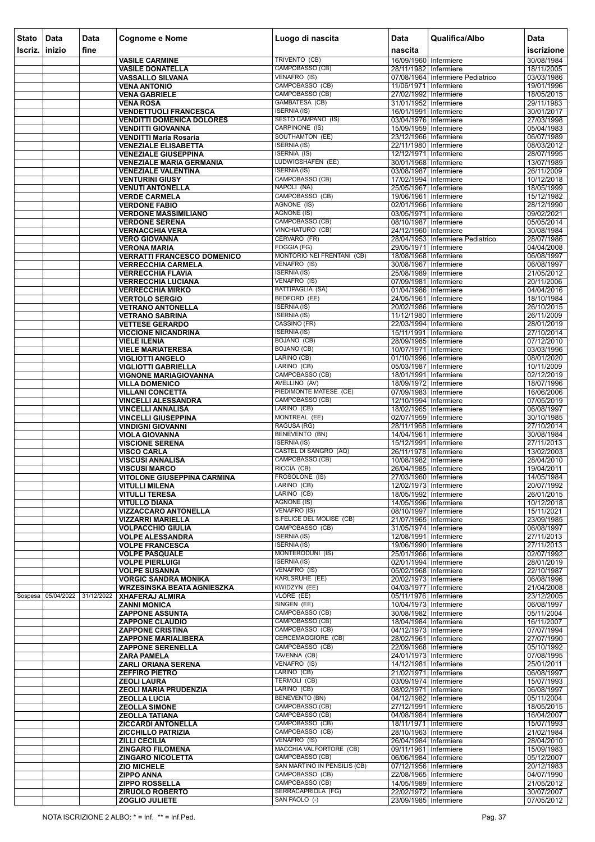| <b>Stato</b> | Data               | <b>Data</b> | <b>Cognome e Nome</b>                                            | Luogo di nascita                                   | Data                                           | Qualifica/Albo                   | <b>Data</b>              |
|--------------|--------------------|-------------|------------------------------------------------------------------|----------------------------------------------------|------------------------------------------------|----------------------------------|--------------------------|
| Iscriz.      | inizio             | fine        |                                                                  |                                                    | nascita                                        |                                  | iscrizione               |
|              |                    |             | <b>VASILE CARMINE</b>                                            | <b>TRIVENTO (CB)</b>                               | 16/09/1960 Infermiere                          |                                  | 30/08/1984               |
|              |                    |             | <b>VASILE DONATELLA</b>                                          | CAMPOBASSO (CB)                                    | 28/11/1982 Infermiere                          |                                  | 18/11/2005               |
|              |                    |             | <b>VASSALLO SILVANA</b><br><b>VENA ANTONIO</b>                   | VENAFRO (IS)<br>CAMPOBASSO (CB)                    | 11/06/1971 Infermiere                          | 07/08/1964 Infermiere Pediatrico | 03/03/1986<br>19/01/1996 |
|              |                    |             | <b>VENA GABRIELE</b>                                             | CAMPOBASSO (CB)                                    | 27/02/1992 Infermiere                          |                                  | 18/05/2015               |
|              |                    |             | <b>VENA ROSA</b>                                                 | GAMBATESA (CB)                                     | 31/01/1952 Infermiere                          |                                  | 29/11/1983               |
|              |                    |             | <b>VENDETTUOLI FRANCESCA</b>                                     | <b>ISERNIA (IS)</b>                                | 16/01/1991 Infermiere                          |                                  | 30/01/2017               |
|              |                    |             | <b>VENDITTI DOMENICA DOLORES</b><br><b>VENDITTI GIOVANNA</b>     | <b>SESTO CAMPANO (IS)</b><br><b>CARPINONE (IS)</b> | 03/04/1976 Infermiere<br>15/09/1959 Infermiere |                                  | 27/03/1998<br>05/04/1983 |
|              |                    |             | <b>VENDITTI Maria Rosaria</b>                                    | <b>SOUTHAMTON (EE)</b>                             | 23/12/1966 Infermiere                          |                                  | 06/07/1989               |
|              |                    |             | <b>VENEZIALE ELISABETTA</b>                                      | <b>ISERNIA (IS)</b>                                | 22/11/1980 Infermiere                          |                                  | 08/03/2012               |
|              |                    |             | <b>VENEZIALE GIUSEPPINA</b>                                      | <b>ISERNIA (IS)</b><br>LUDWIGSHAFEN (EE)           | 12/12/1971 Infermiere<br>30/01/1968 Infermiere |                                  | 28/07/1995<br>13/07/1989 |
|              |                    |             | <b>VENEZIALE MARIA GERMANIA</b><br><b>VENEZIALE VALENTINA</b>    | <b>ISERNIA (IS)</b>                                | 03/08/1987 Infermiere                          |                                  | 26/11/2009               |
|              |                    |             | <b>VENTURINI GIUSY</b>                                           | CAMPOBASSO (CB)                                    | 17/02/1994 Infermiere                          |                                  | 10/12/2018               |
|              |                    |             | <b>VENUTI ANTONELLA</b>                                          | NAPOLI (NA)                                        | 25/05/1967 Infermiere                          |                                  | 18/05/1999               |
|              |                    |             | <b>VERDE CARMELA</b><br><b>VERDONE FABIO</b>                     | CAMPOBASSO (CB)<br>AGNONE (IS)                     | 19/06/1961 Infermiere<br>02/01/1966 Infermiere |                                  | 15/12/1982<br>28/12/1990 |
|              |                    |             | <b>VERDONE MASSIMILIANO</b>                                      | <b>AGNONE (IS)</b>                                 | 03/05/1971 Infermiere                          |                                  | 09/02/2021               |
|              |                    |             | <b>VERDONE SERENA</b>                                            | CAMPOBASSO (CB)                                    | 08/10/1987 Infermiere                          |                                  | 05/05/2014               |
|              |                    |             | <b>VERNACCHIA VERA</b>                                           | VINCHIATURO (CB)<br>CERVARO (FR)                   | 24/12/1960 Infermiere                          | 28/04/1953 Infermiere Pediatrico | 30/08/1984<br>28/07/1986 |
|              |                    |             | <b>VERO GIOVANNA</b><br><b>VERONA MARIA</b>                      | FOGGIA (FG)                                        | 29/05/1971 Infermiere                          |                                  | 04/04/2008               |
|              |                    |             | <b>VERRATTI FRANCESCO DOMENICO</b>                               | <b>MONTORIO NEI FRENTANI (CB)</b>                  | 18/08/1968 Infermiere                          |                                  | 06/08/1997               |
|              |                    |             | <b>VERRECCHIA CARMELA</b>                                        | VENAFRO (IS)                                       | 30/08/1967 Infermiere                          |                                  | 06/08/1997               |
|              |                    |             | <b>VERRECCHIA FLAVIA</b><br><b>VERRECCHIA LUCIANA</b>            | <b>ISERNIA (IS)</b><br>VENAFRO (IS)                | 25/08/1989 Infermiere<br>07/09/1981 Infermiere |                                  | 21/05/2012<br>20/11/2006 |
|              |                    |             | <b>VERRECCHIA MIRKO</b>                                          | <b>BATTIPAGLIA (SA)</b>                            | 01/04/1986 Infermiere                          |                                  | 04/04/2016               |
|              |                    |             | <b>VERTOLO SERGIO</b>                                            | BEDFORD (EE)                                       | 24/05/1961 Infermiere                          |                                  | 18/10/1984               |
|              |                    |             | <b>VETRANO ANTONELLA</b>                                         | <b>ISERNIA (IS)</b>                                | 20/02/1986 Infermiere                          |                                  | 26/10/2015               |
|              |                    |             | <b>VETRANO SABRINA</b><br><b>VETTESE GERARDO</b>                 | <b>ISERNIA (IS)</b><br>CASSINO (FR)                | 11/12/1980 Infermiere<br>22/03/1994 Infermiere |                                  | 26/11/2009<br>28/01/2019 |
|              |                    |             | <b>VICCIONE NICANDRINA</b>                                       | <b>ISERNIA (IS)</b>                                | 15/11/1991   Infermiere                        |                                  | 27/10/2014               |
|              |                    |             | <b>VIELE ILENIA</b>                                              | BOJANO (CB)                                        | 28/09/1985 Infermiere                          |                                  | 07/12/2010               |
|              |                    |             | <b>VIELE MARIATERESA</b>                                         | <b>BOJANO</b> (CB)                                 | 10/07/1971 Infermiere                          |                                  | 03/03/1996               |
|              |                    |             | <b>VIGLIOTTI ANGELO</b><br><b>VIGLIOTTI GABRIELLA</b>            | LARINO (CB)<br>LARINO (CB)                         | 01/10/1996 Infermiere<br>05/03/1987 Infermiere |                                  | 08/01/2020<br>10/11/2009 |
|              |                    |             | <b>VIGNONE MARIAGIOVANNA</b>                                     | CAMPOBASSO (CB)                                    | 18/01/1991 Infermiere                          |                                  | 02/12/2019               |
|              |                    |             | <b>VILLA DOMENICO</b>                                            | AVELLINO (AV)                                      | 18/09/1972 Infermiere                          |                                  | 18/07/1996               |
|              |                    |             | <b>VILLANI CONCETTA</b><br><b>VINCELLI ALESSANDRA</b>            | PIEDIMONTE MATESE (CE)<br>CAMPOBASSO (CB)          | 07/09/1983 Infermiere<br>12/10/1994 Infermiere |                                  | 16/06/2006<br>07/05/2019 |
|              |                    |             | <b>VINCELLI ANNALISA</b>                                         | LARINO (CB)                                        | 18/02/1965 Infermiere                          |                                  | 06/08/1997               |
|              |                    |             | <b>VINCELLI GIUSEPPINA</b>                                       | MONTREAL (EE)                                      | 02/07/1959 Infermiere                          |                                  | 30/10/1985               |
|              |                    |             | <b>VINDIGNI GIOVANNI</b>                                         | RAGUSA (RG)<br><b>BENEVENTO (BN)</b>               | 28/11/1968 Infermiere                          |                                  | 27/10/2014               |
|              |                    |             | <b>VIOLA GIOVANNA</b><br><b>VISCIONE SERENA</b>                  | <b>ISERNIA (IS)</b>                                | 14/04/1961 Infermiere<br>15/12/1991 Infermiere |                                  | 30/08/1984<br>27/11/2013 |
|              |                    |             | <b>VISCO CARLA</b>                                               | CASTEL DI SANGRO (AQ)                              | 26/11/1978 Infermiere                          |                                  | 13/02/2003               |
|              |                    |             | <b>VISCUSI ANNALISA</b>                                          | CAMPOBASSO (CB)                                    | 10/08/1982 Infermiere                          |                                  | 28/04/2010               |
|              |                    |             | <b>VISCUSI MARCO</b><br><b>VITOLONE GIUSEPPINA CARMINA</b>       | RICCIA (CB)<br>FROSOLONE (IS)                      | 26/04/1985 Infermiere<br>27/03/1960 Infermiere |                                  | 19/04/2011<br>14/05/1984 |
|              |                    |             | <b>VITULLI MILENA</b>                                            | LARINO (CB)                                        | 12/02/1973 Infermiere                          |                                  | 20/07/1992               |
|              |                    |             | <b>VITULLI TERESA</b>                                            | LARINO (CB)                                        | 18/05/1992 Infermiere                          |                                  | 26/01/2015               |
|              |                    |             | <b>VITULLO DIANA</b>                                             | <b>AGNONE (IS)</b><br><b>VENAFRO (IS)</b>          | 14/05/1996 Infermiere<br>08/10/1997 Infermiere |                                  | 10/12/2018<br>15/11/2021 |
|              |                    |             | <b>VIZZACCARO ANTONELLA</b><br><b>VIZZARRI MARIELLA</b>          | S.FELICE DEL MOLISE (CB)                           | 21/07/1965 Infermiere                          |                                  | 23/09/1985               |
|              |                    |             | <b>VOLPACCHIO GIULIA</b>                                         | CAMPOBASSO (CB)                                    | 31/05/1974 Infermiere                          |                                  | 06/08/1997               |
|              |                    |             | <b>VOLPE ALESSANDRA</b>                                          | <b>ISERNIA (IS)</b>                                | 12/08/1991 Infermiere                          |                                  | 27/11/2013               |
|              |                    |             | <b>VOLPE FRANCESCA</b><br><b>VOLPE PASQUALE</b>                  | <b>ISERNIA (IS)</b><br><b>MONTERODUNI (IS)</b>     | 19/06/1990 Infermiere<br>25/01/1966 Infermiere |                                  | 27/11/2013<br>02/07/1992 |
|              |                    |             | <b>VOLPE PIERLUIGI</b>                                           | <b>ISERNIA (IS)</b>                                | 02/01/1994 Infermiere                          |                                  | 28/01/2019               |
|              |                    |             | <b>VOLPE SUSANNA</b>                                             | VENAFRO (IS)                                       | 05/02/1968 Infermiere                          |                                  | 22/10/1987               |
|              |                    |             | <b>VORGIC SANDRA MONIKA</b><br><b>WRZESINSKA BEATA AGNIESZKA</b> | KARLSRUHE (EE)<br>KWIDZYN (EE)                     | 20/02/1973 Infermiere<br>04/03/1977 Infermiere |                                  | 06/08/1996<br>21/04/2008 |
|              | Sospesa 05/04/2022 | 31/12/2022  | <b>XHAFERAJ ALMIRA</b>                                           | VLORE (EE)                                         | 05/11/1976 Infermiere                          |                                  | 23/12/2005               |
|              |                    |             | <b>ZANNI MONICA</b>                                              | SINGEN (EE)                                        | 10/04/1973 Infermiere                          |                                  | 06/08/1997               |
|              |                    |             | <b>ZAPPONE ASSUNTA</b>                                           | <b>CAMPOBASSO (CB)</b><br>CAMPOBASSO (CB)          | 30/08/1982 Infermiere                          |                                  | 05/11/2004<br>16/11/2007 |
|              |                    |             | <b>ZAPPONE CLAUDIO</b><br><b>ZAPPONE CRISTINA</b>                | CAMPOBASSO (CB)                                    | 18/04/1984 Infermiere<br>04/12/1973 Infermiere |                                  | 07/07/1994               |
|              |                    |             | <b>ZAPPONE MARIALIBERA</b>                                       | <b>CERCEMAGGIORE (CB)</b>                          | 28/02/1961 Infermiere                          |                                  | 27/07/1990               |
|              |                    |             | <b>ZAPPONE SERENELLA</b>                                         | CAMPOBASSO (CB)                                    | 22/09/1968 Infermiere                          |                                  | 05/10/1992               |
|              |                    |             | <b>ZARA PAMELA</b><br><b>ZARLI ORIANA SERENA</b>                 | TAVENNA (CB)<br>VENAFRO (IS)                       | 24/01/1973 Infermiere<br>14/12/1981 Infermiere |                                  | 07/08/1995<br>25/01/2011 |
|              |                    |             | <b>ZEFFIRO PIETRO</b>                                            | LARINO (CB)                                        | 21/02/1971 Infermiere                          |                                  | 06/08/1997               |
|              |                    |             | <b>ZEOLI LAURA</b>                                               | TERMOLI (CB)                                       | 03/09/1974 Infermiere                          |                                  | 15/07/1993               |
|              |                    |             | <b>ZEOLI MARIA PRUDENZIA</b>                                     | LARINO (CB)<br><b>BENEVENTO (BN)</b>               | 08/02/1971 Infermiere                          |                                  | 06/08/1997               |
|              |                    |             | <b>ZEOLLA LUCIA</b><br><b>ZEOLLA SIMONE</b>                      | CAMPOBASSO (CB)                                    | 04/12/1982 Infermiere<br>27/12/1991 Infermiere |                                  | 05/11/2004<br>18/05/2015 |
|              |                    |             | <b>ZEOLLA TATIANA</b>                                            | CAMPOBASSO (CB)                                    | 04/08/1984 Infermiere                          |                                  | 16/04/2007               |
|              |                    |             | <b>ZICCARDI ANTONELLA</b>                                        | CAMPOBASSO (CB)                                    | 18/11/1971 Infermiere                          |                                  | 15/07/1993               |
|              |                    |             | <b>ZICCHILLO PATRIZIA</b><br><b>ZILLI CECILIA</b>                | CAMPOBASSO (CB)<br>VENAFRO (IS)                    | 28/10/1963 Infermiere<br>26/04/1984 Infermiere |                                  | 21/02/1984<br>28/04/2010 |
|              |                    |             | <b>ZINGARO FILOMENA</b>                                          | <b>MACCHIA VALFORTORE (CB)</b>                     | 09/11/1961 Infermiere                          |                                  | 15/09/1983               |
|              |                    |             | <b>ZINGARO NICOLETTA</b>                                         | CAMPOBASSO (CB)                                    | 06/06/1984 Infermiere                          |                                  | 05/12/2007               |
|              |                    |             | <b>ZIO MICHELE</b><br><b>ZIPPO ANNA</b>                          | SAN MARTINO IN PENSILIS (CB)<br>CAMPOBASSO (CB)    | 07/12/1956 Infermiere<br>22/08/1965 Infermiere |                                  | 20/12/1983<br>04/07/1990 |
|              |                    |             | <b>ZIPPO ROSSELLA</b>                                            | CAMPOBASSO (CB)                                    | 14/05/1989 Infermiere                          |                                  | 21/05/2012               |
|              |                    |             | <b>ZIRUOLO ROBERTO</b>                                           | SERRACAPRIOLA (FG)                                 | 22/02/1972 Infermiere                          |                                  | 30/07/2007               |
|              |                    |             | ZOGLIO JULIETE                                                   | SAN PAOLO (-)                                      | 23/09/1985 Infermiere                          |                                  | 07/05/2012               |